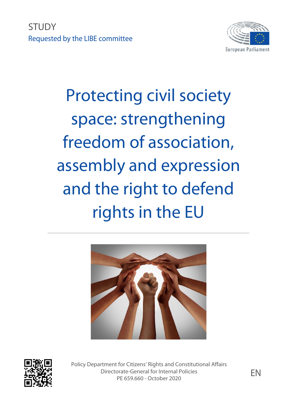**STUDY** Requested by the LIBE committee



# Protecting civil society space: strengthening freedom of association, assembly and expression and the right to defend rights in the EU





Policy Department for Citizens' Rights and Constitutional Affairs Directorate-General for Internal Policies orate-General for Internal Policies<br>PE 659.660 - October 2020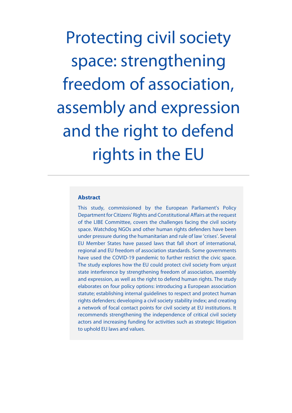Protecting civil society space: strengthening freedom of association, assembly and expression and the right to defend rights in the EU

# **Abstract**

This study, commissioned by the European Parliament's Policy Department for Citizens' Rights and Constitutional Affairs at the request of the LIBE Committee, covers the challenges facing the civil society space. Watchdog NGOs and other human rights defenders have been under pressure during the humanitarian and rule of law 'crises'. Several EU Member States have passed laws that fall short of international, regional and EU freedom of association standards. Some governments have used the COVID-19 pandemic to further restrict the civic space. The study explores how the EU could protect civil society from unjust state interference by strengthening freedom of association, assembly and expression, as well as the right to defend human rights. The study elaborates on four policy options: introducing a European association statute; establishing internal guidelines to respect and protect human rights defenders; developing a civil society stability index; and creating a network of focal contact points for civil society at EU institutions. It recommends strengthening the independence of critical civil society actors and increasing funding for activities such as strategic litigation to uphold EU laws and values.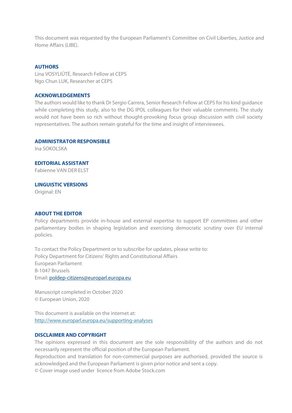This document was requested by the European Parliament's Committee on Civil Liberties, Justice and Home Affairs (LIBE).

#### **AUTHORS**

Lina VOSYLIŪTĖ, Research Fellow at CEPS Ngo Chun LUK, Researcher at CEPS

### **ACKNOWLEDGEMENTS**

The authors would like to thank Dr Sergio Carrera, Senior Research Fellow at CEPS for his kind guidance while completing this study, also to the DG IPOL colleagues for their valuable comments. The study would not have been so rich without thought-provoking focus group discussion with civil society representatives. The authors remain grateful for the time and insight of interviewees.

#### **ADMINISTRATOR RESPONSIBLE**

Ina SOKOLSKA

**EDITORIAL ASSISTANT**  Fabienne VAN DER ELST

**LINGUISTIC VERSIONS** 

Original: EN

#### **ABOUT THE EDITOR**

Policy departments provide in-house and external expertise to support EP committees and other parliamentary bodies in shaping legislation and exercising democratic scrutiny over EU internal policies.

To contact the Policy Department or to subscribe for updates, please write to: Policy Department for Citizens' Rights and Constitutional Affairs European Parliament B-1047 Brussels Email: poldep-citizens@europarl.europa.eu

Manuscript completed in October 2020 © European Union, 2020

This document is available on the internet at: http://www.europarl.europa.eu/supporting-analyses

#### **DISCLAIMER AND COPYRIGHT**

The opinions expressed in this document are the sole responsibility of the authors and do not necessarily represent the official position of the European Parliament.

Reproduction and translation for non-commercial purposes are authorised, provided the source is acknowledged and the European Parliament is given prior notice and sent a copy.

© Cover image used under licence from Adobe Stock.com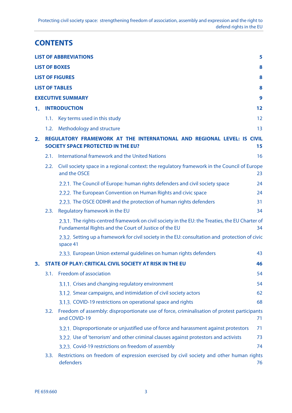# **CONTENTS**

|    |      | <b>LIST OF ABBREVIATIONS</b>                                                                                                                             | 5  |
|----|------|----------------------------------------------------------------------------------------------------------------------------------------------------------|----|
|    |      | <b>LIST OF BOXES</b>                                                                                                                                     | 8  |
|    |      | <b>LIST OF FIGURES</b>                                                                                                                                   | 8  |
|    |      | <b>LIST OF TABLES</b>                                                                                                                                    | 8  |
|    |      | <b>EXECUTIVE SUMMARY</b>                                                                                                                                 | 9  |
| 1. |      | <b>INTRODUCTION</b>                                                                                                                                      | 12 |
|    | 1.1. | Key terms used in this study                                                                                                                             | 12 |
|    | 1.2. | Methodology and structure                                                                                                                                | 13 |
| 2. |      | REGULATORY FRAMEWORK AT THE INTERNATIONAL AND REGIONAL LEVEL: IS CIVIL<br><b>SOCIETY SPACE PROTECTED IN THE EU?</b>                                      | 15 |
|    | 2.1. | International framework and the United Nations                                                                                                           | 16 |
|    | 2.2. | Civil society space in a regional context: the regulatory framework in the Council of Europe<br>and the OSCE                                             | 23 |
|    |      | 2.2.1. The Council of Europe: human rights defenders and civil society space                                                                             | 24 |
|    |      | 2.2.2. The European Convention on Human Rights and civic space                                                                                           | 24 |
|    |      | 2.2.3. The OSCE ODIHR and the protection of human rights defenders                                                                                       | 31 |
|    | 2.3. | Regulatory framework in the EU                                                                                                                           | 34 |
|    |      | 2.3.1. The rights-centred framework on civil society in the EU: the Treaties, the EU Charter of<br>Fundamental Rights and the Court of Justice of the EU | 34 |
|    |      | 2.3.2. Setting up a framework for civil society in the EU: consultation and protection of civic<br>space 41                                              |    |
|    |      | 2.3.3. European Union external guidelines on human rights defenders                                                                                      | 43 |
| 3. |      | <b>STATE OF PLAY: CRITICAL CIVIL SOCIETY AT RISK IN THE EU</b>                                                                                           | 46 |
|    | 3.1. | Freedom of association                                                                                                                                   | 54 |
|    |      | 3.1.1. Crises and changing regulatory environment                                                                                                        | 54 |
|    |      | 3.1.2. Smear campaigns, and intimidation of civil society actors                                                                                         | 62 |
|    |      | 3.1.3. COVID-19 restrictions on operational space and rights                                                                                             | 68 |
|    | 3.2. | Freedom of assembly: disproportionate use of force, criminalisation of protest participants<br>and COVID-19                                              | 71 |
|    |      | 3.2.1. Disproportionate or unjustified use of force and harassment against protestors                                                                    | 71 |
|    |      | 3.2.2. Use of 'terrorism' and other criminal clauses against protestors and activists                                                                    | 73 |
|    |      | 3.2.3. Covid-19 restrictions on freedom of assembly                                                                                                      | 74 |
|    | 3.3. | Restrictions on freedom of expression exercised by civil society and other human rights<br>defenders                                                     | 76 |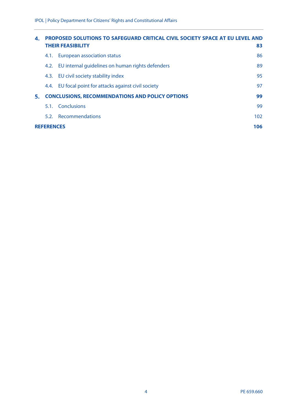| 4. |                   | <b>PROPOSED SOLUTIONS TO SAFEGUARD CRITICAL CIVIL SOCIETY SPACE AT EU LEVEL AND</b><br><b>THEIR FEASIBILITY</b><br>83 |     |  |
|----|-------------------|-----------------------------------------------------------------------------------------------------------------------|-----|--|
|    | 4.1.              | <b>European association status</b>                                                                                    | 86  |  |
|    | 4.2.              | EU internal quidelines on human rights defenders                                                                      | 89  |  |
|    | 4.3.              | EU civil society stability index                                                                                      | 95  |  |
|    | 4.4.              | EU focal point for attacks against civil society                                                                      | 97  |  |
| 5. |                   | <b>CONCLUSIONS, RECOMMENDATIONS AND POLICY OPTIONS</b>                                                                | 99  |  |
|    |                   | 5.1. Conclusions                                                                                                      | 99  |  |
|    |                   | 5.2. Recommendations                                                                                                  | 102 |  |
|    | <b>REFERENCES</b> |                                                                                                                       | 106 |  |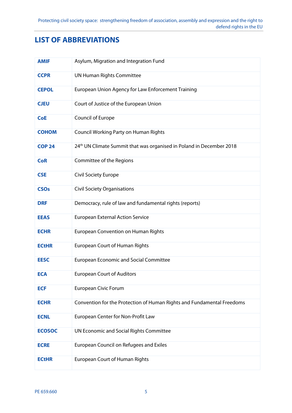# **LIST OF ABBREVIATIONS**

| <b>AMIF</b>   | Asylum, Migration and Integration Fund                                           |
|---------------|----------------------------------------------------------------------------------|
| <b>CCPR</b>   | <b>UN Human Rights Committee</b>                                                 |
| <b>CEPOL</b>  | European Union Agency for Law Enforcement Training                               |
| <b>CJEU</b>   | Court of Justice of the European Union                                           |
| <b>CoE</b>    | Council of Europe                                                                |
| <b>COHOM</b>  | <b>Council Working Party on Human Rights</b>                                     |
| <b>COP 24</b> | 24 <sup>th</sup> UN Climate Summit that was organised in Poland in December 2018 |
| <b>CoR</b>    | Committee of the Regions                                                         |
| <b>CSE</b>    | Civil Society Europe                                                             |
| <b>CSOs</b>   | <b>Civil Society Organisations</b>                                               |
| <b>DRF</b>    | Democracy, rule of law and fundamental rights (reports)                          |
| <b>EEAS</b>   | <b>European External Action Service</b>                                          |
| <b>ECHR</b>   | <b>European Convention on Human Rights</b>                                       |
| <b>ECtHR</b>  | <b>European Court of Human Rights</b>                                            |
| <b>EESC</b>   | <b>European Economic and Social Committee</b>                                    |
| <b>ECA</b>    | <b>European Court of Auditors</b>                                                |
| <b>ECF</b>    | European Civic Forum                                                             |
| <b>ECHR</b>   | Convention for the Protection of Human Rights and Fundamental Freedoms           |
| <b>ECNL</b>   | European Center for Non-Profit Law                                               |
| <b>ECOSOC</b> | UN Economic and Social Rights Committee                                          |
| <b>ECRE</b>   | European Council on Refugees and Exiles                                          |
| <b>ECtHR</b>  | <b>European Court of Human Rights</b>                                            |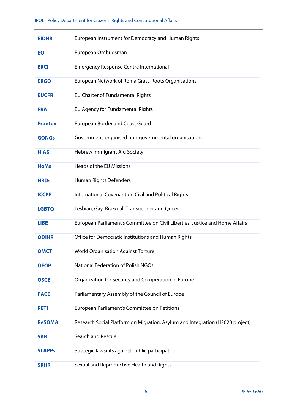| <b>EIDHR</b>   | European Instrument for Democracy and Human Rights                            |
|----------------|-------------------------------------------------------------------------------|
| EO             | European Ombudsman                                                            |
| <b>ERCI</b>    | <b>Emergency Response Centre International</b>                                |
| <b>ERGO</b>    | European Network of Roma Grass-Roots Organisations                            |
| <b>EUCFR</b>   | EU Charter of Fundamental Rights                                              |
| <b>FRA</b>     | EU Agency for Fundamental Rights                                              |
| <b>Frontex</b> | <b>European Border and Coast Guard</b>                                        |
| <b>GONGs</b>   | Government-organised non-governmental organisations                           |
| <b>HIAS</b>    | <b>Hebrew Immigrant Aid Society</b>                                           |
| <b>HoMs</b>    | Heads of the EU Missions                                                      |
| <b>HRDs</b>    | Human Rights Defenders                                                        |
| <b>ICCPR</b>   | International Covenant on Civil and Political Rights                          |
| <b>LGBTQ</b>   | Lesbian, Gay, Bisexual, Transgender and Queer                                 |
| <b>LIBE</b>    | European Parliament's Committee on Civil Liberties, Justice and Home Affairs  |
| <b>ODIHR</b>   | Office for Democratic Institutions and Human Rights                           |
| <b>OMCT</b>    | <b>World Organisation Against Torture</b>                                     |
| <b>OFOP</b>    | National Federation of Polish NGOs                                            |
| <b>OSCE</b>    | Organization for Security and Co-operation in Europe                          |
| <b>PACE</b>    | Parliamentary Assembly of the Council of Europe                               |
| <b>PETI</b>    | European Parliament's Committee on Petitions                                  |
| <b>ReSOMA</b>  | Research Social Platform on Migration, Asylum and Integration (H2020 project) |
| <b>SAR</b>     | Search and Rescue                                                             |
| <b>SLAPPs</b>  | Strategic lawsuits against public participation                               |
| <b>SRHR</b>    | Sexual and Reproductive Health and Rights                                     |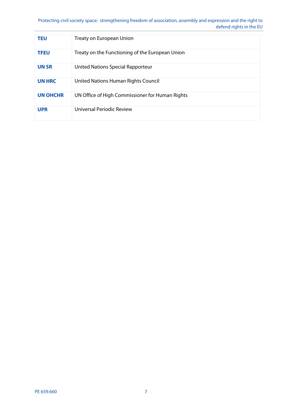# Protecting civil society space: strengthening freedom of association, assembly and expression and the right to defend rights in the EU

| TEU             | Treaty on European Union                        |
|-----------------|-------------------------------------------------|
| <b>TFEU</b>     | Treaty on the Functioning of the European Union |
| <b>UN SR</b>    | United Nations Special Rapporteur               |
| <b>UN HRC</b>   | United Nations Human Rights Council             |
| <b>UN OHCHR</b> | UN Office of High Commissioner for Human Rights |
| <b>UPR</b>      | Universal Periodic Review                       |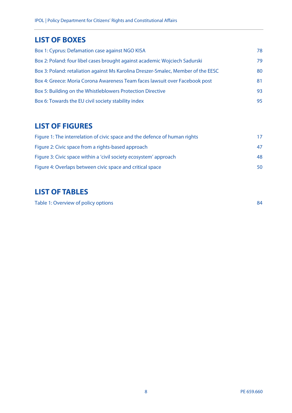# **LIST OF BOXES**

| Box 1: Cyprus: Defamation case against NGO KISA<br>78                                   |  |
|-----------------------------------------------------------------------------------------|--|
| Box 2: Poland: four libel cases brought against academic Wojciech Sadurski<br>79        |  |
| Box 3: Poland: retaliation against Ms Karolina Dreszer-Smalec, Member of the EESC<br>80 |  |
| Box 4: Greece: Moria Corona Awareness Team faces lawsuit over Facebook post<br>81       |  |
| Box 5: Building on the Whistleblowers Protection Directive<br>93                        |  |
| Box 6: Towards the EU civil society stability index<br>95                               |  |

# **LIST OF FIGURES**

| Figure 1: The interrelation of civic space and the defence of human rights | 17. |
|----------------------------------------------------------------------------|-----|
| Figure 2: Civic space from a rights-based approach                         |     |
| Figure 3: Civic space within a 'civil society ecosystem' approach          | 48  |
| Figure 4: Overlaps between civic space and critical space                  | 50  |

# **LIST OF TABLES**

Table 1: Overview of policy options 84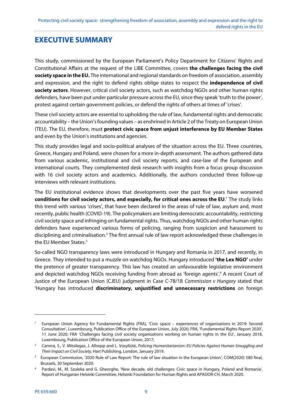# **EXECUTIVE SUMMARY**

This study, commissioned by the European Parliament's Policy Department for Citizens' Rights and Constitutional Affairs at the request of the LIBE Committee, covers **the challenges facing the civil society space in the EU.** The international and regional standards on freedom of association, assembly and expression, and the right to defend rights oblige states to respect the **independence of civil society actors**. However, critical civil society actors, such as watchdog NGOs and other human rights defenders, have been put under particular pressure across the EU, since they speak 'truth to the power', protest against certain government policies, or defend the rights of others at times of 'crises'.

These civil society actors are essential to upholding the rule of law, fundamental rights and democratic accountability – the Union's founding values – as enshrined in Article 2 of the Treaty on European Union (TEU). The EU, therefore, must **protect civic space from unjust interference by EU Member States** and even by the Union's institutions and agencies.

This study provides legal and socio-political analyses of the situation across the EU. Three countries, Greece, Hungary and Poland, were chosen for a more in-depth assessment. The authors gathered data from various academic, institutional and civil society reports, and case-law of the European and international courts. They complemented desk research with insights from a focus group discussion with 16 civil society actors and academics. Additionally, the authors conducted three follow-up interviews with relevant institutions.

The EU institutional evidence shows that developments over the past five years have worsened conditions for civil society actors, and especially, for critical ones across the EU.<sup>1</sup> The study links this trend with various 'crises', that have been declared in the areas of rule of law, asylum and, most recently, public health (COVID-19). The policymakers are limiting democratic accountability, restricting civil society space and infringing on fundamental rights. Thus, watchdog NGOs and other human rights defenders have experienced various forms of policing, ranging from suspicion and harassment to disciplining and criminalisation.<sup>2</sup> The first annual rule of law report acknowledged these challenges in the EU Member States.3

So-called NGO transparency laws were introduced in Hungary and Romania in 2017, and recently, in Greece. They intended to put a muzzle on watchdog NGOs. Hungary introduced **'the Lex NGO'** under the pretence of greater transparency. This law has created an unfavourable legislative environment and depicted watchdog NGOs receiving funding from abroad as 'foreign agents'.<sup>4</sup> A recent Court of Justice of the European Union (CJEU) judgment in Case C-78/18 Commission v Hungary stated that 'Hungary has introduced **discriminatory, unjustified and unnecessary restrictions** on foreign

<sup>1</sup> European Union Agency for Fundamental Rights (FRA), 'Civic space – experiences of organisations in 2019: Second Consultation', Luxembourg, Publication Office of the European Union, July 2020; FRA, 'Fundamental Rights Report 2020', 11 June 2020; FRA 'Challenges facing civil society organisations working on human rights in the EU', January 2018, Luxembourg, Publication Office of the European Union, 2017;

<sup>&</sup>lt;sup>2</sup> Carrera, S., V. Mitsilegas, J. Allsopp and L. Vosyliūtė, Policing Humanitarianism: EU Policies Against Human Smuggling and Their Impact on Civil Society, Hart Publishing, London, January 2019.

<sup>3</sup> European Commission, '2020 Rule of Law Report: The rule of law situation in the European Union', COM(2020) 580 final, Brussels, 30 September 2020. 4

Pardavi, M., M. Szuleka and G. Gheorghe, 'New decade, old challenges: Civic space in Hungary, Poland and Romania', Report of Hungarian Helsinki Committee, Helsinki Foundation for Human Rights and APADOR-CH, March 2020.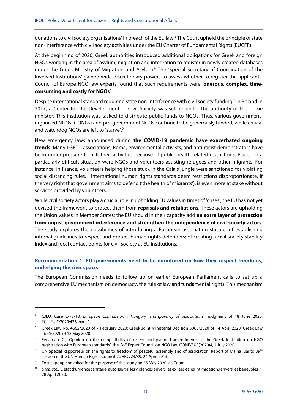donations to civil society organisations' in breach of the EU law.5 The Court upheld the principle of state non-interference with civil society activities under the EU Charter of Fundamental Rights (EUCFR).

At the beginning of 2020, Greek authorities introduced additional obligations for Greek and foreign NGOs working in the area of asylum, migration and integration to register in newly created databases under the Greek Ministry of Migration and Asylum.<sup>6</sup> The 'Special Secretary of Coordination of the Involved Institutions' gained wide discretionary powers to assess whether to register the applicants. Council of Europe NGO law experts found that such requirements were '**onerous, complex, timeconsuming and costly for NGOs**'.7

Despite international standard requiring state non-interference with civil society funding,<sup>8</sup> in Poland in 2017, a Center for the Development of Civil Society was set up under the authority of the prime minister. This institution was tasked to distribute public funds to NGOs. Thus, various governmentorganised NGOs (GONGs) and pro-government NGOs continue to be generously funded, while critical and watchdog NGOs are left to 'starve'.<sup>9</sup>

New emergency laws announced during **the COVID-19 pandemic have exacerbated ongoing trends**. Many LGBT+ associations, Roma, environmental activists, and anti-racist demonstrators have been under pressure to halt their activities because of public health-related restrictions. Placed in a particularly difficult situation were NGOs and volunteers assisting refugees and other migrants. For instance, in France, volunteers helping those stuck in the Calais jungle were sanctioned for violating social distancing rules.<sup>10</sup> International human rights standards deem restrictions disproportionate, if the very right that government aims to defend ('the health of migrants'), is even more at stake without services provided by volunteers.

While civil society actors play a crucial role in upholding EU values in times of 'crises', the EU has not yet devised the framework to protect them from **reprisals and retaliations**. These actors are upholding the Union values in Member States; the EU should in their capacity add **an extra layer of protection from unjust government interference and strengthen the independence of civil society actors**. The study explores the possibilities of introducing a European association statute; of establishing internal guidelines to respect and protect human rights defenders; of creating a civil society stability index and focal contact points for civil society at EU institutions.

# **Recommendation 1: EU governments need to be monitored on how they respect freedoms, underlying the civic space.**

The European Commission needs to follow up on earlier European Parliament calls to set up a comprehensive EU mechanism on democracy, the rule of law and fundamental rights. This mechanism

<sup>&</sup>lt;sup>5</sup> CJEU, Case C-78/18, European Commission v Hungary (Transparency of associations), judgment of 18 June 2020, ECLI:EU:C:2020:476, para.1.

<sup>6</sup> Greek Law No. 4662/2020 of 7 February 2020; Greek Joint Ministerial Decision 3063/2020 of 14 April 2020; Greek Law 4686/2020 of 12 May 2020.

 $^7$  Ferstman, C., 'Opinion on the compatibility of recent and planned amendments to the Greek legislation on NGO registration with European standards', the CoE Expert Council on NGO Law CONF/EXP(2020)4, 2 July 2020.

 $^{\rm 8}$   $\,$  UN Special Rapporteur on the rights to freedom of peaceful assembly and of association, Report of Maina Kiai to 39th session of the UN Human Rights Council, A/HRC/23/39, 24 April 2013.

<sup>9</sup> Focus group convoked for the purpose of this study on 25 May 2020 via Zoom.

<sup>10</sup> Utopia56, 'L'état d'urgence sanitaire: autorise-t-il les violences envers les exilées et les intimidations envers les bénévoles ?', 28 April 2020.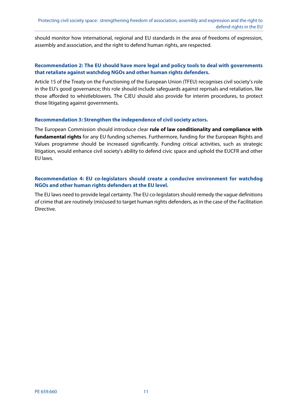should monitor how international, regional and EU standards in the area of freedoms of expression, assembly and association, and the right to defend human rights, are respected.

# **Recommendation 2: The EU should have more legal and policy tools to deal with governments that retaliate against watchdog NGOs and other human rights defenders.**

Article 15 of the Treaty on the Functioning of the European Union (TFEU) recognises civil society's role in the EU's good governance; this role should include safeguards against reprisals and retaliation, like those afforded to whistleblowers. The CJEU should also provide for interim procedures, to protect those litigating against governments.

#### **Recommendation 3: Strengthen the independence of civil society actors.**

The European Commission should introduce clear **rule of law conditionality and compliance with fundamental rights** for any EU funding schemes. Furthermore, funding for the European Rights and Values programme should be increased significantly. Funding critical activities, such as strategic litigation, would enhance civil society's ability to defend civic space and uphold the EUCFR and other EU laws.

# **Recommendation 4: EU co-legislators should create a conducive environment for watchdog NGOs and other human rights defenders at the EU level.**

The EU laws need to provide legal certainty. The EU co-legislators should remedy the vague definitions of crime that are routinely (mis)used to target human rights defenders, as in the case of the Facilitation Directive.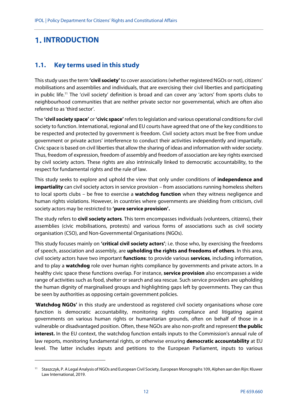# **1. INTRODUCTION**

1

# **1.1. Key terms used in this study**

This study uses the term **'civil society'** to cover associations (whether registered NGOs or not), citizens' mobilisations and assemblies and individuals, that are exercising their civil liberties and participating in public life.<sup>11</sup> The 'civil society' definition is broad and can cover any 'actors' from sports clubs to neighbourhood communities that are neither private sector nor governmental, which are often also referred to as 'third sector'.

The **'civil society space'** or **'civic space'** refers to legislation and various operational conditions for civil society to function. International, regional and EU courts have agreed that one of the key conditions to be respected and protected by government is freedom. Civil society actors must be free from undue government or private actors' interference to conduct their activities independently and impartially. Civic space is based on civil liberties that allow the sharing of ideas and information with wider society. Thus, freedom of expression, freedom of assembly and freedom of association are key rights exercised by civil society actors. These rights are also intrinsically linked to democratic accountability, to the respect for fundamental rights and the rule of law.

This study seeks to explore and uphold the view that only under conditions of **independence and impartiality** can civil society actors in service provision – from associations running homeless shelters to local sports clubs – be free to exercise a **watchdog function** when they witness negligence and human rights violations. However, in countries where governments are shielding from criticism, civil society actors may be restricted to **'pure service provision'.**

The study refers to **civil society actors**. This term encompasses individuals (volunteers, citizens), their assemblies (civic mobilisations, protests) and various forms of associations such as civil society organisation (CSO), and Non-Governmental Organisations (NGOs).

This study focuses mainly on **'critical civil society actors'**; i.e. those who, by exercising the freedoms of speech, association and assembly, are **upholding the rights and freedoms of others**. In this area, civil society actors have two important **functions**: to provide various **services**, including information, and to play a **watchdog** role over human rights compliance by governments and private actors. In a healthy civic space these functions overlap. For instance, **service provision** also encompasses a wide range of activities such as food, shelter or search and sea rescue. Such service providers are upholding the human dignity of marginalised groups and highlighting gaps left by governments. They can thus be seen by authorities as opposing certain government policies.

'**Watchdog NGOs'** in this study are understood as registered civil society organisations whose core function is democratic accountability, monitoring rights compliance and litigating against governments on various human rights or humanitarian grounds, often on behalf of those in a vulnerable or disadvantaged position. Often, these NGOs are also non-profit and represent **the public interest.** In the EU context, the watchdog function entails inputs to the Commission's annual rule of law reports, monitoring fundamental rights, or otherwise ensuring **democratic accountability** at EU level. The latter includes inputs and petitions to the European Parliament, inputs to various

<sup>11</sup> Staszczyk, P. A Legal Analysis of NGOs and European Civil Society, European Monographs 109, Alphen aan den Rijn: Kluwer Law International, 2019.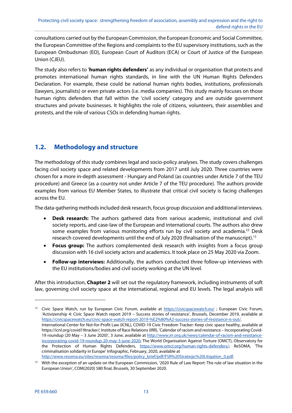consultations carried out by the European Commission, the European Economic and Social Committee, the European Committee of the Regions and complaints to the EU supervisory institutions, such as the European Ombudsman (EO), European Court of Auditors (ECA) or Court of Justice of the European Union (CJEU).

The study also refers to '**human rights defenders'** as any individual or organisation that protects and promotes international human rights standards, in line with the UN Human Rights Defenders Declaration. For example, these could be national human rights bodies, institutions, professionals (lawyers, journalists) or even private actors (i.e. media companies). This study mainly focuses on those human rights defenders that fall within the 'civil society' category and are outside government structures and private businesses. It highlights the role of citizens, volunteers, their assemblies and protests, and the role of various CSOs in defending human rights.

# **1.2. Methodology and structure**

The methodology of this study combines legal and socio-policy analyses. The study covers challenges facing civil society space and related developments from 2017 until July 2020. Three countries were chosen for a more in-depth assessment - Hungary and Poland (as countries under Article 7 of the TEU procedure) and Greece (as a country not under Article 7 of the TEU procedure). The authors provide examples from various EU Member States, to illustrate that critical civil society is facing challenges across the EU.

The data-gathering methods included desk research, focus group discussion and additional interviews.

- **Desk research:** The authors gathered data from various academic, institutional and civil society reports, and case-law of the European and international courts. The authors also drew some examples from various monitoring efforts run by civil society and academia.<sup>12</sup> Desk research covered developments until the end of July 2020 (finalisation of the manuscript).<sup>13</sup>
- **Focus group:** The authors complemented desk research with insights from a focus group discussion with 16 civil society actors and academics. It took place on 25 May 2020 via Zoom.
- **Follow-up interviews:** Additionally, the authors conducted three follow-up interviews with the EU institutions/bodies and civil society working at the UN level.

After this introduction, **Chapter 2** will set out the regulatory framework, including instruments of soft law, governing civil society space at the international, regional and EU levels. The legal analysis will

<sup>&</sup>lt;sup>12</sup> Civic Space Watch, run by European Civic Forum, available at https://civicspacewatch.eu/; European Civic Forum, 'Activizenship 4: Civic Space Watch report 2019 – Success stories of resistance', Brussels, December 2019, available at https://civicspacewatch.eu/civic-space-watch-report-2019-%E2%80%A2-success-stories-of-resistance-is-out/. International Center for Not-for-Profit Law (ICNL), COVID-19 Civic Freedom Tracker: Keep civic space healthy, available at https://icnl.org/covid19tracker/; Institute of Race Relations (IRR), 'Calendar of racism and resistance – Incorporating Covid-19 roundup (20 May – 3 June 2020)', 3 June, available at http://www.irr.org.uk/news/calendar-of-racism-and-resistanceincorporating-covid-19-roundup-20-may-3-june-2020; The World Organisation Against Torture (OMCT), Observatory for the Protection of Human Rights Defenders, https://www.omct.org/human-rights-defenders/; ReSOMA, 'The criminalisation solidarity in Europe' Infographic, February, 2020, available at http://www.resoma.eu/sites/resoma/resoma/files/policy\_brief/pdf/FSR%20Strategic%20Litigation\_0.pdf.

<sup>&</sup>lt;sup>13</sup> With the exception of an update on the European Commission, '2020 Rule of Law Report: The rule of law situation in the European Union', COM(2020) 580 final, Brussels, 30 September 2020.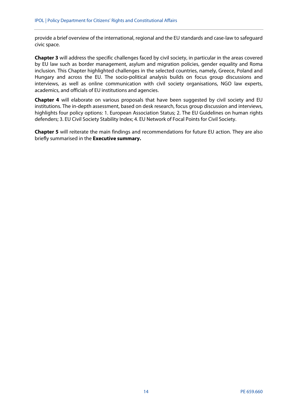provide a brief overview of the international, regional and the EU standards and case-law to safeguard civic space.

**Chapter 3** will address the specific challenges faced by civil society, in particular in the areas covered by EU law such as border management, asylum and migration policies, gender equality and Roma inclusion. This Chapter highlighted challenges in the selected countries, namely, Greece, Poland and Hungary and across the EU. The socio-political analysis builds on focus group discussions and interviews, as well as online communication with civil society organisations, NGO law experts, academics, and officials of EU institutions and agencies.

**Chapter 4** will elaborate on various proposals that have been suggested by civil society and EU institutions. The in-depth assessment, based on desk research, focus group discussion and interviews, highlights four policy options: 1. European Association Status; 2. The EU Guidelines on human rights defenders; 3. EU Civil Society Stability Index; 4. EU Network of Focal Points for Civil Society.

**Chapter 5** will reiterate the main findings and recommendations for future EU action. They are also briefly summarised in the **Executive summary.**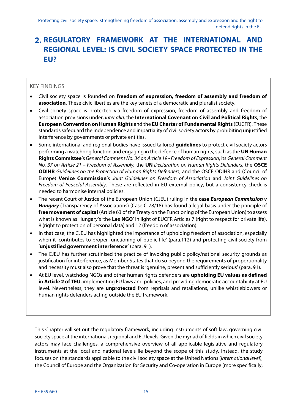# **REGULATORY FRAMEWORK AT THE INTERNATIONAL AND REGIONAL LEVEL: IS CIVIL SOCIETY SPACE PROTECTED IN THE EU?**

# KEY FINDINGS

- Civil society space is founded on **freedom of expression, freedom of assembly and freedom of association**. These civic liberties are the key tenets of a democratic and pluralist society.
- Civil society space is protected via freedom of expression, freedom of assembly and freedom of association provisions under, inter alia, the **International Covenant on Civil and Political Rights**, the **European Convention on Human Rights** and the **EU Charter of Fundamental Rights** (EUCFR). These standards safeguard the independence and impartiality of civil society actors by prohibiting unjustified interference by governments or private entities.
- Some international and regional bodies have issued tailored **guidelines** to protect civil society actors performing a watchdog function and engaging in the defence of human rights, such as the **UN Human Rights Committee**'s General Comment No. 34 on Article 19 - Freedom of Expression, its General Comment No. 37 on Article 21 – Freedom of Assembly, the **UN** Declaration on Human Rights Defenders, the **OSCE ODIHR** Guidelines on the Protection of Human Rights Defenders, and the OSCE ODIHR and (Council of Europe) **Venice Commission**'s Joint Guidelines on Freedom of Association and Joint Guidelines on Freedom of Peaceful Assembly. These are reflected in EU external policy, but a consistency check is needed to harmonise internal policies.
- The recent Court of Justice of the European Union (CJEU) ruling in the **case European Commission v Hungary** (Transparency of Associations) (Case C-78/18) has found a legal basis under the principle of **free movement of capital** (Article 63 of the Treaty on the Functioning of the European Union) to assess what is known as Hungary's 'the **Lex NGO**' in light of EUCFR Articles 7 (right to respect for private life), 8 (right to protection of personal data) and 12 (freedom of association).
- In that case, the CJEU has highlighted the importance of upholding freedom of association, especially when it 'contributes to proper functioning of public life' (para.112) and protecting civil society from '**unjustified government interference'** (para. 91).
- The CJEU has further scrutinised the practice of invoking public policy/national security grounds as justification for interference, as Member States that do so beyond the requirements of proportionality and necessity must also prove that the threat is 'genuine, present and sufficiently serious' (para. 91).
- At EU level, watchdog NGOs and other human rights defenders are **upholding EU values as defined in Article 2 of TEU**, implementing EU laws and policies, and providing democratic accountability at EU level. Nevertheless, they are **unprotected** from reprisals and retaliations, unlike whistleblowers or human rights defenders acting outside the EU framework.

This Chapter will set out the regulatory framework, including instruments of soft law, governing civil society space at the international, regional and EU levels. Given the myriad of fields in which civil society actors may face challenges, a comprehensive overview of all applicable legislative and regulatory instruments at the local and national levels lie beyond the scope of this study. Instead, the study focuses on the standards applicable to the civil society space at the United Nations (international level), the Council of Europe and the Organization for Security and Co-operation in Europe (more specifically,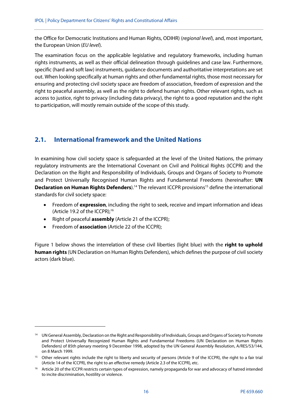the Office for Democratic Institutions and Human Rights, ODIHR) (regional level), and, most important, the European Union (EU level).

The examination focus on the applicable legislative and regulatory frameworks, including human rights instruments, as well as their official delineation through guidelines and case law. Furthermore, specific (hard and soft law) instruments, guidance documents and authoritative interpretations are set out. When looking specifically at human rights and other fundamental rights, those most necessary for ensuring and protecting civil society space are freedom of association, freedom of expression and the right to peaceful assembly, as well as the right to defend human rights. Other relevant rights, such as access to justice, right to privacy (including data privacy), the right to a good reputation and the right to participation, will mostly remain outside of the scope of this study.

# **2.1. International framework and the United Nations**

In examining how civil society space is safeguarded at the level of the United Nations, the primary regulatory instruments are the International Covenant on Civil and Political Rights (ICCPR) and the Declaration on the Right and Responsibility of Individuals, Groups and Organs of Society to Promote and Protect Universally Recognised Human Rights and Fundamental Freedoms (hereinafter: **UN Declaration on Human Rights Defenders**).<sup>14</sup> The relevant ICCPR provisions<sup>15</sup> define the international standards for civil society space:

- Freedom of **expression**, including the right to seek, receive and impart information and ideas (Article 19.2 of the ICCPR); $16$
- Right of peaceful **assembly** (Article 21 of the ICCPR);
- Freedom of **association** (Article 22 of the ICCPR);

1

Figure 1 below shows the interrelation of these civil liberties (light blue) with the **right to uphold human rights** (UN Declaration on Human Rights Defenders), which defines the purpose of civil society actors (dark blue).

<sup>&</sup>lt;sup>14</sup> UN General Assembly, Declaration on the Right and Responsibility of Individuals, Groups and Organs of Society to Promote and Protect Universally Recognized Human Rights and Fundamental Freedoms (UN Declaration on Human Rights Defenders) of 85th plenary meeting 9 December 1998, adopted by the UN General Assembly Resolution, A/RES/53/144, on 8 March 1999.

<sup>&</sup>lt;sup>15</sup> Other relevant rights include the right to liberty and security of persons (Article 9 of the ICCPR), the right to a fair trial (Article 14 of the ICCPR), the right to an effective remedy (Article 2.3 of the ICCPR), etc.

<sup>&</sup>lt;sup>16</sup> Article 20 of the ICCPR restricts certain types of expression, namely propaganda for war and advocacy of hatred intended to incite discrimination, hostility or violence.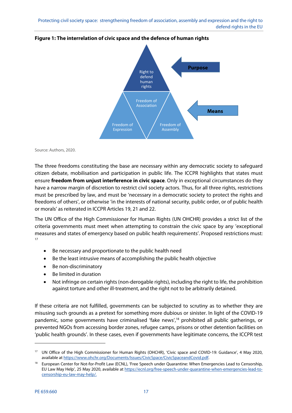

# **Figure 1: The interrelation of civic space and the defence of human rights**

Source: Authors, 2020.

The three freedoms constituting the base are necessary within any democratic society to safeguard citizen debate, mobilisation and participation in public life. The ICCPR highlights that states must ensure **freedom from unjust interference in civic space**. Only in exceptional circumstances do they have a narrow margin of discretion to restrict civil society actors. Thus, for all three rights, restrictions must be prescribed by law, and must be 'necessary in a democratic society to protect the rights and freedoms of others', or otherwise 'in the interests of national security, public order, or of public health or morals' as reiterated in ICCPR Articles 19, 21 and 22.

The UN Office of the High Commissioner for Human Rights (UN OHCHR) provides a strict list of the criteria governments must meet when attempting to constrain the civic space by any 'exceptional measures and states of emergency based on public health requirements'. Proposed restrictions must: 17

- Be necessary and proportionate to the public health need
- Be the least intrusive means of accomplishing the public health objective
- Be non-discriminatory
- Be limited in duration
- Not infringe on certain rights (non-derogable rights), including the right to life, the prohibition against torture and other ill-treatment, and the right not to be arbitrarily detained.

If these criteria are not fulfilled, governments can be subjected to scrutiny as to whether they are misusing such grounds as a pretext for something more dubious or sinister. In light of the COVID-19 pandemic, some governments have criminalised 'fake news',<sup>18</sup> prohibited all public gatherings, or prevented NGOs from accessing border zones, refugee camps, prisons or other detention facilities on 'public health grounds'. In these cases, even if governments have legitimate concerns, the ICCPR test

<sup>17</sup> UN Office of the High Commissioner for Human Rights (OHCHR), 'Civic space and COVID-19: Guidance', 4 May 2020, available at https://www.ohchr.org/Documents/Issues/CivicSpace/CivicSpaceandCovid.pdf.

<sup>&</sup>lt;sup>18</sup> European Center for Not-for-Profit Law (ECNL), 'Free Speech under Quarantine: When Emergencies Lead to Censorship, EU Law May Help', 25 May 2020, available at https://ecnl.org/free-speech-under-quarantine-when-emergencies-lead-tocensorship-eu-law-may-help/.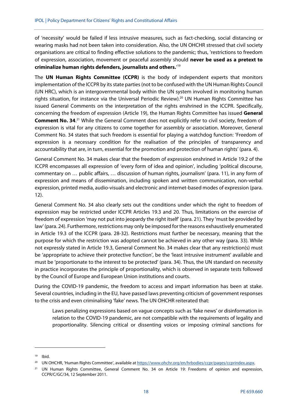of 'necessity' would be failed if less intrusive measures, such as fact-checking, social distancing or wearing masks had not been taken into consideration. Also, the UN OHCHR stressed that civil society organisations are critical to finding effective solutions to the pandemic; thus, 'restrictions to freedom of expression, association, movement or peaceful assembly should **never be used as a pretext to criminalize human rights defenders, journalists and others.**' 19

The **UN Human Rights Committee (CCPR)** is the body of independent experts that monitors implementation of the ICCPR by its state parties (not to be confused with the UN Human Rights Council (UN HRC), which is an intergovernmental body within the UN system involved in monitoring human rights situation, for instance via the Universal Periodic Review).20 UN Human Rights Committee has issued General Comments on the interpretation of the rights enshrined in the ICCPR. Specifically, concerning the freedom of expression (Article 19), the Human Rights Committee has issued **General**  Comment No. 34.<sup>21</sup> While the General Comment does not explicitly refer to civil society, freedom of expression is vital for any citizens to come together for assembly or association. Moreover, General Comment No. 34 states that such freedom is essential for playing a watchdog function: 'Freedom of expression is a necessary condition for the realisation of the principles of transparency and accountability that are, in turn, essential for the promotion and protection of human rights' (para. 4).

General Comment No. 34 makes clear that the freedom of expression enshrined in Article 19.2 of the ICCPR encompasses all expression of 'every form of idea and opinion', including 'political discourse, commentary on … public affairs, … discussion of human rights, journalism' (para. 11), in any form of expression and means of dissemination, including spoken and written communication, non-verbal expression, printed media, audio-visuals and electronic and internet-based modes of expression (para. 12).

General Comment No. 34 also clearly sets out the conditions under which the right to freedom of expression may be restricted under ICCPR Articles 19.3 and 20. Thus, limitations on the exercise of freedom of expression 'may not put into jeopardy the right itself' (para. 21). They 'must be provided by law' (para. 24). Furthermore, restrictions may only be imposed for the reasons exhaustively enumerated in Article 19.3 of the ICCPR (para. 28-32). Restrictions must further be necessary, meaning that the purpose for which the restriction was adopted cannot be achieved in any other way (para. 33). While not expressly stated in Article 19.3, General Comment No. 34 makes clear that any restriction(s) must be 'appropriate to achieve their protective function', be the 'least intrusive instrument' available and must be 'proportionate to the interest to be protected' (para. 34). Thus, the UN standard on necessity in practice incorporates the principle of proportionality, which is observed in separate tests followed by the Council of Europe and European Union institutions and courts.

During the COVID-19 pandemic, the freedom to access and impart information has been at stake. Several countries, including in the EU, have passed laws preventing criticism of government responses to the crisis and even criminalising 'fake' news. The UN OHCHR reiterated that:

Laws penalizing expressions based on vague concepts such as 'fake news' or disinformation in relation to the COVID-19 pandemic, are not compatible with the requirements of legality and proportionality. Silencing critical or dissenting voices or imposing criminal sanctions for

<sup>19</sup> Ibid.

<sup>&</sup>lt;sup>20</sup> UN OHCHR, 'Human Rights Committee', available at https://www.ohchr.org/en/hrbodies/ccpr/pages/ccprindex.aspx.

<sup>&</sup>lt;sup>21</sup> UN Human Rights Committee, General Comment No. 34 on Article 19: Freedoms of opinion and expression, CCPR/C/GC/34, 12 September 2011.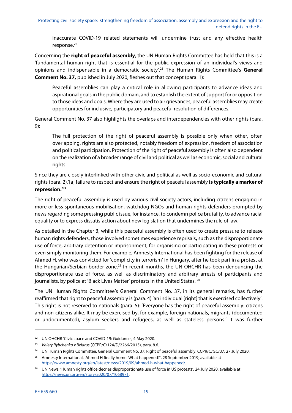inaccurate COVID-19 related statements will undermine trust and any effective health response.<sup>22</sup>

Concerning the **right of peaceful assembly**, the UN Human Rights Committee has held that this is a 'fundamental human right that is essential for the public expression of an individual's views and opinions and indispensable in a democratic society'.23 The Human Rights Committee's **General Comment No. 37,** published in July 2020, fleshes out that concept (para. 1):

Peaceful assemblies can play a critical role in allowing participants to advance ideas and aspirational goals in the public domain, and to establish the extent of support for or opposition to those ideas and goals. Where they are used to air grievances, peaceful assemblies may create opportunities for inclusive, participatory and peaceful resolution of differences.

General Comment No. 37 also highlights the overlaps and interdependencies with other rights (para. 9):

The full protection of the right of peaceful assembly is possible only when other, often overlapping, rights are also protected, notably freedom of expression, freedom of association and political participation. Protection of the right of peaceful assembly is often also dependent on the realization of a broader range of civil and political as well as economic, social and cultural rights.

Since they are closely interlinked with other civic and political as well as socio-economic and cultural rights (para. 2),'[a] failure to respect and ensure the right of peaceful assembly **is typically a marker of repression.'**<sup>24</sup>

The right of peaceful assembly is used by various civil society actors, including citizens engaging in more or less spontaneous mobilisation, watchdog NGOs and human rights defenders prompted by news regarding some pressing public issue, for instance, to condemn police brutality, to advance racial equality or to express dissatisfaction about new legislation that undermines the rule of law.

As detailed in the Chapter 3, while this peaceful assembly is often used to create pressure to release human rights defenders, those involved sometimes experience reprisals**,** such as the disproportionate use of force, arbitrary detention or imprisonment, for organising or participating in these protests or even simply monitoring them. For example, Amnesty International has been fighting for the release of Ahmed H, who was convicted for 'complicity in terrorism' in Hungary, after he took part in a protest at the Hungarian/Serbian border zone.<sup>25</sup> In recent months, the UN OHCHR has been denouncing the disproportionate use of force, as well as discriminatory and arbitrary arrests of participants and journalists, by police at 'Black Lives Matter' protests in the United States. <sup>26</sup>

The UN Human Rights Committee's General Comment No. 37, in its general remarks, has further reaffirmed that right to peaceful assembly is (para. 4) 'an individual [right] that is exercised collectively'. This right is not reserved to nationals (para. 5): 'Everyone has the right of peaceful assembly: citizens and non-citizens alike. It may be exercised by, for example, foreign nationals, migrants (documented or undocumented), asylum seekers and refugees, as well as stateless persons.' It was further

<sup>&</sup>lt;sup>22</sup> UN OHCHR 'Civic space and COVID-19: Guidance', 4 May 2020.

<sup>&</sup>lt;sup>23</sup> Valery Rybchenko v Belarus (CCPR/C/124/D/2266/2013), para. 8.6.

<sup>&</sup>lt;sup>24</sup> UN Human Rights Committee, General Comment No. 37: Right of peaceful assembly, CCPR/C/GC/37, 27 July 2020.

<sup>&</sup>lt;sup>25</sup> Amnesty International, 'Ahmed H finally home: What happened?', 28 September 2019, available at https://www.amnesty.org/en/latest/news/2019/09/ahmed-h-what-happened/.

<sup>&</sup>lt;sup>26</sup> UN News, 'Human rights office decries disproportionate use of force in US protests', 24 July 2020, available at https://news.un.org/en/story/2020/07/1068971.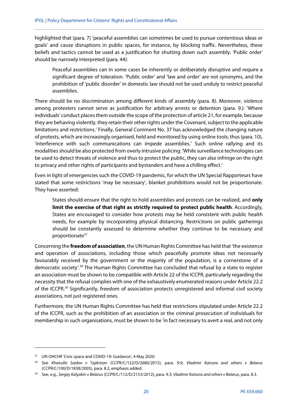highlighted that (para. 7) 'peaceful assemblies can sometimes be used to pursue contentious ideas or goals' and cause disruptions in public spaces, for instance, by blocking traffic. Nevertheless, these beliefs and tactics cannot be used as a justification for shutting down such assembly. 'Public order' should be narrowly interpreted (para. 44):

Peaceful assemblies can in some cases be inherently or deliberately disruptive and require a significant degree of toleration. 'Public order' and 'law and order' are not synonyms, and the prohibition of 'public disorder' in domestic law should not be used unduly to restrict peaceful assemblies.

There should be no discrimination among different kinds of assembly (para. 8). Moreover, violence among protesters cannot serve as justification for arbitrary arrests or detention (para. 9.): 'Where individuals' conduct places them outside the scope of the protection of article 21, for example, because they are behaving violently, they retain their other rights under the Covenant, subject to the applicable limitations and restrictions.' Finally, General Comment No. 37 has acknowledged the changing nature of protests, which are increasingly organised, held and monitored by using online tools; thus (para. 10), 'interference with such communications can impede assemblies.' Such online rallying and its modalities should be also protected from overly intrusive policing: 'While surveillance technologies can be used to detect threats of violence and thus to protect the public, they can also infringe on the right to privacy and other rights of participants and bystanders and have a chilling effect.'

Even in light of emergencies such the COVID-19 pandemic, for which the UN Special Rapporteurs have stated that some restrictions 'may be necessary', blanket prohibitions would not be proportionate. They have asserted:

States should ensure that the right to hold assemblies and protests can be realized, and **only limit the exercise of that right as strictly required to protect public health**. Accordingly, States are encouraged to consider how protests may be held consistent with public health needs, for example by incorporating physical distancing. Restrictions on public gatherings should be constantly assessed to determine whether they continue to be necessary and proportionate<sup>27</sup>

Concerning the **freedom of association**, the UN Human Rights Committee has held that 'the existence and operation of associations, including those which peacefully promote ideas not necessarily favourably received by the government or the majority of the population, is a cornerstone of a democratic society'.28 The Human Rights Committee has concluded that refusal by a state to register an association must be shown to be compatible with Article 22 of the ICCPR, particularly regarding the necessity that the refusal complies with one of the exhaustively enumerated reasons under Article 22.2 of the ICCPR.29 Significantly, freedom of association protects unregistered and informal civil society associations, not just registered ones.

Furthermore, the UN Human Rights Committee has held that restrictions stipulated under Article 22.2 of the ICCPR, such as the prohibition of an association or the criminal prosecution of individuals for membership in such organisations, must be shown to be 'in fact necessary to avert a real, and not only

<sup>&</sup>lt;sup>27</sup> UN OHCHR 'Civic space and COVID-19: Guidance', 4 May 2020.

<sup>&</sup>lt;sup>28</sup> See Khairullo Saidov v Tajikistan (CCPR/C/122/D/2680/2015), para. 9.9; Vladimir Katsora and others v Belarus (CCPR/C/100/D/1838/2005), para. 8.2, emphasis added.

<sup>&</sup>lt;sup>29</sup> See, e.g., Sergey Kalyakin v Belarus (CCPR/C/112/D/2153/2012), para. 9.3; Vladimir Katsora and others v Belarus, para. 8.3.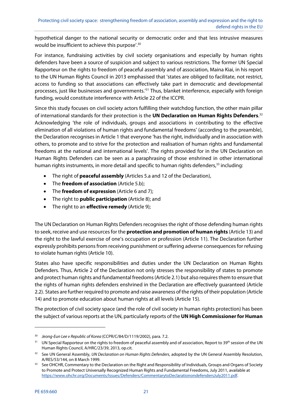hypothetical danger to the national security or democratic order and that less intrusive measures would be insufficient to achieve this purpose'.<sup>30</sup>

For instance, fundraising activities by civil society organisations and especially by human rights defenders have been a source of suspicion and subject to various restrictions. The former UN Special Rapporteur on the rights to freedom of peaceful assembly and of association, Maina Kiai, in his report to the UN Human Rights Council in 2013 emphasised that 'states are obliged to facilitate, not restrict, access to funding so that associations can effectively take part in democratic and developmental processes, just like businesses and governments.'31 Thus, blanket interference, especially with foreign funding, would constitute interference with Article 22 of the ICCPR.

Since this study focuses on civil society actors fulfilling their watchdog function, the other main pillar of international standards for their protection is the **UN Declaration on Human Rights Defenders**. 32 Acknowledging 'the role of individuals, groups and associations in contributing to the effective elimination of all violations of human rights and fundamental freedoms' (according to the preamble), the Declaration recognises in Article 1 that everyone 'has the right, individually and in association with others, to promote and to strive for the protection and realisation of human rights and fundamental freedoms at the national and international levels'. The rights provided for in the UN Declaration on Human Rights Defenders can be seen as a paraphrasing of those enshrined in other international human rights instruments, in more detail and specific to human rights defenders,<sup>33</sup> including:

- The right of **peaceful assembly** (Articles 5.a and 12 of the Declaration),
- The **freedom of association** (Article 5.b);
- The **freedom of expression** (Article 6 and 7);
- The right to **public participation** (Article 8); and
- The right to an **effective remedy** (Article 9);

The UN Declaration on Human Rights Defenders recognises the right of those defending human rights to seek, receive and use resources for the **protection and promotion of human rights** (Article 13) and the right to the lawful exercise of one's occupation or profession (Article 11). The Declaration further expressly prohibits persons from receiving punishment or suffering adverse consequences for refusing to violate human rights (Article 10).

States also have specific responsibilities and duties under the UN Declaration on Human Rights Defenders. Thus, Article 2 of the Declaration not only stresses the responsibility of states to promote and protect human rights and fundamental freedoms (Article 2.1) but also requires them to ensure that the rights of human rights defenders enshrined in the Declaration are effectively guaranteed (Article 2.2). States are further required to promote and raise awareness of the rights of their population (Article 14) and to promote education about human rights at all levels (Article 15).

The protection of civil society space (and the role of civil society in human rights protection) has been the subject of various reports at the UN, particularly reports of the **UN High Commissioner for Human** 

<sup>&</sup>lt;sup>30</sup> Jeong-Eun Lee v Republic of Korea (CCPR/C/84/D/1119/2002), para. 7.2.

<sup>&</sup>lt;sup>31</sup> UN Special Rapporteur on the rights to freedom of peaceful assembly and of association, Report to 39<sup>th</sup> session of the UN Human Rights Council, A/HRC/23/39, 2013, op.cit.

<sup>&</sup>lt;sup>32</sup> See UN General Assembly, UN Declaration on Human Rights Defenders, adopted by the UN General Assembly Resolution, A/RES/53/144, on 8 March 1999.<br>33 See OHCHR, Commentary to the Declaration on the Right and Responsibility of Individuals, Groups and Organs of Society

to Promote and Protect Universally Recognized Human Rights and Fundamental Freedoms, July 2011, available at https://www.ohchr.org/Documents/Issues/Defenders/CommentarytoDeclarationondefendersJuly2011.pdf.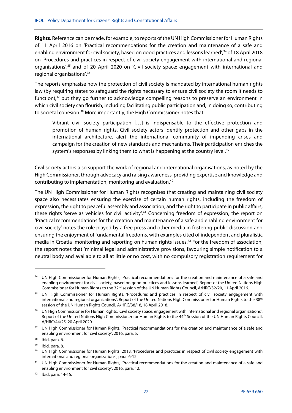**Rights**. Reference can be made, for example, to reports of the UN High Commissioner for Human Rights of 11 April 2016 on 'Practical recommendations for the creation and maintenance of a safe and enabling environment for civil society, based on good practices and lessons learned',<sup>34</sup> of 18 April 2018 on 'Procedures and practices in respect of civil society engagement with international and regional organisations',<sup>35</sup> and of 20 April 2020 on 'Civil society space: engagement with international and regional organisations'.36

The reports emphasise how the protection of civil society is mandated by international human rights law (by requiring states to safeguard the rights necessary to ensure civil society the room it needs to function), $37$  but they go further to acknowledge compelling reasons to preserve an environment in which civil society can flourish, including facilitating public participation and, in doing so, contributing to societal cohesion.<sup>38</sup> More importantly, the High Commissioner notes that

Vibrant civil society participation […] is indispensable to the effective protection and promotion of human rights. Civil society actors identify protection and other gaps in the international architecture, alert the international community of impending crises and campaign for the creation of new standards and mechanisms. Their participation enriches the system's responses by linking them to what is happening at the country level.<sup>39</sup>

Civil society actors also support the work of regional and international organisations, as noted by the High Commissioner, through advocacy and raising awareness, providing expertise and knowledge and contributing to implementation, monitoring and evaluation.40

The UN High Commissioner for Human Rights recognises that creating and maintaining civil society space also necessitates ensuring the exercise of certain human rights, including the freedom of expression, the right to peaceful assembly and association, and the right to participate in public affairs; these rights 'serve as vehicles for civil activity'.<sup>41</sup> Concerning freedom of expression, the report on 'Practical recommendations for the creation and maintenance of a safe and enabling environment for civil society' notes the role played by a free press and other media in fostering public discussion and ensuring the enjoyment of fundamental freedoms, with examples cited of independent and pluralistic media in Croatia monitoring and reporting on human rights issues.<sup>42</sup> For the freedom of association, the report notes that 'minimal legal and administrative provisions, favouring simple notification to a neutral body and available to all at little or no cost, with no compulsory registration requirement for

<sup>&</sup>lt;sup>34</sup> UN High Commissioner for Human Rights, 'Practical recommendations for the creation and maintenance of a safe and enabling environment for civil society, based on good practices and lessons learned', Report of the United Nations High Commissioner for Human Rights to the 32<sup>nd</sup> session of the UN Human Rights Council, A/HRC/32/20, 11 April 2016.

<sup>&</sup>lt;sup>35</sup> UN High Commissioner for Human Rights, 'Procedures and practices in respect of civil society engagement with international and regional organizations', Report of the United Nations High Commissioner for Human Rights to the 38<sup>th</sup> session of the UN Human Rights Council, A/HRC/38/18, 18 April 2018.

<sup>&</sup>lt;sup>36</sup> UN High Commissioner for Human Rights, 'Civil society space: engagement with international and regional organizations', Report of the United Nations High Commissioner for Human Rights to the 44<sup>th</sup> Session of the UN Human Rights Council, A/HRC/44/25, 20 April 2020.

<sup>&</sup>lt;sup>37</sup> UN High Commissioner for Human Rights, 'Practical recommendations for the creation and maintenance of a safe and enabling environment for civil society', 2016, para. 5.

<sup>38</sup> Ibid, para. 6.

<sup>39</sup> Ibid, para. 8.

<sup>40</sup> UN High Commissioner for Human Rights, 2018, 'Procedures and practices in respect of civil society engagement with international and regional organizations', para. 6-12.

<sup>41</sup> UN High Commissioner for Human Rights, 'Practical recommendations for the creation and maintenance of a safe and enabling environment for civil society', 2016, para. 12.

 $42$  Ibid, para. 14-15.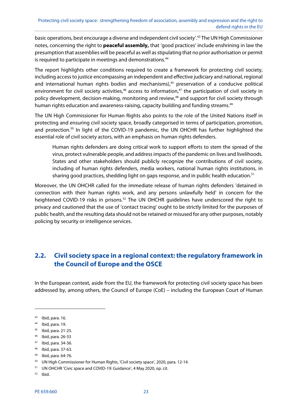basic operations, best encourage a diverse and independent civil society'.43 The UN High Commissioner notes, concerning the right to **peaceful assembly,** that 'good practices' include enshrining in law the presumption that assemblies will be peaceful as well as stipulating that no prior authorisation or permit is required to participate in meetings and demonstrations.<sup>44</sup>

The report highlights other conditions required to create a framework for protecting civil society, including access to justice encompassing an independent and effective judiciary and national, regional and international human rights bodies and mechanisms),<sup>45</sup> preservation of a conducive political environment for civil society activities,<sup>46</sup> access to information,<sup>47</sup> the participation of civil society in policy development, decision-making, monitoring and review,<sup>48</sup> and support for civil society through human rights education and awareness-raising, capacity building and funding streams.<sup>49</sup>

The UN High Commissioner for Human Rights also points to the role of the United Nations itself in protecting and ensuring civil society space, broadly categorised in terms of participation, promotion, and protection.<sup>50</sup> In light of the COVID-19 pandemic, the UN OHCHR has further highlighted the essential role of civil society actors, with an emphasis on human rights defenders.

Human rights defenders are doing critical work to support efforts to stem the spread of the virus, protect vulnerable people, and address impacts of the pandemic on lives and livelihoods. States and other stakeholders should publicly recognize the contributions of civil society, including of human rights defenders, media workers, national human rights institutions, in sharing good practices, shedding light on gaps response, and in public health education.<sup>51</sup>

Moreover, the UN OHCHR called for the immediate release of human rights defenders 'detained in connection with their human rights work, and any persons unlawfully held' in concern for the heightened COVID-19 risks in prisons.<sup>52</sup> The UN OHCHR guidelines have underscored the right to privacy and cautioned that the use of 'contact tracing' ought to be strictly limited for the purposes of public health, and the resulting data should not be retained or misused for any other purposes, notably policing by security or intelligence services.

# **2.2. Civil society space in a regional context: the regulatory framework in the Council of Europe and the OSCE**

In the European context, aside from the EU, the framework for protecting civil society space has been addressed by, among others, the Council of Europe (CoE) – including the European Court of Human

1

- 45 Ibid, para. 21-25.
- 46 Ibid, para. 26-33
- 47 Ibid, para. 34-36.
- 48 Ibid, para. 37-63.
- 49 Ibid, para. 64-76.

52 Ibid.

<sup>43</sup> Ibid, para. 16.

<sup>44</sup> Ibid, para. 19.

<sup>50</sup> UN High Commissioner for Human Rights, 'Civil society space', 2020, para. 12-14.

<sup>51</sup> UN OHCHR 'Civic space and COVID-19: Guidance', 4 May 2020, op. cit.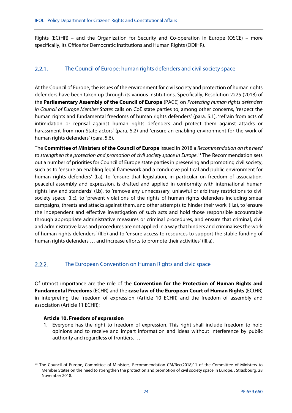Rights (ECtHR) – and the Organization for Security and Co-operation in Europe (OSCE) – more specifically, its Office for Democratic Institutions and Human Rights (ODIHR).

#### $2.2.1.$ The Council of Europe: human rights defenders and civil society space

At the Council of Europe, the issues of the environment for civil society and protection of human rights defenders have been taken up through its various institutions. Specifically, Resolution 2225 (2018) of the **Parliamentary Assembly of the Council of Europe** (PACE) on Protecting human rights defenders in Council of Europe Member States calls on CoE state parties to, among other concerns, 'respect the human rights and fundamental freedoms of human rights defenders' (para. 5.1), 'refrain from acts of intimidation or reprisal against human rights defenders and protect them against attacks or harassment from non-State actors' (para. 5.2) and 'ensure an enabling environment for the work of human rights defenders' (para. 5.6).

The **Committee of Ministers of the Council of Europe** issued in 2018 a Recommendation on the need to strengthen the protection and promotion of civil society space in Europe.<sup>53</sup> The Recommendation sets out a number of priorities for Council of Europe state parties in preserving and promoting civil society, such as to 'ensure an enabling legal framework and a conducive political and public environment for human rights defenders' (I.a), to 'ensure that legislation, in particular on freedom of association, peaceful assembly and expression, is drafted and applied in conformity with international human rights law and standards' (I.b), to 'remove any unnecessary, unlawful or arbitrary restrictions to civil society space' (I.c), to 'prevent violations of the rights of human rights defenders including smear campaigns, threats and attacks against them, and other attempts to hinder their work' (II.a), to 'ensure the independent and effective investigation of such acts and hold those responsible accountable through appropriate administrative measures or criminal procedures, and ensure that criminal, civil and administrative laws and procedures are not applied in a way that hinders and criminalises the work of human rights defenders' (II.b) and to 'ensure access to resources to support the stable funding of human rights defenders … and increase efforts to promote their activities' (III.a).

#### $2.2.2.$ The European Convention on Human Rights and civic space

Of utmost importance are the role of the **Convention for the Protection of Human Rights and Fundamental Freedoms** (ECHR) and the **case law of the European Court of Human Rights** (ECtHR) in interpreting the freedom of expression (Article 10 ECHR) and the freedom of assembly and association (Article 11 ECHR):

#### **Article 10. Freedom of expression**

-

1. Everyone has the right to freedom of expression. This right shall include freedom to hold opinions and to receive and impart information and ideas without interference by public authority and regardless of frontiers. …

<sup>&</sup>lt;sup>53</sup> The Council of Europe, Committee of Ministers, Recommendation CM/Rec(2018)11 of the Committee of Ministers to Member States on the need to strengthen the protection and promotion of civil society space in Europe, , Strasbourg, 28 November 2018.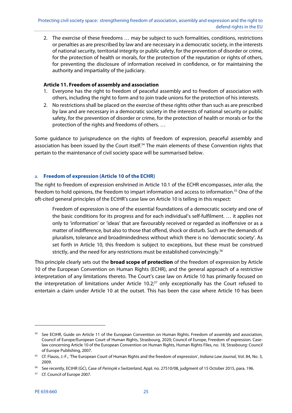2. The exercise of these freedoms … may be subject to such formalities, conditions, restrictions or penalties as are prescribed by law and are necessary in a democratic society, in the interests of national security, territorial integrity or public safety, for the prevention of disorder or crime, for the protection of health or morals, for the protection of the reputation or rights of others, for preventing the disclosure of information received in confidence, or for maintaining the authority and impartiality of the judiciary.

## **Article 11. Freedom of assembly and association**

- 1. Everyone has the right to freedom of peaceful assembly and to freedom of association with others, including the right to form and to join trade unions for the protection of his interests.
- 2. No restrictions shall be placed on the exercise of these rights other than such as are prescribed by law and are necessary in a democratic society in the interests of national security or public safety, for the prevention of disorder or crime, for the protection of health or morals or for the protection of the rights and freedoms of others. …

Some guidance to jurisprudence on the rights of freedom of expression, peaceful assembly and association has been issued by the Court itself.<sup>54</sup> The main elements of these Convention rights that pertain to the maintenance of civil society space will be summarised below.

# a. **Freedom of expression (Article 10 of the ECHR)**

The right to freedom of expression enshrined in Article 10.1 of the ECHR encompasses, inter alia, the freedom to hold opinions, the freedom to impart information and access to information.<sup>55</sup> One of the oft-cited general principles of the ECtHR's case law on Article 10 is telling in this respect:

Freedom of expression is one of the essential foundations of a democratic society and one of the basic conditions for its progress and for each individual's self-fulfilment. … it applies not only to 'information' or 'ideas' that are favourably received or regarded as inoffensive or as a matter of indifference, but also to those that offend, shock or disturb. Such are the demands of pluralism, tolerance and broadmindedness without which there is no 'democratic society'. As set forth in Article 10, this freedom is subject to exceptions, but these must be construed strictly, and the need for any restrictions must be established convincingly.<sup>56</sup>

This principle clearly sets out the **broad scope of protection** of the freedom of expression by Article 10 of the European Convention on Human Rights (ECHR), and the general approach of a restrictive interpretation of any limitations thereto. The Court's case law on Article 10 has primarily focused on the interpretation of limitations under Article 10.2 $57$  only exceptionally has the Court refused to entertain a claim under Article 10 at the outset. This has been the case where Article 10 has been

**.** 

<sup>&</sup>lt;sup>54</sup> See ECtHR, Guide on Article 11 of the European Convention on Human Rights. Freedom of assembly and association, Council of Europe/European Court of Human Rights, Strasbourg, 2020; Council of Europe, Freedom of expression. Caselaw concerning Article 10 of the European Convention on Human Rights, Human Rights Files, no. 18, Strasbourg: Council of Europe Publishing, 2007.

<sup>&</sup>lt;sup>55</sup> Cf. Flauss, J.-F., 'The European Court of Human Rights and the freedom of expression', Indiana Law Journal, Vol. 84, No. 3, 2009.

<sup>&</sup>lt;sup>56</sup> See recently, ECtHR (GC), Case of Perinçek v Switzerland, Appl. no. 27510/08, judgment of 15 October 2015, para. 196.

<sup>57</sup> Cf. Council of Europe 2007.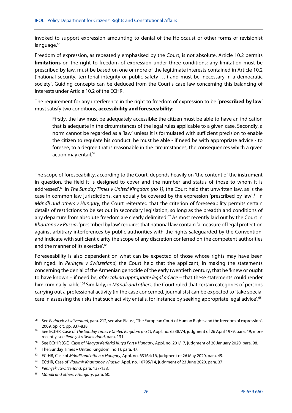invoked to support expression amounting to denial of the Holocaust or other forms of revisionist language.<sup>58</sup>

Freedom of expression, as repeatedly emphasised by the Court, is not absolute. Article 10.2 permits **limitations** on the right to freedom of expression under three conditions: any limitation must be prescribed by law, must be based on one or more of the legitimate interests contained in Article 10.2 ('national security, territorial integrity or public safety …') and must be 'necessary in a democratic society'. Guiding concepts can be deduced from the Court's case law concerning this balancing of interests under Article 10.2 of the ECHR.

The requirement for any interference in the right to freedom of expression to be '**prescribed by law**' must satisfy two conditions, **accessibility and foreseeability**:

Firstly, the law must be adequately accessible: the citizen must be able to have an indication that is adequate in the circumstances of the legal rules applicable to a given case. Secondly, a norm cannot be regarded as a 'law' unless it is formulated with sufficient precision to enable the citizen to regulate his conduct: he must be able - if need be with appropriate advice - to foresee, to a degree that is reasonable in the circumstances, the consequences which a given action may entail.59

The scope of foreseeability, according to the Court, depends heavily on 'the content of the instrument in question, the field it is designed to cover and the number and status of those to whom it is addressed'.<sup>60</sup> In The Sunday Times v United Kingdom (no 1), the Court held that unwritten law, as is the case in common law jurisdictions, can equally be covered by the expression 'prescribed by law'.61 In Mándli and others v Hungary, the Court reiterated that the criterion of foreseeability permits certain details of restrictions to be set out in secondary legislation, so long as the breadth and conditions of any departure from absolute freedom are clearly delimited.<sup>62</sup> As most recently laid out by the Court in Kharitonov v Russia, 'prescribed by law' requires that national law contain 'a measure of legal protection against arbitrary interferences by public authorities with the rights safeguarded by the Convention, and indicate with sufficient clarity the scope of any discretion conferred on the competent authorities and the manner of its exercise'.<sup>63</sup>

Foreseeability is also dependent on what can be expected of those whose rights may have been infringed. In Perinçek v Switzerland, the Court held that the applicant, in making the statements concerning the denial of the Armenian genocide of the early twentieth century, that he 'knew or ought to have known – if need be, after taking appropriate legal advice – that these statements could render him criminally liable'.<sup>64</sup> Similarly, in *Mándli and others*, the Court ruled that certain categories of persons carrying out a professional activity (in the case concerned, journalists) can be expected to 'take special care in assessing the risks that such activity entails, for instance by seeking appropriate legal advice'.<sup>65</sup>

<sup>&</sup>lt;sup>58</sup> See Perinçek v Switzerland, para. 212; see also Flauss, 'The European Court of Human Rights and the freedom of expression', 2009, op. cit. pp. 837-838. 2009, op. cit. pp. 837-838.<br>59 See ECtHR, Case of The Sunday Times v United Kingdom (no 1), Appl. no. 6538/74, judgment of 26 April 1979, para. 49; more

recently, see Perinçek v Switzerland, para. 131.

<sup>&</sup>lt;sup>60</sup> See ECtHR (GC), Case of *Magyar Kétfarkú Kutya Párt v Hungary*, Appl. no. 201/17, judgment of 20 January 2020, para. 98.

<sup>&</sup>lt;sup>61</sup> The Sunday Times v United Kingdom (no 1), para. 47.

<sup>&</sup>lt;sup>62</sup> ECtHR, Case of Mándli and others v Hungary, Appl. no. 63164/16, judgment of 26 May 2020, para. 49.

<sup>&</sup>lt;sup>63</sup> ECtHR, Case of Vladimir Kharitonov v Russia, Appl. no. 10795/14, judgment of 23 June 2020, para. 37.

<sup>64</sup> Perinçek v Switzerland, para. 137-138.

 $65$  Mándli and others v Hungary, para. 50.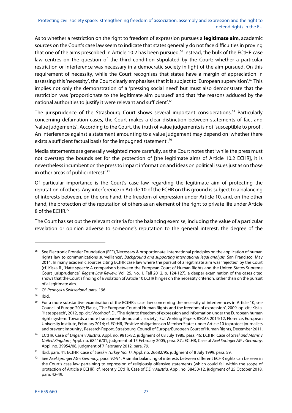As to whether a restriction on the right to freedom of expression pursues a **legitimate aim**, academic sources on the Court's case law seem to indicate that states generally do not face difficulties in proving that one of the aims prescribed in Article 10.2 has been pursued.<sup>66</sup> Instead, the bulk of the ECtHR case law centres on the question of the third condition stipulated by the Court: whether a particular restriction or interference was necessary in a democratic society in light of the aim pursued. On this requirement of necessity, while the Court recognises that states have a margin of appreciation in assessing this 'necessity', the Court clearly emphasises that it is subject to 'European supervision'.<sup>67</sup> This implies not only the demonstration of a 'pressing social need' but must also demonstrate that the restriction was 'proportionate to the legitimate aim pursued' and that 'the reasons adduced by the national authorities to justify it were relevant and sufficient'.68

The jurisprudence of the Strasbourg Court shows several important considerations.<sup>69</sup> Particularly concerning defamation cases, the Court makes a clear distinction between statements of fact and 'value judgements'. According to the Court, the truth of value judgements is not 'susceptible to proof'. An interference against a statement amounting to a value judgement may depend on 'whether there exists a sufficient factual basis for the impugned statement'.<sup>70</sup>

Media statements are generally weighted more carefully, as the Court notes that 'while the press must not overstep the bounds set for the protection of [the legitimate aims of Article 10.2 ECHR], it is nevertheless incumbent on the press to impart information and ideas on political issues just as on those in other areas of public interest'.71

Of particular importance is the Court's case law regarding the legitimate aim of protecting the reputation of others. Any interference in Article 10 of the ECHR on this ground is subject to a balancing of interests between, on the one hand, the freedom of expression under Article 10, and, on the other hand, the protection of the reputation of others as an element of the right to private life under Article 8 of the ECHR.72

The Court has set out the relevant criteria for the balancing exercise, including the value of a particular revelation or opinion adverse to someone's reputation to the general interest, the degree of the

See Electronic Frontier Foundation (EFF),'Necessary & proportionate. International principles on the application of human rights law to communications surveillance', Background and supporting international legal analysis, San Francisco, May 2014. In many academic sources citing ECtHR case law where the pursuit of a legitimate aim was 'rejected' by the Court (cf. Kiska R., 'Hate speech: A comparison between the European Court of Human Rights and the United States Supreme Court jurisprudence', Regent Law Review, Vol. 25, No. 1, Fall 2012, p. 124-127), a deeper examination of the cases cited shows that the Court's finding of a violation of Article 10 ECHR hinges on the necessity criterion, rather than on the pursuit of a legitimate aim.

<sup>&</sup>lt;sup>67</sup> Cf. Perinçek v Switzerland, para. 196.

<sup>68</sup> Ibid.

 $69$  For a more substantive examination of the ECtHR's case law concerning the necessity of interferences in Article 10, see Council of Europe 2007; Flauss, 'The European Court of Human Rights and the freedom of expression', 2009, op. cit.; Kiska, 'Hate speech', 2012, op. cit.; Voorhoof, D., 'The right to freedom of expression and information under the European human rights system: Towards a more transparent democratic society', EUI Working Papers RSCAS 2014/12, Florence, European University Institute, February 2014; cf. ECtHR, 'Positive obligations on Member States under Article 10 to protect journalists and prevent impunity', Research Report, Strasbourg, Council of Europe/European Court of Human Rights, December 2011.

<sup>&</sup>lt;sup>70</sup> ECtHR, Case of Lingens v Austria, Appl. no. 9815/82, judgment of 08 July 1986, para. 46; ECtHR, Case of Steel and Morris v United Kingdom, Appl. no. 68416/01, judgment of 15 February 2005, para. 87.; ECtHR, Case of Axel Springer AG v Germany, Appl. no. 39954/08, judgment of 7 February 2012, para. 79.

<sup>&</sup>lt;sup>71</sup> Ibid, para. 41; ECtHR, Case of Sürek v Turkey (no. 1), Appl. no. 26682/95, judgment of 8 July 1999, para. 59.

<sup>&</sup>lt;sup>72</sup> See Axel Springer AG v Germany, para. 92-94. A similar balancing of interests between different ECHR rights can be seen in the Court's case law pertaining to expression of religiously offensive statements (which could fall within the scope of protection of Article 9 ECHR); cf. recently ECtHR, Case of E.S. v Austria, Appl. no. 38450/12, judgment of 25 October 2018, para. 42-49.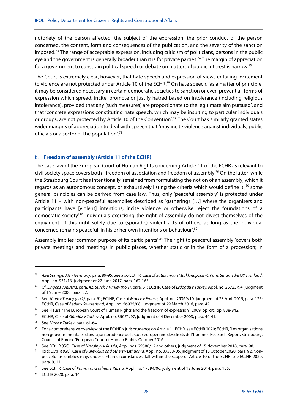notoriety of the person affected, the subject of the expression, the prior conduct of the person concerned, the content, form and consequences of the publication, and the severity of the sanction imposed.73 The range of acceptable expression, including criticism of politicians, persons in the public eye and the government is generally broader than it is for private parties.<sup>74</sup> The margin of appreciation for a government to constrain political speech or debate on matters of public interest is narrow.75

The Court is extremely clear, however, that hate speech and expression of views entailing incitement to violence are not protected under Article 10 of the ECHR.<sup>76</sup> On hate speech, 'as a matter of principle, it may be considered necessary in certain democratic societies to sanction or even prevent all forms of expression which spread, incite, promote or justify hatred based on intolerance (including religious intolerance), provided that any [such measures] are proportionate to the legitimate aim pursued', and that 'concrete expressions constituting hate speech, which may be insulting to particular individuals or groups, are not protected by Article 10 of the Convention'.77 The Court has similarly granted states wider margins of appreciation to deal with speech that 'may incite violence against individuals, public officials or a sector of the population'.78

#### b. **Freedom of assembly (Article 11 of the ECHR)**

The case law of the European Court of Human Rights concerning Article 11 of the ECHR as relevant to civil society space covers both - freedom of association and freedom of assembly.<sup>79</sup> On the latter, while the Strasbourg Court has intentionally 'refrained from formulating the notion of an assembly, which it regards as an autonomous concept, or exhaustively listing the criteria which would define it',<sup>80</sup> some general principles can be derived from case law. Thus, only 'peaceful assembly' is protected under Article 11 – with non-peaceful assemblies described as 'gatherings […] where the organisers and participants have [violent] intentions, incite violence or otherwise reject the foundations of a democratic society'.<sup>81</sup> Individuals exercising the right of assembly do not divest themselves of the enjoyment of this right solely due to (sporadic) violent acts of others, as long as the individual concerned remains peaceful 'in his or her own intentions or behaviour'.82

Assembly implies 'common purpose of its participants'.<sup>83</sup> The right to peaceful assembly 'covers both private meetings and meetings in public places, whether static or in the form of a procession; in

<sup>&</sup>lt;sup>73</sup> Axel Springer AG v Germany, para. 89-95. See also ECtHR, Case of Satukunnan Markkinapörssi OY and Satamedia OY v Finland, Appl. no. 931/13, judgment of 27 June 2017, para. 162-165.

<sup>74</sup> Cf. Lingens v Austria, para. 42; Sürek v Turkey (no 1), para. 61; ECtHR, Case of Erdogdu v Turkey, Appl. no. 25723/94, judgment of 15 June 2000, para. 52.

<sup>&</sup>lt;sup>75</sup> See Sürek v Turkey (no 1), para. 61; ECtHR, Case of Morice v France, Appl. no. 29369/10, judgment of 23 April 2015, para. 125; ECtHR, Case of Bédat v Switzerland, Appl. no. 56925/08, judgment of 29 March 2016, para. 49.

<sup>76</sup> See Flauss, 'The European Court of Human Rights and the freedom of expression', 2009, op. cit., pp. 838-842.

<sup>77</sup> ECtHR, Case of Gündüz v Turkey, Appl. no. 35071/97, judgment of 4 December 2003, para. 40-41.

<sup>&</sup>lt;sup>78</sup> See Sürek v Turkey, para. 61-64.

 $79$  For a comprehensive overview of the ECtHR's jurisprudence on Article 11 ECHR, see ECtHR 2020; ECtHR, 'Les organisations non gouvernementales dans la jurisprudence de la Cour européenne des droits de l'homme', Research Report, Strasbourg, Council of Europe/European Court of Human Rights, October 2016.

<sup>&</sup>lt;sup>80</sup> See ECtHR (GC), Case of *Navalnyy v Russia*, Appl. nos. 29580/12 and others, judgment of 15 November 2018, para. 98.<br><sup>81</sup> Ibid; ECtHR (GC), Case of *Kurevičius and others v Lithuania*, Appl. no. 37553/05, judgment of

peaceful assemblies may, under certain circumstances, fall within the scope of Article 10 of the ECHR; see ECtHR 2020, para. 9, 11.

<sup>82</sup> See ECtHR, Case of Primov and others v Russia, Appl. no. 17394/06, judgment of 12 June 2014, para. 155.

<sup>83</sup> ECtHR 2020, para. 14.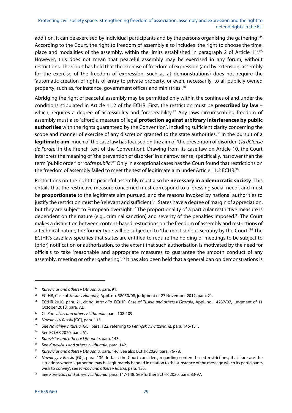addition, it can be exercised by individual participants and by the persons organising the gathering'.<sup>84</sup> According to the Court, the right to freedom of assembly also includes 'the right to choose the time, place and modalities of the assembly, within the limits established in paragraph 2 of Article 11'.<sup>85</sup> However, this does not mean that peaceful assembly may be exercised in any forum, without restrictions. The Court has held that the exercise of freedom of expression (and by extension, assembly for the exercise of the freedom of expression, such as at demonstrations) does not require the 'automatic creation of rights of entry to private property, or even, necessarily, to all publicly owned property, such as, for instance, government offices and ministries'.86

Abridging the right of peaceful assembly may be permitted only within the confines of and under the conditions stipulated in Article 11.2 of the ECHR. First, the restriction must be **prescribed by law** – which, requires a degree of accessibility and foreseeability.<sup>87</sup> Any laws circumscribing freedom of assembly must also 'afford a measure of legal **protection against arbitrary interferences by public authorities** with the rights guaranteed by the Convention', including sufficient clarity concerning the scope and manner of exercise of any discretion granted to the state authorities.<sup>88</sup> In the pursuit of a **legitimate aim**, much of the case law has focused on the aim of 'the prevention of disorder' ('la défense de l'ordre' in the French text of the Convention). Drawing from its case law on Article 10, the Court interprets the meaning of 'the prevention of disorder' in a narrow sense, specifically, narrower than the term 'public order' or 'ordre public'.<sup>89</sup> Only in exceptional cases has the Court found that restrictions on the freedom of assembly failed to meet the test of legitimate aim under Article 11.2 ECHR.<sup>90</sup>

Restrictions on the right to peaceful assembly must also be **necessary in a democratic society**. This entails that the restrictive measure concerned must correspond to a 'pressing social need', and must be **proportionate** to the legitimate aim pursued, and the reasons invoked by national authorities to justify the restriction must be 'relevant and sufficient'.<sup>91</sup> States have a degree of margin of appreciation, but they are subject to European oversight.<sup>92</sup> The proportionality of a particular restrictive measure is dependent on the nature (e.g., criminal sanction) and severity of the penalties imposed.<sup>93</sup> The Court makes a distinction between content-based restrictions on the freedom of assembly and restrictions of a technical nature; the former type will be subjected to 'the most serious scrutiny by the Court'.<sup>94</sup> The ECtHR's case law specifies that states are entitled to require the holding of meetings to be subject to (prior) notification or authorisation, to the extent that such authorisation is motivated by the need for officials to take 'reasonable and appropriate measures to guarantee the smooth conduct of any assembly, meeting or other gathering'.<sup>95</sup> It has also been held that a general ban on demonstrations is

**.** 

<sup>84</sup> Kurevičius and others v Lithuania, para. 91.

<sup>&</sup>lt;sup>85</sup> ECtHR, Case of Sáska v Hungary, Appl. no. 58050/08, judgment of 27 November 2012, para. 21.

<sup>86</sup> ECtHR 2020, para. 21, citing, inter alia, ECtHR, Case of Tuskia and others v Georgia, Appl. no. 14237/07, judgment of 11 October 2018, para. 72.

<sup>87</sup> Cf. Kurevičius and others v Lithuania, para. 108-109.

<sup>88</sup> Navalnyy v Russia [GC], para. 115.

<sup>89</sup> See Navalnyy v Russia [GC], para. 122, referring to Perincek v Switzerland, para. 146-151.

<sup>90</sup> See ECtHR 2020, para. 61.

<sup>91</sup> Kurevičius and others v Lithuania, para. 143.

 $92$  See Kurevičius and others v Lithuania, para. 142.

<sup>93</sup> Kurevičius and others v Lithuania, para. 146. See also ECtHR 2020, para. 76-78.

<sup>94</sup> Navalnyy v Russia [GC], para. 136. In fact, the Court considers, regarding content-based restrictions, that 'rare are the situations where a gathering may be legitimately banned in relation to the substance of the message which its participants wish to convey'; see Primov and others v Russia, para. 135.

<sup>95</sup> See Kurevičius and others v Lithuania, para. 147-148. See further ECtHR 2020, para. 83-97.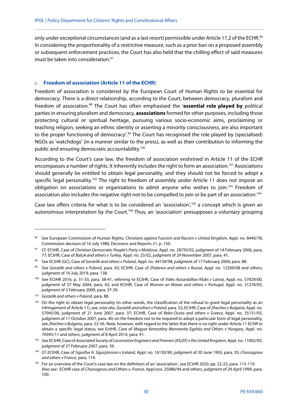only under exceptional circumstances (and as a last resort) permissible under Article 11.2 of the ECHR.<sup>96</sup> In considering the proportionality of a restrictive measure, such as a prior ban on a proposed assembly or subsequent enforcement practices, the Court has also held that the chilling effect of said measures must be taken into consideration.<sup>97</sup>

#### c. **Freedom of association (Article 11 of the ECHR)**

Freedom of association is considered by the European Court of Human Rights to be essential for democracy. There is a direct relationship, according to the Court, between democracy, pluralism and freedom of association.98 The Court has often emphasised the '**essential role played by** political parties in ensuring pluralism and democracy, **associations** formed for other purposes, including those protecting cultural or spiritual heritage, pursuing various socio-economic aims, proclaiming or teaching religion, seeking an ethnic identity or asserting a minority consciousness, are also important to the proper functioning of democracy'.<sup>99</sup> The Court has recognised the role played by (specialised) NGOs as 'watchdogs' (in a manner similar to the press), as well as their contribution to informing the public and ensuring democratic accountability.<sup>100</sup>

According to the Court's case law, the freedom of association enshrined in Article 11 of the ECHR encompasses a number of rights. It inherently includes the right to form an association.101 Associations should generally be entitled to obtain legal personality, and they should not be forced to adopt a specific legal personality.<sup>102</sup> The right to freedom of assembly under Article 11 does not impose an obligation on associations or organisations to admit anyone who wishes to join.<sup>103</sup> Freedom of association also includes the negative right not to be compelled to join or be part of an association.<sup>104</sup>

Case law offers criteria for what is to be considered an 'association',105 a concept which is given an autonomous interpretation by the Court.<sup>106</sup> Thus, an 'association' presupposes a voluntary grouping

<sup>96</sup> See European Commission of Human Rights, Christians against Fascism and Racism v United Kingdom, Appl. no. 8440/78, Commission decision of 16 July 1980, Decisions and Reports 21, p. 150.

<sup>97</sup> Cf. ECtHR, Case of Christian Democratic People's Party v Moldova, Appl. no. 28793/02, judgment of 14 February 2006, para. 77; ECtHR, Case of Balçık and others v Turkey, Appl. no. 25/02, judgment of 29 November 2007, para. 41.

<sup>98</sup> See ECtHR (GC), Case of Gorzelik and others v Poland, Appl. no. 44158/98, judgment of 17 February 2004, para. 88.

<sup>99</sup> See Gorzelik and others v Poland, para. 92; ECtHR, Case of Zhdanov and others v Russia, Appl. no. 12200/08 and others, judgment of 16 July 2019, para. 138.

<sup>100</sup> See ECtHR 2016, p. 31-33, para. 38-41, referring to ECtHR, Case of Vides Aizsardzības Klubs v Latvia, Appl. no. 57829/00, judgment of 27 May 2004, para. 42; and ECtHR, Case of Women on Waves and others v Portugal, Appl. no. 31276/05, judgment of 3 February 2009, para. 37-39.

<sup>101</sup> Gorzelik and others v Poland, para. 88.

<sup>&</sup>lt;sup>102</sup> On the right to obtain legal personality (in other words, the classification of the refusal to grant legal personality as an infringement of Article 11), see, inter alia, Gorzelik and others v Poland, para. 52; ECtHR, Case of Zhechev v Bulgaria, Appl. no. 57045/00, judgment of 21 June 2007, para. 37; ECtHR, Case of Bekir-Ousta and others v Greece, Appl. no. 35151/05, judgment of 11 October 2007, para. 40; on the freedom not to be required to adopt a particular form of legal personality, see Zhechev v Bulgaria, para. 52-56. Note, however, with regard to the latter that there is no right under Article 11 ECHR to obtain a specific legal status; see EctHR, Case of Magyar Keresztény Mennonita Egyház and Others v Hungary, Appl. no. 70945/11 and others, judgment of 8 April 2014, para. 91.

<sup>103</sup> See ECtHR, Case of Associated Society of Locomotive Engineers and Firemen (ASLEF) v the United Kingdom, Appl. no. 11002/05, judgment of 27 February 2007, para. 39.

<sup>104</sup> Cf. ECtHR, Case of Sigurður A. Sigurjónsson v Iceland, Appl. no. 16130/90, judgment of 30 June 1993, para. 35; Chassagnou and others v France, para. 114.

<sup>&</sup>lt;sup>105</sup> For an overview of the Court's case law on the definition of an 'association', see ECtHR 2020, pp. 22-23, para. 115-119. Also see: ECtHR case of Chassagnou and Others v. France, Appl.nos. 25088/94 and others, judgment of 29 April 1999, para. 100.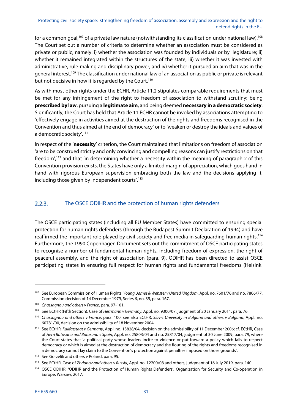for a common goal,<sup>107</sup> of a private law nature (notwithstanding its classification under national law).<sup>108</sup> The Court set out a number of criteria to determine whether an association must be considered as private or public, namely: i) whether the association was founded by individuals or by legislature; ii) whether it remained integrated within the structures of the state; iii) whether it was invested with administrative, rule-making and disciplinary power; and iv) whether it pursued an aim that was in the general interest.109 The classification under national law of an association as public or private is relevant but not decisive in how it is regarded by the Court.<sup>110</sup>

As with most other rights under the ECHR, Article 11.2 stipulates comparable requirements that must be met for any infringement of the right to freedom of association to withstand scrutiny: being **prescribed by law**, pursuing a **legitimate aim**, and being deemed **necessary in a democratic society**. Significantly, the Court has held that Article 11 ECHR cannot be invoked by associations attempting to 'effectively engage in activities aimed at the destruction of the rights and freedoms recognised in the Convention and thus aimed at the end of democracy' or to 'weaken or destroy the ideals and values of a democratic society'.<sup>111</sup>

In respect of the '**necessity**' criterion, the Court maintained that limitations on freedom of association 'are to be construed strictly and only convincing and compelling reasons can justify restrictions on that freedom',112 and that 'in determining whether a necessity within the meaning of paragraph 2 of this Convention provision exists, the States have only a limited margin of appreciation, which goes hand in hand with rigorous European supervision embracing both the law and the decisions applying it, including those given by independent courts'.113

#### $2.2.3.$ The OSCE ODIHR and the protection of human rights defenders

The OSCE participating states (including all EU Member States) have committed to ensuring special protection for human rights defenders (through the Budapest Summit Declaration of 1994) and have reaffirmed the important role played by civil society and free media in safeguarding human rights.<sup>114</sup> Furthermore, the 1990 Copenhagen Document sets out the commitment of OSCE participating states to recognise a number of fundamental human rights, including freedom of expression, the right of peaceful assembly, and the right of association (para. 9). ODIHR has been directed to assist OSCE participating states in ensuring full respect for human rights and fundamental freedoms (Helsinki

<sup>&</sup>lt;sup>107</sup> See European Commission of Human Rights, Young, James & Webster v United Kingdom, Appl. no. 7601/76 and no. 7806/77, Commission decision of 14 December 1979, Series B, no. 39, para. 167.

<sup>108</sup> Chassagnou and others v France, para. 97-101.

<sup>&</sup>lt;sup>109</sup> See ECtHR (Fifth Section), Case of Herrmann v Germany, Appl. no. 9300/07, judgment of 20 January 2011, para. 76.

<sup>110</sup> Chassagnou and others v France, para. 100; see also ECtHR, Slavic University in Bulgaria and others v Bulgaria, Appl. no. 60781/00, decision on the admissibility of 18 November 2004.

<sup>&</sup>lt;sup>111</sup> See ECtHR, Kalifatstaat v Germany, Appl. no. 13828/04, decision on the admissibility of 11 December 2006; cf. ECtHR, Case of Herri Batasuna and Batasuna v Spain, Appl. no. 25803/04 and no. 25817/04, judgment of 30 June 2009, para. 79, where the Court states that 'a political party whose leaders incite to violence or put forward a policy which fails to respect democracy or which is aimed at the destruction of democracy and the flouting of the rights and freedoms recognised in a democracy cannot lay claim to the Convention's protection against penalties imposed on those grounds'.

<sup>112</sup> See Gorzelik and others v Poland, para. 95.

<sup>113</sup> See ECtHR, Case of Zhdanov and others v Russia, Appl. no. 12200/08 and others, judgment of 16 July 2019, para. 140.

<sup>114</sup> OSCE ODIHR, 'ODIHR and the Protection of Human Rights Defenders', Organization for Security and Co-operation in Europe, Warsaw, 2017.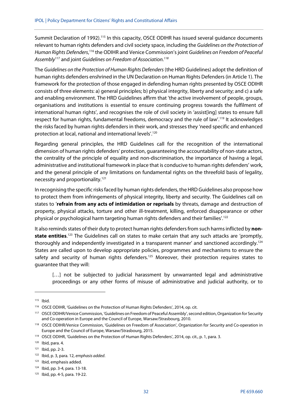Summit Declaration of 1992).<sup>115</sup> In this capacity, OSCE ODIHR has issued several guidance documents relevant to human rights defenders and civil society space, including the Guidelines on the Protection of Human Rights Defenders,<sup>116</sup> the ODIHR and Venice Commission's joint Guidelines on Freedom of Peaceful Assembly<sup>117</sup> and joint Guidelines on Freedom of Association.<sup>118</sup>

The Guidelines on the Protection of Human Rights Defenders (the HRD Guidelines) adopt the definition of human rights defenders enshrined in the UN Declaration on Human Rights Defenders (in Article 1). The framework for the protection of those engaged in defending human rights presented by OSCE ODIHR consists of three elements: a) general principles; b) physical integrity, liberty and security; and c) a safe and enabling environment. The HRD Guidelines affirm that 'the active involvement of people, groups, organisations and institutions is essential to ensure continuing progress towards the fulfilment of international human rights', and recognises the role of civil society in 'assist[ing] states to ensure full respect for human rights, fundamental freedoms, democracy and the rule of law'.119 It acknowledges the risks faced by human rights defenders in their work, and stresses they 'need specific and enhanced protection at local, national and international levels'.120

Regarding general principles, the HRD Guidelines call for the recognition of the international dimension of human rights defenders' protection, guaranteeing the accountability of non-state actors, the centrality of the principle of equality and non-discrimination, the importance of having a legal, administrative and institutional framework in place that is conducive to human rights defenders' work, and the general principle of any limitations on fundamental rights on the threefold basis of legality, necessity and proportionality.121

In recognising the specific risks faced by human rights defenders, the HRD Guidelines also propose how to protect them from infringements of physical integrity, liberty and security. The Guidelines call on states to '**refrain from any acts of intimidation or reprisals** by threats, damage and destruction of property, physical attacks, torture and other ill-treatment, killing, enforced disappearance or other physical or psychological harm targeting human rights defenders and their families'.<sup>122</sup>

It also reminds states of their duty to protect human rights defenders from such harms inflicted by **non**state entities.<sup>123</sup> The Guidelines call on states to make certain that any such attacks are 'promptly, thoroughly and independently investigated in a transparent manner' and sanctioned accordingly.124 States are called upon to develop appropriate policies, programmes and mechanisms to ensure the safety and security of human rights defenders.<sup>125</sup> Moreover, their protection requires states to guarantee that they will:

[...] not be subjected to judicial harassment by unwarranted legal and administrative proceedings or any other forms of misuse of administrative and judicial authority, or to

<sup>115</sup> Ibid.

<sup>116</sup> OSCE ODIHR, 'Guidelines on the Protection of Human Rights Defenders', 2014, op. cit.

<sup>117</sup> OSCE ODIHR/Venice Commission, 'Guidelines on Freedom of Peaceful Assembly', second edition, Organization for Security and Co-operation in Europe and the Council of Europe, Warsaw/Strasbourg, 2010.

<sup>118</sup> OSCE ODIHR/Venice Commission, 'Guidelines on Freedom of Association', Organization for Security and Co-operation in Europe and the Council of Europe, Warsaw/Strasbourg, 2015.

<sup>119</sup> OSCE ODIHR, 'Guidelines on the Protection of Human Rights Defenders', 2014, op. cit., p. 1, para. 3.

 $120$  Ibid, para. 4.

<sup>121</sup> Ibid, pp. 2-3.

 $122$  Ibid, p. 3, para. 12, emphasis added.

<sup>123</sup> Ibid, emphasis added.

<sup>124</sup> Ibid, pp. 3-4, para. 13-18.

<sup>125</sup> Ibid, pp. 4-5, para. 19-22.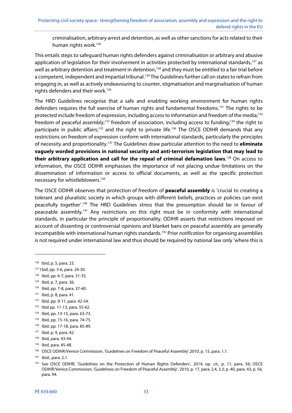criminalisation, arbitrary arrest and detention, as well as other sanctions for acts related to their human rights work.<sup>126</sup>

This entails steps to safeguard human rights defenders against criminalisation or arbitrary and abusive application of legislation for their involvement in activities protected by international standards,<sup>127</sup> as well as arbitrary detention and treatment in detention,<sup>128</sup> and they must be entitled to a fair trial before a competent, independent and impartial tribunal.<sup>129</sup> The Guidelines further call on states to refrain from engaging in, as well as actively endeavouring to counter, stigmatisation and marginalisation of human rights defenders and their work.130

The HRD Guidelines recognise that a safe and enabling working environment for human rights defenders requires the full exercise of human rights and fundamental freedoms.<sup>131</sup> The rights to be protected include freedom of expression, including access to information and freedom of the media;<sup>132</sup> freedom of peaceful assembly;<sup>133</sup> freedom of association, including access to funding;<sup>134</sup> the right to participate in public affairs;<sup>135</sup> and the right to private life.<sup>136</sup> The OSCE ODIHR demands that any restrictions on freedom of expression conform with international standards, particularly the principles of necessity and proportionality.137 The Guidelines draw particular attention to the need to **eliminate vaguely worded provisions in national security and anti-terrorism legislation that may lead to their arbitrary application and call for the repeal of criminal defamation laws**. 138 On access to information, the OSCE ODIHR emphasises the importance of not placing undue limitations on the dissemination of information or access to official documents, as well as the specific protection necessary for whistleblowers.139

The OSCE ODIHR observes that protection of freedom of **peaceful assembly** is 'crucial to creating a tolerant and pluralistic society in which groups with different beliefs, practices or policies can exist peacefully together'.140 The HRD Guidelines stress that the presumption should be in favour of peaceable assembly.<sup>141</sup> Any restrictions on this right must be in conformity with international standards, in particular the principle of proportionality. ODIHR asserts that restrictions imposed on account of dissenting or controversial opinions and blanket bans on peaceful assembly are generally incompatible with international human rights standards.<sup>142</sup> Prior notification for organising assemblies is not required under international law and thus should be required by national law only 'where this is

1

- 129 Ibid, p. 7, para. 36.
- 130 Ibid, pp. 7-8, para. 37-40.
- 131 Ibid, p. 8, para. 41.
- 132 Ibid, pp. 9-11, para. 42-54.
- 133 Ibid pp. 11-13, para. 55-62.
- 134 Ibid, pp. 13-15, para. 63-73.
- 135 Ibid, pp. 15-16, para. 74-75.
- 136 Ibid. pp. 17-18, para. 85-89.

139 Ibid, para. 45-48.

<sup>126</sup> Ibid, p. 5, para. 23.

<sup>127</sup> I bid, pp. 5-6, para. 24-30.

<sup>128</sup> Ibid, pp. 6-7, para. 31-35.

<sup>137</sup> Ibid, p. 9, para. 42.

<sup>138</sup> Ibid, para. 43-44.

<sup>140</sup> OSCE ODIHR/Venice Commission, 'Guidelines on Freedom of Peaceful Assembly',2010, p. 15, para. 1.1.

<sup>141</sup> Ibid., para. 2.1.

<sup>&</sup>lt;sup>142</sup> See OSCE ODIHR, 'Guidelines on the Protection of Human Rights Defenders', 2014, op. cit., p. 11, para. 56; OSCE ODIHR/Venice Commission, 'Guidelines on Freedom of Peaceful Assembly', 2010, p. 17, para. 2.4, 3.3; p. 40, para. 43; p. 56, para. 94.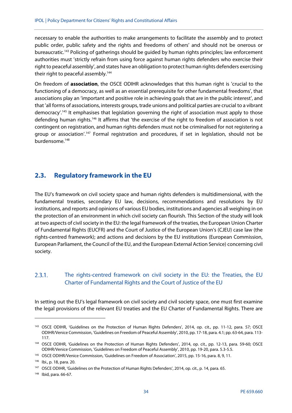necessary to enable the authorities to make arrangements to facilitate the assembly and to protect public order, public safety and the rights and freedoms of others' and should not be onerous or bureaucratic.143 Policing of gatherings should be guided by human rights principles; law enforcement authorities must 'strictly refrain from using force against human rights defenders who exercise their right to peaceful assembly', and states have an obligation to protect human rights defenders exercising their right to peaceful assembly.<sup>144</sup>

On freedom of **association**, the OSCE ODIHR acknowledges that this human right is 'crucial to the functioning of a democracy, as well as an essential prerequisite for other fundamental freedoms', that associations play an 'important and positive role in achieving goals that are in the public interest', and that 'all forms of associations, interests groups, trade unions and political parties are crucial to a vibrant democracy'.145 It emphasises that legislation governing the right of association must apply to those defending human rights.146 It affirms that 'the exercise of the right to freedom of association is not contingent on registration, and human rights defenders must not be criminalised for not registering a group or association'.<sup>147</sup> Formal registration and procedures, if set in legislation, should not be burdensome.<sup>148</sup>

# **2.3. Regulatory framework in the EU**

The EU's framework on civil society space and human rights defenders is multidimensional, with the fundamental treaties, secondary EU law, decisions, recommendations and resolutions by EU institutions, and reports and opinions of various EU bodies, institutions and agencies all weighing in on the protection of an environment in which civil society can flourish. This Section of the study will look at two aspects of civil society in the EU: the legal framework of the treaties, the European Union Charter of Fundamental Rights (EUCFR) and the Court of Justice of the European Union's (CJEU) case law (the rights-centred framework); and actions and decisions by the EU institutions (European Commission, European Parliament, the Council of the EU, and the European External Action Service) concerning civil society.

#### $2.3.1.$ The rights-centred framework on civil society in the EU: the Treaties, the EU Charter of Fundamental Rights and the Court of Justice of the EU

In setting out the EU's legal framework on civil society and civil society space, one must first examine the legal provisions of the relevant EU treaties and the EU Charter of Fundamental Rights. There are

<sup>143</sup> OSCE ODIHR, 'Guidelines on the Protection of Human Rights Defenders', 2014, op. cit., pp. 11-12, para. 57; OSCE ODIHR/Venice Commission, 'Guidelines on Freedom of Peaceful Assembly', 2010, pp. 17-18, para. 4.1; pp. 63-64, para. 113- 117.

<sup>&</sup>lt;sup>144</sup> OSCE ODIHR, 'Guidelines on the Protection of Human Rights Defenders', 2014, op. cit., pp. 12-13, para. 59-60; OSCE ODIHR/Venice Commission, 'Guidelines on Freedom of Peaceful Assembly', 2010, pp. 19-20, para. 5.3-5.5.

<sup>145</sup> OSCE ODIHR/Venice Commission, 'Guidelines on Freedom of Association', 2015, pp. 15-16, para. 8, 9, 11.

<sup>146</sup> Ibi., p. 18, para. 20.

<sup>&</sup>lt;sup>147</sup> OSCE ODIHR, 'Guidelines on the Protection of Human Rights Defenders', 2014, op. cit., p. 14, para. 65.

<sup>148</sup> Ibid, para. 66-67.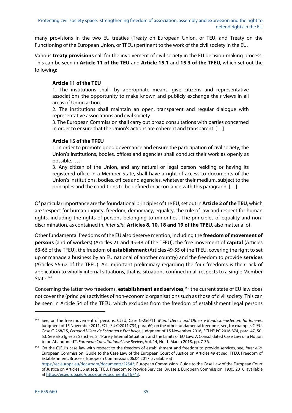many provisions in the two EU treaties (Treaty on European Union, or TEU, and Treaty on the Functioning of the European Union, or TFEU) pertinent to the work of the civil society in the EU.

Various **treaty provisions** call for the involvement of civil society in the EU decision-making process. This can be seen in **Article 11 of the TEU** and **Article 15.1** and **15.3 of the TFEU**, which set out the following:

# **Article 11 of the TEU**

1. The institutions shall, by appropriate means, give citizens and representative associations the opportunity to make known and publicly exchange their views in all areas of Union action.

2. The institutions shall maintain an open, transparent and regular dialogue with representative associations and civil society.

3. The European Commission shall carry out broad consultations with parties concerned in order to ensure that the Union's actions are coherent and transparent. […]

### **Article 15 of the TFEU**

1. In order to promote good governance and ensure the participation of civil society, the Union's institutions, bodies, offices and agencies shall conduct their work as openly as possible. […]

3. Any citizen of the Union, and any natural or legal person residing or having its registered office in a Member State, shall have a right of access to documents of the Union's institutions, bodies, offices and agencies, whatever their medium, subject to the principles and the conditions to be defined in accordance with this paragraph. […]

Of particular importance are the foundational principles of the EU, set out in **Article 2 of the TEU**, which are 'respect for human dignity, freedom, democracy, equality, the rule of law and respect for human rights, including the rights of persons belonging to minorities'. The principles of equality and nondiscrimination, as contained in, inter alia, **Articles 8, 10, 18 and 19 of the TFEU**, also matter a lot.

Other fundamental freedoms of the EU also deserve mention, including the **freedom of movement of persons** (and of workers) (Articles 21 and 45-48 of the TFEU), the free movement of **capital** (Articles 63-66 of the TFEU), the freedom of **establishment** (Articles 49-55 of the TFEU, covering the right to set up or manage a business by an EU national of another country) and the freedom to provide **services** (Articles 56-62 of the TFEU). An important preliminary regarding the four freedoms is their lack of application to wholly internal situations, that is, situations confined in all respects to a single Member State.<sup>149</sup>

Concerning the latter two freedoms, **establishment and services**, 150 the current state of EU law does not cover the (principal) activities of non-economic organisations such as those of civil society. This can be seen in Article 54 of the TFEU, which excludes from the freedom of establishment legal persons

**.** 

<sup>&</sup>lt;sup>149</sup> See, on the free movement of persons, CJEU, Case C-256/11, Murat Dereci and Others v Bundesministerium für Inneres, judgment of 15 November 2011, ECLI:EU:C:2011:734, para. 60; on the other fundamental freedoms, see, for example, CJEU, Case C-268/15, Fernand Ullens de Schooten v État belge, judgment of 15 November 2016, ECLI:EU:C:2016:874, para. 47, 50- 53. See also Iglesias Sánchez, S., 'Purely Internal Situations and the Limits of EU Law: A Consolidated Case Law or a Notion to be Abandoned?', European Constitutional Law Review, Vol. 14, No. 1, March 2018, pp. 7-36.

<sup>&</sup>lt;sup>150</sup> On the CJEU's case law with respect to the freedom of establishment and freedom to provide services, see, inter alia, European Commission, Guide to the Case Law of the European Court of Justice on Articles 49 et seq. TFEU. Freedom of Establishment, Brussels, European Commission, 06.04.2017, available at https://ec.europa.eu/docsroom/documents/22543; European Commission, Guide to the Case Law of the European Court of Justice on Articles 56 et seq. TFEU. Freedom to Provide Services, Brussels, European Commission, 19.05.2016, available at https://ec.europa.eu/docsroom/documents/16743.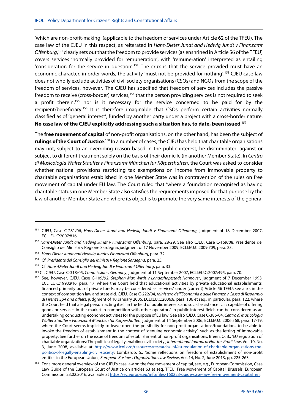'which are non-profit-making' (applicable to the freedom of services under Article 62 of the TFEU). The case law of the CJEU in this respect, as reiterated in Hans-Dieter Jundt and Hedwig Jundt v Finanzamt Offenburg,<sup>151</sup> clearly sets out that the freedom to provide services (as enshrined in Article 56 of the TFEU) covers services 'normally provided for remuneration', with 'remuneration' interpreted as entailing 'consideration for the service in question'.152 The crux is that the service provided must have an economic character; in order words, the activity 'must not be provided for nothing'.<sup>153</sup> CJEU case law does not wholly exclude activities of civil society organisations (CSOs) and NGOs from the scope of the freedom of services, however. The CJEU has specified that freedom of services includes the passive freedom to receive (cross-border) services,<sup>154</sup> that the person providing services is not required to seek a profit therein,<sup>155</sup> nor is it necessary for the service concerned to be paid for by the recipient/beneficiary.<sup>156</sup> It is therefore imaginable that CSOs perform certain activities normally classified as of 'general interest', funded by another party under a project with a cross-border nature. **No case law of the CJEU explicitly addressing such a situation has, to date, been issued**. 157

The **free movement of capital** of non-profit organisations, on the other hand, has been the subject of rulings of the Court of Justice.<sup>158</sup> In a number of cases, the CJEU has held that charitable organisations may not, subject to an overriding reason based in the public interest, be discriminated against or subject to different treatment solely on the basis of their domicile (in another Member State). In Centro di Musicologia Walter Stauffer v Finanzamt München für Körpershaften, the Court was asked to consider whether national provisions restricting tax exemptions on income from immovable property to charitable organisations established in one Member State was in contravention of the rules on free movement of capital under EU law. The Court ruled that 'where a foundation recognised as having charitable status in one Member State also satisfies the requirements imposed for that purpose by the law of another Member State and where its object is to promote the very same interests of the general

<sup>&</sup>lt;sup>151</sup> CJEU, Case C-281/06, Hans-Dieter Jundt and Hedwig Jundt v Finanzamt Offenburg, judgment of 18 December 2007, ECLI:EU:C:2007:816.

<sup>152</sup> Hans-Dieter Jundt and Hedwig Jundt v Finanzamt Offenburg, para. 28-29. See also CJEU, Case C-169/08, Presidente del Consiglio dei Ministri v Regione Sardegna, judgment of 17 November 2009, ECLI:EU:C:2009:709, para. 23.

<sup>&</sup>lt;sup>153</sup> Hans-Dieter Jundt and Hedwig Jundt v Finanzamt Offenburg, para. 32.

<sup>154</sup> Cf. Presidente del Consiglio dei Ministri v Regione Sardegna, para. 25.

<sup>&</sup>lt;sup>155</sup> Cf. Hans-Dieter Jundt and Hedwig Jundt v Finanzamt Offenburg, para. 33.

<sup>&</sup>lt;sup>156</sup> Cf. CJEU, Case C-318/05, Commission v Germany, judgment of 11 September 2007, ECLI:EU:C:2007:495, para. 70.<br><sup>157</sup> See, however, CJEU, Case C-109/92, Stephan Max Wirth v Landeshaptstadt Hannover, judgment of 7 Decembe

ECLI:EU:C:1993:916, para. 17, where the Court held that educational activities by private educational establishments, financed primarily out of private funds, may be considered as 'services' under (current) Article 56 TFEU; see also, in the context of competition law and state aid, CJEU, Case C-222/04, Ministero dell'Economia e delle Finanze v Cassa di Risparmio di Firenze SpA and others, judgment of 10 January 2006, ECLI:EU:C:2006:8, para. 106 et seq., in particular, para. 122, where the Court held that a legal person 'acting itself in the field of public interests and social assistance … is capable of offering goods or services in the market in competition with other operators' in public interest fields can be considered as an undertaking conducting economic activities for the purpose of EU law. See also CJEU, Case C-386/04, Centro di Musicologia Walter Stauffer v Finanzamt München für Körpershaften, judgment of 14 September 2006, ECLI:EU:C:2006:568, para. 17-19, where the Court seems implicitly to leave open the possibility for non-profit organisations/foundations to be able to invoke the freedom of establishment in the context of 'genuine economic activity', such as the letting of immovable property. See further on the issue of freedom of establishment of non-profit organisations, Breen, O. B., 'EU regulation of charitable organizations: The politics of legally enabling civil society', International Journal of Not-for-Profit Law, Vol. 10, No. 3, June 2008, available at https://www.icnl.org/resources/research/ijnl/eu-regulation-of-charitable-organizations-thepolitics-of-legally-enabling-civil-society; Lombardo, S., 'Some reflections on freedom of establishment of non-profit entities in the European Union', European Business Organization Law Review, Vol. 14, No. 2, June 2013, pp. 225-263.

<sup>&</sup>lt;sup>158</sup> For a more general overview of the CJEU's case law on the free movement of capital, see, e.g., European Commission, Case Law Guide of the European Court of Justice on articles 63 et seq. TFEU, Free Movement of Capital, Brussels, European Commission, 23.02.2016, available at https://ec.europa.eu/info/files/160223-guide-case-law-free-movement-capital\_en.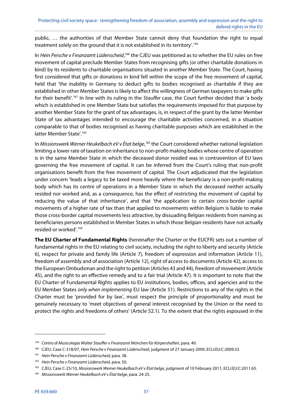public, … the authorities of that Member State cannot deny that foundation the right to equal treatment solely on the ground that it is not established in its territory'.159

In Hein Persche v Finanzamt Lüdenscheid,<sup>160</sup> the CJEU was petitioned as to whether the EU rules on free movement of capital preclude Member States from recognising gifts (or other charitable donations in kind) by its residents to charitable organisations situated in another Member State. The Court, having first considered that gifts or donations in kind fell within the scope of the free movement of capital, held that 'the inability in Germany to deduct gifts to bodies recognised as charitable if they are established in other Member States is likely to affect the willingness of German taxpayers to make gifts for their benefit'.<sup>161</sup> In line with its ruling in the Stauffer case, the Court further decided that 'a body which is established in one Member State but satisfies the requirements imposed for that purpose by another Member State for the grant of tax advantages, is, in respect of the grant by the latter Member State of tax advantages intended to encourage the charitable activities concerned, in a situation comparable to that of bodies recognised as having charitable purposes which are established in the latter Member State'.<sup>162</sup>

In Missionswerk Werner Heukelbach eV v État belge,<sup>163</sup> the Court considered whether national legislation limiting a lower rate of taxation on inheritance to non-profit-making bodies whose centre of operation is in the same Member State in which the deceased donor resided was in contravention of EU laws governing the free movement of capital. It can be inferred from the Court's ruling that non-profit organisations benefit from the free movement of capital. The Court adjudicated that the legislation under concern 'leads a legacy to be taxed more heavily where the beneficiary is a non-profit-making body which has its centre of operations in a Member State in which the deceased neither actually resided nor worked and, as a consequence, has the effect of restricting the movement of capital by reducing the value of that inheritance', and that 'the application to certain cross-border capital movements of a higher rate of tax than that applied to movements within Belgium is liable to make those cross-border capital movements less attractive, by dissuading Belgian residents from naming as beneficiaries persons established in Member States in which those Belgian residents have not actually resided or worked'.164

**The EU Charter of Fundamental Rights** (hereinafter the Charter or the EUCFR) sets out a number of fundamental rights in the EU relating to civil society, including the right to liberty and security (Article 6), respect for private and family life (Article 7), freedom of expression and information (Article 11), freedom of assembly and of association (Article 12), right of access to documents (Article 42), access to the European Ombudsman and the right to petition (Articles 43 and 44), freedom of movement (Article 45), and the right to an effective remedy and to a fair trial (Article 47). It is important to note that the EU Charter of Fundamental Rights applies to EU institutions, bodies, offices, and agencies and to the EU Member States only when implementing EU law (Article 51). Restrictions to any of the rights in the Charter must be 'provided for by law', must respect the principle of proportionality and must be genuinely necessary to 'meet objectives of general interest recognised by the Union or the need to protect the rights and freedoms of others' (Article 52.1). To the extent that the rights espoused in the

<sup>&</sup>lt;sup>159</sup> Centro di Musicologia Walter Stauffer v Finanzamt München für Körpershaften, para. 40.

<sup>&</sup>lt;sup>160</sup> CJEU, Case C-318/07, Hein Persche v Finanzamt Lüdenscheid, judgment of 27 January 2009, ECLI:EU:C:2009:33.

<sup>&</sup>lt;sup>161</sup> Hein Persche v Finanzamt Lüdenscheid, para. 38.

<sup>162</sup> Hein Persche v Finanzamt Lüdenscheid, para. 50.

<sup>&</sup>lt;sup>163</sup> CJEU, Case C-25/10, Missionswerk Werner Heukelbach eV v État belge, judgment of 10 February 2011, ECLI:EU:C:2011:65.

<sup>164</sup> Missionswerk Werner Heukelbach eV v État belge, para. 24-25.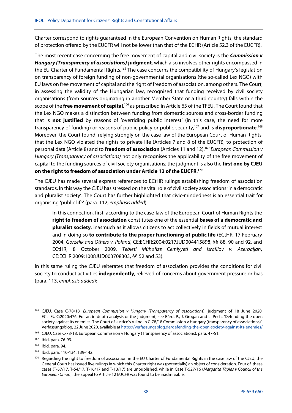Charter correspond to rights guaranteed in the European Convention on Human Rights, the standard of protection offered by the EUCFR will not be lower than that of the ECHR (Article 52.3 of the EUCFR).

The most recent case concerning the free movement of capital and civil society is the **Commission v Hungary (Transparency of associations) judgment**, which also involves other rights encompassed in the EU Charter of Fundamental Rights.<sup>165</sup> The case concerns the compatibility of Hungary's legislation on transparency of foreign funding of non-governmental organisations (the so-called Lex NGO) with EU laws on free movement of capital and the right of freedom of association, among others. The Court, in assessing the validity of the Hungarian law, recognised that funding received by civil society organisations (from sources originating in another Member State or a third country) falls within the scope of the *free movement of capital*,<sup>166</sup> as prescribed in Article 63 of the TFEU. The Court found that the Lex NGO makes a distinction between funding from domestic sources and cross-border funding that is **not justified** by reasons of 'overriding public interest' (in this case, the need for more transparency of funding) or reasons of public policy or public security,<sup>167</sup> and is **disproportionate**.<sup>168</sup> Moreover, the Court found, relying strongly on the case law of the European Court of Human Rights, that the Lex NGO violated the rights to private life (Articles 7 and 8 of the EUCFR), to protection of personal data (Article 8) and to **freedom of association** (Articles 11 and 12).169 European Commission v Hungary (Transparency of associations) not only recognises the applicability of the free movement of capital to the funding sources of civil society organisations; the judgment is also the **first one by CJEU on the right to freedom of association under Article 12 of the EUCFR**. 170

The CJEU has made several express references to ECtHR rulings establishing freedom of association standards. In this way the CJEU has stressed on the vital role of civil society associations 'in a democratic and pluralist society'. The Court has further highlighted that civic-mindedness is an essential trait for organising 'public life' (para. 112, emphasis added):

In this connection, first, according to the case-law of the European Court of Human Rights the **right to freedom of association** constitutes one of the essential **bases of a democratic and pluralist society**, inasmuch as it allows citizens to act collectively in fields of mutual interest and in doing so **to contribute to the proper functioning of public life** (ECtHR, 17 February 2004, Gorzelik and Others v. Poland, CE:ECHR:2004:0217JUD004415898, §§ 88, 90 and 92, and ECtHR, 8 October 2009, Tebieti Mühafize Cemiyyeti and Israfilov v. Azerbaijan, CE:ECHR:2009:1008JUD003708303, §§ 52 and 53).

In this same ruling the CJEU reiterates that freedom of association provides the conditions for civil society to conduct activities **independently**, relieved of concerns about government pressure or bias (para. 113, emphasis added):

<sup>&</sup>lt;sup>165</sup> CJEU, Case C-78/18, European Commission v Hungary (Transparency of associations), judgment of 18 June 2020, ECLI:EU:C:2020:476. For an in-depth analysis of the judgment, see Bárd, P., J. Grogan and L. Pech, 'Defending the open society against its enemies. The Court of Justice's ruling in C-78/18 Commission v Hungary (transparency of associations)', Verfassungsblog, 22 June 2020, available at https://verfassungsblog.de/defending-the-open-society-against-its-enemies/

<sup>166</sup> CJEU, Case C-78/18, European Commission v Hungary (Transparency of associations), para. 47-51.

<sup>167</sup> Ibid, para. 76-93.

<sup>168</sup> Ibid, para. 94.

<sup>169</sup> Ibid, para. 110-134, 139-142.

<sup>170</sup> Regarding the right to freedom of association in the EU Charter of Fundamental Rights in the case law of the CJEU, the General Court has issued five rulings in which this Charter right was (potentially) an object of consideration. Four of these cases (T-57/17, T-54/17, T-16/17 and T-13/17) are unpublished, while in Case T-527/16 (Margarita Tàpias v Council of the European Union), the appeal to Article 12 EUCFR was found to be inadmissible.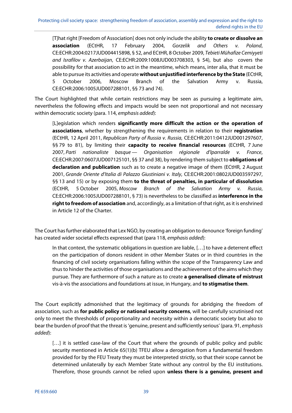[T]hat right [Freedom of Association] does not only include the ability **to create or dissolve an association** (ECtHR, 17 February 2004, Gorzelik and Others v. Poland, CE:ECHR:2004:0217JUD004415898, § 52, and ECtHR, 8 October 2009, Tebieti Mühafize Cemiyyeti and Israfilov v. Azerbaijan, CE:ECHR:2009:1008JUD003708303, § 54), but also covers the possibility for that association to act in the meantime, which means, inter alia, that it must be able to pursue its activities and operate **without unjustified interference by the State** (ECtHR, 5 October 2006, Moscow Branch of the Salvation Army v. Russia, CE:ECHR:2006:1005JUD007288101, §§ 73 and 74).

The Court highlighted that while certain restrictions may be seen as pursuing a legitimate aim, nevertheless the following effects and impacts would be seen not proportional and not necessary within democratic society (para. 114, emphasis added):

[L]egislation which renders **significantly more difficult the action or the operation of associations**, whether by strengthening the requirements in relation to their **registration** (ECtHR, 12 April 2011, Republican Party of Russia v. Russia, CE:ECHR:2011:0412JUD001297607, §§ 79 to 81), by limiting their **capacity to receive financial resources** (ECtHR, 7 June 2007, Parti nationaliste basque — Organisation régionale d'Iparralde v. France, CE:ECHR:2007:0607JUD007125101, §§ 37 and 38), by rendering them subject to **obligations of declaration and publication** such as to create a negative image of them (ECtHR, 2 August 2001, Grande Oriente d'Italia di Palazzo Giustiniani v. Italy, CE:ECHR:2001:0802JUD003597297, §§ 13 and 15) or by exposing them **to the threat of penalties, in particular of dissolution** (ECtHR, 5 October 2005, Moscow Branch of the Salvation Army v. Russia, CE:ECHR:2006:1005JUD007288101, § 73) is nevertheless to be classified as **interference in the right to freedom of association** and, accordingly, as a limitation of that right, as it is enshrined in Article 12 of the Charter.

The Court has further elaborated that Lex NGO, by creating an obligation to denounce 'foreign funding' has created wider societal effects expressed that (para 118, emphasis added):

In that context, the systematic obligations in question are liable, […] to have a deterrent effect on the participation of donors resident in other Member States or in third countries in the financing of civil society organisations falling within the scope of the Transparency Law and thus to hinder the activities of those organisations and the achievement of the aims which they pursue. They are furthermore of such a nature as to create **a generalised climate of mistrust** vis-à-vis the associations and foundations at issue, in Hungary, and **to stigmatise them**.

The Court explicitly admonished that the legitimacy of grounds for abridging the freedom of association, such as **for public policy or national security concerns**, will be carefully scrutinised not only to meet the thresholds of proportionality and necessity within a democratic society but also to bear the burden of proof that the threat is 'genuine, present and sufficiently serious' (para. 91, emphasis added):

[...] it is settled case-law of the Court that where the grounds of public policy and public security mentioned in Article 65(1)(b) TFEU allow a derogation from a fundamental freedom provided for by the FEU Treaty they must be interpreted strictly, so that their scope cannot be determined unilaterally by each Member State without any control by the EU institutions. Therefore, those grounds cannot be relied upon **unless there is a genuine, present and**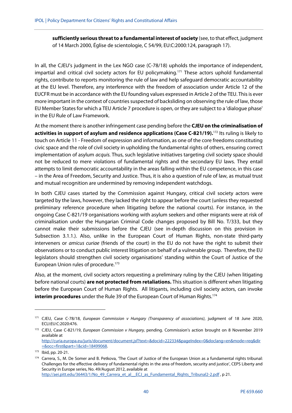**sufficiently serious threat to a fundamental interest of society** (see, to that effect, judgment of 14 March 2000, Église de scientologie, C 54/99, EU:C:2000:124, paragraph 17).

In all, the CJEU's judgment in the Lex NGO case (C-78/18) upholds the importance of independent, impartial and critical civil society actors for EU policymaking.<sup>171</sup> These actors uphold fundamental rights, contribute to reports monitoring the rule of law and help safeguard democratic accountability at the EU level. Therefore, any interference with the freedom of association under Article 12 of the EUCFR must be in accordance with the EU founding values expressed in Article 2 of the TEU. This is ever more important in the context of countries suspected of backsliding on observing the rule of law, those EU Member States for which a TEU Article 7 procedure is open, or they are subject to a 'dialogue phase' in the EU Rule of Law Framework.

At the moment there is another infringement case pending before the **CJEU on the criminalisation of activities in support of asylum and residence applications (Case C-821/19).**172 Its ruling is likely to touch on Article 11 - Freedom of expression and information, as one of the core freedoms constituting civic space and the role of civil society in upholding the fundamental rights of others, ensuring correct implementation of asylum *acquis*. Thus, such legislative initiatives targeting civil society space should not be reduced to mere violations of fundamental rights and the secondary EU laws. They entail attempts to limit democratic accountability in the areas falling within the EU competence, in this case – in the Area of Freedom, Security and Justice. Thus, it is also a question of rule of law, as mutual trust and mutual recognition are undermined by removing independent watchdogs.

In both CJEU cases started by the Commission against Hungary, critical civil society actors were targeted by the laws, however, they lacked the right to appear before the court (unless they requested preliminary reference procedure when litigating before the national courts). For instance, in the ongoing Case C-821/19 organisations working with asylum seekers and other migrants were at risk of criminalisation under the Hungarian Criminal Code changes proposed by Bill No. T/333, but they cannot make their submissions before the CJEU (see in-depth discussion on this provision in Subsection 3.1.1.). Also, unlike in the European Court of Human Rights, non-state third-party interveners or amicus curiae (friends of the court) in the EU do not have the right to submit their observations or to conduct public interest litigation on behalf of a vulnerable group. Therefore, the EU legislators should strengthen civil society organisations' standing within the Court of Justice of the European Union rules of procedure.<sup>173</sup>

Also, at the moment, civil society actors requesting a preliminary ruling by the CJEU (when litigating before national courts) **are not protected from retaliations.** This situation is different when litigating before the European Court of Human Rights. All litigants, including civil society actors, can invoke **interim procedures** under the Rule 39 of the European Court of Human Rights.174

-

http://aei.pitt.edu/36443/1/No\_49\_Carrera\_et\_al\_\_ECJ\_as\_Fundamental\_Rights\_Tribunal2-2.pdf , p 21.

<sup>171</sup> CJEU, Case C-78/18, European Commission v Hungary (Transparency of associations), judgment of 18 June 2020, ECLI:EU:C:2020:476.

<sup>&</sup>lt;sup>172</sup> CJEU, Case C-821/19, European Commission v Hungary, pending. Commission's action brought on 8 November 2019 available at http://curia.europa.eu/juris/document/document.jsf?text=&docid=222334&pageIndex=0&doclang=en&mode=req&dir =&occ=first&part=1&cid=18499068.

<sup>173</sup> Ibid, pp. 20-21.

<sup>174</sup> Carrera, S., M. De Somer and B. Petkova, 'The Court of Justice of the European Union as a fundamental rights tribunal: Challenges for the effective delivery of fundamental rights in the area of freedom, security and justice', CEPS Liberty and Security in Europe series, No. 49/August 2012, available at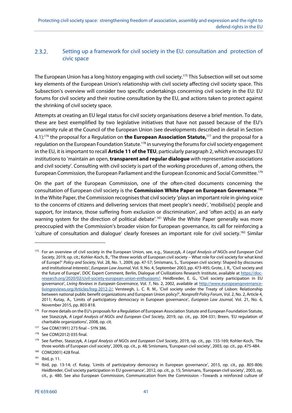#### $2.3.2.$ Setting up a framework for civil society in the EU: consultation and protection of civic space

The European Union has a long history engaging with civil society.175 This Subsection will set out some key elements of the European Union's relationship with civil society affecting civil society space. This Subsection's overview will consider two specific undertakings concerning civil society in the EU: EU forums for civil society and their routine consultation by the EU, and actions taken to protect against the shrinking of civil society space.

Attempts at creating an EU legal status for civil society organisations deserve a brief mention. To date, these are best exemplified by two legislative initiatives that have not passed because of the EU's unanimity rule at the Council of the European Union (see developments described in detail in Section 4.1):176 the proposal for a Regulation on **the European Association Statute,**<sup>177</sup> and the proposal for a regulation on the European Foundation Statute.<sup>178</sup> in surveying the forums for civil society engagement in the EU, it is important to recall **Article 11 of the TEU**, particularly paragraph 2, which encourages EU institutions to 'maintain an open, **transparent and regular dialogue** with representative associations and civil society'. Consulting with civil society is part of the working procedures of , among others, the European Commission, the European Parliament and the European Economic and Social Committee.179

On the part of the European Commission, one of the often-cited documents concerning the consultation of European civil society is the **Commission White Paper on European Governance**. 180 In the White Paper, the Commission recognises that civil society 'plays an important role in giving voice to the concerns of citizens and delivering services that meet people's needs', 'mobilise[s] people and support, for instance, those suffering from exclusion or discrimination', and 'often act[s] as an early warning system for the direction of political debate'.<sup>181</sup> While the White Paper generally was more preoccupied with the Commission's broader vision for European governance, its call for reinforcing a 'culture of consultation and dialogue' clearly foresees an important role for civil society.182 Similar

<sup>&</sup>lt;sup>175</sup> For an overview of civil society in the European Union, see, e.g., Staszczyk, A Legal Analysis of NGOs and European Civil Society, 2019, op. cit.; Kohler-Koch, B., 'The three worlds of European civil society – What role for civil society for what kind of Europe?' Policy and Society, Vol. 28, No. 1, 2009, pp. 47-57; Smismans, S., 'European civil society: Shaped by discourses and institutional interests', European Law Journal, Vol. 9, No. 4, September 2003, pp. 473-495; Grote, J. R., 'Civil society and the future of Europe', DOC Expert Comment, Berlin, Dialogue of Civilizations Research Institute, available at https://docresearch.org/2020/02/civil-society-european-union-enthusiasm/; Heidbreder, E. G., 'Civil society participation in EU governance', Living Reviews in European Governance, Vol. 7, No. 2, 2002, available at http://www.europeangovernancelivingreviews.org/Articles/lreg-2012-2/; Versteegh, L. C. R. M., 'Civil society under the Treaty of Lisbon: Relationship between national public benefit organizations and European Union policy?', Nonprofit Policy Forum, Vol. 2, No. 2, Article 4, 2011; Kutay, A., 'Limits of participatory democracy in European governance', European Law Journal, Vol. 21, No. 6, November 2015, pp. 803-818.

<sup>&</sup>lt;sup>176</sup> For more details on the EU's proposals for a Regulation of European Association Statute and European Foundation Statute, see Staszczyk, A Legal Analysis of NGOs and European Civil Society, 2019, op. cit., pp. 304-331; Breen, 'EU regulation of charitable organizations', 2008, op. cit.

<sup>177</sup> See COM(1991) 273 final – SYN 386.

<sup>178</sup> See COM(2012) 035 final.

<sup>179</sup> See further, Staszczyk, A Legal Analysis of NGOs and European Civil Society, 2019, op. cit., pp. 155-169; Kohler-Koch, 'The three worlds of European civil society', 2009, op. cit., p. 48; Smismans, 'European civil society', 2003, op. cit., pp. 475-484.

<sup>180</sup> COM(2001) 428 final.

<sup>181</sup> Ibid, p. 11.

<sup>&</sup>lt;sup>182</sup> Ibid, pp. 13-14; cf. Kutay, 'Limits of participatory democracy in European governance', 2015, op. cit., pp. 805-806; Heidbreder, Civil society participation in EU governance', 2012, op. cit., p. 15; Smismans, 'European civil society', 2003, op. cit., p. 480. See also European Commission, Communication from the Commission –Towards a reinforced culture of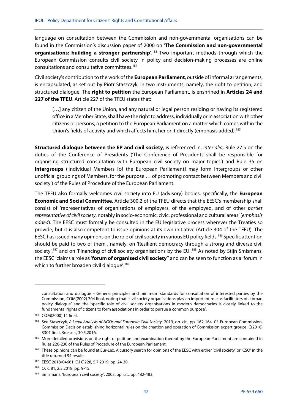language on consultation between the Commission and non-governmental organisations can be found in the Commission's discussion paper of 2000 on '**The Commission and non-governmental organisations: building a stronger partnership'.**<sup>183</sup> Two important methods through which the European Commission consults civil society in policy and decision-making processes are online consultations and consultative committees.184

Civil society's contribution to the work of the **European Parliament**, outside of informal arrangements, is encapsulated, as set out by Piotr Staszczyk, in two instruments, namely, the right to petition, and structured dialogue. The **right to petition** the European Parliament, is enshrined in **Articles 24 and 227 of the TFEU**. Article 227 of the TFEU states that:

[...] any citizen of the Union, and any natural or legal person residing or having its registered office in a Member State, shall have the right to address, individually or in association with other citizens or persons, a petition to the European Parliament on a matter which comes within the Union's fields of activity and which affects him, her or it directly (emphasis added).<sup>185</sup>

**Structured dialogue between the EP and civil society**, is referenced in, inter alia, Rule 27.5 on the duties of the Conference of Presidents ('The Conference of Presidents shall be responsible for organising structured consultation with European civil society on major topics') and Rule 35 on **Intergroups** ('Individual Members [of the European Parliament] may form Intergroups or other unofficial groupings of Members, for the purpose … of promoting contact between Members and civil society') of the Rules of Procedure of the European Parliament.

The TFEU also formally welcomes civil society into EU (advisory) bodies, specifically, the **European Economic and Social Committee**. Article 300.2 of the TFEU directs that the EESC's membership shall consist of 'representatives of organisations of employers, of the employed, and of other parties representative of civil society, notably in socio-economic, civic, professional and cultural areas' (emphasis added). The EESC must formally be consulted in the EU legislative process wherever the Treaties so provide, but it is also competent to issue opinions at its own initiative (Article 304 of the TFEU). The EESC has issued many opinions on the role of civil society in various EU policy fields.<sup>186</sup> Specific attention should be paid to two of them , namely, on 'Resilient democracy through a strong and diverse civil society',<sup>187</sup> and on 'Financing of civil society organisations by the EU'.<sup>188</sup> As noted by Stijn Smismans, the EESC 'claims a role as '**forum of organised civil society**'' and can be seen to function as a 'forum in which to further broaden civil dialogue'.<sup>189</sup>

consultation and dialogue – General principles and minimum standards for consultation of interested parties by the Commission, COM(2002) 704 final, noting that 'civil society organisations play an important role as facilitators of a broad policy dialogue' and the 'specific role of civil society organisations in modern democracies is closely linked to the fundamental rights of citizens to form associations in order to pursue a common purpose'.

<sup>183</sup> COM(2000) 11 final.

<sup>184</sup> See Staszczyk, A Legal Analysis of NGOs and European Civil Society, 2019, op. cit., pp. 162-164. Cf. European Commission, Commission Decision establishing horizontal rules on the creation and operation of Commission expert groups, C(2016) 3301 final, Brussels, 30.5.2016.

<sup>&</sup>lt;sup>185</sup> More detailed provisions on the right of petition and examination thereof by the European Parliament are contained in Rules 226-230 of the Rules of Procedure of the European Parliament.

<sup>186</sup> These opinions can be found at Eur-Lex. A cursory search for opinions of the EESC with either 'civil society' or 'CSO' in the title returned 94 results.

<sup>187</sup> EESC 2018/04661, OJ C 228, 5.7.2019, pp. 24-30.

<sup>188</sup> OJ C 81, 2.3.2018, pp. 9-15.

<sup>189</sup> Smismans, 'European civil society', 2003, op. cit., pp. 482-483.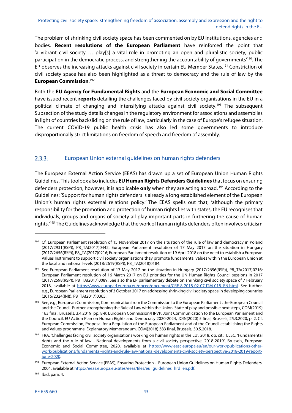The problem of shrinking civil society space has been commented on by EU institutions, agencies and bodies. **Recent resolutions of the European Parliament** have reinforced the point that 'a vibrant civil society … play[s] a vital role in promoting an open and pluralistic society, public participation in the democratic process, and strengthening the accountability of governments<sup>190</sup>. The EP observes the increasing attacks against civil society in certain EU Member States.<sup>191</sup> Constriction of civil society space has also been highlighted as a threat to democracy and the rule of law by the **European Commission**. 192

Both the **EU Agency for Fundamental Rights** and the **European Economic and Social Committee** have issued recent **reports** detailing the challenges faced by civil society organisations in the EU in a political climate of changing and intensifying attacks against civil society.<sup>193</sup> The subsequent Subsection of the study details changes in the regulatory environment for associations and assemblies in light of countries backsliding on the rule of law, particularly in the case of Europe's refugee situation. The current COVID-19 public health crisis has also led some governments to introduce disproportionally strict limitations on freedom of speech and freedom of assembly.

#### European Union external guidelines on human rights defenders  $2.3.3.$

The European External Action Service (EEAS) has drawn up a set of European Union Human Rights Guidelines. This toolbox also includes **EU Human Rights Defenders Guidelines** that focus on ensuring defenders protection, however, it is applicable **only** when they are acting abroad. 194 According to the Guidelines: 'Support for human rights defenders is already a long established element of the European Union's human rights external relations policy.' The EEAS spells out that, 'although the primary responsibility for the promotion and protection of human rights lies with states, the EU recognises that individuals, groups and organs of society all play important parts in furthering the cause of human rights.'195 The Guidelines acknowledge that the work of human rights defenders often involves criticism

<sup>&</sup>lt;sup>190</sup> Cf. European Parliament resolution of 15 November 2017 on the situation of the rule of law and democracy in Poland (2017/2931(RSP)), P8\_TA(2017)0442; European Parliament resolution of 17 May 2017 on the situation in Hungary (2017/2656(RSP)), P8\_TA(2017)0216; European Parliament resolution of 19 April 2018 on the need to establish a European Values Instrument to support civil society organisations thay promote fundamental values within the European Union at the local and national levels (2018/2619(RSP)), P8\_TA(2018)0184.

<sup>&</sup>lt;sup>191</sup> See European Parliament resolution of 17 May 2017 on the situation in Hungary (2017/2656(RSP)), P8\_TA(2017)0216; European Parliament resolution of 16 March 2017 on EU priorities for the UN Human Rights Council sessions in 2017 (2017/2598(RSP)), P8\_TA(2017)0089. See also the EP parliamentary debate on shrinking civil society space of 7 February 2018, available at https://www.europarl.europa.eu/doceo/document/CRE-8-2018-02-07-ITM-018\_EN.html. See further, e.g., European Parliament resolution of 3 October 2017 on addressing shrinking civil society space in developing countries (2016/2324(INI)), P8\_TA(2017)0365.

<sup>&</sup>lt;sup>192</sup> See, e.g., European Commission, Communication from the Commission to the European Parliament, the European Council and the Council. Further strengthening the Rule of Law within the Union. State of play and possible next steps, COM(2019) 163 final, Brussels, 3.4.2019, pp. 8-9; European Commission/HRVP, Joint Communication to the European Parliament and the Council. EU Action Plan on Human Rights and Democracy 2020-2024, JOIN(2020) 5 final, Brussels, 25.3.2020, p. 2. Cf. European Commission, Proposal for a Regulation of the European Parliament and of the Council establishing the Rights and Values programme, Explanatory Memorandum, COM(2018) 383 final, Brussels, 30.5.2018.

<sup>193</sup> FRA, 'Challenges facing civil society organisations working on human rights in the EU', 2018, op. cit.; EESC, 'Fundamental rights and the rule of law - National developments from a civil society perspective, 2018-2019', Brussels, European Economic and Social Committee, 2020, available at https://www.eesc.europa.eu/en/our-work/publications-otherwork/publications/fundamental-rights-and-rule-law-national-developments-civil-society-perspective-2018-2019-reportjune-2020.

<sup>194</sup> European External Action Service (EEAS), Ensuring Protection - European Union Guidelines on Human Rights Defenders, 2004, available at https://eeas.europa.eu/sites/eeas/files/eu\_guidelines\_hrd\_en.pdf.

<sup>195</sup> Ibid, para. 4.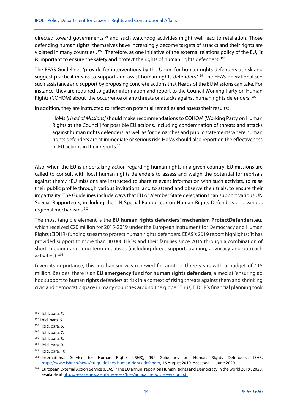directed toward governments<sup>196</sup> and such watchdog activities might well lead to retaliation. Those defending human rights 'themselves have increasingly become targets of attacks and their rights are violated in many countries'. 197 Therefore, as one initiative of the external relations policy of the EU, 'it is important to ensure the safety and protect the rights of human rights defenders'.<sup>198</sup>

The EEAS Guidelines 'provide for interventions by the Union for human rights defenders at risk and suggest practical means to support and assist human rights defenders.<sup>'199</sup> The EEAS operationalised such assistance and support by proposing concrete actions that Heads of the EU Missions can take. For instance, they are required to gather information and report to the Council Working Party on Human Rights (COHOM) about 'the occurrence of any threats or attacks against human rights defenders'.<sup>200</sup>

In addition, they are instructed to reflect on potential remedies and assess their results:

HoMs [Head of Missions] should make recommendations to COHOM [Working Party on Human Rights at the Council] for possible EU actions, including condemnation of threats and attacks against human rights defenders, as well as for demarches and public statements where human rights defenders are at immediate or serious risk. HoMs should also report on the effectiveness of EU actions in their reports.<sup>201</sup>

Also, when the EU is undertaking action regarding human rights in a given country, EU missions are called to consult with local human rights defenders to assess and weigh the potential for reprisals against them.202EU missions are instructed to share relevant information with such activists, to raise their public profile through various invitations, and to attend and observe their trials, to ensure their impartiality. The Guidelines include ways that EU or Member State delegations can support various UN Special Rapporteurs, including the UN Special Rapporteur on Human Rights Defenders and various regional mechanisms.203

The most tangible element is the **EU human rights defenders' mechanism ProtectDefenders.eu,** which received €20 million for 2015-2019 under the European Instrument for Democracy and Human Rights (EIDHR) funding stream to protect human rights defenders. EEAS's 2019 report highlights: 'It has provided support to more than 30 000 HRDs and their families since 2015 through a combination of short, medium and long-term initiatives (including direct support, training, advocacy and outreach activities).'204

Given its importance, this mechanism was renewed for another three years with a budget of  $E15$ million. Besides, there is an **EU emergency fund for human rights defenders**, aimed at 'ensuring ad hoc support to human rights defenders at risk in a context of rising threats against them and shrinking civic and democratic space in many countries around the globe.' Thus, EIDHR's financial planning took

<sup>196</sup> Ibid, para. 5.

<sup>197</sup> I bid, para. 6.

 $198$  Ibid, para. 6.

 $199$  Ibid, para. 7.

 $200$  Ibid. para. 8.

<sup>201</sup> Ibid. para. 9.

<sup>202</sup> Ibid. para. 10.

<sup>&</sup>lt;sup>203</sup> International Service for Human Rights (ISHR), 'EU Guidelines on Human Rights Defenders'. ISHR, https://www.ishr.ch/news/eu-guidelines-human-rights-defender, 16 August 2010. Accessed 11 June 2020.

<sup>204</sup> European External Action Service (EEAS), 'The EU annual report on Human Rights and Democracy in the world 2019', 2020, available at https://eeas.europa.eu/sites/eeas/files/annual\_report\_e-version.pdf.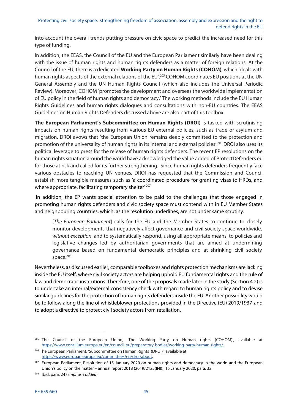into account the overall trends putting pressure on civic space to predict the increased need for this type of funding.

In addition, the EEAS, the Council of the EU and the European Parliament similarly have been dealing with the issue of human rights and human rights defenders as a matter of foreign relations. At the Council of the EU, there is a dedicated **Working Party on Human Rights (COHOM)**, which 'deals with human rights aspects of the external relations of the EU'.<sup>205</sup> COHOM coordinates EU positions at the UN General Assembly and the UN Human Rights Council (which also includes the Universal Periodic Review). Moreover, COHOM 'promotes the development and oversees the worldwide implementation of EU policy in the field of human rights and democracy.' The working methods include the EU Human Rights Guidelines and human rights dialogues and consultations with non-EU countries. The EEAS Guidelines on Human Rights Defenders discussed above are also part of this toolbox.

**The European Parliament's Subcommittee on Human Rights (DROI)** is tasked with scrutinising impacts on human rights resulting from various EU external policies, such as trade or asylum and migration. DROI avows that 'the European Union remains deeply committed to the protection and promotion of the universality of human rights in its internal and external policies'.<sup>206</sup> DROI also uses its political leverage to press for the release of human rights defenders. The recent EP resolutions on the human rights situation around the world have acknowledged the value added of ProtectDefenders.eu for those at risk and called for its further strengthening. Since human rights defenders frequently face various obstacles to reaching UN venues, DROI has requested that the Commission and Council establish more tangible measures such as 'a coordinated procedure for granting visas to HRDs, and where appropriate, facilitating temporary shelter<sup>' 207</sup>

 In addition, the EP wants special attention to be paid to the challenges that those engaged in promoting human rights defenders and civic society space must contend with in EU Member States and neighbouring countries, which, as the resolution underlines, are not under same scrutiny:

[The European Parliament] calls for the EU and the Member States to continue to closely monitor developments that negatively affect governance and civil society space worldwide, without exception, and to systematically respond, using all appropriate means, to policies and legislative changes led by authoritarian governments that are aimed at undermining governance based on fundamental democratic principles and at shrinking civil society space. $208$ 

Nevertheless, as discussed earlier, comparable toolboxes and rights protection mechanisms are lacking inside the EU itself, where civil society actors are helping uphold EU fundamental rights and the rule of law and democratic institutions. Therefore, one of the proposals made later in the study (Section 4.2) is to undertake an internal/external consistency check with regard to human rights policy and to devise similar guidelines for the protection of human rights defenders inside the EU. Another possibility would be to follow along the line of whistleblower protections provided in the Directive (EU) 2019/1937 and to adopt a directive to protect civil society actors from retaliation.

<sup>&</sup>lt;sup>205</sup> The Council of the European Union, 'The Working Party on Human rights (COHOM)', available at https://www.consilium.europa.eu/en/council-eu/preparatory-bodies/working-party-human-rights/.

<sup>206</sup> The European Parliament, 'Subcommittee on Human Rights (DROI)', available at https://www.europarl.europa.eu/committees/en/droi/about.

<sup>&</sup>lt;sup>207</sup> European Parliament, Resolution of 15 January 2020 on human rights and democracy in the world and the European Union's policy on the matter – annual report 2018 (2019/2125(INI)), 15 January 2020, para. 32.

<sup>&</sup>lt;sup>208</sup> Ibid, para. 24 (emphasis added).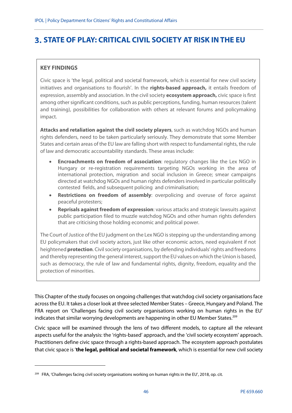# **STATE OF PLAY: CRITICAL CIVIL SOCIETY AT RISK IN THE EU**

# **KEY FINDINGS**

**.** 

Civic space is 'the legal, political and societal framework, which is essential for new civil society initiatives and organisations to flourish'. In the **rights-based approach,** it entails freedom of expression, assembly and association. In the civil society **ecosystem approach,** civic space is first among other significant conditions, such as public perceptions, funding, human resources (talent and training), possibilities for collaboration with others at relevant forums and policymaking impact.

**Attacks and retaliation against the civil society players**, such as watchdog NGOs and human rights defenders, need to be taken particularly seriously. They demonstrate that some Member States and certain areas of the EU law are falling short with respect to fundamental rights, the rule of law and democratic accountability standards. These areas include:

- **Encroachments on freedom of association**: regulatory changes like the Lex NGO in Hungary or re-registration requirements targeting NGOs working in the area of international protection, migration and social inclusion in Greece; smear campaigns directed at watchdog NGOs and human rights defenders involved in particular politically contested fields, and subsequent policing and criminalisation;
- **Restrictions on freedom of assembly**: overpolicing and overuse of force against peaceful protesters;
- **Reprisals against freedom of expression**: various attacks and strategic lawsuits against public participation filed to muzzle watchdog NGOs and other human rights defenders that are criticising those holding economic and political power.

The Court of Justice of the EU judgment on the Lex NGO is stepping up the understanding among EU policymakers that civil society actors, just like other economic actors, need equivalent if not heightened **protection**. Civil society organisations, by defending individuals' rights and freedoms and thereby representing the general interest, support the EU values on which the Union is based, such as democracy, the rule of law and fundamental rights, dignity, freedom, equality and the protection of minorities.

This Chapter of the study focuses on ongoing challenges that watchdog civil society organisations face across the EU. It takes a closer look at three selected Member States – Greece, Hungary and Poland. The FRA report on 'Challenges facing civil society organisations working on human rights in the EU' indicates that similar worrying developments are happening in other EU Member States.<sup>209</sup>

Civic space will be examined through the lens of two different models, to capture all the relevant aspects useful for the analysis: the 'rights-based' approach, and the 'civil society ecosystem' approach. Practitioners define civic space through a rights-based approach. The ecosystem approach postulates that civic space is '**the legal, political and societal framework**, which is essential for new civil society

<sup>&</sup>lt;sup>209</sup> FRA, 'Challenges facing civil society organisations working on human rights in the EU', 2018, op. cit.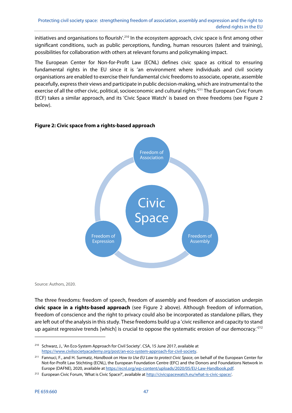initiatives and organisations to flourish'.<sup>210</sup> In the ecosystem approach, civic space is first among other significant conditions, such as public perceptions, funding, human resources (talent and training), possibilities for collaboration with others at relevant forums and policymaking impact.

The European Center for Non-for-Profit Law (ECNL) defines civic space as critical to ensuring fundamental rights in the EU since it is 'an environment where individuals and civil society organisations are enabled to exercise their fundamental civic freedoms to associate, operate, assemble peacefully, express their views and participate in public decision-making, which are instrumental to the exercise of all the other civic, political, socioeconomic and cultural rights.'211 The European Civic Forum (ECF) takes a similar approach, and its 'Civic Space Watch' is based on three freedoms (see Figure 2 below).

## **Figure 2: Civic space from a rights-based approach**



Source: Authors, 2020.

The three freedoms: freedom of speech, freedom of assembly and freedom of association underpin **civic space in a rights-based approach** (see Figure 2 above). Although freedom of information, freedom of conscience and the right to privacy could also be incorporated as standalone pillars, they are left out of the analysis in this study. These freedoms build up a 'civic resilience and capacity to stand up against regressive trends [which] is crucial to oppose the systematic erosion of our democracy.<sup>'212</sup>

<sup>210</sup> Schwarz, J., 'An Eco-System Approach for Civil Society'. CSA, 15 June 2017, available at https://www.civilsocietyacademy.org/post/an-eco-system-approach-for-civil-society.

<sup>&</sup>lt;sup>211</sup> Fannuci, F., and H. Surmatz, Handbook on How to Use EU Law to protect Civic Space, on behalf of the European Center for Not-for-Profit Law Stichting (ECNL), the European Foundation Centre (EFC) and the Donors and Foundations Network in Europe (DAFNE), 2020, available at https://ecnl.org/wp-content/uploads/2020/05/EU-Law-Handbook.pdf.

<sup>&</sup>lt;sup>212</sup> European Civic Forum, 'What is Civic Space?', available at http://civicspacewatch.eu/what-is-civic-space/.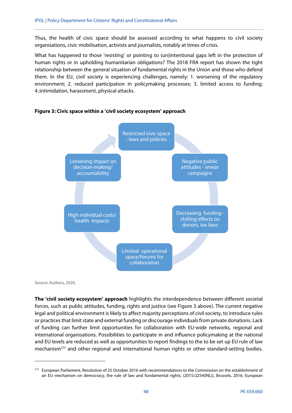Thus, the health of civic space should be assessed according to what happens to civil society organisations, civic mobilisation, activists and journalists, notably at times of crisis.

What has happened to those 'resisting' or pointing to (un)intentional gaps left in the protection of human rights or in upholding humanitarian obligations? The 2018 FRA report has shown the tight relationship between the general situation of fundamental rights in the Union and those who defend them. In the EU, civil society is experiencing challenges, namely: 1. worsening of the regulatory environment; 2. reduced participation in policymaking processes; 3. limited access to funding; 4.:intimidation, harassment, physical attacks.



### **Figure 3: Civic space within a 'civil society ecosystem' approach**

Source: Authors, 2020.

-

**The 'civil society ecosystem' approach** highlights the interdependence between different societal forces, such as public attitudes, funding, rights and justice (see Figure 3 above). The current negative legal and political environment is likely to affect majority perceptions of civil society, to introduce rules or practices that limit state and external funding or discourage individuals from private donations. Lack of funding can further limit opportunities for collaboration with EU-wide networks, regional and international organisations. Possibilities to participate in and influence policymaking at the national and EU levels are reduced as well as opportunities to report findings to the to be set up EU rule of law mechanism<sup>213</sup> and other regional and international human rights or other standard-setting bodies.

<sup>&</sup>lt;sup>213</sup> European Parliament, Resolution of 25 October 2016 with recommendations to the Commission on the establishment of an EU mechanism on democracy, the rule of law and fundamental rights, (2015/2254(INL)), Brussels, 2016; European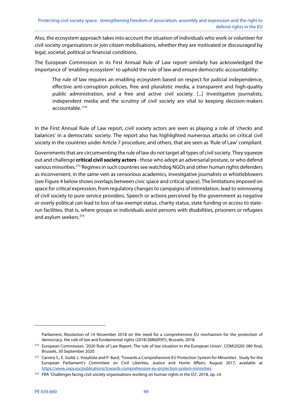Also, the ecosystem approach takes into account the situation of individuals who work or volunteer for civil society organisations or join citizen mobilisations, whether they are motivated or discouraged by legal, societal, political or financial conditions.

The European Commission in its First Annual Rule of Law report similarly has acknowledged the importance of 'enabling ecosystem' to uphold the rule of law and ensure democratic accountability:

The rule of law requires an enabling ecosystem based on respect for judicial independence, effective anti-corruption policies, free and pluralistic media, a transparent and high-quality public administration, and a free and active civil society. [...] Investigative journalists, independent media and the scrutiny of civil society are vital to keeping decision-makers accountable. 214

In the First Annual Rule of Law report, civil society actors are seen as playing a role of 'checks and balances' in a democratic society. The report also has highlighted numerous attacks on critical civil society in the countries under Article 7 procedure, and others, that are seen as 'Rule of Law' compliant.

Governments that are circumventing the rule of law do not target all types of civil society. They squeeze out and challenge **critical civil society actors** - those who adopt an adversarial posture, or who defend various minorities.215 Regimes in such countries see watchdog NGOs and other human rights defenders as inconvenient, in the same vein as censorious academics, investigative journalists or whistleblowers (see Figure 4 below shows overlaps between civic space and critical space). The limitations imposed on space for critical expression, from regulatory changes to campaigns of intimidation, lead to winnowing of civil society to pure service providers. Speech or actions perceived by the government as negative or overly political can lead to loss of tax-exempt status, charity status, state funding or access to staterun facilities, that is, where groups or individuals assist persons with disabilities, prisoners or refugees and asylum seekers.<sup>216</sup>

**.** 

Parliament, Resolution of 14 November 2018 on the need for a comprehensive EU mechanism for the protection of democracy, the rule of law and fundamental rights (2018/2886(RSP)), Brussels, 2018.

<sup>&</sup>lt;sup>214</sup> European Commission, '2020 Rule of Law Report: The rule of law situation in the European Union', COM(2020) 580 final, Brussels, 30 September 2020.

<sup>&</sup>lt;sup>215</sup> Carrera S., E. Guild, L. Vosyliūtė and P. Bard, 'Towards a Comprehensive EU Protection System for Minorities'. Study for the European Parliament's Committee on Civil Liberties, Justice and Home Affairs, August 2017, available at https://www.ceps.eu/publications/towards-comprehensive-eu-protection-system-minorities.

<sup>&</sup>lt;sup>216</sup> FRA 'Challenges facing civil society organisations working on human rights in the EU', 2018, op. cit.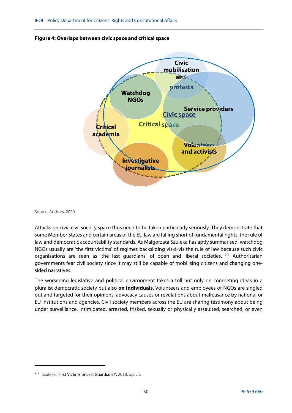



Source: Authors, 2020.

**.** 

Attacks on civic civil society space thus need to be taken particularly seriously. They demonstrate that some Member States and certain areas of the EU law are falling short of fundamental rights, the rule of law and democratic accountability standards. As Małgorzata Szuleka has aptly summarised, watchdog NGOs usually are 'the first victims' of regimes backsliding vis-à-vis the rule of law because such civic organisations are seen as 'the last guardians' of open and liberal societies. <sup>217</sup> Authoritarian governments fear civil society since it may still be capable of mobilising citizens and changing onesided narratives.

The worsening legislative and political environment takes a toll not only on competing ideas in a pluralist democratic society but also **on individuals**. Volunteers and employees of NGOs are singled out and targeted for their opinions, advocacy causes or revelations about malfeasance by national or EU institutions and agencies. Civil society members across the EU are sharing testimony about being under surveillance, intimidated, arrested, frisked, sexually or physically assaulted, searched, or even

<sup>217</sup> Szuleka, 'First Victims or Last Guardians?', 2018, op. cit.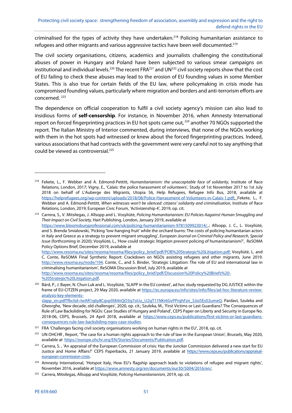criminalised for the types of activity they have undertaken.<sup>218</sup> Policing humanitarian assistance to refugees and other migrants and various aggressive tactics have been well documented.<sup>219</sup>

The civil society organisations, citizens, academics and journalists challenging the constitutional abuses of power in Hungary and Poland have been subjected to various smear campaigns on institutional and individual levels.<sup>220</sup> The recent FRA<sup>221</sup> and UN<sup>222</sup> civil society reports show that the cost of EU failing to check these abuses may lead to the erosion of EU founding values in some Member States. This is also true for certain fields of the EU law, where policymaking in crisis mode has compromised founding values, particularly where migration and borders and anti-terrorism efforts are concerned. 223

The dependence on official cooperation to fulfil a civil society agency's mission can also lead to insidious forms of **self-censorship**. For instance, in November 2016, when Amnesty International report on forced fingerprinting practices in EU hot spots came out,<sup>224</sup> another 70 NGOs supported the report. The Italian Ministry of Interior commented, during interviews, that none of the NGOs working with them in the hot spots had witnessed or knew about the forced fingerprinting practices. Indeed, various associations that had contracts with the government were very careful not to say anything that could be viewed as controversial.<sup>225</sup>

%20Strategic%20Litigation.pdf.

<sup>&</sup>lt;sup>218</sup> Fekete. L., F. Webber and A. Edmond-Pettitt, Humanitarianism: the unacceptable face of solidarity, Institute of Race Relations, London, 2017; Vigny, E., 'Calais: the police harassment of volunteers', Study of 1st November 2017 to 1st July 2018 on behalf of L'Auberge des Migrants, Utopia 56, Help Refugees, Refugee Info Bus, 2018, available at https://helprefugees.org/wp-content/uploads/2018/08/Police-Harrassment-of-Volunteers-in-Calais-1.pdf; Fekete, L., F. Webber and A. Edmond-Pettitt, When witnesses won't be silenced: citizens' solidarity and criminalisation, Institute of Race Relations, London, 2019; European Civic Forum, 'Activizenship 4', 2019, op. cit.

<sup>&</sup>lt;sup>219</sup> Carrera, S., V. Mitsilegas, J. Allsopp and L. Vosyliūtė, Policing Humanitarianism: EU Policies Aagainst Human Smuggling and Their Impact on Civil Society, Hart Publishing, London, January 2019, available at https://www.bloomsburyprofessional.com/uk/policing-humanitarianism-9781509923014/..; Allsopp, J. C., L. Vosyliūtė, and S. Brenda Smialowski, 'Picking 'low-hanging fruit' while the orchard burns: The costs of policing humanitarian actors in Italy and Greece as a strategy to prevent migrant smuggling', European Journal on Criminal Policy and Research, Special Issue (forthcoming in 2020); Vosyliūtė, L., 'How could strategic litigation prevent policing of humanitarianism?', ReSOMA Policy Options Brief, December 2019, available at http://www.resoma.eu/sites/resoma/resoma/files/policy\_brief/pdf/POB%20Strategic%20Litigation.pdf; Vosyliūtė, L. and

C. Conte, ReSOMA Final Synthetic Report: Crackdown on NGOs assisting refugees and other migrants, June 2019. http://www.resoma.eu/node/194. Conte, C., and S. Binder, 'Strategic Litigation: The role of EU and international law in criminalising humanitarianism', ReSOMA Discussion Brief, July 2019, available at http://www.resoma.eu/sites/resoma/resoma/files/policy\_brief/pdf/Discussion%20Policy%20Briefs%20-

<sup>&</sup>lt;sup>220</sup> Bárd, P., J. Bayer, N. Chun Luk and L. Vosyliūtė, 'SLAPP in the EU context', ad hoc study requested by DG JUSTICE within the frame of EU-CITZEN project, 29 May 2020, available at https://ec.europa.eu/info/sites/info/files/ad-hoc-literature-reviewanalysis-key-elements-

slapp\_en.pdf?fbclid=IwAR1q6y8CqvplX84nQO3q7oUu\_U2gT11NKr6GvPPrghFzn\_SJoi5Es02umeQ. Pardavi, Szuleka and Gheorghe, 'New decade, old challenges', 2020, op. cit.; Szuleka, M., 'First Victims or Last Guardians? The Consequences of Rule of Law Backsliding for NGOs: Case Studies of Hungary and Poland', CEPS Paper on Liberty and Security in Europe No. 2018-06, CEPS, Brussels, 24 April 2018, available at https://www.ceps.eu/publications/first-victims-or-last-guardiansconsequences-rule-law-backsliding-ngos-case-studies.

<sup>&</sup>lt;sup>221</sup> FRA 'Challenges facing civil society organisations working on human rights in the EU', 2018, op. cit.

<sup>&</sup>lt;sup>222</sup> UN OHCHR, Report, 'The case for a human rights approach to the rule of law in the European Union', Brussels, May 2020, available at https://europe.ohchr.org/EN/Stories/Documents/Publication.pdf.

<sup>&</sup>lt;sup>223</sup> Carrera, S., 'An appraisal of the European Commission of crisis: Has the Juncker Commission delivered a new start for EU Justice and Home Affairs?' CEPS Paperbacks, 21 January 2019, available at https://www.ceps.eu/publications/appraisaleuropean-commission-crisis.

<sup>&</sup>lt;sup>224</sup> Amnesty International, 'Hotspot Italy, How EU's flagship approach leads to violations of refugee and migrant rights', November 2016, available at https://www.amnesty.org/en/documents/eur30/5004/2016/en/.

<sup>&</sup>lt;sup>225</sup> Carrera, Mitsilegas, Allsopp and Vosyliūtė, Policing Humanitarianism, 2019, op. cit.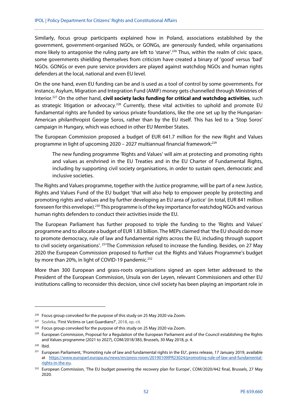Similarly, focus group participants explained how in Poland, associations established by the government, government-organised NGOs, or GONGs, are generously funded, while organisations more likely to antagonise the ruling party are left to 'starve'.<sup>226</sup> Thus, within the realm of civic space, some governments shielding themselves from criticism have created a binary of 'good' versus 'bad' NGOs. GONGs or even pure service providers are played against watchdog NGOs and human rights defenders at the local, national and even EU level.

On the one hand, even EU funding can be and is used as a tool of control by some governments. For instance, Asylum, Migration and Integration Fund (AMIF) money gets channelled through Ministries of Interior.227 On the other hand, **civil society lacks funding for critical and watchdog activities**, such as strategic litigation or advocacy.<sup>228</sup> Currently, these vital activities to uphold and promote EU fundamental rights are funded by various private foundations, like the one set up by the Hungarian-American philanthropist George Soros, rather than by the EU itself. This has led to a 'Stop Soros' campaign in Hungary, which was echoed in other EU Member States.

The European Commission proposed a budget of EUR 641.7 million for the new Right and Values programme in light of upcoming 2020 - 2027 multiannual financial framework:<sup>229</sup>

The new funding programme 'Rights and Values' will aim at protecting and promoting rights and values as enshrined in the EU Treaties and in the EU Charter of Fundamental Rights, including by supporting civil society organisations, in order to sustain open, democratic and inclusive societies.

The Rights and Values programme, together with the Justice programme, will be part of a new Justice, Rights and Values Fund of the EU budget 'that will also help to empower people by protecting and promoting rights and values and by further developing an EU area of justice' (in total, EUR 841 million foreseen for this envelope).230 This programme is of the key importance for watchdog NGOs and various human rights defenders to conduct their activities inside the EU.

The European Parliament has further proposed to triple the funding to the 'Rights and Values' programme and to allocate a budget of EUR 1.83 billion. The MEPs claimed that 'the EU should do more to promote democracy, rule of law and fundamental rights across the EU, including through support to civil society organisations'. 231The Commission refused to increase the funding. Besides, on 27 May 2020 the European Commission proposed to further cut the Rights and Values Programme's budget by more than 20%, in light of COVID-19 pandemic.<sup>232</sup>

More than 300 European and grass-roots organisations signed an open letter addressed to the President of the European Commission, Ursula von der Leyen, relevant Commissioners and other EU institutions calling to reconsider this decision, since civil society has been playing an important role in

 $226$  Focus group convoked for the purpose of this study on 25 May 2020 via Zoom.

<sup>&</sup>lt;sup>227</sup> Szuleka, 'First Victims or Last Guardians?', 2018, op. cit.

<sup>&</sup>lt;sup>228</sup> Focus group convoked for the purpose of this study on 25 May 2020 via Zoom.

 $229$  European Commission, Proposal for a Regulation of the European Parliament and of the Council establishing the Rights and Values programme (2021 to 2027), COM/2018/383, Brussels, 30 May 2018, p. 4.

<sup>230</sup> Ibid.

<sup>&</sup>lt;sup>231</sup> European Parliament, 'Promoting rule of law and fundamental rights in the EU', press release, 17 January 2019, available at https://www.europarl.europa.eu/news/en/press-room/20190109IPR23024/promoting-rule-of-law-and-fundamentalrights-in-the-eu.

<sup>&</sup>lt;sup>232</sup> European Commission, 'The EU budget powering the recovery plan for Europe', COM/2020/442 final, Brussels, 27 May 2020.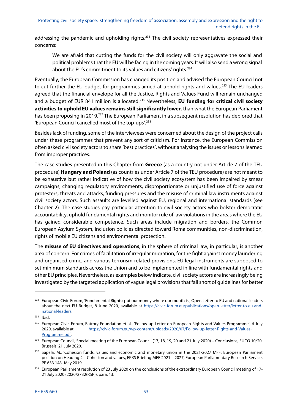addressing the pandemic and upholding rights.<sup>233</sup> The civil society representatives expressed their concerns:

We are afraid that cutting the funds for the civil society will only aggravate the social and political problems that the EU will be facing in the coming years. It will also send a wrong signal about the EU's commitment to its values and citizens' rights.<sup>234</sup>

Eventually, the European Commission has changed its position and advised the European Council not to cut further the EU budget for programmes aimed at uphold rights and values.<sup>235</sup> The EU leaders agreed that the financial envelope for all the Justice, Rights and Values Fund will remain unchanged and a budget of EUR 841 million is allocated.<sup>236</sup> Nevertheless, **EU funding for critical civil society activities to uphold EU values remains still significantly lower**, than what the European Parliament has been proposing in 2019.<sup>237</sup> The European Parliament in a subsequent resolution has deplored that 'European Council cancelled most of the top-ups'.<sup>238</sup>

Besides lack of funding, some of the interviewees were concerned about the design of the project calls under these programmes that prevent any sort of criticism. For instance, the European Commission often asked civil society actors to share 'best practices', without analysing the issues or lessons learned from improper practices.

The case studies presented in this Chapter from **Greece** (as a country not under Article 7 of the TEU procedure) **Hungary and Poland** (as countries under Article 7 of the TEU procedure) are not meant to be exhaustive but rather indicative of how the civil society ecosystem has been impaired by smear campaigns, changing regulatory environments, disproportionate or unjustified use of force against protesters, threats and attacks, funding pressures and the misuse of criminal law instruments against civil society actors. Such assaults are levelled against EU, regional and international standards (see Chapter 2). The case studies pay particular attention to civil society actors who bolster democratic accountability, uphold fundamental rights and monitor rule of law violations in the areas where the EU has gained considerable competence. Such areas include migration and borders, the Common European Asylum System, inclusion policies directed toward Roma communities, non-discrimination, rights of mobile EU citizens and environmental protection.

The **misuse of EU directives and operations**, in the sphere of criminal law, in particular, is another area of concern. For crimes of facilitation of irregular migration, for the fight against money laundering and organised crime, and various terrorism-related provisions, EU legal instruments are supposed to set minimum standards across the Union and to be implemented in line with fundamental rights and other EU principles. Nevertheless, as examples below indicate, civil society actors are increasingly being investigated by the targeted application of vague legal provisions that fall short of guidelines for better

<sup>&</sup>lt;sup>233</sup> European Civic Forum, 'Fundamental Rights: put our money where our mouth is', Open Letter to EU and national leaders about the next EU Budget, 8 June 2020, available at https://civic-forum.eu/publications/open-letter/letter-to-eu-andnational-leaders.

<sup>234</sup> Ibid.

<sup>&</sup>lt;sup>235</sup> European Civic Forum, Batrory Foundation et al., 'Follow-up Letter on European Rights and Values Programme', 6 July 2020, available at https://civic-forum.eu/wp-content/uploads/2020/07/Follow-up-letter-Rights-and-Values-Programme.pdf.

<sup>&</sup>lt;sup>236</sup> European Council, Special meeting of the European Council (17, 18, 19, 20 and 21 July 2020) – Conclusions, EUCO 10/20, Brussels, 21 July 2020.

<sup>&</sup>lt;sup>237</sup> Sapala, M., 'Cohesion funds, values and economic and monetary union in the 2021-2027 MFF: European Parliament position on Heading 2 – Cohesion and values, EPRS Briefing MFF 2021 – 2027, European Parliamentary Research Service, PE 633.148- May 2019.

<sup>&</sup>lt;sup>238</sup> European Parliament resolution of 23 July 2020 on the conclusions of the extraordinary European Council meeting of 17-21 July 2020 (2020/2732(RSP)), para. 13.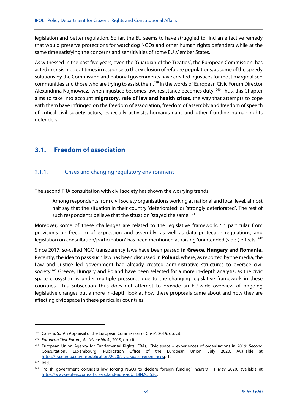legislation and better regulation. So far, the EU seems to have struggled to find an effective remedy that would preserve protections for watchdog NGOs and other human rights defenders while at the same time satisfying the concerns and sensitivities of some EU Member States.

As witnessed in the past five years, even the 'Guardian of the Treaties', the European Commission, has acted in crisis mode at times in response to the explosion of refugee populations, as some of the speedy solutions by the Commission and national governments have created injustices for most marginalised communities and those who are trying to assist them.239 In the words of European Civic Forum Director Alexandrina Najmowicz, 'when injustice becomes law, resistance becomes duty'.240 Thus, this Chapter aims to take into account **migratory, rule of law and health crises**, the way that attempts to cope with them have infringed on the freedom of association, freedom of assembly and freedom of speech of critical civil society actors, especially activists, humanitarians and other frontline human rights defenders.

# **3.1. Freedom of association**

#### $3.1.1.$ Crises and changing regulatory environment

The second FRA consultation with civil society has shown the worrying trends:

Among respondents from civil society organisations working at national and local level, almost half say that the situation in their country 'deteriorated' or 'strongly deteriorated'. The rest of such respondents believe that the situation 'stayed the same'. <sup>241</sup>

Moreover, some of these challenges are related to the legislative framework, 'in particular from provisions on freedom of expression and assembly, as well as data protection regulations, and legislation on consultation/participation' has been mentioned as raising 'unintended (side-) effects'.<sup>242</sup>

Since 2017, so-called NGO transparency laws have been passed **in Greece, Hungary and Romania.** Recently, the idea to pass such law has been discussed in **Poland**, where, as reported by the media, the Law and Justice–led government had already created administrative structures to oversee civil society.<sup>243</sup> Greece, Hungary and Poland have been selected for a more in-depth analysis, as the civic space ecosystem is under multiple pressures due to the changing legislative framework in these countries. This Subsection thus does not attempt to provide an EU-wide overview of ongoing legislative changes but a more in-depth look at how these proposals came about and how they are affecting civic space in these particular countries.

<sup>&</sup>lt;sup>239</sup> Carrera, S., 'An Appraisal of the European Commission of Crisis', 2019, op. cit.

<sup>&</sup>lt;sup>240</sup> European Civic Forum, 'Activizenship 4', 2019, op. cit.

<sup>&</sup>lt;sup>241</sup> European Union Agency for Fundamental Rights (FRA), 'Civic space – experiences of organisations in 2019: Second Consultation', Luxembourg, Publication Office of the European Union, July 2020. Available at https://fra.europa.eu/en/publication/2020/civic-space-experiencesp.1.

<sup>242</sup> Ibid.

<sup>&</sup>lt;sup>243</sup> 'Polish government considers law forcing NGOs to declare foreign funding', Reuters, 11 May 2020, available at https://www.reuters.com/article/poland-ngos-idUSL8N2CT53C.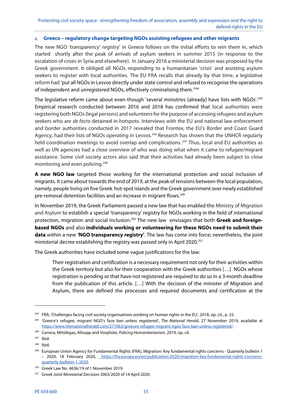### a. **Greece – regulatory change targeting NGOs assisting refugees and other migrants**

The new NGO 'transparency' registry' in Greece follows on the initial efforts to rein them in, which started shortly after the peak of arrivals of asylum seekers in summer 2015 (in response to the escalation of crises in Syria and elsewhere). In January 2016 a ministerial decision was proposed by the Greek government. It obliged all NGOs responding to a humanitarian 'crisis' and assisting asylum seekers to register with local authorities. The EU FRA recalls that already by that time, a legislative reform had 'put all NGOs in Lesvos directly under state control and refused to recognise the operations of independent and unregistered NGOs, effectively criminalising them.<sup>'244</sup>

The legislative reform came about even though 'several ministries [already] have lists with NGOs'.245 Empirical research conducted between 2016 and 2018 has confirmed that local authorities were registering both NGOs (legal persons) and volunteers for the purpose of accessing refugees and asylum seekers who are de facto detained in hotspots. Interviews with the EU and national law enforcement and border authorities conducted in 2017 revealed that Frontex, the EU's Border and Coast Guard Agency, had their lists of NGOs operating in Lesvos.<sup>246</sup> Research has shown that the UNHCR regularly held coordination meetings to avoid overlap and complications.<sup>247</sup> Thus, local and EU authorities as well as UN agencies had a close overview of who was doing what when it came to refugee/migrant assistance. Some civil society actors also said that their activities had already been subject to close monitoring and even policing.<sup>248</sup>

**A new NGO law** targeted those working for the international protection and social inclusion of migrants. It came about towards the end of 2019, at the peak of tensions between the local population, namely, people living on five Greek hot-spot islands and the Greek government over newly established pre-removal detention facilities and an increase in migrant flows.<sup>249</sup>

In November 2019, the Greek Parliament passed a new law that has enabled the Ministry of Migration and Asylum to establish a special 'transparency' registry for NGOs working in the field of international protection, migration and social inclusion.<sup>250</sup> The new law envisages that both Greek and foreign**based NGOs** and also **individuals working or volunteering for these NGOs need to submit their data** within a new **'NGO transparency registry'**. The law has come into force; nevertheless, the joint ministerial decree establishing the registry was passed only in April 2020.251

The Greek authorities have included some vague justifications for the law:

Their registration and certification is a necessary requirement not only for their activities within the Greek territory but also for their cooperation with the Greek authorities […] NGOs whose registration is pending or that have not registered are required to do so in a 3-month deadline from the publication of this article. […] With the decision of the minister of Migration and Asylum, there are defined the processes and required documents and certification at the

**.** 

<sup>&</sup>lt;sup>244</sup> FRA, 'Challenges facing civil society organisations working on human rights in the EU', 2018, op. cit., p. 22.

<sup>&</sup>lt;sup>245</sup> 'Greece's refugee, migrant NGO's face ban unless registered', The National Herald, 27 November 2019, available at https://www.thenationalherald.com/271063/greeces-refugee-migrant-ngos-face-ban-unless-registered/.

<sup>&</sup>lt;sup>246</sup> Carrera, Mitsilegas, Allsopp and Vosyliūtė, Policing Humanitarianism, 2019, op. cit.

<sup>247</sup> Ibid.

<sup>248</sup> Ibid.

<sup>&</sup>lt;sup>249</sup> European Union Agency for Fundamental Rights (FRA), Migration: Key fundamental rights concerns - Quarterly bulletin 1 – 2020, 18 February 2020, https://fra.europa.eu/en/publication/2020/migration-key-fundamental-rights-concernsquarterly-bulletin-1-2020.

 $250$  Greek Law No. 4636/19 of 1 November 2019.

<sup>&</sup>lt;sup>251</sup> Greek Joint Ministerial Decision 3063/2020 of 14 April 2020.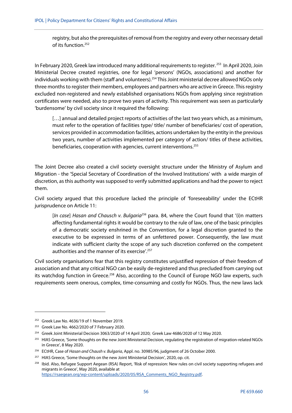registry, but also the prerequisites of removal from the registry and every other necessary detail of its function.<sup>252</sup>

In February 2020, Greek law introduced many additional requirements to register.<sup>253</sup> In April 2020, Join Ministerial Decree created registries, one for legal 'persons' (NGOs, associations) and another for individuals working with them (staff and volunteers).<sup>254</sup> This Joint ministerial decree allowed NGOs only three months to register their members, employees and partners who are active in Greece. This registry excluded non-registered and newly established organisations NGOs from applying since registration certificates were needed, also to prove two years of activity. This requirement was seen as particularly 'burdensome' by civil society since it required the following:

[...] annual and detailed project reports of activities of the last two years which, as a minimum, must refer to the operation of facilities type/ title/ number of beneficiaries/ cost of operation, services provided in accommodation facilities, actions undertaken by the entity in the previous two years, number of activities implemented per category of action/ titles of these activities, beneficiaries, cooperation with agencies, current interventions.<sup>255</sup>

The Joint Decree also created a civil society oversight structure under the Ministry of Asylum and Migration - the 'Special Secretary of Coordination of the Involved Institutions' with a wide margin of discretion, as this authority was supposed to verify submitted applications and had the power to reject them.

Civil society argued that this procedure lacked the principle of 'foreseeability' under the ECtHR jurisprudence on Article 11:

[In case] Hasan and Chausch v. Bulgaria<sup>256</sup> para. 84, where the Court found that '(i)n matters affecting fundamental rights it would be contrary to the rule of law, one of the basic principles of a democratic society enshrined in the Convention, for a legal discretion granted to the executive to be expressed in terms of an unfettered power. Consequently, the law must indicate with sufficient clarity the scope of any such discretion conferred on the competent authorities and the manner of its exercise'.<sup>257</sup>

Civil society organisations fear that this registry constitutes unjustified repression of their freedom of association and that any critical NGO can be easily de-registered and thus precluded from carrying out its watchdog function in Greece.<sup>258</sup> Also, according to the Council of Europe NGO law experts, such requirements seem onerous, complex, time-consuming and costly for NGOs. Thus, the new laws lack

 $252$  Greek Law No. 4636/19 of 1 November 2019.

<sup>253</sup> Greek Law No. 4662/2020 of 7 February 2020.

<sup>&</sup>lt;sup>254</sup> Greek Joint Ministerial Decision 3063/2020 of 14 April 2020; Greek Law 4686/2020 of 12 May 2020.

<sup>&</sup>lt;sup>255</sup> HIAS Greece, 'Some thoughts on the new Joint Ministerial Decision, regulating the registration of migration-related NGOs in Greece', 8 May 2020.

<sup>&</sup>lt;sup>256</sup> ECtHR, Case of Hasan and Chaush v. Bulgaria, Appl. no. 30985/96, judgment of 26 October 2000.

<sup>&</sup>lt;sup>257</sup> HIAS Greece, 'Some thoughts on the new Joint Ministerial Decision', 2020, op. cit.

<sup>&</sup>lt;sup>258</sup> Ibid. Also, Refugee Support Aegean (RSA) Report, 'Risk of repression: New rules on civil society supporting refugees and migrants in Greece', May 2020, available at https://rsaegean.org/wp-content/uploads/2020/05/RSA\_Comments\_NGO\_Registry.pdf.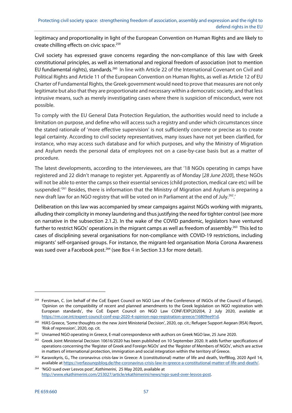legitimacy and proportionality in light of the European Convention on Human Rights and are likely to create chilling effects on civic space.<sup>259</sup>

Civil society has expressed grave concerns regarding the non-compliance of this law with Greek constitutional principles, as well as international and regional freedom of association (not to mention EU fundamental rights), standards.<sup>260</sup> In line with Article 22 of the International Covenant on Civil and Political Rights and Article 11 of the European Convention on Human Rights, as well as Article 12 of EU Charter of Fundamental Rights, the Greek government would need to prove that measures are not only legitimate but also that they are proportionate and necessary within a democratic society, and that less intrusive means, such as merely investigating cases where there is suspicion of misconduct, were not possible.

To comply with the EU General Data Protection Regulation, the authorities would need to include a limitation on purpose, and define who will access such a registry and under which circumstances since the stated rationale of 'more effective supervision' is not sufficiently concrete or precise as to create legal certainty. According to civil society representatives, many issues have not yet been clarified, for instance, who may access such database and for which purposes, and why the Ministry of Migration and Asylum needs the personal data of employees not on a case-by-case basis but as a matter of procedure.

The latest developments, according to the interviewees, are that '18 NGOs operating in camps have registered and 22 didn't manage to register yet. Apparently as of Monday [28 June 2020], these NGOs will not be able to enter the camps so their essential services (child protection, medical care etc) will be suspended.<sup>'261</sup> Besides, there is information that the Ministry of Migration and Asylum is preparing a new draft law for an NGO registry that will be voted on in Parliament at the end of July.262.'

Deliberation on this law was accompanied by smear campaigns against NGOs working with migrants, alluding their complicity in money laundering and thus justifying the need for tighter control (see more on narrative in the subsection 2.1.2). In the wake of the COVID pandemic, legislators have ventured further to restrict NGOs' operations in the migrant camps as well as freedom of assembly.<sup>263</sup> This led to cases of disciplining several organisations for non-compliance with COVID-19 restrictions, including migrants' self-organised groups. For instance, the migrant-led organisation Moria Corona Awareness was sued over a Facebook post.<sup>264</sup> (see Box 4 in Section 3.3 for more detail).

<sup>&</sup>lt;sup>259</sup> Ferstman, C. (on behalf of the CoE Expert Council on NGO Law of the Conference of INGOs of the Council of Europe), 'Opinion on the compatibility of recent and planned amendments to the Greek legislation on NGO registration with European standards', the CoE Expert Council on NGO Law CONF/EXP(2020)4, 2 July 2020, available at https://rm.coe.int/expert-council-conf-exp-2020-4-opinion-ngo-registration-greece/16809ee91d.

<sup>&</sup>lt;sup>260</sup> HIAS Greece, 'Some thoughts on the new Joint Ministerial Decision', 2020, op. cit.; Refugee Support Aegean (RSA) Report, 'Risk of repression', 2020, op. cit.

<sup>&</sup>lt;sup>261</sup> Unnamed NGO operating in Greece, E-mail correspondence with authors on Greek NGO law, 25 June 2020.

<sup>&</sup>lt;sup>262</sup> Greek Joint Ministerial Decision 10616/2020 has been published on 10 September 2020. It adds further specifications of operations concerning the 'Register of Greek and Foreign NGOs' and the 'Register of Members of NGOs', which are active in matters of international protection, immigration and social integration within the territory of Greece.

<sup>&</sup>lt;sup>263</sup> Karavokyris, G., The coronavirus crisis-law in Greece: A (constitutional) matter of life and death, VerfBlog, 2020 April 14, available at https://verfassungsblog.de/the-coronavirus-crisis-law-in-greece-a-constitutional-matter-of-life-and-death/.

<sup>&</sup>lt;sup>264</sup> 'NGO sued over Lesvos post', Kathimerini, 25 May 2020, available at http://www.ekathimerini.com/253027/article/ekathimerini/news/ngo-sued-over-lesvos-post.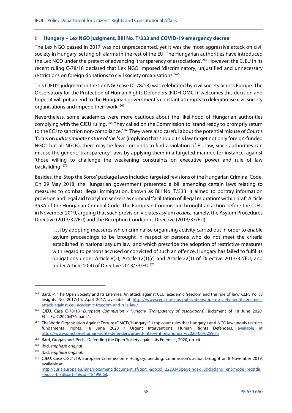### b. **Hungary – Lex NGO judgment, Bill No. T/333 and COVID-19 emergency decree**

The Lex NGO passed in 2017 was not unprecedented, yet it was the most aggressive attack on civil society in Hungary, setting off alarms in the rest of the EU. The Hungarian authorities have introduced the Lex NGO under the pretext of advancing 'transparency of associations'.265 However, the CJEU in its recent ruling C-78/18 declared that Lex NGO imposed 'discriminatory, unjustified and unnecessary restrictions on foreign donations to civil society organisations.'266

This CJEU's judgment in the Lex NGO case (C-78/18) was celebrated by civil society across Europe. The Observatory for the Protection of Human Rights Defenders (FIDH-OMCT) 'welcomes this decision and hopes it will put an end to the Hungarian government's constant attempts to delegitimise civil society organisations and impede their work.'267

Nevertheless, some academics were more cautious about the likelihood of Hungarian authorities complying with the CJEU ruling. <sup>268</sup> They called on the Commission to 'stand ready to promptly return to the ECJ to sanction non-compliance.<sup>' 269</sup> They were also careful about the potential misuse of Court's 'focus on indiscriminate nature of the law' (implying that should this law target not only foreign-funded NGOs but all NGOs), there may be fewer grounds to find a violation of EU law, since authorities can misuse the generic 'transparency' laws by applying them in a targeted manner, for instance, against 'those willing to challenge the weakening constraints on executive power and rule of law backsliding'.270

Besides, the 'Stop the Soros' package laws included targeted revisions of the Hungarian Criminal Code. On 29 May 2018, the Hungarian government presented a bill amending certain laws relating to measures to combat illegal immigration, known as Bill No. T/333. It aimed to portray information provision and legal aid to asylum seekers as criminal 'facilitation of illegal migration' within draft Article 353A of the Hungarian Criminal Code. The European Commission brought an action before the CJEU in November 2019, arguing that such provision violates asylum *acquis*, namely, the Asylum Procedures Directive (2013/32/EU) and the Reception Conditions Directive (2013/33/EU):

[...] by adopting measures which criminalise organising activity carried out in order to enable asylum proceedings to be brought in respect of persons who do not meet the criteria established in national asylum law, and which prescribe the adoption of restrictive measures with regard to persons accused or convicted of such an offence, Hungary has failed to fulfil its obligations under Article 8(2), Article 12(1)(c) and Article 22(1) of Directive 2013/32/EU, and under Article 10(4) of Directive 2013/33/EU.<sup>271</sup>

<sup>&</sup>lt;sup>265</sup> Bárd, P. 'The Open Society and Its Enemies: An attack against CEU, academic freedom and the rule of law.' CEPS Policy Insights No. 2017/14, April 2017, available at https://www.ceps.eu/ceps-publications/open-society-and-its-enemiesattack-against-ceu-academic-freedom-and-rule-law/.

<sup>&</sup>lt;sup>266</sup> CJEU, Case C-78/18, European Commission v Hungary (Transparency of associations), judgment of 18 June 2020, ECLI:EU:C:2020:476, para.1.

<sup>&</sup>lt;sup>267</sup> The World Organisation Against Torture (OMCT), 'Hungary: EU top court rules that Hungary's anti-NGO law unduly restricts fundamental rights, 18 June 2020 / Urgent Interventions, Human Rights Defenders, available at https://www.omct.org/human-rights-defenders/urgent-interventions/hungary/2020/06/d25904/.

<sup>&</sup>lt;sup>268</sup> Bárd, Grogan and Pech, 'Defending the Open Society against its Enemies', 2020, op. cit.

<sup>269</sup> Ibid, emphasis original.

<sup>270</sup> Ibid, emphasis original.

<sup>&</sup>lt;sup>271</sup> CJEU, Case C-821/19, European Commission v Hungary, pending. Commission's action brought on 8 November 2019, available at

http://curia.europa.eu/juris/document/document.jsf?text=&docid=222334&pageIndex=0&doclang=en&mode=req&dir =&occ=first&part=1&cid=18499068.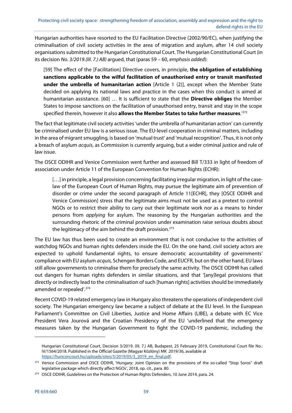Hungarian authorities have resorted to the EU Facilitation Directive (2002/90/EC), when justifying the criminalisation of civil society activities in the area of migration and asylum, after 14 civil society organisations submitted to the Hungarian Constitutional Court. The Hungarian Constitutional Court (in its decision No. 3/2019.(III. 7.) AB) argued, that (paras 59 – 60, emphasis added):

[59] The effect of the [Facilitation] Directive covers, in principle, **the obligation of establishing sanctions applicable to the wilful facilitation of unauthorised entry or transit manifested under the umbrella of humanitarian action** [Article 1 (2)], except when the Member State decided on applying its national laws and practice in the cases when this conduct is aimed at humanitarian assistance. [60] … It is sufficient to state that the **Directive obliges** the Member States to impose sanctions on the facilitation of unauthorised entry, transit and stay in the scope specified therein, however it also **allows the Member States to take further measures**.'272

The fact that legitimate civil society activities 'under the umbrella of humanitarian action' can currently be criminalised under EU law is a serious issue. The EU-level cooperation in criminal matters, including in the area of migrant smuggling, is based on 'mutual trust' and 'mutual recognition'. Thus, it is not only a breach of asylum acquis, as Commission is currently arguing, but a wider criminal justice and rule of law issue.

The OSCE ODIHR and Venice Commission went further and assessed Bill T/333 in light of freedom of association under Article 11 of the European Convention for Human Rights (ECHR):

[...] in principle, a legal provision concerning facilitating irregular migration, in light of the caselaw of the European Court of Human Rights, may pursue the legitimate aim of prevention of disorder or crime under the second paragraph of Article 11[ECHR], they [OSCE ODIHR and Venice Commission] stress that the legitimate aims must not be used as a pretext to control NGOs or to restrict their ability to carry out their legitimate work nor as a means to hinder persons from applying for asylum. The reasoning by the Hungarian authorities and the surrounding rhetoric of the criminal provision under examination raise serious doubts about the legitimacy of the aim behind the draft provision.<sup>273</sup>

The EU law has thus been used to create an environment that is not conducive to the activities of watchdog NGOs and human rights defenders inside the EU. On the one hand, civil society actors are expected to uphold fundamental rights, to ensure democratic accountability of governments' compliance with EU asylum acquis, Schengen Borders Code, and EUCFR, but on the other hand, EU laws still allow governments to criminalise them for precisely the same activity. The OSCE ODIHR has called out dangers for human rights defenders in similar situations, and that '[any]legal provisions that directly or indirectly lead to the criminalisation of such [human rights] activities should be immediately amended or repealed'.274

Recent COVID-19 related emergency law in Hungary also threatens the operations of independent civil society. The Hungarian emergency law became a subject of debate at the EU level. In the European Parliament's Committee on Civil Liberties, Justice and Home Affairs (LIBE), a debate with EC Vice President Vera Jourová and the Croatian Presidency of the EU 'underlined that the emergency measures taken by the Hungarian Government to fight the COVID-19 pandemic, including the

Hungarian Constitutional Court, Decision 3/2019. (III. 7.) AB, Budapest, 25 February 2019, Constitutional Court file No.: IV/1564/2018. Published in the Official Gazette (Magyar Közlöny) MK 2019/36, available at https://hunconcourt.hu/uploads/sites/3/2019/05/3\_2019\_en\_final.pdf.

<sup>&</sup>lt;sup>273</sup> Venice Commission and OSCE ODIHR, 'Hungary: Joint Opinion on the provisions of the so-called "Stop Soros" draft legislative package which directly affect NGOs', 2018, op. cit., para. 80.

<sup>&</sup>lt;sup>274</sup> OSCE ODIHR, Guidelines on the Protection of Human Rights Defenders, 10 June 2014, para. 24.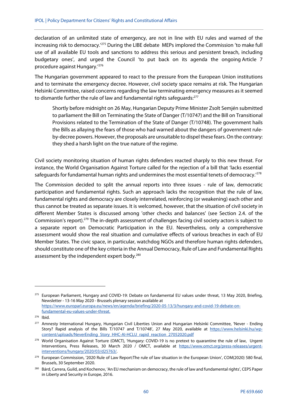declaration of an unlimited state of emergency, are not in line with EU rules and warned of the increasing risk to democracy.'275 During the LIBE debate MEPs implored the Commission 'to make full use of all available EU tools and sanctions to address this serious and persistent breach, including budgetary ones', and urged the Council 'to put back on its agenda the ongoing Article 7 procedure against Hungary.'276

The Hungarian government appeared to react to the pressure from the European Union institutions and to terminate the emergency decree. However, civil society space remains at risk. The Hungarian Helsinki Committee, raised concerns regarding the law terminating emergency measures as it seemed to dismantle further the rule of law and fundamental rights safeguards:<sup>277</sup>

Shortly before midnight on 26 May, Hungarian Deputy Prime Minister Zsolt Semjén submitted to parliament the Bill on Terminating the State of Danger (T/10747) and the Bill on Transitional Provisions related to the Termination of the State of Danger (T/10748). The government hails the Bills as allaying the fears of those who had warned about the dangers of government ruleby-decree powers. However, the proposals are unsuitable to dispel these fears. On the contrary: they shed a harsh light on the true nature of the regime.

Civil society monitoring situation of human rights defenders reacted sharply to this new threat. For instance, the World Organisation Against Torture called for the rejection of a bill that 'lacks essential safeguards for fundamental human rights and undermines the most essential tenets of democracy.<sup>'278</sup>

The Commission decided to split the annual reports into three issues - rule of law, democratic participation and fundamental rights. Such an approach lacks the recognition that the rule of law, fundamental rights and democracy are closely interrelated, reinforcing (or weakening) each other and thus cannot be treated as separate issues. It is welcomed, however, that the situation of civil society in different Member States is discussed among 'other checks and balances' (see Section 2.4. of the Commission's report).279 The in-depth assessment of challenges facing civil society actors is subject to a separate report on Democratic Participation in the EU. Nevertheless, only a comprehensive assessment would show the real situation and cumulative effects of various breaches in each of EU Member States. The civic space, in particular, watchdog NGOs and therefore human rights defenders, should constitute one of the key criteria in the Annual Democracy, Rule of Law and Fundamental Rights assessment by the independent expert body.<sup>280</sup>

<sup>&</sup>lt;sup>275</sup> European Parliament, Hungary and COVID-19: Debate on fundamental EU values under threat, 13 May 2020, Briefing, Newsletter - 13-16 May 2020 - Brussels plenary session available at https://www.europarl.europa.eu/news/en/agenda/briefing/2020-05-13/3/hungary-and-covid-19-debate-onfundamental-eu-values-under-threat.

<sup>276</sup> Ibid.

<sup>&</sup>lt;sup>277</sup> Amnesty International Hungary, Hungarian Civil Liberties Union and Hungarian Helsinki Committee, 'Never - Ending Story? Rapid analysis of the Bills T/10747 and T/10748', 27 May 2020, available at https://www.helsinki.hu/wpcontent/uploads/NeverEnding\_Story\_HHC-AI-HCLU\_rapid\_reaction\_27052020.pdf

<sup>&</sup>lt;sup>278</sup> World Organisation Against Torture (OMCT), 'Hungary: COVID-19 is no pretext to quarantine the rule of law, Urgent Interventions, Press Releases, 30 March 2020 / OMCT, available at https://www.omct.org/press-releases/urgentinterventions/hungary/2020/03/d25763/.

<sup>&</sup>lt;sup>279</sup> European Commission, '2020 Rule of Law Report:The rule of law situation in the European Union', COM(2020) 580 final, Brussels, 30 September 2020.

<sup>&</sup>lt;sup>280</sup> Bárd, Carrera, Guild, and Kochenov, 'An EU mechanism on democracy, the rule of law and fundamental rights', CEPS Paper in Liberty and Security in Europe, 2016.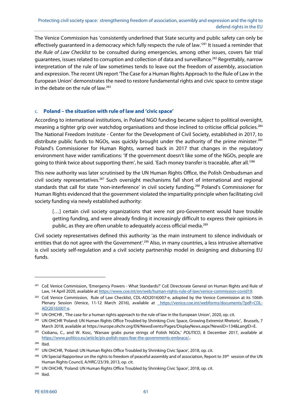The Venice Commission has 'consistently underlined that State security and public safety can only be effectively guaranteed in a democracy which fully respects the rule of law.'<sup>281</sup> It issued a reminder that the Rule of Law Checklist to be consulted during emergencies, among other issues, covers fair trial guarantees, issues related to corruption and collection of data and surveillance.<sup>282</sup> Regrettably, narrow interpretation of the rule of law sometimes tends to leave out the freedom of assembly, association and expression. The recent UN report 'The Case for a Human Rights Approach to the Rule of Law in the European Union' demonstrates the need to restore fundamental rights and civic space to centre stage in the debate on the rule of law. $^{283}$ 

### c. **Poland – the situation with rule of law and 'civic space'**

According to international institutions, in Poland NGO funding became subject to political oversight, meaning a tighter grip over watchdog organisations and those inclined to criticise official policies.<sup>284</sup> The National Freedom Institute - Center for the Development of Civil Society, established in 2017, to distribute public funds to NGOs, was quickly brought under the authority of the prime minister.<sup>285</sup> Poland's Commissioner for Human Rights, warned back in 2017 that changes in the regulatory environment have wider ramifications: 'If the government doesn't like some of the NGOs, people are going to think twice about supporting them', he said. 'Each money transfer is traceable, after all.'<sup>286</sup>

This new authority was later scrutinised by the UN Human Rights Office, the Polish Ombudsman and civil society representatives.<sup>287</sup> Such oversight mechanisms fall short of international and regional standards that call for state 'non-interference' in civil society funding.<sup>288</sup> Poland's Commissioner for Human Rights evidenced that the government violated the impartiality principle when facilitating civil society funding via newly established authority:

[...] certain civil society organizations that were not pro-Government would have trouble getting funding, and were already finding it increasingly difficult to express their opinions in public, as they are often unable to adequately access official media.<sup>289</sup>

Civil society representatives defined this authority 'as the main instrument to silence individuals or entities that do not agree with the Government'.<sup>290</sup> Also, in many countries, a less intrusive alternative is civil society self-regulation and a civil society partnership model in designing and disbursing EU funds.

<sup>&</sup>lt;sup>281</sup> CoE Venice Commission, 'Emergency Powers - What Standards?' CoE Directorate General on Human Rights and Rule of Law, 14 April 2020, available at https://www.coe.int/en/web/human-rights-rule-of-law/venice-commission-covid19.

<sup>&</sup>lt;sup>282</sup> CoE Venice Commission, Rule of Law Checklist, CDL-AD(2016)007-e, adopted by the Venice Commission at its 106th Plenary Session (Venice, 11-12 March 2016), available at https://venice.coe.int/webforms/documents/?pdf=CDL-AD(2016)007-e.

<sup>283</sup> UN OHCHR, 'The case for a human rights approach to the rule of law in the European Union', 2020, op. cit.

<sup>&</sup>lt;sup>284</sup> UN OHCHR 'Poland: UN Human Rights Office Troubled by Shrinking Civic Space, Growing Extremist Rhetoric', Brussels, 7 March 2018, available at https://europe.ohchr.org/EN/NewsEvents/Pages/DisplayNews.aspx?NewsID=134&LangID=E.

<sup>&</sup>lt;sup>285</sup> Ciobanu, C., and W. Kosc, 'Warsaw grabs purse strings of Polish NGOs,' POLITICO, 8 December 2017, available at https://www.politico.eu/article/pis-polish-ngos-fear-the-governments-embrace/..

<sup>286</sup> Ibid.

<sup>&</sup>lt;sup>287</sup> UN OHCHR, 'Poland: UN Human Rights Office Troubled by Shrinking Civic Space', 2018, op. cit.

<sup>&</sup>lt;sup>288</sup> UN Special Rapporteur on the rights to freedom of peaceful assembly and of association, Report to 39<sup>th</sup> session of the UN Human Rights Council, A/HRC/23/39, 2013, op. cit.

<sup>289</sup> UN OHCHR, 'Poland: UN Human Rights Office Troubled by Shrinking Civic Space', 2018, op. cit.

<sup>290</sup> Ibid.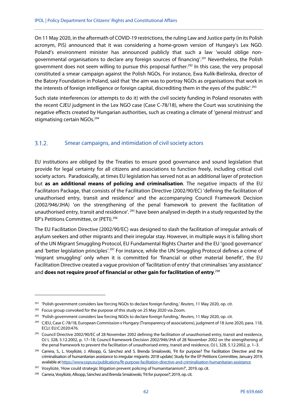On 11 May 2020, in the aftermath of COVID-19 restrictions, the ruling Law and Justice party (in its Polish acronym, PiS) announced that it was considering a home-grown version of Hungary's Lex NGO. Poland's environment minister has announced publicly that such a law 'would oblige nongovernmental organisations to declare any foreign sources of financing'.291 Nevertheless, the Polish government does not seem willing to pursue this proposal further.<sup>292</sup> In this case, the very proposal constituted a smear campaign against the Polish NGOs. For instance, Ewa Kulik-Bielinska, director of the Batory Foundation in Poland, said that 'the aim was to portray NGOs as organisations that work in the interests of foreign intelligence or foreign capital, discrediting them in the eyes of the public'.293

Such state interferences (or attempts to do it) with the civil society funding in Poland resonates with the recent CJEU judgment in the Lex NGO case (Case C-78/18), where the Court was scrutinising the negative effects created by Hungarian authorities, such as creating a climate of 'general mistrust' and stigmatising certain NGOs.<sup>294</sup>

#### $3.1.2.$ Smear campaigns, and intimidation of civil society actors

EU institutions are obliged by the Treaties to ensure good governance and sound legislation that provide for legal certainty for all citizens and associations to function freely, including critical civil society actors. Paradoxically, at times EU legislation has served not as an additional layer of protection but **as an additional means of policing and criminalisation**. The negative impacts of the EU Facilitators Package, that consists of the Facilitation Directive (2002/90/EC) 'defining the facilitation of unauthorised entry, transit and residence' and the accompanying Council Framework Decision (2002/946/JHA) 'on the strengthening of the penal framework to prevent the facilitation of unauthorised entry, transit and residence'. 295 have been analysed in-depth in a study requested by the EP's Petitions Committee, or (PETI).296

The EU Facilitation Directive (2002/90/EC) was designed to slash the facilitation of irregular arrivals of asylum seekers and other migrants and their irregular stay. However, in multiple ways it is falling short of the UN Migrant Smuggling Protocol, EU Fundamental Rights Charter and the EU 'good governance' and 'better legislation principles'.<sup>297</sup> For instance, while the UN Smuggling Protocol defines a crime of 'migrant smuggling' only when it is committed for 'financial or other material benefit', the EU Facilitation Directive created a vague provision of 'facilitation of entry' that criminalises 'any assistance' and **does not require proof of financial or other gain for facilitation of entry**. 298

<sup>&</sup>lt;sup>291</sup> 'Polish government considers law forcing NGOs to declare foreign funding,' Reuters, 11 May 2020, op. cit.

<sup>&</sup>lt;sup>292</sup> Focus group convoked for the purpose of this study on 25 May 2020 via Zoom.

<sup>&</sup>lt;sup>293</sup> 'Polish government considers law forcing NGOs to declare foreign funding, Reuters, 11 May 2020, op. cit.

<sup>&</sup>lt;sup>294</sup> CJEU, Case C-78/18, European Commission v Hungary (Transparency of associations), judgment of 18 June 2020, para. 118, ECLI: EU:C:2020:476.

<sup>&</sup>lt;sup>295</sup> Council Directive 2002/90/EC of 28 November 2002 defining the facilitation of unauthorised entry, transit and residence, OJ L 328, 5.12.2002, p. 17–18; Council framework Decision 2002/946/JHA of 28 November 2002 on the strengthening of the penal framework to prevent the facilitation of unauthorised entry, transit and residence, OJ L 328, 5.12.2002, p. 1–3.

<sup>&</sup>lt;sup>296</sup> Carrera, S., L. Vosyliūtė, J. Allsopp, G. Sánchez and S. Brenda Smialowski, 'Fit for purpose? The Facilitation Directive and the criminalisation of humanitarian assistance to irregular migrants: 2018 update', Study for the EP Petitions Committee, January 2019, available at https://www.ceps.eu/publications/fit-purpose-facilitation-directive-and-criminalisation-humanitarian-assistance

<sup>&</sup>lt;sup>297</sup> Vosyliūtė, 'How could strategic litigation prevent policing of humanitarianism?', 2019, op. cit.

<sup>&</sup>lt;sup>298</sup> Carrera, Vosyliūtė, Allsopp, Sánchez and Brenda Smialowski, 'Fit for purpose?', 2019, op. cit.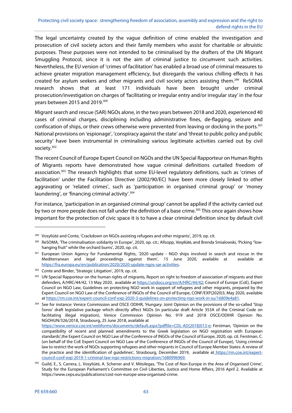The legal uncertainty created by the vague definition of crime enabled the investigation and prosecution of civil society actors and their family members who assist for charitable or altruistic purposes. These purposes were not intended to be criminalised by the drafters of the UN Migrant Smuggling Protocol, since it is not the aim of criminal justice to circumvent such activities. Nevertheless, the EU version of 'crimes of facilitation' has enabled a broad use of criminal measures to achieve greater migration management efficiency, but disregards the various chilling effects it has created for asylum seekers and other migrants and civil society actors assisting them.299 ReSOMA research shows that at least 171 individuals have been brought under criminal prosecution/investigation on charges of 'facilitating or irregular entry and/or irregular stay' in the four years between 2015 and 2019.<sup>300</sup>

Migrant search and rescue (SAR) NGOs alone, in the two years between 2018 and 2020, experienced 40 cases of criminal charges, disciplining including administrative fines, de-flagging, seizure and confiscation of ships, or their crews otherwise were prevented from leaving or docking in the ports.301 National provisions on 'espionage', 'conspiracy against the state' and 'threat to public policy and public security' have been instrumental in criminalising various legitimate activities carried out by civil society.<sup>302</sup>

The recent Council of Europe Expert Council on NGOs and the UN Special Rapporteur on Human Rights of Migrants reports have demonstrated how vague criminal definitions curtailed freedom of association.303 The research highlights that some EU-level regulatory definitions, such as 'crimes of facilitation' under the Facilitation Directive (2002/90/EC) have been more closely linked to other aggravating or 'related crimes', such as 'participation in organised criminal group' or 'money laundering', or 'financing criminal activity'.304

For instance, 'participation in an organised criminal group' cannot be applied if the activity carried out by two or more people does not fall under the definition of a base crime.<sup>305</sup> This once again shows how important for the protection of civic space it is to have a clear criminal definition since by default civil

<sup>&</sup>lt;sup>299</sup> Vosyliūtė and Conte, 'Crackdown on NGOs assisting refugees and other migrants', 2019, op. cit.

<sup>300</sup> ReSOMA, 'The criminalisation solidarity in Europe', 2020, op. cit.; Allsopp, Vosyliūtė, and Brenda Smialowski, 'Picking "lowhanging fruit" while the orchard burns', 2020, op. cit.

<sup>301</sup> European Union Agency for Fundamental Rights, '2020 update - NGO ships involved in search and rescue in the Mediterranean and legal proceedings against them', 15 June 2020, available at available at https://fra.europa.eu/en/publication/2020/2020-update-ngos-sar-activities.

<sup>&</sup>lt;sup>302</sup> Conte and Binder, 'Strategic Litigation', 2019, op. cit.

<sup>&</sup>lt;sup>303</sup> UN Special Rapporteur on the human rights of migrants, Report on right to freedom of association of migrants and their defenders, A/HRC/44/42, 13 May 2020, available at https://undocs.org/en/A/HRC/44/42; Council of Europe (CoE), Expert Council on NGO Law, Guidelines on protecting NGO work in support of refugees and other migrants, prepared by the Expert Council on NGO Law of the Conference of INGOs of the Council of Europe, CONF/EXP(2020)3, May 2020, available at https://rm.coe.int/expert-council-conf-exp-2020-3-guidelines-on-protecting-ngo-work-in-su/16809e4a81.

<sup>304</sup> See for instance: Venice Commission and OSCE ODIHR, 'Hungary: Joint Opinion on the provisions of the so-called 'Stop Soros' draft legislative package which directly affect NGOs (in particular draft Article 353A of the Criminal Code on facilitating illegal migration), Venice Commission Opinion No. 919 and 2018 OSCE/ODIHR Opinion No. NGOHUN/326/2018, Strasbourg, 25 June 2018, available at

https://www.venice.coe.int/webforms/documents/default.aspx?pdffile=CDL-AD(2018)013-e; Ferstman, 'Opinion on the compatibility of recent and planned amendments to the Greek legislation on NGO registration with European standards',the Expert Council on NGO Law of the Conference of INGOs of the Council of Europe, 2020, op. cit. Ferstman, C. (on behalf of the CoE Expert Council on NGO Law of the Conference of INGOs of the Council of Europe), 'Using criminal law to restrict the work of NGOs supporting refugees and other migrants in Council of Europe Member States: A review of the practice and the identification of guidelines', Strasbourg, December 2019, available at https://rm.coe.int/expertcouncil-conf-exp-2019-1-criminal-law-ngo-restrictions-migration/1680996969.

<sup>305</sup> Guild, E., S. Carrera, L. Vosyliūtė, A. Scherrer and V. Mitsilegas, 'The Cost of Non-Europe in the Area of Organised Crime', Study for the European Parliament's Committee on Civil Liberties, Justice and Home Affairs, 2016 April 2. Available at https://www.ceps.eu/publications/cost-non-europe-area-organised-crime.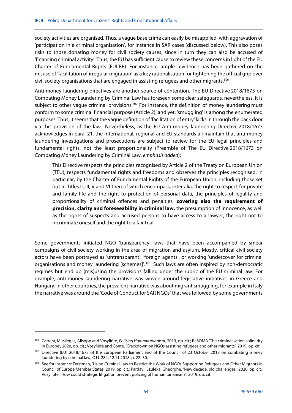society activities are organised. Thus, a vague base crime can easily be misapplied, with aggravation of 'participation in a criminal organisation', for instance in SAR cases (discussed below). This also poses risks to those donating money for civil society causes, since in turn they can also be accused of 'financing criminal activity'. Thus, the EU has sufficient cause to review these concerns in light of the EU Charter of Fundamental Rights (EUCFR). For instance, ample evidence has been gathered on the misuse of 'facilitation of irregular migration' as a key rationalisation for tightening the official grip over civil society organisations that are engaged in assisting refugees and other migrants.<sup>306</sup>

Anti-money laundering directives are another source of contention. The EU Directive 2018/1673 on Combating Money Laundering by Criminal Law has foreseen some clear safeguards, nevertheless, it is subject to other vague criminal provisions.<sup>307</sup> For instance, the definition of money laundering must conform to some criminal financial purpose (Article 2), and yet, 'smuggling' is among the enumerated purposes. Thus, it seems that the vague definition of 'facilitation of entry' kicks in through the back door via this provision of the law. Nevertheless, as the EU Anti-money laundering Directive 2018/1673 acknowledges in para. 21, the international, regional and EU standards all maintain that anti-money laundering investigations and prosecutions are subject to review for the EU legal principles and fundamental rights, not the least proportionality (Preamble of The EU Directive 2018/1673 on Combating Money Laundering by Criminal Law, emphasis added):

This Directive respects the principles recognised by Article 2 of the Treaty on European Union (TEU), respects fundamental rights and freedoms and observes the principles recognised, in particular, by the Charter of Fundamental Rights of the European Union, including those set out in Titles II, III, V and VI thereof which encompass, inter alia, the right to respect for private and family life and the right to protection of personal data, the principles of legality and proportionality of criminal offences and penalties, **covering also the requirement of precision, clarity and foreseeability in criminal law,** the presumption of innocence, as well as the rights of suspects and accused persons to have access to a lawyer, the right not to incriminate oneself and the right to a fair trial.

Some governments initiated NGO 'transparency' laws that have been accompanied by smear campaigns of civil society working in the area of migration and asylum. Mostly, critical civil society actors have been portrayed as 'untransparent', 'foreign agents', or working 'undercover for criminal organisations and money laundering [schemes]'.<sup>308</sup> Such laws are often inspired by non-democratic regimes but end up (mis)using the provisions falling under the rubric of the EU criminal law. For example, anti-money laundering narrative was woven around legislative initiatives in Greece and Hungary. In other countries, the prevalent narrative was about migrant smuggling, for example in Italy the narrative was around the 'Code of Conduct for SAR NGOs' that was followed by some governments

<sup>306</sup> Carrera, Mitsilegas, Allsopp and Vosyliūtė, Policing Humanitarianism, 2019, op. cit.; ReSOMA The criminalisation solidarity in Europe', 2020, op. cit.; Vosyliūtė and Conte, 'Crackdown on NGOs assisting refugees and other migrants', 2019, op. cit.

<sup>&</sup>lt;sup>307</sup> Directive (EU) 2018/1673 of the European Parliament and of the Council of 23 October 2018 on combating money laundering by criminal law, OJ L 284, 12.11.2018, p. 22–30.

<sup>&</sup>lt;sup>308</sup> See for instance: Ferstman, 'Using Criminal Law to Restrict the Work of NGOs Supporting Refugees and Other Migrants in Council of Europe Member States' 2019, op. cit.; Pardavi, Szuleka, Gheorghe, 'New decade, old challenges', 2020, op. cit.; Vosyliūtė, 'How could strategic litigation prevent policing of humanitarianism?', 2019, op. cit.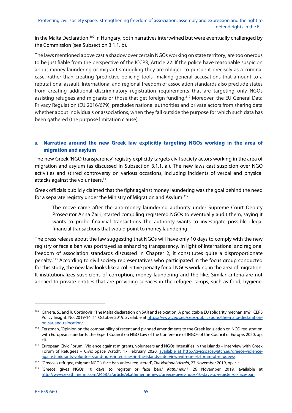in the Malta Declaration.<sup>309</sup> In Hungary, both narratives intertwined but were eventually challenged by the Commission (see Subsection 3.1.1. b).

The laws mentioned above cast a shadow over certain NGOs working on state territory, are too onerous to be justifiable from the perspective of the ICCPR, Article 22. If the police have reasonable suspicion about money laundering or migrant smuggling they are obliged to pursue it precisely as a criminal case, rather than creating 'predictive policing tools', making general accusations that amount to a reputational assault. International and regional freedom of association standards also preclude states from creating additional discriminatory registration requirements that are targeting only NGOs assisting refugees and migrants or those that get foreign funding.<sup>310</sup> Moreover, the EU General Data Privacy Regulation (EU 2016/679), precludes national authorities and private actors from sharing data whether about individuals or associations, when they fall outside the purpose for which such data has been gathered (the purpose limitation clause).

# a. **Narrative around the new Greek law explicitly targeting NGOs working in the area of migration and asylum**

The new Greek 'NGO transparency' registry explicitly targets civil society actors working in the area of migration and asylum (as discussed in Subsection 3.1.1. a.). The new laws cast suspicion over NGO activities and stirred controversy on various occasions, including incidents of verbal and physical attacks against the volunteers.<sup>311</sup>

Greek officials publicly claimed that the fight against money laundering was the goal behind the need for a separate registry under the Ministry of Migration and Asylum:312

The move came after the anti-money laundering authority under Supreme Court Deputy Prosecutor Anna Zairi, started compiling registered NGOs to eventually audit them, saying it wants to probe financial transactions. The authority wants to investigate possible illegal financial transactions that would point to money laundering.

The press release about the law suggesting that NGOs will have only 10 days to comply with the new registry or face a ban was portrayed as enhancing transparency. In light of international and regional freedom of association standards discussed in Chapter 2, it constitutes quite a disproportionate penalty.313 According to civil society representatives who participated in the focus group conducted for this study, the new law looks like a collective penalty for all NGOs working in the area of migration. It institutionalizes suspicions of corruption, money laundering and the like. Similar criteria are not applied to private entities that are providing services in the refugee camps, such as food, hygiene,

<sup>&</sup>lt;sup>309</sup> Carrera, S., and R. Cortinovis, 'The Malta declaration on SAR and relocation: A predictable EU solidarity mechanism?', CEPS Policy Insight, No. 2019-14, 11 October 2019, available at https://www.ceps.eu/ceps-publications/the-malta-declarationon-sar-and-relocation/.

<sup>&</sup>lt;sup>310</sup> Ferstman, 'Opinion on the compatibility of recent and planned amendments to the Greek legislation on NGO registration with European standards',the Expert Council on NGO Law of the Conference of INGOs of the Council of Europe, 2020, op. cit.

<sup>311</sup> European Civic Forum, 'Violence against migrants, volunteers and NGOs intensifies in the islands – Interview with Greek Forum of Refugees – Civic Space Watch', 17 February 2020, available at http://civicspacewatch.eu/greece-violenceagainst-migrants-volunteers-and-ngos-intensifies-in-the-islands-interview-with-greek-forum-of-refugees/.

<sup>&</sup>lt;sup>312</sup> 'Greece's refugee, migrant NGO's face ban unless registered', The National Herald, 27 November 2019, op. cit.

<sup>&</sup>lt;sup>313</sup> 'Greece gives NGOs 10 days to register or face ban,' Kathimerini, 26 November 2019, available at http://www.ekathimerini.com/246872/article/ekathimerini/news/greece-gives-ngos-10-days-to-register-or-face-ban.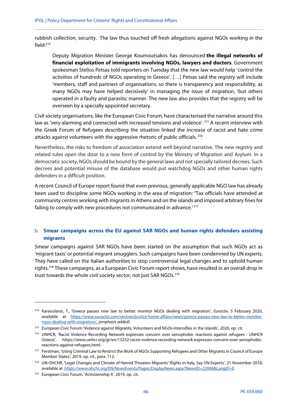rubbish collection, security. The law thus touched off fresh allegations against NGOs working in the field: $314$ 

Deputy Migration Minister George Koumoutsakos has denounced **the illegal networks of financial exploitation of immigrants involving NGOs, lawyers and doctors**. Government spokesman Stelios Petsas told reporters on Tuesday that the new law would help 'control the activities of hundreds of NGOs operating in Greece'. […] Petsas said the registry will include 'members, staff and partners of organisations, so there is transparency and responsibility, as many NGOs may have helped decisively' in managing the issue of migration, 'but others operated in a faulty and parasitic manner. The new law also provides that the registry will be overseen by a specially appointed secretary.

Civil society organisations, like the European Civic Forum, have characterised the narrative around this law as 'very alarming and connected with increased tensions and violence'.<sup>315</sup> A recent interview with the Greek Forum of Refugees describing the situation linked the increase of racist and hate crime attacks against volunteers with the aggressive rhetoric of public officials. 316

Nevertheless, the risks to freedom of association extend well beyond narrative. The new registry and related rules open the door to a new form of control by the Ministry of Migration and Asylum. In a democratic society, NGOs should be bound by the general laws and not specially tailored decrees. Such decrees and potential misuse of the database would put watchdog NGOs and other human rights defenders in a difficult position.

A recent Council of Europe report found that even previous, generally applicable NGO law has already been used to discipline some NGOs working in the area of migration: **'**Tax officials have attended at community centres working with migrants in Athens and on the islands and imposed arbitrary fines for failing to comply with new procedures not communicated in advance.' 317

## b. **Smear campaigns across the EU against SAR NGOs and human rights defenders assisting migrants**

Smear campaigns against SAR NGOs have been started on the assumption that such NGOs act as 'migrant taxis' or potential migrant smugglers. Such campaigns have been condemned by UN experts. They have called on the Italian authorities to stop controversial legal changes and to uphold human rights.318 These campaigns, as a European Civic Forum report shows, have resulted in an overall drop in trust towards the whole civil society sector, not just SAR NGOs.<sup>319</sup>

<sup>&</sup>lt;sup>314</sup> Karaoulanis, T., 'Greece passes new law to better monitor NGOs dealing with migration', *Euractiv*, 5 February 2020, available at https://www.euractiv.com/section/justice-home-affairs/news/greece-passes-new-law-to-better-monitorngos-dealing-with-migration/, (emphasis added).

<sup>&</sup>lt;sup>315</sup> European Civic Forum 'Violence against Migrants, Volunteers and NGOs Intensifies in the Islands', 2020, op. cit.

<sup>316</sup> UNHCR, 'Racist Violence Recording Network expresses concern over xenophobic reactions against refugees - UNHCR Greece', https://www.unhcr.org/gr/en/13232-racist-violence-recording-network-expresses-concern-over-xenophobicreactions-against-refugees.html.

<sup>&</sup>lt;sup>317</sup> Ferstman, 'Using Criminal Law to Restrict the Work of NGOs Supporting Refugees and Other Migrants in Council of Europe Member States', 2019, op. cit., para. 112.

<sup>318</sup> UN OHCHR, 'Legal Changes and Climate of Hatred Threaten Migrants' Rights in Italy, Say UN Experts', 21 November 2018, available at https://www.ohchr.org/EN/NewsEvents/Pages/DisplayNews.aspx?NewsID=23908&LangID=E.

<sup>319</sup> European Civic Forum, 'Activizenship 4', 2019, op. cit.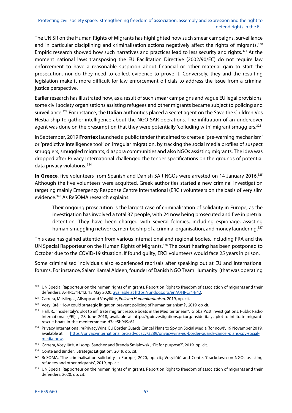The UN SR on the Human Rights of Migrants has highlighted how such smear campaigns, surveillance and in particular disciplining and criminalisation actions negatively affect the rights of migrants.<sup>320</sup> Empiric research showed how such narratives and practices lead to less security and rights.321 At the moment national laws transposing the EU Facilitation Directive (2002/90/EC) do not require law enforcement to have a reasonable suspicion about financial or other material gain to start the prosecution, nor do they need to collect evidence to prove it. Conversely, they and the resulting legislation make it more difficult for law enforcement officials to address the issue from a criminal justice perspective.

Earlier research has illustrated how, as a result of such smear campaigns and vague EU legal provisions, some civil society organisations assisting refugees and other migrants became subject to policing and surveillance.322 For instance, the **Italian** authorities placed a secret agent on the Save the Children Vos Hestia ship to gather intelligence about the NGO SAR operations. The infiltration of an undercover agent was done on the presumption that they were potentially 'colluding with' migrant smugglers.<sup>323</sup>

In September, 2019 **Frontex** launched a public tender that aimed to create a 'pre-warning mechanism' or 'predictive intelligence tool' on irregular migration, by tracking the social media profiles of suspect smugglers, smuggled migrants, diaspora communities and also NGOs assisting migrants. The idea was dropped after Privacy International challenged the tender specifications on the grounds of potential data privacy violations. 324

**In Greece**, five volunteers from Spanish and Danish SAR NGOs were arrested on 14 January 2016.325 Although the five volunteers were acquitted, Greek authorities started a new criminal investigation targeting mainly Emergency Response Centre International (ERCI) volunteers on the basis of very slim evidence.326 As ReSOMA research explains:

Their ongoing prosecution is the largest case of criminalisation of solidarity in Europe, as the investigation has involved a total 37 people, with 24 now being prosecuted and five in pretrial detention. They have been charged with several felonies, including espionage, assisting human-smuggling networks, membership of a criminal organisation, and money laundering.<sup>327</sup>

This case has gained attention from various international and regional bodies, including FRA and the UN Special Rapporteur on the Human Rights of Migrants.<sup>328</sup> The court hearing has been postponed to October due to the COVID-19 situation. If found guilty, ERCI volunteers would face 25 years in prison.

Some criminalised individuals also experienced reprisals after speaking out at EU and international forums. For instance, Salam Kamal Aldeen, founder of Danish NGO Team Humanity (that was operating

<sup>320</sup> UN Special Rapporteur on the human rights of migrants, Report on Right to freedom of association of migrants and their defenders, A/HRC/44/42, 13 May 2020, available at https://undocs.org/en/A/HRC/44/42.

<sup>&</sup>lt;sup>321</sup> Carrera, Mitsilegas, Allsopp and Vosyliūtė, Policing Humanitarianism, 2019, op. cit.

<sup>&</sup>lt;sup>322</sup> Vosyliūtė, 'How could strategic litigation prevent policing of humanitarianism?', 2019, op. cit.

<sup>&</sup>lt;sup>323</sup> Hall, R., 'Inside Italy's plot to infiltrate migrant rescue boats in the Mediterranean", GlobalPost Investigations, Public Radio International (PRI), , 28 June 2018, available at https://gpinvestigations.pri.org/inside-italys-plot-to-infiltrate-migrantrescue-boats-in-the-mediterranean-d7ae5b969c61.

<sup>&</sup>lt;sup>324</sup> Privacy International, '#PrivacyWins: EU Border Guards Cancel Plans to Spy on Social Media (for now)', 19 November 2019, available at https://privacyinternational.org/advocacy/3289/privacywins-eu-border-guards-cancel-plans-spy-socialmedia-now.

<sup>325</sup> Carrera, Vosyliūtė, Allsopp, Sánchez and Brenda Smialowski, 'Fit for purpose?', 2019, op. cit.

<sup>326</sup> Conte and Binder, 'Strategic Litigation', 2019, op. cit.

<sup>327</sup> ReSOMA, 'The criminalisation solidarity in Europe', 2020, op. cit.; Vosyliūtė and Conte, 'Crackdown on NGOs assisting refugees and other migrants', 2019, op. cit.

<sup>&</sup>lt;sup>328</sup> UN Special Rapporteur on the human rights of migrants, Report on Right to freedom of association of migrants and their defenders, 2020, op. cit.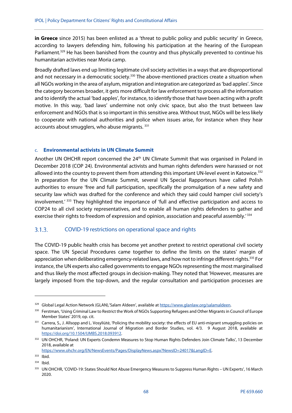**in Greece** since 2015) has been enlisted as a 'threat to public policy and public security' in Greece, according to lawyers defending him, following his participation at the hearing of the European Parliament.<sup>329</sup> He has been banished from the country and thus physically prevented to continue his humanitarian activities near Moria camp.

Broadly drafted laws end up limiting legitimate civil society activities in a ways that are disproportional and not necessary in a democratic society.<sup>330</sup> The above-mentioned practices create a situation when all NGOs working in the area of asylum, migration and integration are categorized as 'bad apples'. Since the category becomes broader, it gets more difficult for law enforcement to process all the information and to identify the actual 'bad apples', for instance, to identify those that have been acting with a profit motive. In this way, 'bad laws' undermine not only civic space, but also the trust between law enforcement and NGOs that is so important in this sensitive area. Without trust, NGOs will be less likely to cooperate with national authorities and police when issues arise, for instance when they hear accounts about smugglers, who abuse migrants.<sup>331</sup>

### c. **Environmental activists in UN Climate Summit**

Another UN OHCHR report concerned the 24<sup>th</sup> UN Climate Summit that was organised in Poland in December 2018 (COP 24). Environmental activists and human rights defenders were harassed or not allowed into the country to prevent them from attending this important UN-level event in Katowice.<sup>332</sup> In preparation for the UN Climate Summit, several UN Special Rapporteurs have called Polish authorities to ensure 'free and full participation, specifically the promulgation of a new safety and security law which was drafted for the conference and which they said could hamper civil society's involvement.' 333 They highlighted the importance of 'full and effective participation and access to COP24 to all civil society representatives, and to enable all human rights defenders to gather and exercise their rights to freedom of expression and opinion, association and peaceful assembly.<sup>'334</sup>

#### COVID-19 restrictions on operational space and rights  $3.1.3.$

The COVID-19 public health crisis has become yet another pretext to restrict operational civil society space. The UN Special Procedures came together to define the limits on the states' margin of appreciation when deliberating emergency-related laws, and how not to infringe different rights.<sup>335</sup> For instance, the UN experts also called governments to engage NGOs representing the most marginalised and thus likely the most affected groups in decision-making. They noted that 'However, measures are largely imposed from the top-down, and the regular consultation and participation processes are

<sup>329</sup> Global Legal Action Network (GLAN), 'Salam Aldeen', available at https://www.glanlaw.org/salamaldeen.

<sup>330</sup> Ferstman, 'Using Criminal Law to Restrict the Work of NGOs Supporting Refugees and Other Migrants in Council of Europe Member States' 2019, op. cit.

<sup>331</sup> Carrera, S., J. Allsopp and L. Vosyliūtė, 'Policing the mobility society: the effects of EU anti-migrant smuggling policies on humanitarianism', International Journal of Migration and Border Studies, vol. 4/3. 9 August 2018, available at https://doi.org/10.1504/IJMBS.2018.093912.

<sup>332</sup> UN OHCHR, 'Poland: UN Experts Condemn Measures to Stop Human Rights Defenders Join Climate Talks', 13 December 2018, available at

https://www.ohchr.org/EN/NewsEvents/Pages/DisplayNews.aspx?NewsID=24017&LangID=E.

<sup>333</sup> Ibid.

<sup>334</sup> Ibid.

<sup>335</sup> UN OHCHR, 'COVID-19: States Should Not Abuse Emergency Measures to Suppress Human Rights – UN Experts', 16 March 2020.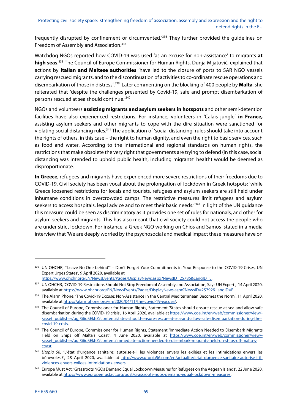frequently disrupted by confinement or circumvented.'336 They further provided the guidelines on Freedom of Assembly and Association.<sup>337</sup>

Watchdog NGOs reported how COVID-19 was used 'as an excuse for non-assistance' to migrants **at high seas**. 338 The Council of Europe Commissioner for Human Rights, Dunja Mijatović, explained that actions by **Italian and Maltese authorities** 'have led to the closure of ports to SAR NGO vessels carrying rescued migrants, and to the discontinuation of activities to co-ordinate rescue operations and disembarkation of those in distress'.339 Later commenting on the blocking of 400 people by **Malta**, she reiterated that 'despite the challenges presented by Covid-19, safe and prompt disembarkation of persons rescued at sea should continue.'340

NGOs and volunteers **assisting migrants and asylum seekers in hotspots** and other semi-detention facilities have also experienced restrictions. For instance, volunteers in 'Calais jungle' **in France,** assisting asylum seekers and other migrants to cope with the dire situation were sanctioned for violating social distancing rules.<sup>341</sup> The application of 'social distancing' rules should take into account the rights of others, in this case – the right to human dignity, and even the right to basic services, such as food and water. According to the international and regional standards on human rights, the restrictions that make obsolete the very right that governments are trying to defend (in this case, social distancing was intended to uphold public health, including migrants' health) would be deemed as disproportionate.

**In Greece**, refugees and migrants have experienced more severe restrictions of their freedoms due to COVID-19. Civil society has been vocal about the prolongation of lockdown in Greek hotspots: 'while Greece loosened restrictions for locals and tourists, refugees and asylum seekers are still held under inhumane conditions in overcrowded camps. The restrictive measures limit refugees and asylum seekers to access hospitals, legal advice and to meet their basic needs.<sup>'342</sup> In light of the UN guidance this measure could be seen as discriminatory as it provides one set of rules for nationals, and other for asylum seekers and migrants. This has also meant that civil society could not access the people who are under strict lockdown. For instance, a Greek NGO working on Chios and Samos stated in a media interview that 'We are deeply worried by the psychosocial and medical impact these measures have on

https://www.ohchr.org/EN/NewsEvents/Pages/DisplayNews.aspx?NewsID=25786&LangID=E.

<sup>336</sup> UN OHCHR, "'Leave No One behind"' - Don't Forget Your Commitments in Your Response to the COVID-19 Crises, UN Expert Urges States', 9 April 2020, available at

<sup>337</sup> UN OHCHR, 'COVID-19 Restrictions Should Not Stop Freedom of Assembly and Association, Says UN Expert', 14 April 2020, available at https://www.ohchr.org/EN/NewsEvents/Pages/DisplayNews.aspx?NewsID=25792&LangID=E.

<sup>&</sup>lt;sup>338</sup> The Alarm Phone, 'The Covid-19 Excuse: Non-Assistance in the Central Mediterranean Becomes the Norm', 11 April 2020, available at https://alarmphone.org/en/2020/04/11/the-covid-19-excuse/.

<sup>339</sup> The Council of Europe, Commissioner for Human Rights, Statement 'States should ensure rescue at sea and allow safe disembarkation during the COVID-19 crisis', 16 April 2020, available at https://www.coe.int/en/web/commissioner/view/-/asset\_publisher/ugj3i6qSEkhZ/content/states-should-ensure-rescue-at-sea-and-allow-safe-disembarkation-during-thecovid-19-crisis.

<sup>340</sup> The Council of Europe, Commissioner for Human Rights, Statement 'Immediate Action Needed to Disembark Migrants Held on Ships off Malta's Coast', 4 June 2020, available at https://www.coe.int/en/web/commissioner/view/-/asset\_publisher/ugj3i6qSEkhZ/content/immediate-action-needed-to-disembark-migrants-held-on-ships-off-malta-scoast.

<sup>341</sup> Utopia 56, 'L'état d'urgence sanitaire: autorise-t-il les violences envers les exilées et les intimidations envers les bénévoles ?', 28 April 2020, available at http://www.utopia56.com/en/actualite/letat-durgence-sanitaire-autorise-t-ilviolences-envers-exilees-intimidations-envers.

<sup>&</sup>lt;sup>342</sup> Europe Must Act, 'Grassroots NGOs Demand Equal Lockdown Measures for Refugees on the Aegean Islands'. 22 June 2020, available at https://www.europemustact.org/post/grassroots-ngos-demand-equal-lockdown-measures.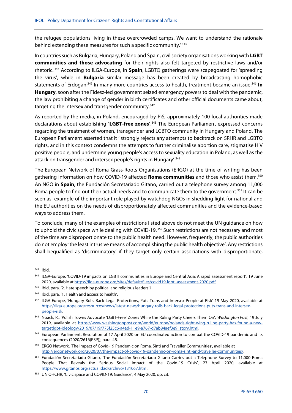the refugee populations living in these overcrowded camps. We want to understand the rationale behind extending these measures for such a specific community.<sup>'343</sup>

In countries such as Bulgaria, Hungary, Poland and Spain, civil society organisations working with **LGBT communities and those advocating** for their rights also felt targeted by restrictive laws and/or rhetoric. 344 According to ILGA-Europe, in **Spain**, LGBTQ gatherings were scapegoated for 'spreading the virus', while in **Bulgaria** similar message has been created by broadcasting homophobic statements of Erdogan.345 In many more countries access to health, treatment became an issue.346 **In Hungary**, soon after the Fidesz-led government seized emergency powers to deal with the pandemic, the law prohibiting a change of gender in birth certificates and other official documents came about, targeting the intersex and transgender community.<sup>347</sup>

As reported by the media, in Poland, encouraged by PiS, approximately 100 local authorities made declarations about establishing **'LGBT-free zones'**. 348 The European Parliament expressed concerns regarding the treatment of women, transgender and LGBTQ community in Hungary and Poland. The European Parliament asserted that it ' strongly rejects any attempts to backtrack on SRHR and LGBTQ rights, and in this context condemns the attempts to further criminalise abortion care, stigmatise HIV positive people, and undermine young people's access to sexuality education in Poland, as well as the attack on transgender and intersex people's rights in Hungary'.349

The European Network of Roma Grass-Roots Organisations (ERGO) at the time of writing has been gathering information on how COVID-19 affected **Roma communities** and those who assist them.<sup>350</sup> An NGO in **Spain**, the Fundación Secretariado Gitano, carried out a telephone survey among 11,000 Roma people to find out their actual needs and to communicate them to the government.<sup>351</sup> It can be seen as example of the important role played by watchdog NGOs in shedding light for national and the EU authorities on the needs of disproportionately affected communities and the evidence-based ways to address them.

To conclude, many of the examples of restrictions listed above do not meet the UN guidance on how to uphold the civic space while dealing with COVID-19.<sup>352</sup> Such restrictions are not necessary and most of the time are disproportionate to the public health need. However, frequently, the public authorities do not employ 'the least intrusive means of accomplishing the public health objective'. Any restrictions shall bequalified as 'discriminatory' if they target only certain associations with disproportionate,

<sup>343</sup> Ibid.

<sup>344</sup> ILGA-Europe, 'COVID-19 impacts on LGBTI communities in Europe and Central Asia: A rapid assessment report', 19 June 2020, available at https://ilga-europe.org/sites/default/files/covid19-lgbti-assessment-2020.pdf.

<sup>345</sup> Ibid, para. '2. Hate speech by political and religious leaders'.i

<sup>346</sup> Ibid, para. '1. Health and access to health'.

<sup>347</sup> ILGA-Europe, 'Hungary Rolls Back Legal Protections, Puts Trans and Intersex People at Risk' 19 May 2020, available at https://ilga-europe.org/resources/news/latest-news/hungary-rolls-back-legal-protections-puts-trans-and-intersexpeople-risk.

<sup>348</sup> Noack, R., 'Polish Towns Advocate 'LGBT-Free' Zones While the Ruling Party Cheers Them On', Washington Post, 19 July 2019, available at https://www.washingtonpost.com/world/europe/polands-right-wing-ruling-party-has-found-a-newtargetlgbt-ideology/2019/07/19/775f25c6-a4ad-11e9-a767-d7ab84aef3e9\_story.html.

<sup>349</sup> European Parliament, Resolution of 17 April 2020 on EU coordinated action to combat the COVID-19 pandemic and its consequences (2020/2616(RSP)), para. 48.

<sup>350</sup> ERGO Network, 'The Impact of Covid-19 Pandemic on Roma, Sinti and Traveller Communities', available at http://ergonetwork.org/2020/07/the-impact-of-covid-19-pandemic-on-roma-sinti-and-traveller-communities/.

<sup>351</sup> Fundación Secretariado Gitano, 'The Fundación Secretariado Gitano Carries out a Telephone Survey to 11,000 Roma People That Reveals the Serious Social Impact of the Covid-19 Crisis', 27 April 2020, available at https://www.gitanos.org/actualidad/archivo/131067.html.

<sup>352</sup> UN OHCHR, 'Civic space and COVID-19: Guidance', 4 May 2020, op. cit.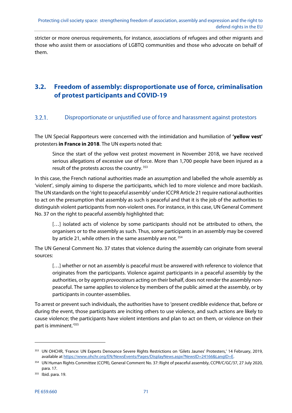stricter or more onerous requirements, for instance, associations of refugees and other migrants and those who assist them or associations of LGBTQ communities and those who advocate on behalf of them.

## **3.2. Freedom of assembly: disproportionate use of force, criminalisation of protest participants and COVID-19**

#### $3.2.1.$ Disproportionate or unjustified use of force and harassment against protestors

The UN Special Rapporteurs were concerned with the intimidation and humiliation of **'yellow vest'** protesters **in France in 2018**. The UN experts noted that:

Since the start of the yellow vest protest movement in November 2018, we have received serious allegations of excessive use of force. More than 1,700 people have been injured as a result of the protests across the country.<sup>353</sup>

In this case, the French national authorities made an assumption and labelled the whole assembly as 'violent', simply aiming to disperse the participants, which led to more violence and more backlash. The UN standards on the 'right to peaceful assembly' under ICCPR Article 21 require national authorities to act on the presumption that assembly as such is peaceful and that it is the job of the authorities to distinguish violent participants from non-violent ones. For instance, in this case, UN General Comment No. 37 on the right to peaceful assembly highlighted that:

[...] isolated acts of violence by some participants should not be attributed to others, the organisers or to the assembly as such. Thus, some participants in an assembly may be covered by article 21, while others in the same assembly are not.<sup>354</sup>

The UN General Comment No. 37 states that violence during the assembly can originate from several sources:

[...] whether or not an assembly is peaceful must be answered with reference to violence that originates from the participants. Violence against participants in a peaceful assembly by the authorities, or by *agents provocateurs* acting on their behalf, does not render the assembly nonpeaceful. The same applies to violence by members of the public aimed at the assembly, or by participants in counter-assemblies.

To arrest or prevent such individuals, the authorities have to 'present credible evidence that, before or during the event, those participants are inciting others to use violence, and such actions are likely to cause violence; the participants have violent intentions and plan to act on them, or violence on their part is imminent.'355

<sup>353</sup> UN OHCHR, 'France: UN Experts Denounce Severe Rights Restrictions on 'Gilets Jaunes' Protesters,' 14 February, 2019, available at https://www.ohchr.org/EN/NewsEvents/Pages/DisplayNews.aspx?NewsID=24166&LangID=E.

<sup>354</sup> UN Human Rights Committee (CCPR), General Comment No. 37: Right of peaceful assembly, CCPR/C/GC/37, 27 July 2020, para. 17.

<sup>355</sup> Ibid. para. 19.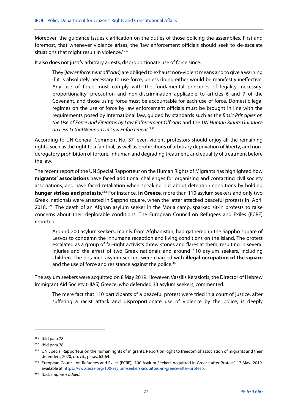Moreover, the guidance issues clarification on the duties of those policing the assemblies. First and foremost, that whenever violence arises, the 'law enforcement officials should seek to de-escalate situations that might result in violence.<sup>'356</sup>

It also does not justify arbitrary arrests, disproportionate use of force since:

They [law enforcement officials] are obliged to exhaust non-violent means and to give a warning if it is absolutely necessary to use force, unless doing either would be manifestly ineffective. Any use of force must comply with the fundamental principles of legality, necessity, proportionality, precaution and non-discrimination applicable to articles 6 and 7 of the Covenant, and those using force must be accountable for each use of force. Domestic legal regimes on the use of force by law enforcement officials must be brought in line with the requirements posed by international law, quided by standards such as the Basic Principles on the Use of Force and Firearms by Law Enforcement Officials and the UN Human Rights Guidance on Less-Lethal Weapons in Law Enforcement.<sup>357</sup>

According to UN General Comment No. 37, even violent protestors should enjoy all the remaining rights, such as the right to a fair trial, as well as prohibitions of arbitrary deprivation of liberty, and nonderogatory prohibition of torture, inhuman and degrading treatment, and equality of treatment before the law.

The recent report of the UN Special Rapporteur on the Human Rights of Migrants has highlighted how **migrants' associations** have faced additional challenges for organising and contacting civil society associations, and have faced retaliation when speaking out about detention conditions by holding **hunger strikes and protests.**<sup>358</sup> For instance, **in Greece**, more than 110 asylum seekers and only two Greek nationals were arrested in Sappho square, when the latter attacked peaceful protests in April 2018.<sup>359</sup> The death of an Afghan asylum seeker in the Moria camp, sparked sit-in protests to raise concerns about their deplorable conditions. The European Council on Refugees and Exiles (ECRE) reported:

Around 200 asylum seekers, mainly from Afghanistan, had gathered in the Sappho square of Lesvos to condemn the inhumane reception and living conditions on the island. The protest escalated as a group of far-right activists threw stones and flares at them, resulting in several injuries and the arrest of two Greek nationals and around 110 asylum seekers, including children. The detained asylum seekers were charged with **illegal occupation of the square**  and the use of force and resistance against the police.<sup>360</sup>

The asylum seekers were acquitted on 8 May 2019. However, Vassilis Kerasiotis, the Director of Hebrew Immigrant Aid Society (HIAS) Greece, who defended 33 asylum seekers, commented:

The mere fact that 110 participants of a peaceful protest were tried in a court of justice, after suffering a racist attack and disproportionate use of violence by the police, is deeply

<sup>356</sup> Ibid para 78.

<sup>&</sup>lt;sup>357</sup> Ibid para 78.

<sup>&</sup>lt;sup>358</sup> UN Special Rapporteur on the human rights of migrants, Report on Right to freedom of association of migrants and their defenders, 2020, op. cit., paras. 63-64.

<sup>359</sup> European Council on Refugees and Exiles (ECRE), '100 Asylum Seekers Acquitted in Greece after Protest', 17 May 2019, available at https://www.ecre.org/100-asylum-seekers-acquitted-in-greece-after-protest/.

<sup>360</sup> Ibid, emphasis added.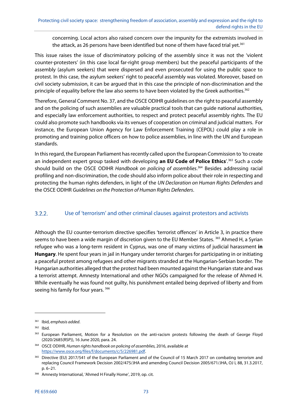concerning. Local actors also raised concern over the impunity for the extremists involved in the attack, as 26 persons have been identified but none of them have faced trial yet.<sup>361</sup>

This issue raises the issue of discriminatory policing of the assembly since it was not the 'violent counter-protesters' (in this case local far-right group members) but the peaceful participants of the assembly (asylum seekers) that were dispersed and even prosecuted for using the public space to protest. In this case, the asylum seekers' right to peaceful assembly was violated. Moreover, based on civil society submission, it can be argued that in this case the principle of non-discrimination and the principle of equality before the law also seems to have been violated by the Greek authorities.<sup>362</sup>

Therefore, General Comment No. 37, and the OSCE ODIHR guidelines on the right to peaceful assembly and on the policing of such assemblies are valuable practical tools that can guide national authorities, and especially law enforcement authorities, to respect and protect peaceful assembly rights. The EU could also promote such handbooks via its venues of cooperation on criminal and judicial matters. For instance, the European Union Agency for Law Enforcement Training (CEPOL) could play a role in promoting and training police officers on how to police assemblies, in line with the UN and European standards.

In this regard, the European Parliament has recently called upon the European Commission to 'to create an independent expert group tasked with developing **an EU Code of Police Ethics**'.363 Such a code should build on the OSCE ODIHR Handbook on policing of assemblies.<sup>364</sup> Besides addressing racial profiling and non-discrimination, the code should also inform police about their role in respecting and protecting the human rights defenders, in light of the UN Declaration on Human Rights Defenders and the OSCE ODIHR Guidelines on the Protection of Human Rights Defenders.

#### Use of 'terrorism' and other criminal clauses against protestors and activists  $3.2.2.$

Although the EU counter-terrorism directive specifies 'terrorist offences' in Article 3, in practice there seems to have been a wide margin of discretion given to the EU Member States. <sup>365</sup> Ahmed H, a Syrian refugee who was a long-term resident in Cyprus, was one of many victims of judicial harassment **in Hungary**. He spent four years in jail in Hungary under terrorist charges for participating in or initiating a peaceful protest among refugees and other migrants stranded at the Hungarian-Serbian border. The Hungarian authorities alleged that the protest had been mounted against the Hungarian state and was a terrorist attempt. Amnesty International and other NGOs campaigned for the release of Ahmed H. While eventually he was found not guilty, his punishment entailed being deprived of liberty and from seeing his family for four years.<sup>366</sup>

<sup>361</sup> Ibid, emphasis added.

<sup>362</sup> Ibid.

<sup>&</sup>lt;sup>363</sup> European Parliament, Motion for a Resolution on the anti-racism protests following the death of George Floyd (2020/2685(RSP)), 16 June 2020, para. 24.

<sup>364</sup> OSCE ODIHR, Human rights handbook on policing of assemblies, 2016, available at https://www.osce.org/files/f/documents/c/5/226981.pdf.

<sup>365</sup> Directive (EU) 2017/541 of the European Parliament and of the Council of 15 March 2017 on combating terrorism and replacing Council Framework Decision 2002/475/JHA and amending Council Decision 2005/671/JHA, OJ L 88, 31.3.2017, p. 6–21.

<sup>366</sup> Amnesty International, 'Ahmed H Finally Home', 2019, op. cit.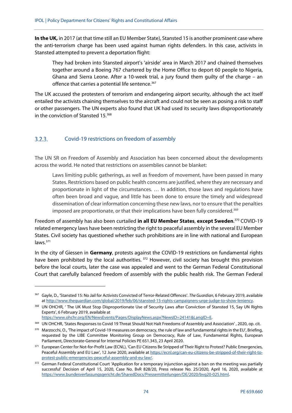**In the UK,** in 2017 (at that time still an EU Member State), Stansted 15 is another prominent case where the anti-terrorism charge has been used against human rights defenders. In this case, activists in Stansted attempted to prevent a deportation flight:

They had broken into Stansted airport's 'airside' area in March 2017 and chained themselves together around a Boeing 767 chartered by the Home Office to deport 60 people to Nigeria, Ghana and Sierra Leone. After a 10-week trial, a jury found them guilty of the charge – an offence that carries a potential life sentence.<sup>367</sup>

The UK accused the protesters of terrorism and endangering airport security, although the act itself entailed the activists chaining themselves to the aircraft and could not be seen as posing a risk to staff or other passengers. The UN experts also found that UK had used its security laws disproportionately in the conviction of Stansted 15.368

#### Covid-19 restrictions on freedom of assembly  $3.2.3.$

The UN SR on Freedom of Assembly and Association has been concerned about the developments across the world. He noted that restrictions on assemblies cannot be blanket:

Laws limiting public gatherings, as well as freedom of movement, have been passed in many States. Restrictions based on public health concerns are justified, where they are necessary and proportionate in light of the circumstances. … In addition, those laws and regulations have often been broad and vague, and little has been done to ensure the timely and widespread dissemination of clear information concerning these new laws, nor to ensure that the penalties imposed are proportionate, or that their implications have been fully considered.<sup>369</sup>

Freedom of assembly has also been curtailed **in all EU Member States**, **except Sweden**. 370 COVID-19 related emergency laws have been restricting the right to peaceful assembly in the several EU Member States. Civil society has questioned whether such prohibitions are in line with national and European laws.371

In the city of Giessen in **Germany**, protests against the COVID-19 restrictions on fundamental rights have been prohibited by the local authorities.<sup>372</sup> However, civil society has brought this provision before the local courts, later the case was appealed and went to the German Federal Constitutional Court that carefully balanced freedom of assembly with the public health risk. The German Federal

1

<sup>367</sup> Gayle, D., 'Stansted 15: No Jail for Activists Convicted of Terror-Related Offences'. The Guardian, 6 February 2019, available at http://www.theguardian.com/global/2019/feb/06/stansted-15-rights-campaigners-urge-judge-to-show-leniency.

<sup>368</sup> UN OHCHR, ' The UK Must Stop Disproportionate Use of Security Laws after Conviction of Stansted 15, Say UN Rights Experts', 6 February 2019, available at

https://www.ohchr.org/EN/NewsEvents/Pages/DisplayNews.aspx?NewsID=24141&LangID=E.

<sup>369</sup> UN OHCHR, 'States Responses to Covid 19 Threat Should Not Halt Freedoms of Assembly and Association', 2020, op. cit.

<sup>370</sup> Marzocchi, O., 'The impact of Covid-19 measures on democracy, the rule of law and fundamental rights in the EU', Briefing, requested by the LIBE Committee Monitoring Group on Democracy, Rule of Law, Fundamental Rights, European Parliament, Directorate-General for Internal Policies PE 651.343, 23 April 2020.

<sup>&</sup>lt;sup>371</sup> European Center for Not-for-Profit Law (ECNL), 'Can EU Citizens Be Stripped of Their Right to Protest? Public Emergencies, Peaceful Assembly and EU Law', 12 June 2020, available at https://ecnl.org/can-eu-citizens-be-stripped-of-their-right-toprotest-public-emergencies-peaceful-assembly-and-eu-law/.

<sup>372</sup> German Federal Constitutional Court 'Application for a temporary injunction against a ban on the meeting was partially successful' Decision of April 15, 2020, Case No. BvR 828/20, Press release No. 25/2020, April 16, 2020, available at https://www.bundesverfassungsgericht.de/SharedDocs/Pressemitteilungen/DE/2020/bvg20-025.html.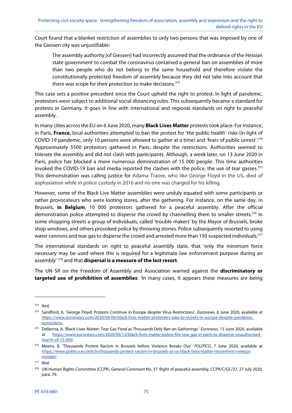Court found that a blanket restriction of assemblies to only two persons that was imposed by one of the Giessen city was unjustifiable:

The assembly authority [of Giessen] had incorrectly assumed that the ordinance of the Hessian state government to combat the coronavirus contained a general ban on assemblies of more than two people who do not belong to the same household and therefore violate the constitutionally protected freedom of assembly because they did not take into account that there was scope for their protection to make decisions.<sup>373</sup>

This case sets a positive precedent since the Court upheld the right to protest. In light of pandemic, protestors were subject to additional social distancing rules. This subsequently became a standard for protests in Germany. It goes in line with international and regional standards on right to peaceful assembly.

In many cities across the EU on 6 June 2020, many **Black Lives Matter** protests took place. For instance, in Paris, **France**, local authorities attempted to ban the protest for 'the public health' risks (in light of COVID-19 pandemic, only 10 persons were allowed to gather at a time) and 'fears of public unrest'.374 Approximately 5500 protestors gathered in Paris, despite the restrictions. Authorities seemed to tolerate the assembly and did not clash with participants. Although, a week later, on 13 June 2020 in Paris, police has blocked a more numerous demonstration of 15 000 people. This time authorities invoked the COVID-19 ban and media reported the clashes with the police, the use of tear gasses.<sup>375</sup> This demonstration was calling justice for Adama Traore, who like George Floyd in the US, died of asphyxiation while in police custody in 2016 and no one was charged for his killing.

However, some of the Black Live Matter assemblies were unduly equated with some participants or rather provocateurs who were looting stores, after the gathering. For instance, on the same day, in Brussels, **in Belgium**, 10 000 protestors gathered for a peaceful assembly. After the official demonstration police attempted to disperse the crowd by channelling them to smaller streets. $376$  In some shopping streets a group of individuals, called 'trouble makers' by the Mayor of Brussels, broke shop windows, and others provoked police by throwing stones. Police subsequently resorted to using water cannons and tear gas to disperse the crowd and arrested more than 150 suspected individuals.<sup>377</sup>

The international standards on right to peaceful assembly state, that 'only the minimum force necessary may be used where this is required for a legitimate law enforcement purpose during an assembly' 378 and that **dispersal is a measure of the last resort**.

The UN SR on the Freedom of Assembly and Association warned against the **discriminatory or targeted use of prohibition of assemblies**: 'In many cases, it appears these measures are being

<sup>373</sup> Ibid.

<sup>374</sup> Sandford, A. 'George Floyd: Protests Continue in Europe despite Virus Restrictions', Euronews, 6 June 2020, available at https://www.euronews.com/2020/06/06/black-lives-matter-protesters-take-to-streets-in-europe-despite-pandemicrestrictions.

<sup>375</sup> Dellanna, A. 'Black Lives Matter: Tear Gas Fired as Thousands Defy Ban on Gatherings.' Euronews, 13 June 2020, available at https://www.euronews.com/2020/06/13/black-lives-matter-police-fire-tear-gas-in-paris-to-disperse-unauthorisedmarch-of-15-000.

<sup>376</sup> Moens, B. 'Thousands Protest Racism in Brussels before Violence Breaks Out'. POLITICO, 7 June 2020, available at https://www.politico.eu/article/thousands-protest-racism-in-brussels-as-us-black-lives-matter-movement-sweepseurope/.

<sup>377</sup> Ibid.

<sup>378</sup> UN Human Rights Committee (CCPR), General Comment No. 37: Right of peaceful assembly, CCPR/C/GC/37, 27 July 2020, para. 79.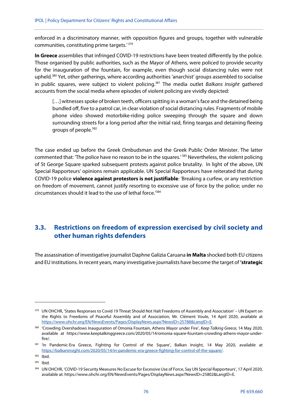enforced in a discriminatory manner, with opposition figures and groups, together with vulnerable communities, constituting prime targets.' 379

**In Greece** assemblies that infringed COVID-19 restrictions have been treated differently by the police. Those organised by public authorities, such as the Mayor of Athens, were policed to provide security for the inauguration of the fountain, for example, even though social distancing rules were not upheld.380 Yet, other gatherings, where according authorities 'anarchist' groups assembled to socialise in public squares, were subject to violent policing.<sup>381</sup> The media outlet Balkans Insight gathered accounts from the social media where episodes of violent policing are vividly depicted:

[...] witnesses spoke of broken teeth, officers spitting in a woman's face and the detained being bundled off, five to a patrol car, in clear violation of social distancing rules. Fragments of mobile phone video showed motorbike-riding police sweeping through the square and down surrounding streets for a long period after the initial raid, firing teargas and detaining fleeing groups of people.382

The case ended up before the Greek Ombudsman and the Greek Public Order Minister. The latter commented that: 'The police have no reason to be in the squares.' <sup>383</sup> Nevertheless, the violent policing of St George Square sparked subsequent protests against police brutality. In light of the above, UN Special Rapporteurs' opinions remain applicable. UN Special Rapporteurs have reiterated that during COVID-19 police **violence against protestors is not justifiable**: 'Breaking a curfew, or any restriction on freedom of movement, cannot justify resorting to excessive use of force by the police; under no circumstances should it lead to the use of lethal force.'384

## **3.3. Restrictions on freedom of expression exercised by civil society and other human rights defenders**

The assassination of investigative journalist Daphne Galizia Caruana **in Malta** shocked both EU citizens and EU institutions. In recent years, many investigative journalists have become the target of **'strategic** 

<sup>379</sup> UN OHCHR, 'States Responses to Covid 19 Threat Should Not Halt Freedoms of Assembly and Association' – UN Expert on the Rights to Freedoms of Peaceful Assembly and of Association, Mr. Clément Voule, 14 April 2020, available at https://www.ohchr.org/EN/NewsEvents/Pages/DisplayNews.aspx?NewsID=25788&LangID=E.

<sup>&</sup>lt;sup>380</sup> 'Crowding Overshadows Inauguration of Omonia Fountain, Athens Mayor under Fire', Keep Talking Greece, 14 May 2020, available at https://www.keeptalkinggreece.com/2020/05/14/omonia-square-fountain-crowding-athens-mayor-underfire/.

<sup>381 &#</sup>x27;In Pandemic-Era Greece, Fighting for Control of the Square', Balkan Insight, 14 May 2020, available at https://balkaninsight.com/2020/05/14/in-pandemic-era-greece-fighting-for-control-of-the-square/.

<sup>382</sup> Ibid.

<sup>383</sup> Ibid.

<sup>384</sup> UN OHCHR, 'COVID-19 Security Measures No Excuse for Excessive Use of Force, Say UN Special Rapporteurs', 17 April 2020, available at: https://www.ohchr.org/EN/NewsEvents/Pages/DisplayNews.aspx?NewsID=25802&LangID=E.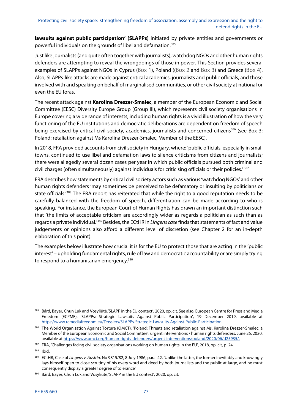**lawsuits against public participation' (SLAPPs)** initiated by private entities and governments or powerful individuals on the grounds of libel and defamation.<sup>385</sup>

Just like journalists (and quite often together with journalists), watchdog NGOs and other human rights defenders are attempting to reveal the wrongdoings of those in power. This Section provides several examples of SLAPPs against NGOs in Cyprus (Box 1), Poland ((Box 2 and Box 3) and Greece (Box 4). Also, SLAPPs-like attacks are made against critical academics, journalists and public officials, and those involved with and speaking on behalf of marginalised communities, or other civil society at national or even the EU foras.

The recent attack against **Karolina Dreszer-Smalec**, a member of the European Economic and Social Committee (EESC) Diversity Europe Group (Group III), which represents civil society organisations in Europe covering a wide range of interests, including human rights is a vivid illustration of how the very functioning of the EU institutions and democratic deliberations are dependent on freedom of speech being exercised by critical civil society, academics, journalists and concerned citizens<sup>386</sup> (see Box 3: Poland: retaliation against Ms Karolina Dreszer-Smalec, Member of the EESC).

In 2018, FRA provided accounts from civil society in Hungary, where: 'public officials, especially in small towns, continued to use libel and defamation laws to silence criticisms from citizens and journalists; there were allegedly several dozen cases per year in which public officials pursued both criminal and civil charges (often simultaneously) against individuals for criticising officials or their policies.' 387

FRA describes how statements by critical civil society actors such as various 'watchdog NGOs' and other human rights defenders 'may sometimes be perceived to be defamatory or insulting by politicians or state officials.<sup>'388</sup> The FRA report has reiterated that while the right to a good reputation needs to be carefully balanced with the freedom of speech, differentiation can be made according to who is speaking. For instance, the European Court of Human Rights has drawn an important distinction such that 'the limits of acceptable criticism are accordingly wider as regards a politician as such than as regards a private individual.<sup>'389</sup> Besides, the ECtHR in Lingens case finds that statements of fact and value judgements or opinions also afford a different level of discretion (see Chapter 2 for an in-depth elaboration of this point).

The examples below illustrate how crucial it is for the EU to protect those that are acting in the 'public interest' – upholding fundamental rights, rule of law and democratic accountability or are simply trying to respond to a humanitarian emergency.<sup>390</sup>

<sup>&</sup>lt;sup>385</sup> Bárd, Bayer, Chun Luk and Vosyliūtė, 'SLAPP in the EU context', 2020, op. cit. See also, European Centre for Press and Media Freedom (ECPMF), 'SLAPPs: Strategic Lawsuits Against Public Participation', 19 December 2019, available at https://www.rcmediafreedom.eu/Dossiers/SLAPPs-Strategic-Lawsuits-Against-Public-Participation.

<sup>386</sup> The World Organisation Against Torture (OMCT), 'Poland: Threats and retaliation against Ms. Karolina Dreszer-Smalec, a Member of the European Economic and Social Committee', urgent interventions / human rights defenders, June 26, 2020, available at https://www.omct.org/human-rights-defenders/urgent-interventions/poland/2020/06/d25935/.

<sup>387</sup> FRA, 'Challenges facing civil society organisations working on human rights in the EU', 2018, op. cit, p. 24.

<sup>388</sup> Ibid.

<sup>389</sup> ECtHR, Case of Lingens v. Austria, No 9815/82, 8 July 1986, para. 42. 'Unlike the latter, the former inevitably and knowingly lays himself open to close scrutiny of his every word and deed by both journalists and the public at large, and he must consequently display a greater degree of tolerance'

<sup>&</sup>lt;sup>390</sup> Bárd, Bayer, Chun Luk and Vosyliūtė,'SLAPP in the EU context', 2020, op. cit.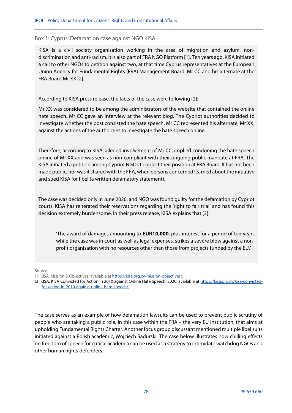### Box 1: Cyprus: Defamation case against NGO KISA

KISA is a civil society organisation working in the area of migration and asylum, nondiscrimination and anti-racism. It is also part of FRA NGO Platform [1]. Ten years ago, KISA initiated a call to other NGOs to petition against two, at that time Cyprus representatives at the European Union Agency for Fundamental Rights (FRA) Management Board: Mr CC and his alternate at the FRA Board Mr XX [2].

According to KISA press release, the facts of the case were following [2]:

Mr XX was considered to be among the administrators of the website that contained the online hate speech. Mr CC gave an interview at the relevant blog. The Cypriot authorities decided to investigate whether the post consisted the hate speech. Mr CC represented his alternate, Mr XX, against the actions of the authorities to investigate the hate speech online.

Therefore, according to KISA, alleged involvement of Mr CC, implied condoning the hate speech online of Mr XX and was seen as non-compliant with their ongoing public mandate at FRA. The KISA initiated a petition among Cypriot NGOs to object their position at FRA Board. It has not been made public, nor was it shared with the FRA, when persons concerned learned about the initiative and sued KISA for libel (a written defamatory statement).

The case was decided only in June 2020, and NGO was found guilty for the defamation by Cypriot courts. KISA has reiterated their reservations regarding the 'right to fair trial' and has found this decision extremely burdensome. In their press release, KISA explains that [2]:

'The award of damages amounting to **EUR10,000**, plus interest for a period of ten years while the case was in court as well as legal expenses, strikes a severe blow against a nonprofit organisation with no resources other than those from projects funded by the EU.'

Source:

The case serves as an example of how defamation lawsuits can be used to prevent public scrutiny of people who are taking a public role, in this case within the FRA – the very EU institution, that aims at upholding Fundamental Rights Charter. Another focus group discussant mentioned multiple libel suits initiated against a Polish academic, Wojciech Sadurski. The case below illustrates how chilling effects on freedom of speech for critical academia can be used as a strategy to intimidate watchdog NGOs and other human rights defenders.

<sup>[1]</sup> KISA, Mission & Objectives, available at https://kisa.org.cy/mission-objectives/;

<sup>[2]</sup> KISA, KISA Convicted for Action in 2010 against Online Hate Speech, 2020, available at https://kisa.org.cy/kisa-convictedfor-action-in-2010-against-online-hate-speech/.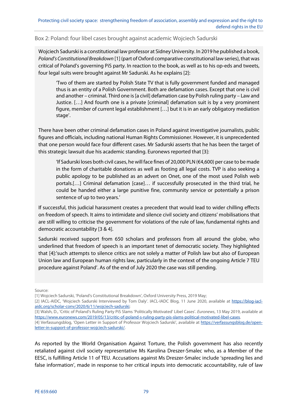Box 2: Poland: four libel cases brought against academic Wojciech Sadurski

Wojciech Sadurski is a constitutional law professor at Sidney University. In 2019 he published a book, Poland's Constitutional Breakdown [1] (part of Oxford comparative constitutional law series), that was critical of Poland's governing PiS party. In reaction to the book, as well as to his op-eds and tweets, four legal suits were brought against Mr Sadurski. As he explains [2]:

'Two of them are started by Polish State TV that is fully government funded and managed thus is an entity of a Polish Government. Both are defamation cases. Except that one is civil and another – criminal. Third one is [a civil] defamation case by Polish ruling party – Law and Justice. […] And fourth one is a private [criminal] defamation suit is by a very prominent figure, member of current legal establishment […] but it is in an early obligatory mediation stage'.

There have been other criminal defamation cases in Poland against investigative journalists, public figures and officials, including national Human Rights Commissioner. However, it is unprecedented that one person would face four different cases. Mr Sadurski asserts that he has been the target of this strategic lawsuit due his academic standing. Euronews reported that [3]:

'If Sadurski loses both civil cases, he will face fines of 20,000 PLN (€4,600) per case to be made in the form of charitable donations as well as footing all legal costs. TVP is also seeking a public apology to be published as an advert on Onet, one of the most used Polish web portals.[…] Criminal defamation [case]… if successfully prosecuted in the third trial, he could be handed either a large punitive fine, community service or potentially a prison sentence of up to two years.'

If successful, this judicial harassment creates a precedent that would lead to wider chilling effects on freedom of speech. It aims to intimidate and silence civil society and citizens' mobilisations that are still willing to criticise the government for violations of the rule of law, fundamental rights and democratic accountability [3 & 4].

Sadurski received support from 650 scholars and professors from all around the globe, who underlined that freedom of speech is an important tenet of democratic society. They highlighted that [4]:'such attempts to silence critics are not solely a matter of Polish law but also of European Union law and European human rights law, particularly in the context of the ongoing Article 7 TEU procedure against Poland'. As of the end of July 2020 the case was still pending.

Source:

[3] Walsh, D., 'Critic of Poland's Ruling Party PiS Slams 'Politically Motivated' Libel Cases'. Euronews, 13 May 2019, available at https://www.euronews.com/2019/05/13/critic-of-poland-s-ruling-party-pis-slams-political-motivated-libel-cases.

As reported by the World Organisation Against Torture, the Polish government has also recently retaliated against civil society representative Ms Karolina Dreszer-Smalec who, as a Member of the EESC, is fulfilling Article 11 of TEU. Accusations against Ms Dreszer-Smalec include 'spreading lies and false information', made in response to her critical inputs into democratic accountability, rule of law

<sup>[1]</sup> Wojciech Sadurski, 'Poland's Constitutional Breakdown', Oxford University Press, 2019 May;

<sup>[2]</sup> IACL-AIDC, 'Wojciech Sadurski Interviewed by Tom Daly'. IACL-IADC Blog, 11 June 2020, available at https://blog-iaclaidc.org/scholar-conv/2020/6/11/wojciech-sadurski;

<sup>[4]</sup> Verfassungsblog, 'Open Letter in Support of Professor Wojciech Sadurski', available at https://verfassungsblog.de/openletter-in-support-of-professor-wojciech-sadurski/.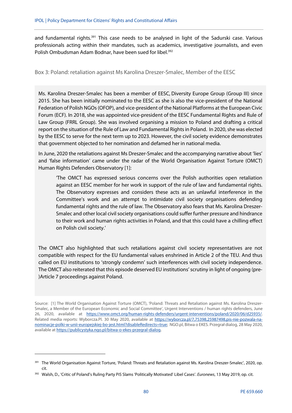and fundamental rights.<sup>391</sup> This case needs to be analysed in light of the Sadurski case. Various professionals acting within their mandates, such as academics, investigative journalists, and even Polish Ombudsman Adam Bodnar, have been sued for libel.<sup>392</sup>

Box 3: Poland: retaliation against Ms Karolina Dreszer-Smalec, Member of the EESC

Ms. Karolina Dreszer-Smalec has been a member of EESC, Diversity Europe Group (Group III) since 2015. She has been initially nominated to the EESC as she is also the vice-president of the National Federation of Polish NGOs (OFOP), and vice-president of the National Platforms at the European Civic Forum (ECF). In 2018, she was appointed vice-president of the EESC Fundamental Rights and Rule of Law Group (FRRL Group). She was involved organising a mission to Poland and drafting a critical report on the situation of the Rule of Law and Fundamental Rights in Poland. In 2020, she was elected by the EESC to serve for the next term up to 2023. However, the civil society evidence demonstrates that government objected to her nomination and defamed her in national media.

In June, 2020 the retaliations against Ms Dreszer-Smalec and the accompanying narrative about 'lies' and 'false information' came under the radar of the World Organisation Against Torture (OMCT) Human Rights Defenders Observatory [1]:

'The OMCT has expressed serious concerns over the Polish authorities open retaliation against an EESC member for her work in support of the rule of law and fundamental rights. The Observatory expresses and considers these acts as an unlawful interference in the Committee's work and an attempt to intimidate civil society organisations defending fundamental rights and the rule of law. The Observatory also fears that Ms. Karolina Dreszer-Smalec and other local civil society organisations could suffer further pressure and hindrance to their work and human rights activities in Poland, and that this could have a chilling effect on Polish civil society.'

The OMCT also highlighted that such retaliations against civil society representatives are not compatible with respect for the EU fundamental values enshrined in Article 2 of the TEU. And thus called on EU institutions to 'strongly condemn' such interferences with civil society independence. The OMCT also reiterated that this episode deserved EU institutions' scrutiny in light of ongoing (pre- )Article 7 proceedings against Poland.

Source: [1] The World Organisation Against Torture (OMCT), 'Poland: Threats and Retaliation against Ms. Karolina Dreszer-Smalec, a Member of the European Economic and Social Committee', Urgent Interventions / human rights defenders, June 26, 2020, available at https://www.omct.org/human-rights-defenders/urgent-interventions/poland/2020/06/d25935/. Related media reports: Wyborcza.Pl. 30 May 2020, available at https://wyborcza.pl/7,75398,25987498,pis-nie-pozwala-nanominacje-polki-w-unii-europejskiej-bo-jest.html?disableRedirects=true; NGO.pl, Bitwa o EKES. Przegrał dialog, 28 May 2020, available at https://publicystyka.ngo.pl/bitwa-o-ekes-przegral-dialog.

<sup>391</sup> The World Organisation Against Torture, 'Poland: Threats and Retaliation against Ms. Karolina Dreszer-Smalec', 2020, op. cit.

<sup>392</sup> Walsh, D., 'Critic of Poland's Ruling Party PiS Slams 'Politically Motivated' Libel Cases'. Euronews, 13 May 2019, op. cit.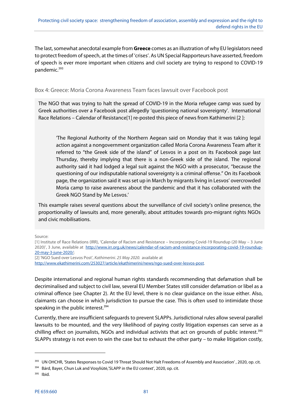The last, somewhat anecdotal example from **Greece** comes as an illustration of why EU legislators need to protect freedom of speech, at the times of 'crises'. As UN Special Rapporteurs have asserted, freedom of speech is ever more important when citizens and civil society are trying to respond to COVID-19 pandemic.<sup>393</sup>

### Box 4: Greece: Moria Corona Awareness Team faces lawsuit over Facebook post

The NGO that was trying to halt the spread of COVID-19 in the Moria refugee camp was sued by Greek authorities over a Facebook post allegedly 'questioning national sovereignty'. International Race Relations – Calendar of Resistance[1] re-posted this piece of news from Kathimerini [2 ]:

'The Regional Authority of the Northern Aegean said on Monday that it was taking legal action against a nongovernment organization called Moria Corona Awareness Team after it referred to "the Greek side of the island" of Lesvos in a post on its Facebook page last Thursday, thereby implying that there is a non-Greek side of the island. The regional authority said it had lodged a legal suit against the NGO with a prosecutor, "because the questioning of our indisputable national sovereignty is a criminal offense." On its Facebook page, the organization said it was set up in March by migrants living in Lesvos' overcrowded Moria camp to raise awareness about the pandemic and that it has collaborated with the Greek NGO Stand by Me Lesvos.'

This example raises several questions about the surveillance of civil society's online presence, the proportionality of lawsuits and, more generally, about attitudes towards pro-migrant rights NGOs and civic mobilisations.

Source:

[1] Institute of Race Relations (IRR), 'Calendar of Racism and Resistance – Incorporating Covid-19 Roundup (20 May – 3 June 2020)', 3 June, available at http://www.irr.org.uk/news/calendar-of-racism-and-resistance-incorporating-covid-19-roundup-20-may-3-june-2020/; [2] 'NGO Sued over Lesvos Post', Kathimerini. 25 May 2020. available at

http://www.ekathimerini.com/253027/article/ekathimerini/news/ngo-sued-over-lesvos-post.

Despite international and regional human rights standards recommending that defamation shall be decriminalised and subject to civil law, several EU Member States still consider defamation or libel as a criminal offence (see Chapter 2). At the EU level, there is no clear guidance on the issue either. Also, claimants can choose in which jurisdiction to pursue the case. This is often used to intimidate those speaking in the public interest.<sup>394</sup>

Currently, there are insufficient safeguards to prevent SLAPPs. Jurisdictional rules allow several parallel lawsuits to be mounted, and the very likelihood of paying costly litigation expenses can serve as a chilling effect on journalists, NGOs and individual activists that act on grounds of public interest.<sup>395</sup> SLAPPs strategy is not even to win the case but to exhaust the other party – to make litigation costly,

<sup>&</sup>lt;sup>393</sup> UN OHCHR, 'States Responses to Covid 19 Threat Should Not Halt Freedoms of Assembly and Association', 2020, op. cit.

<sup>394</sup> Bárd, Bayer, Chun Luk and Vosyliūtė,'SLAPP in the EU context', 2020, op. cit.

<sup>395</sup> Ibid.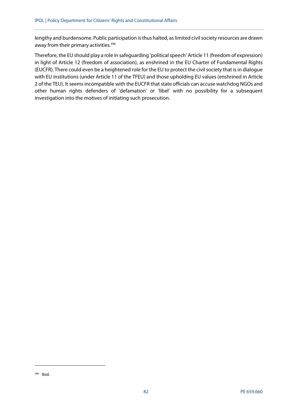lengthy and burdensome. Public participation is thus halted, as limited civil society resources are drawn away from their primary activities.<sup>396</sup>

Therefore, the EU should play a role in safeguarding 'political speech' Article 11 (freedom of expression) in light of Article 12 (freedom of association), as enshrined in the EU Charter of Fundamental Rights (EUCFR). There could even be a heightened role for the EU to protect the civil society that is in dialogue with EU institutions (under Article 11 of the TFEU) and those upholding EU values (enshrined in Article 2 of the TEU). It seems incompatible with the EUCFR that state officials can accuse watchdog NGOs and other human rights defenders of 'defamation' or 'libel' with no possibility for a subsequent investigation into the motives of initiating such prosecution.

**.** 

<sup>396</sup> Ibid.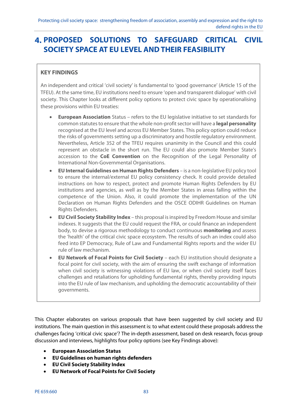# **PROPOSED SOLUTIONS TO SAFEGUARD CRITICAL CIVIL SOCIETY SPACE AT EU LEVEL AND THEIR FEASIBILITY**

### **KEY FINDINGS**

An independent and critical 'civil society' is fundamental to 'good governance' (Article 15 of the TFEU). At the same time, EU institutions need to ensure 'open and transparent dialogue' with civil society. This Chapter looks at different policy options to protect civic space by operationalising these provisions within EU treaties:

- **European Association** Status refers to the EU legislative initiative to set standards for common statutes to ensure that the whole non-profit sector will have a **legal personality** recognised at the EU level and across EU Member States. This policy option could reduce the risks of governments setting up a discriminatory and hostile regulatory environment. Nevertheless, Article 352 of the TFEU requires unanimity in the Council and this could represent an obstacle in the short run. The EU could also promote Member State's accession to the **CoE Convention** on the Recognition of the Legal Personality of International Non-Governmental Organisations.
- **EU Internal Guidelines on Human Rights Defenders** is a non-legislative EU policy tool to ensure the internal/external EU policy consistency check. It could provide detailed instructions on how to respect, protect and promote Human Rights Defenders by EU institutions and agencies, as well as by the Member States in areas falling within the competence of the Union. Also, it could promote the implementation of the UN Declaration on Human Rights Defenders and the OSCE ODIHR Guidelines on Human Rights Defenders.
- **EU Civil Society Stability Index** this proposal is inspired by Freedom House and similar indexes. It suggests that the EU could request the FRA, or could finance an independent body, to devise a rigorous methodology to conduct continuous **monitoring** and assess the 'health' of the critical civic space ecosystem. The results of such an index could also feed into EP Democracy, Rule of Law and Fundamental Rights reports and the wider EU rule of law mechanism.
- **EU Network of Focal Points for Civil Society** each EU institution should designate a focal point for civil society, with the aim of ensuring the swift exchange of information when civil society is witnessing violations of EU law, or when civil society itself faces challenges and retaliations for upholding fundamental rights, thereby providing inputs into the EU rule of law mechanism, and upholding the democratic accountability of their governments.

This Chapter elaborates on various proposals that have been suggested by civil society and EU institutions. The main question in this assessment is: to what extent could these proposals address the challenges facing 'critical civic space'? The in-depth assessment, based on desk research, focus group discussion and interviews, highlights four policy options (see Key Findings above):

- **European Association Status**
- **EU Guidelines on human rights defenders**
- **EU Civil Society Stability Index**
- **EU Network of Focal Points for Civil Society**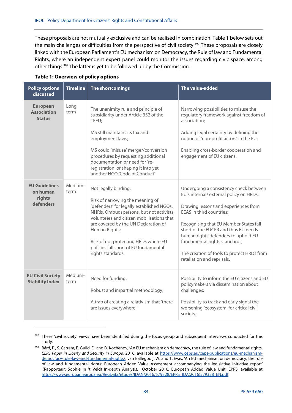These proposals are not mutually exclusive and can be realised in combination. Table 1 below sets out the main challenges or difficulties from the perspective of civil society.<sup>397</sup> These proposals are closely linked with the European Parliament's EU mechanism on Democracy, the Rule of law and Fundamental Rights, where an independent expert panel could monitor the issues regarding civic space, among other things.398 The latter is yet to be followed up by the Commission.

| <b>Policy options</b><br>discussed                      | <b>Timeline</b> | The shortcomings                                                                                                                                                                                                                                                                                                                                              | The value-added                                                                                                                                                                                                                                                                                                                                                                             |
|---------------------------------------------------------|-----------------|---------------------------------------------------------------------------------------------------------------------------------------------------------------------------------------------------------------------------------------------------------------------------------------------------------------------------------------------------------------|---------------------------------------------------------------------------------------------------------------------------------------------------------------------------------------------------------------------------------------------------------------------------------------------------------------------------------------------------------------------------------------------|
| <b>European</b><br><b>Association</b><br><b>Status</b>  | Long<br>term    | The unanimity rule and principle of<br>subsidiarity under Article 352 of the<br>TFEU;<br>MS still maintains its tax and<br>employment laws;<br>MS could 'misuse' merger/conversion<br>procedures by requesting additional<br>documentation or need for 're-<br>registration' or shaping it into yet<br>another NGO 'Code of Conduct'                          | Narrowing possibilities to misuse the<br>regulatory framework against freedom of<br>association;<br>Adding legal certainty by defining the<br>notion of 'non-profit actors' in the EU;<br>Enabling cross-border cooperation and<br>engagement of EU citizens.                                                                                                                               |
| <b>EU Guidelines</b><br>on human<br>rights<br>defenders | Medium-<br>term | Not legally binding;<br>Risk of narrowing the meaning of<br>'defenders' for legally established NGOs,<br>NHRIs, Ombudspersons, but not activists,<br>volunteers and citizen mobilisations that<br>are covered by the UN Declaration of<br>Human Rights;<br>Risk of not protecting HRDs where EU<br>policies fall short of EU fundamental<br>rights standards. | Undergoing a consistency check between<br>EU's internal/ external policy on HRDs;<br>Drawing lessons and experiences from<br>EEAS in third countries;<br>Recognising that EU Member States fall<br>short of the EUCFR and thus EU needs<br>human rights defenders to uphold EU<br>fundamental rights standards;<br>The creation of tools to protect HRDs from<br>retaliation and reprisals. |
| <b>EU Civil Society</b><br><b>Stability Index</b>       | Medium-<br>term | Need for funding;<br>Robust and impartial methodology;<br>A trap of creating a relativism that 'there<br>are issues everywhere.'                                                                                                                                                                                                                              | Possibility to inform the EU citizens and EU<br>policymakers via dissemination about<br>challenges;<br>Possibility to track and early signal the<br>worsening 'ecosystem' for critical civil<br>society.                                                                                                                                                                                    |

#### **Table 1: Overview of policy options**

<sup>&</sup>lt;sup>397</sup> These 'civil society' views have been identified during the focus group and subsequent interviews conducted for this study.

<sup>398</sup> Bárd, P., S. Carrera, E. Guild, E., and D. Kochenov, 'An EU mechanism on democracy, the rule of law and fundamental rights. CEPS Paper in Liberty and Security in Europe, 2016, available at https://www.ceps.eu/ceps-publications/eu-mechanismdemocracy-rule-law-and-fundamental-rights/. van Ballegooij, W. and T. Evas, 'An EU mechanism on democracy, the rule of law and fundamental rights: European Added Value Assessment accompanying the legislative initiative report' ,(Rapporteur: Sophie in 't Veld) In-depth Analysis, October 2016, European Added Value Unit, EPRS, available at https://www.europarl.europa.eu/RegData/etudes/IDAN/2016/579328/EPRS\_IDA(2016)579328\_EN.pdf.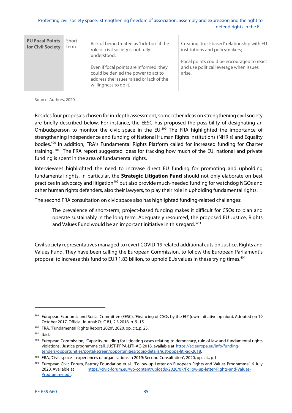| <b>EU Focal Points</b><br>for Civil Society | Short-<br>term | Risk of being treated as 'tick-box' if the<br>role of civil society is not fully<br>understood;                                                     | Creating 'trust-based' relationship with EU<br>institutions and policymakers;<br>Focal points could be encouraged to react |
|---------------------------------------------|----------------|-----------------------------------------------------------------------------------------------------------------------------------------------------|----------------------------------------------------------------------------------------------------------------------------|
|                                             |                | Even if focal points are informed, they<br>could be denied the power to act to<br>address the issues raised or lack of the<br>willingness to do it. | and use political leverage when issues<br>arise.                                                                           |

Source: Authors, 2020.

Besides four proposals chosen for in-depth assessment, some other ideas on strengthening civil society are briefly described below. For instance, the EESC has proposed the possibility of designating an Ombudsperson to monitor the civic space in the EU.<sup>399</sup> The FRA highlighted the importance of strengthening independence and funding of National Human Rights Institutions (NHRIs) and Equality bodies.400 In addition, FRA's Fundamental Rights Platform called for increased funding for Charter training. <sup>401</sup> The FRA report suggested ideas for tracking how much of the EU, national and private funding is spent in the area of fundamental rights.

Interviewees highlighted the need to increase direct EU funding for promoting and upholding fundamental rights. In particular, the **Strategic Litigation Fund** should not only elaborate on best practices in advocacy and litigation<sup>402</sup> but also provide much-needed funding for watchdog NGOs and other human rights defenders, also their lawyers, to play their role in upholding fundamental rights.

The second FRA consultation on civic space also has highlighted funding-related challenges:

The prevalence of short-term, project-based funding makes it difficult for CSOs to plan and operate sustainably in the long term. Adequately resourced, the proposed EU Justice, Rights and Values Fund would be an important initiative in this regard. <sup>403</sup>

Civil society representatives managed to revert COVID-19 related additional cuts on Justice, Rights and Values Fund. They have been calling the European Commission, to follow the European Parliament's proposal to increase this fund to EUR 1.83 billion, to uphold EUs values in these trying times.<sup>404</sup>

<sup>&</sup>lt;sup>399</sup> European Economic and Social Committee (EESC), 'Financing of CSOs by the EU' (own-initiative opinion), Adopted on 19 October 2017, Official Journal: OJ C 81, 2.3.2018, p. 9–15.

<sup>400</sup> FRA, 'Fundamental Rights Report 2020', 2020, op. cit.,p. 25.

 $401$  Ibid.

<sup>402</sup> European Commission, 'Capacity building for litigating cases relating to democracy, rule of law and fundamental rights violations', Justice programme call, JUST-PPPA-LITI-AG-2018, available at https://ec.europa.eu/info/fundingtenders/opportunities/portal/screen/opportunities/topic-details/just-pppa-liti-ag-2018.

<sup>403</sup> FRA, 'Civic space – experiences of organisations in 2019: Second Consultation', 2020, op. cit., p.1.

<sup>404</sup> European Civic Forum, Batrory Foundation et al., 'Follow-up Letter on European Rights and Values Programme', 6 July 2020. Available at https://civic-forum.eu/wp-content/uploads/2020/07/Follow-up-letter-Rights-and-Values-Programme.pdf.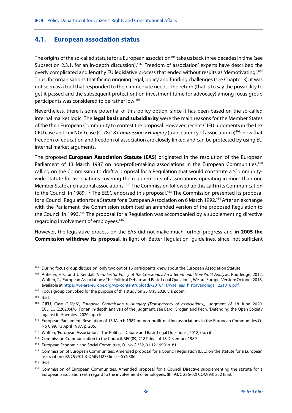### **4.1. European association status**

The origins of the so-called statute for a European association<sup>405</sup> take us back three decades in time (see Subsection 2.3.1. for an in-depth discussion).<sup>406</sup> 'Freedom of association' experts have described the overly complicated and lengthy EU legislative process that ended without results as 'demotivating'.407 Thus, for organisations that facing ongoing legal, policy and funding challenges (see Chapter 3), it was not seen as a tool that responded to their immediate needs. The return (that is to say the possibility to get it passed and the subsequent protection) on investment (time for advocacy) among focus group participants was considered to be rather low.408

Nevertheless, there is some potential of this policy option, since it has been based on the so-called internal market logic. The **legal basis and subsidiarity** were the main reasons for the Member States of the then European Community to contest the proposal. However, recent CJEU judgments in the Lex CEU case and Lex NGO case (C-78/18 Commission v Hungary (transparency of associations))<sup>409</sup>show that freedom of education and freedom of association are closely linked and can be protected by using EU internal market arguments.

The proposed **European Association Statute (EAS)** originated in the resolution of the European Parliament of 13 March 1987 on non-profit-making associations in the European Communities,<sup>410</sup> calling on the Commission to draft a proposal for a Regulation that would constitute a 'Communitywide statute for associations covering the requirements of associations operating in more than one Member State and national associations.'411 The Commission followed up this call in its Communication to the Council in 1989.<sup>412</sup> The EESC endorsed this proposal.<sup>413</sup> The Commission presented its proposal for a Council Regulation for a Statute for a European Association on 6 March 1992.414 After an exchange with the Parliament, the Commission submitted an amended version of the proposed Regulation to the Council in 1993.<sup>415</sup> The proposal for a Regulation was accompanied by a supplementing directive regarding involvement of employees.<sup>416</sup>

However, the legislative process on the EAS did not make much further progress and **in 2005 the Commission withdrew its proposal**, in light of 'Better Regulation' guidelines, since 'not sufficient

<sup>&</sup>lt;sup>405</sup> During focus group discussion, only two out of 16 participants knew about the European Association Statute.

<sup>406</sup> Anheier, H.K., and J. Kendall. Third Sector Policy at the Crossroads: An International Non-Profit Analysis. Routledge, 2012; Wöffen, T., 'European Associations: The Political Debate and Basic Legal Questions', We are Europe, Version: October 2018, available at https://we-are-europe.org/wp-content/uploads/2018/11/wae\_eas\_historyandlegal\_221018.pdf.

<sup>&</sup>lt;sup>407</sup> Focus group convoked for the purpose of this study on 25 May 2020 via Zoom.

<sup>408</sup> Ibid.

<sup>&</sup>lt;sup>409</sup> CJEU, Case C-78/18, European Commission v Hungary (Transparency of associations), judgment of 18 June 2020, ECLI:EU:C:2020:476. For an in-depth analysis of the judgment, see Bárd, Grogan and Pech, 'Defending the Open Society against its Enemies', 2020, op. cit.

<sup>410</sup> European Parliament, Resolution of 13 March 1987 on non-profit-making associations in the European Communities OJ No C 99, 13 April 1987, p. 205.

<sup>411</sup> Wöffen, 'European Associations: The Political Debate and Basic Legal Questions', 2018, op. cit.

<sup>412</sup> Commission Communication to the Council, SEC(89) 2187 final of 18 December 1989

<sup>413</sup> European Economic and Social Committee, OJ No C 332, 31.12.1990, p. 81.

<sup>414</sup> Commission of European Communities, Amended proposal for a Council Regulation (EEC) on the statute for a European association (92/C99/01 )COM(91)273final—SYN386.

<sup>415</sup> Ibid.

<sup>416</sup> Commission of European Communities, Amended proposal for a Council Directive supplementing the statute for a European association with regard to the involvement of employees, (II) (93/C 236/02) COM(93) 252 final.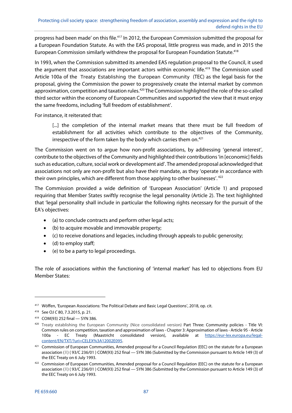progress had been made' on this file.417 In 2012, the European Commission submitted the proposal for a European Foundation Statute. As with the EAS proposal, little progress was made, and in 2015 the European Commission similarly withdrew the proposal for European Foundation Statute.418

In 1993, when the Commission submitted its amended EAS regulation proposal to the Council, it used the argument that associations are important actors within economic life.<sup>419</sup> The Commission used Article 100a of the Treaty Establishing the European Community (TEC) as the legal basis for the proposal, giving the Commission the power to progressively create the internal market by common approximation, competition and taxation rules.<sup>420</sup> The Commission highlighted the role of the so-called third sector within the economy of European Communities and supported the view that it must enjoy the same freedoms, including 'full freedom of establishment'.

For instance, it reiterated that:

[...] the completion of the internal market means that there must be full freedom of establishment for all activities which contribute to the objectives of the Community, irrespective of the form taken by the body which carries them on.<sup>421</sup>

The Commission went on to argue how non-profit associations, by addressing 'general interest', contribute to the objectives of the Community and highlighted their contributions 'in [economic] fields such as education, culture, social work or development aid'. The amended proposal acknowledged that associations not only are non-profit but also have their mandate, as they 'operate in accordance with their own principles, which are different from those applying to other businesses'.<sup>422</sup>

The Commission provided a wide definition of 'European Association' (Article 1) and proposed requiring that Member States swiftly recognise the legal personality (Article 2). The text highlighted that 'legal personality shall include in particular the following rights necessary for the pursuit of the EA's objectives:

- (a) to conclude contracts and perform other legal acts;
- (b) to acquire movable and immovable property;
- (c) to receive donations and legacies, including through appeals to public generosity;
- (d) to employ staff;
- (e) to be a party to legal proceedings.

The role of associations within the functioning of 'internal market' has led to objections from EU Member States:

1

<sup>417</sup> Wöffen, 'European Associations: The Political Debate and Basic Legal Questions', 2018, op. cit.

<sup>418</sup> See OJ C 80, 7.3.2015, p. 21.

<sup>419</sup> COM(93) 252 final — SYN 386.

<sup>420</sup> Treaty establishing the European Community (Nice consolidated version) Part Three: Community policies - Title VI: Common rules on competition, taxation and approximation of laws - Chapter 3: Approximation of laws - Article 95 - Article 100a - EC Treaty (Maastricht consolidated version), available at https://eur-lex.europa.eu/legalcontent/EN/TXT/?uri=CELEX%3A12002E095.

<sup>421</sup> Commission of European Communities, Amended proposal for a Council Regulation (EEC) on the statute for a European association (1) (93/C 236/01) COM(93) 252 final - SYN 386 (Submitted by the Commission pursuant to Article 149 (3) of the EEC Treaty on 6 July 1993.

<sup>422</sup> Commission of European Communities, Amended proposal for a Council Regulation (EEC) on the statute for a European association (1) (93/C 236/01) COM(93) 252 final - SYN 386 (Submitted by the Commission pursuant to Article 149 (3) of the EEC Treaty on 6 July 1993.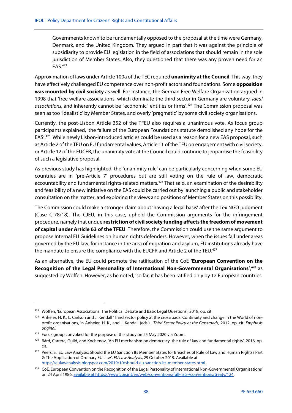Governments known to be fundamentally opposed to the proposal at the time were Germany, Denmark, and the United Kingdom. They argued in part that it was against the principle of subsidiarity to provide EU legislation in the field of associations that should remain in the sole jurisdiction of Member States. Also, they questioned that there was any proven need for an EAS.423

Approximation of laws under Article 100a of the TEC required **unanimity at the Council**. This way, they have effectively challenged EU competence over non-profit actors and foundations. Some **opposition was mounted by civil society** as well. For instance, the German Free Welfare Organization argued in 1998 that 'free welfare associations, which dominate the third sector in Germany are voluntary, ideal associations, and inherently cannot be "economic" entities or firms'.<sup>424</sup> The Commission proposal was seen as too 'idealistic' by Member States, and overly 'pragmatic' by some civil society organisations.

Currently, the post-Lisbon Article 352 of the TFEU also requires a unanimous vote. As focus group participants explained, 'the failure of the European Foundations statute demolished any hope for the EAS'.425 While newly Lisbon-introduced articles could be used as a reason for a new EAS proposal, such as Article 2 of the TEU on EU fundamental values, Article 11 of the TEU on engagement with civil society, or Article 12 of the EUCFR, the unanimity vote at the Council could continue to jeopardise the feasibility of such a legislative proposal.

As previous study has highlighted, the 'unanimity rule' can be particularly concerning when some EU countries are in 'pre-Article 7' procedures but are still voting on the rule of law, democratic accountability and fundamental rights-related matters.<sup>426</sup> That said, an examination of the desirability and feasibility of a new initiative on the EAS could be carried out by launching a public and stakeholder consultation on the matter, and exploring the views and positions of Member States on this possibility.

The Commission could make a stronger claim about 'having a legal basis' after the Lex NGO judgment (Case C-78/18). The CJEU, in this case, upheld the Commission arguments for the infringement procedure, namely that undue **restriction of civil society funding affects the freedom of movement of capital under Article 63 of the TFEU**. Therefore, the Commission could use the same argument to propose Internal EU Guidelines on human rights defenders. However, when the issues fall under areas governed by the EU law, for instance in the area of migration and asylum, EU institutions already have the mandate to ensure the compliance with the EUCFR and Article 2 of the TEU.<sup>427</sup>

As an alternative, the EU could promote the ratification of the CoE **'European Convention on the**  Recognition of the Legal Personality of International Non-Governmental Organisations',<sup>428</sup> as suggested by Wöffen. However, as he noted, 'so far, it has been ratified only by 12 European countries.

<sup>423</sup> Wöffen, 'European Associations: The Political Debate and Basic Legal Questions', 2018, op. cit.

<sup>424</sup> Anheier, H. K., L. Carlson and J. Kendall 'Third sector policy at the crossroads: Continuity and change in the World of nonprofit organisations, in Anheier, H. K., and J. Kendall (eds.), Third Sector Policy at the Crossroads, 2012, op. cit. Emphasis original.

<sup>&</sup>lt;sup>425</sup> Focus group convoked for the purpose of this study on 25 May 2020 via Zoom.

 $426$  Bárd, Carrera, Guild, and Kochenov, 'An EU mechanism on democracy, the rule of law and fundamental rights', 2016, op. cit.

<sup>427</sup> Peers, S. 'EU Law Analysis: Should the EU Sanction Its Member States for Breaches of Rule of Law and Human Rights? Part 2: The Application of Ordinary EU Law'. EU Law Analysis, 29 October 2019. Available at https://eulawanalysis.blogspot.com/2019/10/should-eu-sanction-its-member-states.html.

<sup>&</sup>lt;sup>428</sup> CoE, European Convention on the Recognition of the Legal Personality of International Non-Governmental Organisations' on 24 April 1986, available at https://www.coe.int/en/web/conventions/full-list/-/conventions/treaty/124.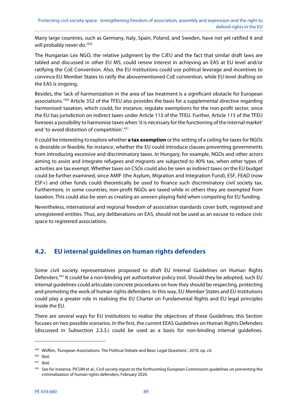Many large countries, such as Germany, Italy, Spain, Poland, and Sweden, have not yet ratified it and will probably never do.<sup>'429</sup>

The Hungarian Lex NGO, the relative judgment by the CJEU and the fact that similar draft laws are tabled and discussed in other EU MS, could renew interest in achieving an EAS at EU level and/or ratifying the CoE Convention. Also, the EU institutions could use political leverage and incentives to convince EU Member States to ratify the abovementioned CoE convention, while EU-level drafting on the EAS is ongoing.

Besides, the 'lack of harmonization in the area of tax treatment is a significant obstacle for European associations.'430 Article 352 of the TFEU also provides the basis for a supplemental directive regarding harmonised taxation, which could, for instance, regulate exemptions for the non-profit sector, since the EU has jurisdiction on indirect taxes under Article 113 of the TFEU. Further, Article 115 of the TFEU foresees a possibility to harmonise taxes when 'it is necessary for the functioning of the internal market' and 'to avoid distortion of competition'.431

It could be interesting to explore whether **a tax exemption** or the setting of a ceiling for taxes for NGOs is desirable or feasible, for instance, whether the EU could introduce clauses preventing governments from introducing excessive and discriminatory taxes. In Hungary, for example, NGOs and other actors aiming to assist and integrate refugees and migrants are subjected to 40% tax, when other types of activities are tax exempt. Whether taxes on CSOs could also be seen as indirect taxes on the EU budget could be further examined, since AMIF (the Asylum, Migration and Integration Fund), ESF, FEAD (now ESF+) and other funds could theoretically be used to finance such discriminatory civil society tax. Furthermore, in some countries, non-profit NGOs are taxed while in others they are exempted from taxation. This could also be seen as creating an uneven playing field when competing for EU funding.

Nevertheless, international and regional freedom of association standards cover both, registered and unregistered entities. Thus, any deliberations on EAS, should not be used as an excuse to reduce civic space to registered associations.

## **4.2. EU internal guidelines on human rights defenders**

Some civil society representatives proposed to draft EU Internal Guidelines on Human Rights Defenders.<sup>432</sup> It could be a non-binding yet authoritative policy tool. Should they be adopted, such EU internal guidelines could articulate concrete procedures on how they should be respecting, protecting and promoting the work of human rights defenders. In this way, EU Member States and EU institutions could play a greater role in realising the EU Charter on Fundamental Rights and EU legal principles inside the EU.

There are several ways for EU institutions to realise the objectives of these Guidelines; this Section focuses on two possible scenarios. In the first, the current EEAS Guidelines on Human Rights Defenders (discussed in Subsection 2.3.3.) could be used as a basis for non-binding internal guidelines.

<sup>429</sup> Wöffen, 'European Associations: The Political Debate and Basic Legal Questions', 2018, op. cit.

<sup>430</sup> Ibid.

<sup>431</sup> Ibid.

<sup>&</sup>lt;sup>432</sup> See for instance, PICUM et al., Civil society inputs to the forthcoming European Commission guidelines on preventing the criminalization of human rights defenders, February 2020.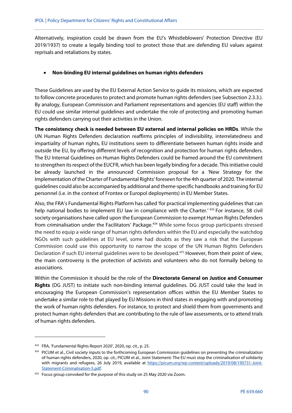Alternatively, inspiration could be drawn from the EU's Whistleblowers' Protection Directive (EU 2019/1937) to create a legally binding tool to protect those that are defending EU values against reprisals and retaliations by states.

### **Non-binding EU internal guidelines on human rights defenders**

These Guidelines are used by the EU External Action Service to guide its missions, which are expected to follow concrete procedures to protect and promote human rights defenders (see Subsection 2.3.3.). By analogy, European Commission and Parliament representations and agencies (EU staff) within the EU could use similar internal guidelines and undertake the role of protecting and promoting human rights defenders carrying out their activities in the Union.

**The consistency check is needed between EU external and internal policies on HRDs**. While the UN Human Rights Defenders declaration reaffirms principles of indivisibility, interrelatedness and impartiality of human rights, EU institutions seem to differentiate between human rights inside and outside the EU, by offering different levels of recognition and protection for human rights defenders. The EU Internal Guidelines on Human Rights Defenders could be framed around the EU commitment to strengthen its respect of the EUCFR, which has been legally binding for a decade. This initiative could be already launched in the announced Commission proposal for a 'New Strategy for the Implementation of the Charter of Fundamental Rights' foreseen for the 4th quarter of 2020. The internal guidelines could also be accompanied by additional and theme-specific handbooks and training for EU personnel (i.e. in the context of Frontex or Europol deployments) in EU Member States.

Also, the FRA's Fundamental Rights Platform has called 'for practical implementing guidelines that can help national bodies to implement EU law in compliance with the Charter.<sup>' 433</sup> For instance, 58 civil society organisations have called upon the European Commission to exempt Human Rights Defenders from criminalisation under the Facilitators' Package.<sup>434</sup> While some focus group participants stressed the need to equip a wide range of human rights defenders within the EU and especially the watchdog NGOs with such guidelines at EU level, some had doubts as they saw a risk that the European Commission could use this opportunity to narrow the scope of the UN Human Rights Defenders Declaration if such EU internal guidelines were to be developed.<sup>435</sup> However, from their point of view, the main controversy is the protection of activists and volunteers who do not formally belong to associations.

Within the Commission it should be the role of the **Directorate General on Justice and Consumer Rights** (DG JUST) to initiate such non-binding internal guidelines. DG JUST could take the lead in encouraging the European Commission's representation offices within the EU Member States to undertake a similar role to that played by EU Missions in third states in engaging with and promoting the work of human rights defenders. For instance, to protect and shield them from governments and protect human rights defenders that are contributing to the rule of law assessments, or to attend trials of human rights defenders.

1

<sup>433</sup> FRA, 'Fundamental Rights Report 2020', 2020, op. cit., p. 25.

<sup>434</sup> PICUM et al., Civil society inputs to the forthcoming European Commission guidelines on preventing the criminalization of human rights defenders, 2020, op. cit.; PICUM et al., Joint Statement: The EU must stop the criminalisation of solidarity with migrants and refugees, 26 July 2019, available at https://picum.org/wp-content/uploads/2019/08/190731-Joint-Statement-Criminalisation-5.pdf.

<sup>&</sup>lt;sup>435</sup> Focus group convoked for the purpose of this study on 25 May 2020 via Zoom.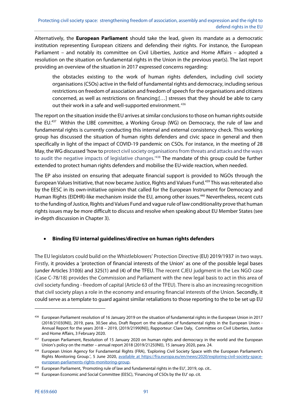Alternatively, the **European Parliament** should take the lead, given its mandate as a democratic institution representing European citizens and defending their rights. For instance, the European Parliament – and notably its committee on Civil Liberties, Justice and Home Affairs – adopted a resolution on the situation on fundamental rights in the Union in the previous year(s). The last report providing an overview of the situation in 2017 expressed concerns regarding:

the obstacles existing to the work of human rights defenders, including civil society organisations (CSOs) active in the field of fundamental rights and democracy, including serious restrictions on freedom of association and freedom of speech for the organisations and citizens concerned, as well as restrictions on financing;[…] stresses that they should be able to carry out their work in a safe and well-supported environment.<sup>436</sup>

The report on the situation inside the EU arrives at similar conclusions to those on human rights outside the EU.437 Within the LIBE committee, a Working Group (WG) on Democracy, the rule of law and fundamental rights is currently conducting this internal and external consistency check. This working group has discussed the situation of human rights defenders and civic space in general and then specifically in light of the impact of COVID-19 pandemic on CSOs. For instance, in the meeting of 28 May, the WG discussed 'how to protect civil society organisations from threats and attacks and the ways to audit the negative impacts of legislative changes.<sup>'438</sup> The mandate of this group could be further extended to protect human rights defenders and mobilise the EU-wide reaction, when needed.

The EP also insisted on ensuring that adequate financial support is provided to NGOs through the European Values Initiative, that now became Justice, Rights and Values Fund.439 This was reiterated also by the EESC in its own-initiative opinion that called for the European Instrument for Democracy and Human Rights (EIDHR)-like mechanism inside the EU, among other issues.<sup>440</sup> Nevertheless, recent cuts to the funding of Justice, Rights and Values Fund and vague rule of law conditionality prove that human rights issues may be more difficult to discuss and resolve when speaking about EU Member States (see in-depth discussion in Chapter 3).

### **Binding EU internal guidelines/directive on human rights defenders**

The EU legislators could build on the Whistleblowers' Protection Directive (EU) 2019/1937 in two ways. Firstly, it provides a 'protection of financial interests of the Union' as one of the possible legal bases (under Articles 310(6) and 325(1) and (4) of the TFEU. The recent CJEU judgment in the Lex NGO case (Case C-78/18) provides the Commission and Parliament with the new legal basis to act in this area of civil society funding - freedom of capital (Article 63 of the TFEU). There is also an increasing recognition that civil society plays a role in the economy and ensuring financial interests of the Union. Secondly, it could serve as a template to guard against similar retaliations to those reporting to the to be set up EU

1

<sup>436</sup> European Parliament resolution of 16 January 2019 on the situation of fundamental rights in the European Union in 2017 (2018/2103(INI)), 2019, para. 30.See also, Draft Report on the situation of fundamental rights in the European Union - Annual Report for the years 2018 – 2019, (2019/2199(INI)), Rapporteur: Clare Daly, Committee on Civil Liberties, Justice and Home Affairs, 3 February 2020.

<sup>437</sup> European Parliament, Resolution of 15 January 2020 on human rights and democracy in the world and the European Union's policy on the matter – annual report 2018 (2019/2125(INI)), 15 January 2020, para. 24.

<sup>438</sup> European Union Agency for Fundamental Rights (FRA), 'Exploring Civil Society Space with the European Parliament's Rights Monitoring Group.', 5 June 2020, available at https://fra.europa.eu/en/news/2020/exploring-civil-society-spaceeuropean-parliaments-rights-monitoring-group.

<sup>439</sup> European Parliament, 'Promoting rule of law and fundamental rights in the EU', 2019, op. cit..

<sup>440</sup> European Economic and Social Committee (EESC), 'Financing of CSOs by the EU' op. cit.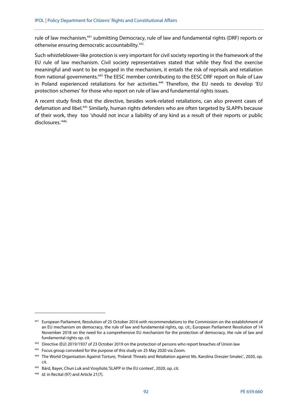rule of law mechanism,<sup>441</sup> submitting Democracy, rule of law and fundamental rights (DRF) reports or otherwise ensuring democratic accountability. 442

Such whistleblower-like protection is very important for civil society reporting in the framework of the EU rule of law mechanism. Civil society representatives stated that while they find the exercise meaningful and want to be engaged in the mechanism, it entails the risk of reprisals and retaliation from national governments.443 The EESC member contributing to the EESC DRF report on Rule of Law in Poland experienced retaliations for her activities.<sup>444</sup> Therefore, the EU needs to develop 'EU protection schemes' for those who report on rule of law and fundamental rights issues.

A recent study finds that the directive, besides work-related retaliations, can also prevent cases of defamation and libel.<sup>445</sup> Similarly, human rights defenders who are often targeted by SLAPPs because of their work, they too 'should not incur a liability of any kind as a result of their reports or public disclosures.<sup>'446</sup>

<sup>441</sup> European Parliament, Resolution of 25 October 2016 with recommendations to the Commission on the establishment of an EU mechanism on democracy, the rule of law and fundamental rights, op. cit.; European Parliament Resolution of 14 November 2018 on the need for a comprehensive EU mechanism for the protection of democracy, the rule of law and fundamental rights op. cit.

<sup>442</sup> Directive (EU) 2019/1937 of 23 October 2019 on the protection of persons who report breaches of Union law

<sup>&</sup>lt;sup>443</sup> Focus group convoked for the purpose of this study on 25 May 2020 via Zoom.

<sup>444</sup> The World Organisation Against Torture, 'Poland: Threats and Retaliation against Ms. Karolina Dreszer-Smalec', 2020, op. cit.

<sup>445</sup> Bárd, Bayer, Chun Luk and Vosyliūtė, 'SLAPP in the EU context', 2020, op. cit.

<sup>446</sup> *Id.* in Recital (97) and Article 21(7).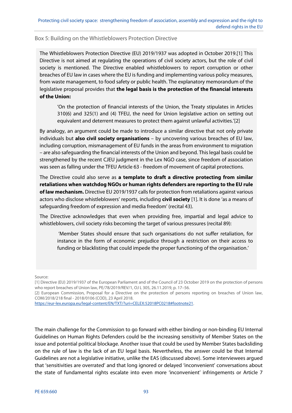#### Box 5: Building on the Whistleblowers Protection Directive

The Whistleblowers Protection Directive (EU) 2019/1937 was adopted in October 2019.[1] This Directive is not aimed at regulating the operations of civil society actors, but the role of civil society is mentioned. The Directive enabled whistleblowers to report corruption or other breaches of EU law in cases where the EU is funding and implementing various policy measures, from waste management, to food safety or public health. The explanatory memorandum of the legislative proposal provides that **the legal basis is the protection of the financial interests of the Union:**

'On the protection of financial interests of the Union, the Treaty stipulates in Articles 310(6) and 325(1) and (4) TFEU, the need for Union legislative action on setting out equivalent and deterrent measures to protect them against unlawful activities.'[2]

By analogy, an argument could be made to introduce a similar directive that not only private individuals but **also civil society organisations** – by uncovering various breaches of EU law, including corruption, mismanagement of EU funds in the areas from environment to migration – are also safeguarding the financial interests of the Union and beyond. This legal basis could be strengthened by the recent CJEU judgment in the Lex NGO case, since freedom of association was seen as falling under the TFEU Article 63 - freedom of movement of capital protections.

The Directive could also serve as **a template to draft a directive protecting from similar retaliations when watchdog NGOs or human rights defenders are reporting to the EU rule of law mechanism.** Directive EU 2019/1937 calls for protection from retaliations against various actors who disclose whistleblowers' reports, including **civil society** [1]. It is done 'as a means of safeguarding freedom of expression and media freedom' (recital 43).

The Directive acknowledges that even when providing free, impartial and legal advice to whistleblowers, civil society risks becoming the target of various pressures (recital 89):

 'Member States should ensure that such organisations do not suffer retaliation, for instance in the form of economic prejudice through a restriction on their access to funding or blacklisting that could impede the proper functioning of the organisation.'

Source:

[1] Directive (EU) 2019/1937 of the European Parliament and of the Council of 23 October 2019 on the protection of persons who report breaches of Union law, PE/78/2019/REV/1, OJ L 305, 26.11.2019, p. 17–56.

[2} European Commission, Proposal for a Directive on the protection of persons reporting on breaches of Union law, COM/2018/218 final - 2018/0106 (COD), 23 April 2018.

https://eur-lex.europa.eu/legal-content/EN/TXT/?uri=CELEX:52018PC0218#footnote21.

The main challenge for the Commission to go forward with either binding or non-binding EU Internal Guidelines on Human Rights Defenders could be the increasing sensitivity of Member States on the issue and potential political blockage. Another issue that could be used by Member States backsliding on the rule of law is the lack of an EU legal basis. Nevertheless, the answer could be that Internal Guidelines are not a legislative initiative, unlike the EAS (discussed above). Some interviewees argued that 'sensitivities are overrated' and that long ignored or delayed 'inconvenient' conversations about the state of fundamental rights escalate into even more 'inconvenient' infringements or Article 7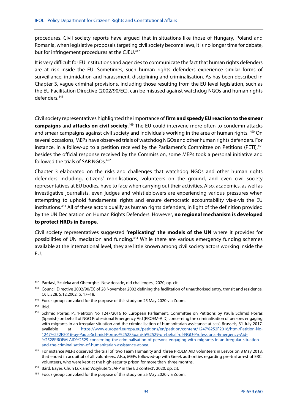procedures. Civil society reports have argued that in situations like those of Hungary, Poland and Romania, when legislative proposals targeting civil society become laws, it is no longer time for debate, but for infringement procedures at the CJEU.<sup>447</sup>

It is very difficult for EU institutions and agencies to communicate the fact that human rights defenders are at risk inside the EU. Sometimes, such human rights defenders experience similar forms of surveillance, intimidation and harassment, disciplining and criminalisation. As has been described in Chapter 3, vague criminal provisions, including those resulting from the EU level legislation, such as the EU Facilitation Directive (2002/90/EC), can be misused against watchdog NGOs and human rights defenders.448

Civil society representatives highlighted the importance of **firm and speedy EU reaction to the smear campaigns** and **attacks on civil society**. 449 The EU could intervene more often to condemn attacks and smear campaigns against civil society and individuals working in the area of human rights. 450 On several occasions, MEPs have observed trials of watchdog NGOs and other human rights defenders. For instance, in a follow-up to a petition received by the Parliament's Committee on Petitions (PETI),<sup>451</sup> besides the official response received by the Commission, some MEPs took a personal initiative and followed the trials of SAR NGOs.<sup>452</sup>

Chapter 3 elaborated on the risks and challenges that watchdog NGOs and other human rights defenders including, citizens' mobilisations, volunteers on the ground, and even civil society representatives at EU bodies, have to face when carrying out their activities. Also, academics, as well as investigative journalists, even judges and whistleblowers are experiencing various pressures when attempting to uphold fundamental rights and ensure democratic accountability vis-a-vis the EU institutions.453 All of these actors qualify as human rights defenders, in light of the definition provided by the UN Declaration on Human Rights Defenders. However, **no regional mechanism is developed to protect HRDs in Europe**.

Civil society representatives suggested **'replicating' the models of the UN** where it provides for possibilities of UN mediation and funding.<sup>454</sup> While there are various emergency funding schemes available at the international level, they are little known among civil society actors working inside the EU.

**.** 

<sup>447</sup> Pardavi, Szuleka and Gheorghe, 'New decade, old challenges', 2020, op. cit.

<sup>448</sup> Council Directive 2002/90/EC of 28 November 2002 defining the facilitation of unauthorised entry, transit and residence, OJ L 328, 5.12.2002, p. 17–18.

<sup>&</sup>lt;sup>449</sup> Focus group convoked for the purpose of this study on 25 May 2020 via Zoom.

<sup>450</sup> Ibid.

<sup>451</sup> Schmid Porras, P., 'Petition No 1247/2016 to European Parliament, Committee on Petitions by Paula Schmid Porras (Spanish) on behalf of NGO Professional Emergency Aid (PROEM-AID) concerning the criminalisation of persons engaging with migrants in an irregular situation and the criminalisation of humanitarian assistance at sea', Brussels, 31 July 2017, available at https://www.europarl.europa.eu/petitions/en/petition/content/1247%252F2016/html/Petition-No-1247%252F2016-by-Paula-Schmid-Porras-%2528Spanish%2529-on-behalf-of-NGO-Professional-Emergency-Aid- %2528PROEM-AID%2529-concerning-the-criminalisation-of-persons-engaging-with-migrants-in-an-irregular-situationand-the-criminalisation-of-humanitarian-assistance-at-sea.

<sup>452</sup> For instance MEPs observed the trial of two Team Humanity and three PROEM AID volunteers in Lesvos on 8 May 2018, that ended in acquittal of all volunteers. Also, MEPs followed-up with Greek authorities regarding pre-tral arrest of ERCI volunteers, who were kept at the high-security prison for more than three months.

<sup>453</sup> Bárd, Bayer, Chun Luk and Vosyliūtė,'SLAPP in the EU context', 2020, op. cit.

<sup>&</sup>lt;sup>454</sup> Focus group convoked for the purpose of this study on 25 May 2020 via Zoom.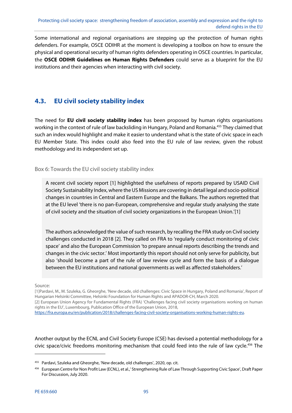Some international and regional organisations are stepping up the protection of human rights defenders. For example, OSCE ODIHR at the moment is developing a toolbox on how to ensure the physical and operational security of human rights defenders operating in OSCE countries. In particular, the **OSCE ODIHR Guidelines on Human Rights Defenders** could serve as a blueprint for the EU institutions and their agencies when interacting with civil society.

### **4.3. EU civil society stability index**

The need for **EU civil society stability index** has been proposed by human rights organisations working in the context of rule of law backsliding in Hungary, Poland and Romania.455 They claimed that such an index would highlight and make it easier to understand what is the state of civic space in each EU Member State. This index could also feed into the EU rule of law review, given the robust methodology and its independent set up.

Box 6: Towards the EU civil society stability index

A recent civil society report [1] highlighted the usefulness of reports prepared by USAID Civil Society Sustainability Index, where the US Missions are covering in detail legal and socio-political changes in countries in Central and Eastern Europe and the Balkans. The authors regretted that at the EU level 'there is no pan-European, comprehensive and regular study analysing the state of civil society and the situation of civil society organizations in the European Union.'[1]

The authors acknowledged the value of such research, by recalling the FRA study on Civil society challenges conducted in 2018 [2]. They called on FRA to 'regularly conduct monitoring of civic space' and also the European Commission 'to prepare annual reports describing the trends and changes in the civic sector.' Most importantly this report should not only serve for publicity, but also 'should become a part of the rule of law review cycle and form the basis of a dialogue between the EU institutions and national governments as well as affected stakeholders.'

#### Source:

[1]Pardavi, M., M. Szuleka, G. Gheorghe, 'New decade, old challenges: Civic Space in Hungary, Poland and Romania', Report of Hungarian Helsinki Committee, Helsinki Foundation for Human Rights and APADOR-CH, March 2020. [2] European Union Agency for Fundamental Rights (FRA) 'Challenges facing civil society organisations working on human rights in the EU', Luxembourg, Publication Office of the European Union, 2018,

https://fra.europa.eu/en/publication/2018/challenges-facing-civil-society-organisations-working-human-rights-eu.

Another output by the ECNL and Civil Society Europe (CSE) has devised a potential methodology for a civic space/civic freedoms monitoring mechanism that could feed into the rule of law cycle.<sup>456</sup> The

<sup>455</sup> Pardavi, Szuleka and Gheorghe, 'New decade, old challenges', 2020, op. cit.

<sup>456</sup> European Centre for Non Profit Law (ECNL), et al.,' Strengthening Rule of Law Through Supporting Civic Space', Draft Paper For Discussion, July 2020.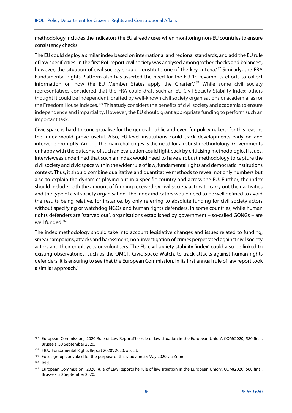methodology includes the indicators the EU already uses when monitoring non-EU countries to ensure consistency checks.

The EU could deploy a similar index based on international and regional standards, and add the EU rule of law specificities. In the first RoL report civil society was analysed among 'other checks and balances', however, the situation of civil society should constitute one of the key criteria.<sup>457</sup> Similarly, the FRA Fundamental Rights Platform also has asserted the need for the EU 'to revamp its efforts to collect information on how the EU Member States apply the Charter'.<sup>458</sup> While some civil society representatives considered that the FRA could draft such an EU Civil Society Stability Index; others thought it could be independent, drafted by well-known civil society organisations or academia, as for the Freedom House indexes.<sup>459</sup> This study considers the benefits of civil society and academia to ensure independence and impartiality. However, the EU should grant appropriate funding to perform such an important task.

Civic space is hard to conceptualise for the general public and even for policymakers; for this reason, the index would prove useful. Also, EU-level institutions could track developments early on and intervene promptly. Among the main challenges is the need for a robust methodology. Governments unhappy with the outcome of such an evaluation could fight back by criticising methodological issues. Interviewees underlined that such an index would need to have a robust methodology to capture the civil society and civic space within the wider rule of law, fundamental rights and democratic institutions context. Thus, it should combine qualitative and quantitative methods to reveal not only numbers but also to explain the dynamics playing out in a specific country and across the EU. Further, the index should include both the amount of funding received by civil society actors to carry out their activities and the type of civil society organisation. The index indicators would need to be well defined to avoid the results being relative, for instance, by only referring to absolute funding for civil society actors without specifying or watchdog NGOs and human rights defenders. In some countries, while human rights defenders are 'starved out', organisations established by government – so-called GONGs – are well funded.<sup>460</sup>

The index methodology should take into account legislative changes and issues related to funding, smear campaigns, attacks and harassment, non-investigation of crimes perpetrated against civil society actors and their employees or volunteers. The EU civil society stability 'index' could also be linked to existing observatories, such as the OMCT, Civic Space Watch, to track attacks against human rights defenders. It is ensuring to see that the European Commission, in its first annual rule of law report took a similar approach.<sup>461</sup>

<sup>&</sup>lt;sup>457</sup> European Commission, '2020 Rule of Law Report: The rule of law situation in the European Union', COM(2020) 580 final, Brussels, 30 September 2020.

<sup>458</sup> FRA, 'Fundamental Rights Report 2020', 2020, op. cit.

<sup>&</sup>lt;sup>459</sup> Focus group convoked for the purpose of this study on 25 May 2020 via Zoom.

<sup>460</sup> Ibid.

<sup>461</sup> European Commission, '2020 Rule of Law Report:The rule of law situation in the European Union', COM(2020) 580 final, Brussels, 30 September 2020.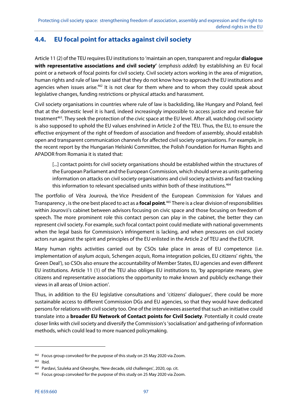### **4.4. EU focal point for attacks against civil society**

Article 11 (2) of the TEU requires EU institutions to 'maintain an open, transparent and regular **dialogue**  with representative associations and civil society' (emphasis added) by establishing an EU focal point or a network of focal points for civil society. Civil society actors working in the area of migration, human rights and rule of law have said that they do not know how to approach the EU institutions and agencies when issues arise.<sup>462</sup> It is not clear for them where and to whom they could speak about legislative changes, funding restrictions or physical attacks and harassment.

Civil society organisations in countries where rule of law is backsliding, like Hungary and Poland, feel that at the domestic level it is hard, indeed increasingly impossible to access justice and receive fair treatment<sup>463</sup>. They seek the protection of the civic space at the EU level. After all, watchdog civil society is also supposed to uphold the EU values enshrined in Article 2 of the TEU. Thus, the EU, to ensure the effective enjoyment of the right of freedom of association and freedom of assembly, should establish open and transparent communication channels for affected civil society organisations. For example, in the recent report by the Hungarian Helsinki Committee, the Polish Foundation for Human Rights and APADOR from Romania it is stated that:

[...] contact points for civil society organisations should be established within the structures of the European Parliament and the European Commission, which should serve as units gathering information on attacks on civil society organisations and civil society activists and fast-tracking this information to relevant specialised units within both of these institutions.<sup>464</sup>

The portfolio of Věra Jourová, the Vice President of the European Commission for Values and Transparency , is the one best placed to act as a **focal point**. 465 There is a clear division of responsibilities within Jourová's cabinet between advisors focusing on civic space and those focusing on freedom of speech. The more prominent role this contact person can play in the cabinet, the better they can represent civil society. For example, such focal contact point could mediate with national governments when the legal basis for Commission's infringement is lacking, and when pressures on civil society actors run against the spirit and principles of the EU enlisted in the Article 2 of TEU and the EUCFR.

Many human rights activities carried out by CSOs take place in areas of EU competence (i.e. implementation of asylum *acquis*, Schengen *acquis*, Roma integration policies, EU citizens' rights, 'the Green Deal'), so CSOs also ensure the accountability of Member States, EU agencies and even different EU institutions. Article 11 (1) of the TEU also obliges EU institutions to, 'by appropriate means, give citizens and representative associations the opportunity to make known and publicly exchange their views in all areas of Union action'.

Thus, in addition to the EU legislative consultations and 'citizens' dialogues', there could be more sustainable access to different Commission DGs and EU agencies, so that they would have dedicated persons for relations with civil society too. One of the interviewees asserted that such an initiative could translate into a **broader EU Network of Contact points for Civil Society**. Potentially it could create closer links with civil society and diversify the Commission's 'socialisation' and gathering of information methods, which could lead to more nuanced policymaking.

<sup>&</sup>lt;sup>462</sup> Focus group convoked for the purpose of this study on 25 May 2020 via Zoom.

<sup>463</sup> Ibid.

<sup>464</sup> Pardavi, Szuleka and Gheorghe, 'New decade, old challenges', 2020, op. cit.

<sup>&</sup>lt;sup>465</sup> Focus group convoked for the purpose of this study on 25 May 2020 via Zoom.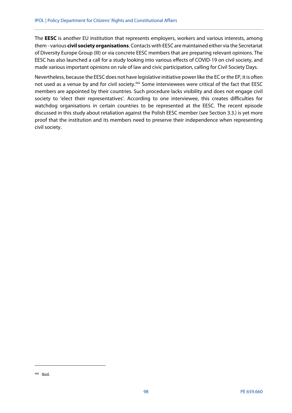The **EESC** is another EU institution that represents employers, workers and various interests, among them - various **civil society organisations**. Contacts with EESC are maintained either via the Secretariat of Diversity Europe Group (III) or via concrete EESC members that are preparing relevant opinions. The EESC has also launched a call for a study looking into various effects of COVID-19 on civil society, and made various important opinions on rule of law and civic participation, calling for Civil Society Days.

Nevertheless, because the EESC does not have legislative initiative power like the EC or the EP, it is often not used as a venue by and for civil society.<sup>466</sup> Some interviewees were critical of the fact that EESC members are appointed by their countries. Such procedure lacks visibility and does not engage civil society to 'elect their representatives'. According to one interviewee, this creates difficulties for watchdog organisations in certain countries to be represented at the EESC. The recent episode discussed in this study about retaliation against the Polish EESC member (see Section 3.3.) is yet more proof that the institution and its members need to preserve their independence when representing civil society.

**.** 

<sup>466</sup> Ibid.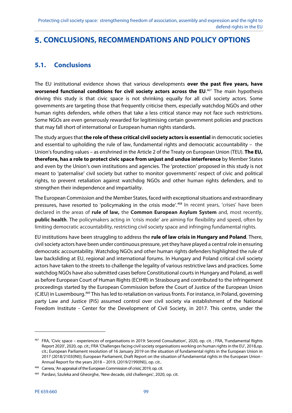# **CONCLUSIONS, RECOMMENDATIONS AND POLICY OPTIONS**

### **5.1. Conclusions**

The EU institutional evidence shows that various developments **over the past five years, have**  worsened functional conditions for civil society actors across the EU.<sup>467</sup> The main hypothesis driving this study is that civic space is not shrinking equally for all civil society actors. Some governments are targeting those that frequently criticise them, especially watchdog NGOs and other human rights defenders, while others that take a less critical stance may not face such restrictions. Some NGOs are even generously rewarded for legitimising certain government policies and practices that may fall short of international or European human rights standards.

The study argues that **the role of these critical civil society actors is essential** in democratic societies and essential to upholding the rule of law, fundamental rights and democratic accountability – the Union's founding values – as enshrined in the Article 2 of the Treaty on European Union (TEU). **The EU, therefore, has a role to protect civic space from unjust and undue interference** by Member States and even by the Union's own institutions and agencies. The 'protection' proposed in this study is not meant to 'paternalise' civil society but rather to monitor governments' respect of civic and political rights, to prevent retaliation against watchdog NGOs and other human rights defenders, and to strengthen their independence and impartiality.

The European Commission and the Member States, faced with exceptional situations and extraordinary pressures, have resorted to 'policymaking in the crisis mode'.<sup>468</sup> In recent years, 'crises' have been declared in the areas of **rule of law,** the **Common European Asylum System** and, most recently, **public health**. The policymakers acting in 'crisis mode' are aiming for flexibility and speed, often by limiting democratic accountability, restricting civil society space and infringing fundamental rights.

EU institutions have been struggling to address the **rule of law crisis in Hungary and Poland**. There, civil society actors have been under continuous pressure, yet they have played a central role in ensuring democratic accountability. Watchdog NGOs and other human rights defenders highlighted the rule of law backsliding at EU, regional and international forums. In Hungary and Poland critical civil society actors have taken to the streets to challenge the legality of various restrictive laws and practices. Some watchdog NGOs have also submitted cases before Constitutional courts in Hungary and Poland, as well as before European Court of Human Rights (ECtHR) in Strasbourg and contributed to the infringement proceedings started by the European Commission before the Court of Justice of the European Union (CJEU) in Luxembourg.469 This has led to retaliation on various fronts. For instance, in Poland, governing party Law and Justice (PiS) assumed control over civil society via establishment of the National Freedom Institute - Center for the Development of Civil Society, in 2017. This centre, under the

1

<sup>467</sup> FRA, 'Civic space – experiences of organisations in 2019: Second Consultation', 2020, op. cit. ; FRA, 'Fundamental Rights Report 2020', 2020, op. cit.; FRA 'Challenges facing civil society organisations working on human rights in the EU', 2018,op. cit.; European Parliament resolution of 16 January 2019 on the situation of fundamental rights in the European Union in 2017 (2018/2103(INI)); European Parliament, Draft Report on the situation of fundamental rights in the European Union - Annual Report for the years 2018 – 2019, (2019/2199(INI)), op. cit..

<sup>468</sup> Carrera, 'An appraisal of the European Commission of crisis', 2019, op. cit.

<sup>469</sup> Pardavi, Szuleka and Gheorghe, 'New decade, old challenges', 2020, op. cit.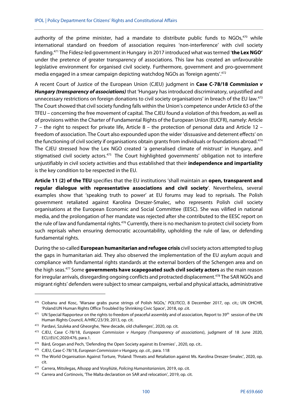authority of the prime minister, had a mandate to distribute public funds to  $NGOs<sub>1</sub><sup>470</sup>$  while international standard on freedom of association requires 'non-interference' with civil society funding.471 The Fidesz-led government in Hungary in 2017 introduced what was termed '**the Lex NGO'** under the pretence of greater transparency of associations. This law has created an unfavourable legislative environment for organised civil society. Furthermore, government and pro-government media engaged in a smear campaign depicting watchdog NGOs as 'foreign agents'.472

A recent Court of Justice of the European Union (CJEU) judgment in **Case C-78/18 Commission v Hungary (transparency of associations)** that 'Hungary has introduced discriminatory, unjustified and unnecessary restrictions on foreign donations to civil society organisations' in breach of the EU law.<sup>473</sup> The Court showed that civil society funding falls within the Union's competence under Article 63 of the TFEU – concerning the free movement of capital. The CJEU found a violation of this freedom, as well as of provisions within the Charter of Fundamental Rights of the European Union (EUCFR), namely: Article 7 – the right to respect for private life, Article 8 – the protection of personal data and Article 12 – freedom of association. The Court also expounded upon the wider 'dissuasive and deterrent effects' on the functioning of civil society if organisations obtain grants from individuals or foundations abroad.<sup>474</sup> The CJEU stressed how the Lex NGO created 'a generalised climate of mistrust' in Hungary, and stigmatised civil society actors.<sup>475</sup> The Court highlighted governments' obligation not to interfere unjustifiably in civil society activities and thus established that their **independence and impartiality** is the key condition to be respected in the EU.

**Article 11 (2) of the TEU** specifies that the EU institutions 'shall maintain an **open, transparent and regular dialogue with representative associations and civil society**'. Nevertheless, several examples show that 'speaking truth to power' at EU forums may lead to reprisals. The Polish government retaliated against Karolina Dreszer-Smalec, who represents Polish civil society organisations at the European Economic and Social Committee (EESC). She was vilified in national media, and the prolongation of her mandate was rejected after she contributed to the EESC report on the rule of law and fundamental rights.<sup>476</sup> Currently, there is no mechanism to protect civil society from such reprisals when ensuring democratic accountability, upholding the rule of law, or defending fundamental rights.

During the so-called **European humanitarian and refugee crisis** civil society actors attempted to plug the gaps in humanitarian aid. They also observed the implementation of the EU asylum acquis and compliance with fundamental rights standards at the external borders of the Schengen area and on the high seas.477 Some **governments have scapegoated such civil society actors** as the main reason for irregular arrivals, disregarding ongoing conflicts and protracted displacement.<sup>478</sup> The SAR NGOs and migrant rights' defenders were subject to smear campaigns, verbal and physical attacks, administrative

<sup>470</sup> Ciobanu and Kosc, 'Warsaw grabs purse strings of Polish NGOs,' POLITICO, 8 December 2017, op. cit.; UN OHCHR, 'Poland:UN Human Rights Office Troubled by Shrinking Civic Space', 2018, op .cit.

 $471$  UN Special Rapporteur on the rights to freedom of peaceful assembly and of association, Report to 39<sup>th</sup> session of the UN Human Rights Council, A/HRC/23/39, 2013, op. cit.

<sup>472</sup> Pardavi, Szuleka and Gheorghe, 'New decade, old challenges', 2020, op. cit.

<sup>&</sup>lt;sup>473</sup> CJEU, Case C-78/18, European Commission v Hungary (Transparency of associations), judgment of 18 June 2020, ECLI:EU:C:2020:476, para.1.

<sup>474</sup> Bárd, Grogan and Pech, 'Defending the Open Society against its Enemies', 2020, op. cit..

<sup>&</sup>lt;sup>475</sup> CJEU, Case C-78/18, European Commission v Hungary, op. cit., para. 118

<sup>476</sup> The World Organisation Against Torture, 'Poland: Threats and Retaliation against Ms. Karolina Dreszer-Smalec', 2020, op. cit.

<sup>477</sup> Carrera, Mitsilegas, Allsopp and Vosyliūtė, Policing Humanitarianism, 2019, op. cit.

<sup>478</sup> Carrera and Cortinovis, 'The Malta declaration on SAR and relocation', 2019, op. cit.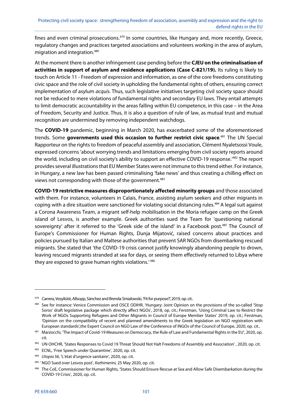fines and even criminal prosecutions.<sup>479</sup> In some countries, like Hungary and, more recently, Greece, regulatory changes and practices targeted associations and volunteers working in the area of asylum, migration and integration.480

At the moment there is another infringement case pending before the **CJEU on the criminalisation of activities in support of asylum and residence applications (Case C-821/19).** Its ruling is likely to touch on Article 11 - Freedom of expression and information, as one of the core freedoms constituting civic space and the role of civil society in upholding the fundamental rights of others, ensuring correct implementation of asylum *acquis*. Thus, such legislative initiatives targeting civil society space should not be reduced to mere violations of fundamental rights and secondary EU laws. They entail attempts to limit democratic accountability in the areas falling within EU competence, in this case – in the Area of Freedom, Security and Justice. Thus, it is also a question of rule of law, as mutual trust and mutual recognition are undermined by removing independent watchdogs.

The **COVID-19** pandemic, beginning in March 2020, has exacerbated some of the aforementioned trends. Some **governments used this occasion to further restrict civic space**. 481 The UN Special Rapporteur on the rights to freedom of peaceful assembly and association, Clément Nyaletsossi Voule, expressed concerns 'about worrying trends and limitations emerging from civil society reports around the world, including on civil society's ability to support an effective COVID-19 response.<sup>482</sup> The report provides several illustrations that EU Member States were not immune to this trend either. For instance, in Hungary, a new law has been passed criminalising 'fake news' and thus creating a chilling effect on views not corresponding with those of the government.<sup>483</sup>

**COVID-19 restrictive measures disproportionately affected minority groups** and those associated with them. For instance, volunteers in Calais, France, assisting asylum seekers and other migrants in coping with a dire situation were sanctioned for violating social distancing rules.<sup>484</sup> A legal suit against a Corona Awareness Team, a migrant self-help mobilisation in the Moria refugee camp on the Greek island of Lesvos, is another example. Greek authorities sued the Team for 'questioning national sovereignty' after it referred to the 'Greek side of the island' in a Facebook post.<sup>485</sup> The Council of Europe's Commissioner for Human Rights, Dunja Mijatović, raised concerns about practices and policies pursued by Italian and Maltese authorities that prevent SAR NGOs from disembarking rescued migrants. She stated that 'the COVID-19 crisis cannot justify knowingly abandoning people to drown, leaving rescued migrants stranded at sea for days, or seeing them effectively returned to Libya where they are exposed to grave human rights violations.' 486

<sup>479</sup> Carrera, Vosyliūtė, Allsopp, Sánchez and Brenda Smialowski, 'Fit for purpose?', 2019, op. cit..

<sup>480</sup> See for instance: Venice Commission and OSCE ODIHR, 'Hungary: Joint Opinion on the provisions of the so-called 'Stop Soros' draft legislative package which directly affect NGOs', 2018, op. cit.; Ferstman, 'Using Criminal Law to Restrict the Work of NGOs Supporting Refugees and Other Migrants in Council of Europe Member States' 2019, op. cit.; Ferstman, 'Opinion on the compatibility of recent and planned amendments to the Greek legislation on NGO registration with European standards',the Expert Council on NGO Law of the Conference of INGOs of the Council of Europe, 2020, op. cit..

<sup>481</sup> Marzocchi, 'The Impact of Covid-19 Measures on Democracy, the Rule of Law and Fundamental Rights in the EU', 2020, op. cit.

<sup>482</sup> UN OHCHR, 'States Responses to Covid 19 Threat Should Not Halt Freedoms of Assembly and Association', 2020, op. cit.

<sup>483</sup> ECNL, 'Free Speech under Quarantine', 2020, op. cit.

<sup>484</sup> Utopia 56, 'L'état d'urgence sanitaire', 2020, op. cit.

<sup>485 &#</sup>x27; NGO Sued over Lesvos post', Kathimerini, 25 May 2020, op. cit.

<sup>486</sup> The CoE, Commissioner for Human Rights, 'States Should Ensure Rescue at Sea and Allow Safe Disembarkation during the COVID-19 Crisis', 2020, op. cit.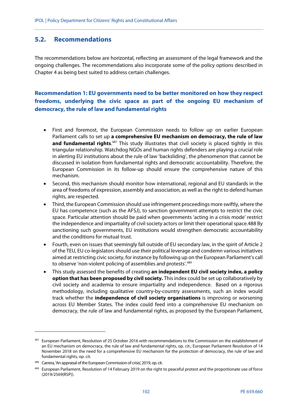### **5.2. Recommendations**

The recommendations below are horizontal, reflecting an assessment of the legal framework and the ongoing challenges. The recommendations also incorporate some of the policy options described in Chapter 4 as being best suited to address certain challenges.

### **Recommendation 1: EU governments need to be better monitored on how they respect freedoms, underlying the civic space as part of the ongoing EU mechanism of democracy, the rule of law and fundamental rights**

- First and foremost, the European Commission needs to follow up on earlier European Parliament calls to set up **a comprehensive EU mechanism on democracy, the rule of law**  and fundamental rights.<sup>487</sup> This study illustrates that civil society is placed tightly in this triangular relationship. Watchdog NGOs and human rights defenders are playing a crucial role in alerting EU institutions about the rule of law 'backsliding', the phenomenon that cannot be discussed in isolation from fundamental rights and democratic accountability. Therefore, the European Commission in its follow-up should ensure the comprehensive nature of this mechanism.
- Second, this mechanism should monitor how international, regional and EU standards in the area of freedoms of expression, assembly and association, as well as the right to defend human rights, are respected.
- Third, the European Commission should use infringement proceedings more swiftly, where the EU has competence (such as the AFSJ), to sanction government attempts to restrict the civic space. Particular attention should be paid when governments 'acting in a crisis mode' restrict the independence and impartiality of civil society actors or limit their operational space.488 By sanctioning such governments, EU institutions would strengthen democratic accountability and the conditions for mutual trust.
- Fourth, even on issues that seemingly fall outside of EU secondary law, in the spirit of Article 2 of the TEU, EU co-legislators should use their political leverage and condemn various initiatives aimed at restricting civic society, for instance by following up on the European Parliament's call to observe 'non-violent policing of assemblies and protests'.<sup>489</sup>
- This study assessed the benefits of creating **an independent EU civil society index, a policy option that has been proposed by civil society.** This index could be set up collaboratively by civil society and academia to ensure impartiality and independence. Based on a rigorous methodology, including qualitative country-by-country assessments, such an index would track whether the **independence of civil society organisations** is improving or worsening across EU Member States. The index could feed into a comprehensive EU mechanism on democracy, the rule of law and fundamental rights, as proposed by the European Parliament,

1

<sup>487</sup> European Parliament, Resolution of 25 October 2016 with recommendations to the Commission on the establishment of an EU mechanism on democracy, the rule of law and fundamental rights, op. cit.; European Parliament Resolution of 14 November 2018 on the need for a comprehensive EU mechanism for the protection of democracy, the rule of law and fundamental rights, op. cit.

<sup>488</sup> Carrera, 'An appraisal of the European Commission of crisis', 2019, op. cit.

<sup>489</sup> European Parliament, Resolution of 14 February 2019 on the right to peaceful protest and the proportionate use of force (2019/2569(RSP)).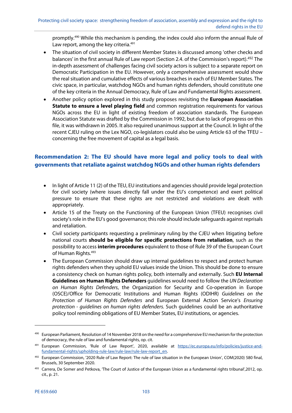promptly.490 While this mechanism is pending, the index could also inform the annual Rule of Law report, among the key criteria.<sup>491</sup>

- The situation of civil society in different Member States is discussed among 'other checks and balances' in the first annual Rule of Law report (Section 2.4. of the Commission's report).<sup>492</sup> The in-depth assessment of challenges facing civil society actors is subject to a separate report on Democratic Participation in the EU. However, only a comprehensive assessment would show the real situation and cumulative effects of various breaches in each of EU Member States. The civic space, in particular, watchdog NGOs and human rights defenders, should constitute one of the key criteria in the Annual Democracy, Rule of Law and Fundamental Rights assessment.
- Another policy option explored in this study proposes revisiting the **European Association Statute to ensure a level playing field** and common registration requirements for various NGOs across the EU in light of existing freedom of association standards. The European Association Statute was drafted by the Commission in 1992, but due to lack of progress on this file, it was withdrawn in 2005. It also required unanimous support at the Council. In light of the recent CJEU ruling on the Lex NGO, co-legislators could also be using Article 63 of the TFEU – concerning the free movement of capital as a legal basis.

### **Recommendation 2: The EU should have more legal and policy tools to deal with governments that retaliate against watchdog NGOs and other human rights defenders**

- In light of Article 11 (2) of the TEU, EU institutions and agencies should provide legal protection for civil society (where issues directly fall under the EU's competence) and exert political pressure to ensure that these rights are not restricted and violations are dealt with appropriately.
- Article 15 of the Treaty on the Functioning of the European Union (TFEU) recognises civil society's role in the EU's good governance; this role should include safeguards against reprisals and retaliation.
- Civil society participants requesting a preliminary ruling by the CJEU when litigating before national courts **should be eligible for specific protections from retaliation**, such as the possibility to access **interim procedures** equivalent to those of Rule 39 of the European Court of Human Rights.<sup>493</sup>
- The European Commission should draw up internal quidelines to respect and protect human rights defenders when they uphold EU values inside the Union. This should be done to ensure a consistency check on human rights policy, both internally and externally. Such **EU Internal Guidelines on Human Rights Defenders** guidelines would need to follow the UN Declaration on Human Rights Defenders, the Organization for Security and Co-operation in Europe (OSCE)/Office for Democratic Institutions and Human Rights (ODIHR) Guidelines on the Protection of Human Rights Defenders and European External Action Service's Ensuring protection - guidelines on human rights defenders. Such guidelines could be an authoritative policy tool reminding obligations of EU Member States, EU institutions, or agencies.

**.** 

<sup>490</sup> European Parliament, Resolution of 14 November 2018 on the need for a comprehensive EU mechanism for the protection of democracy, the rule of law and fundamental rights, op. cit.

<sup>491</sup> European Commission, 'Rule of Law Report', 2020, available at https://ec.europa.eu/info/policies/justice-andfundamental-rights/upholding-rule-law/rule-law/rule-law-report\_en.

<sup>492</sup> European Commission, '2020 Rule of Law Report: The rule of law situation in the European Union', COM(2020) 580 final, Brussels, 30 September 2020.

<sup>&</sup>lt;sup>493</sup> Carrera, De Somer and Petkova, 'The Court of Justice of the European Union as a fundamental rights tribunal', 2012, op. cit., p. 21.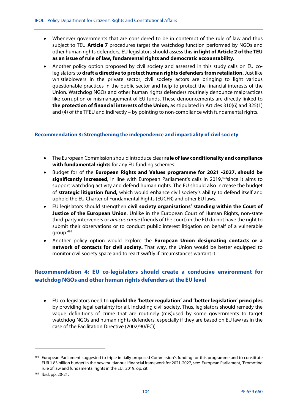- Whenever governments that are considered to be in contempt of the rule of law and thus subject to TEU **Article 7** procedures target the watchdog function performed by NGOs and other human rights defenders, EU legislators should assess this **in light of Article 2 of the TEU as an issue of rule of law, fundamental rights and democratic accountability.**
- Another policy option proposed by civil society and assessed in this study calls on EU colegislators to **draft a directive to protect human rights defenders from retaliation.** Just like whistleblowers in the private sector, civil society actors are bringing to light various questionable practices in the public sector and help to protect the financial interests of the Union. Watchdog NGOs and other human rights defenders routinely denounce malpractices like corruption or mismanagement of EU funds. These denouncements are directly linked to **the protection of financial interests of the Union,** as stipulated in Articles 310(6) and 325(1) and (4) of the TFEU and indirectly – by pointing to non-compliance with fundamental rights.

#### **Recommendation 3: Strengthening the independence and impartiality of civil society**

- The European Commission should introduce clear **rule of law conditionality and compliance with fundamental rights** for any EU funding schemes.
- Budget for of the **European Rights and Values programme for 2021 -2027, should be significantly increased**, in line with European Parliament's calls in 2019,<sup>494</sup>since it aims to support watchdog activity and defend human rights. The EU should also increase the budget of **strategic litigation fund,** which would enhance civil society's ability to defend itself and uphold the EU Charter of Fundamental Rights (EUCFR) and other EU laws.
- EU legislators should strengthen **civil society organisations' standing within the Court of Justice of the European Union**. Unlike in the European Court of Human Rights, non-state third-party interveners or amicus curiae (friends of the court) in the EU do not have the right to submit their observations or to conduct public interest litigation on behalf of a vulnerable group.495
- Another policy option would explore the **European Union designating contacts or a network of contacts for civil society.** That way, the Union would be better equipped to monitor civil society space and to react swiftly if circumstances warrant it.

### **Recommendation 4: EU co-legislators should create a conducive environment for watchdog NGOs and other human rights defenders at the EU level**

 EU co-legislators need to **uphold the 'better regulation' and 'better legislation' principles** by providing legal certainty for all, including civil society. Thus, legislators should remedy the vague definitions of crime that are routinely (mis)used by some governments to target watchdog NGOs and human rights defenders, especially if they are based on EU law (as in the case of the Facilitation Directive (2002/90/EC)).

1

<sup>&</sup>lt;sup>494</sup> European Parliament suggested to triple initially proposed Commission's funding for this programme and to constitute EUR 1.83 billion budget in the new multiannual financial framework for 2021-2027, see: European Parliament, 'Promoting rule of law and fundamental rights in the EU', 2019, op. cit.

<sup>495</sup> Ibid, pp. 20-21.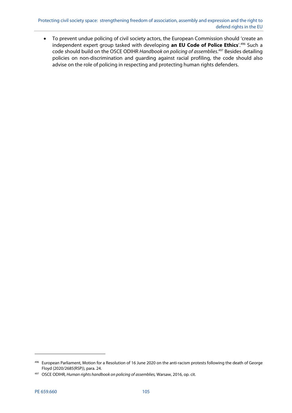To prevent undue policing of civil society actors, the European Commission should 'create an independent expert group tasked with developing **an EU Code of Police Ethics**'.496 Such a code should build on the OSCE ODIHR Handbook on policing of assemblies.<sup>497</sup> Besides detailing policies on non-discrimination and guarding against racial profiling, the code should also advise on the role of policing in respecting and protecting human rights defenders.

<sup>496</sup> European Parliament, Motion for a Resolution of 16 June 2020 on the anti-racism protests following the death of George Floyd (2020/2685(RSP)), para. 24.

<sup>497</sup> OSCE ODIHR, Human rights handbook on policing of assemblies, Warsaw, 2016, op. cit.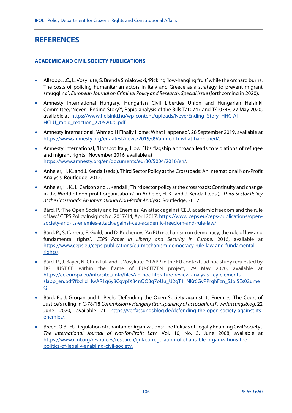# **REFERENCES**

#### **ACADEMIC AND CIVIL SOCIETY PUBLICATIONS**

- Allsopp, J.C., L. Vosyliute, S. Brenda Smialowski, 'Picking 'low-hanging fruit' while the orchard burns: The costs of policing humanitarian actors in Italy and Greece as a strategy to prevent migrant smuggling', European Journal on Criminal Policy and Research, Special Issue (forthcoming in 2020).
- Amnesty International Hungary, Hungarian Civil Liberties Union and Hungarian Helsinki Committee, 'Never - Ending Story?', Rapid analysis of the Bills T/10747 and T/10748, 27 May 2020, available at https://www.helsinki.hu/wp-content/uploads/NeverEnding\_Story\_HHC-AI-HCLU rapid reaction 27052020.pdf.
- Amnesty International, 'Ahmed H Finally Home: What Happened', 28 September 2019, available at https://www.amnesty.org/en/latest/news/2019/09/ahmed-h-what-happened/.
- Amnesty International, 'Hotspot Italy, How EU's flagship approach leads to violations of refugee and migrant rights', November 2016, available at https://www.amnesty.org/en/documents/eur30/5004/2016/en/.
- Anheier, H. K., and J. Kendall (eds.), Third Sector Policy at the Crossroads: An International Non-Profit Analysis. Routledge, 2012.
- Anheier, H. K., L. Carlson and J. Kendall ,'Third sector policy at the crossroads: Continuity and change in the World of non-profit organisations', in Anheier, H. K., and J. Kendall (eds.), Third Sector Policy at the Crossroads: An International Non-Profit Analysis. Routledge, 2012.
- Bárd, P. 'The Open Society and Its Enemies: An attack against CEU, academic freedom and the rule of law.' CEPS Policy Insights No. 2017/14, April 2017. https://www.ceps.eu/ceps-publications/opensociety-and-its-enemies-attack-against-ceu-academic-freedom-and-rule-law/.
- Bárd, P., S. Carrera, E. Guild, and D. Kochenov, 'An EU mechanism on democracy, the rule of law and fundamental rights'. CEPS Paper in Liberty and Security in Europe, 2016, available at https://www.ceps.eu/ceps-publications/eu-mechanism-democracy-rule-law-and-fundamentalrights/.
- Bárd, P., J. Bayer, N. Chun Luk and L. Vosyliute, 'SLAPP in the EU context', ad hoc study requested by DG JUSTICE within the frame of EU-CITZEN project, 29 May 2020, available at https://ec.europa.eu/info/sites/info/files/ad-hoc-literature-review-analysis-key-elementsslapp\_en.pdf?fbclid=IwAR1q6y8CqvplX84nQO3q7oUu\_U2qT11NKr6GvPPrghFzn\_SJoi5Es02ume Q.
- Bárd, P., J. Grogan and L. Pech, 'Defending the Open Society against its Enemies. The Court of Justice's ruling in C-78/18 Commission v Hungary (transparency of associations)', Verfassungsblog, 22 June 2020, available at https://verfassungsblog.de/defending-the-open-society-against-itsenemies/.
- Breen, O.B. 'EU Regulation of Charitable Organizations: The Politics of Legally Enabling Civil Society', The International Journal of Not-for-Profit Law, Vol. 10, No. 3, June 2008, available at https://www.icnl.org/resources/research/ijnl/eu-regulation-of-charitable-organizations-thepolitics-of-legally-enabling-civil-society.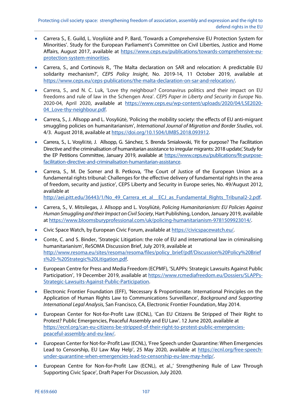- Carrera S., E. Guild, L. Vosyliūtė and P. Bard, 'Towards a Comprehensive EU Protection System for Minorities'. Study for the European Parliament's Committee on Civil Liberties, Justice and Home Affairs, August 2017, available at https://www.ceps.eu/publications/towards-comprehensive-euprotection-system-minorities.
- Carrera, S., and Cortinovis R., 'The Malta declaration on SAR and relocation: A predictable EU solidarity mechanism?', CEPS Policy Insight, No. 2019-14, 11 October 2019, available at https://www.ceps.eu/ceps-publications/the-malta-declaration-on-sar-and-relocation/.
- Carrera, S., and N. C. Luk, 'Love thy neighbour? Coronavirus politics and their impact on EU freedoms and rule of law in the Schengen Area'. CEPS Paper in Liberty and Security in Europe No. 2020-04, April 2020, available at https://www.ceps.eu/wp-content/uploads/2020/04/LSE2020- 04 Love-thy-neighbour.pdf.
- Carrera, S., J. Allsopp and L. Vosyliūtė, 'Policing the mobility society: the effects of EU anti-migrant smuggling policies on humanitarianism', International Journal of Migration and Border Studies, vol. 4/3. August 2018, available at https://doi.org/10.1504/IJMBS.2018.093912.
- Carrera, S., L. Vosyliūtė, J. Allsopp, G. Sánchez, S. Brenda Smialowski, 'Fit for purpose? The Facilitation Directive and the criminalisation of humanitarian assistance to irregular migrants: 2018 update', Study for the EP Petitions Committee, January 2019, available at https://www.ceps.eu/publications/fit-purposefacilitation-directive-and-criminalisation-humanitarian-assistance.
- Carrera, S., M. De Somer and B. Petkova, 'The Court of Justice of the European Union as a fundamental rights tribunal: Challenges for the effective delivery of fundamental rights in the area of freedom, security and justice', CEPS Liberty and Security in Europe series, No. 49/August 2012, available at

http://aei.pitt.edu/36443/1/No\_49\_Carrera\_et\_al\_\_ECJ\_as\_Fundamental\_Rights\_Tribunal2-2.pdf.

- Carrera, S., V. Mitsilegas, J. Allsopp and L. Vosyliūtė, Policing Humanitarianism: EU Policies Against Human Smuggling and their Impact on Civil Society, Hart Publishing, London, January 2019, available at https://www.bloomsburyprofessional.com/uk/policing-humanitarianism-9781509923014/.
- Civic Space Watch, by European Civic Forum, available at https://civicspacewatch.eu/.
- Conte, C. and S. Binder, 'Strategic Litigation: the role of EU and international law in criminalising humanitarianism', ReSOMA Discussion Brief, July 2019, available at http://www.resoma.eu/sites/resoma/resoma/files/policy\_brief/pdf/Discussion%20Policy%20Brief s%20-%20Strategic%20Litigation.pdf.
- European Centre for Press and Media Freedom (ECPMF), 'SLAPPs: Strategic Lawsuits Against Public Participation', 19 December 2019, available at https://www.rcmediafreedom.eu/Dossiers/SLAPPs-Strategic-Lawsuits-Against-Public-Participation.
- Electronic Frontier Foundation (EFF), 'Necessary & Proportionate. International Principles on the Application of Human Rights Law to Communications Surveillance', Background and Supporting International Legal Analysis, San Francisco, CA, Electronic Frontier Foundation, May 2014.
- European Center for Not-for-Profit Law (ECNL), 'Can EU Citizens Be Stripped of Their Right to Protest? Public Emergencies, Peaceful Assembly and EU Law'. 12 June 2020, available at https://ecnl.org/can-eu-citizens-be-stripped-of-their-right-to-protest-public-emergenciespeaceful-assembly-and-eu-law/.
- European Center for Not-for-Profit Law (ECNL), 'Free Speech under Quarantine: When Emergencies Lead to Censorship, EU Law May Help', 25 May 2020, available at https://ecnl.org/free-speechunder-quarantine-when-emergencies-lead-to-censorship-eu-law-may-help/.
- European Centre for Non-for-Profit Law (ECNL), et al.,' Strengthening Rule of Law Through Supporting Civic Space', Draft Paper For Discussion, July 2020.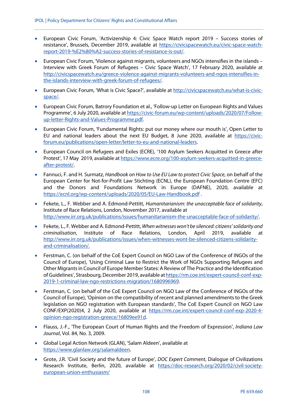- European Civic Forum, 'Activizenship 4: Civic Space Watch report 2019 Success stories of resistance', Brussels, December 2019, available at https://civicspacewatch.eu/civic-space-watchreport-2019-%E2%80%A2-success-stories-of-resistance-is-out/.
- European Civic Forum, 'Violence against migrants, volunteers and NGOs intensifies in the islands Interview with Greek Forum of Refugees – Civic Space Watch', 17 February 2020, available at http://civicspacewatch.eu/greece-violence-against-migrants-volunteers-and-ngos-intensifies-inthe-islands-interview-with-greek-forum-of-refugees/.
- European Civic Forum, 'What is Civic Space?', available at http://civicspacewatch.eu/what-is-civicspace/.
- European Civic Forum, Batrory Foundation et al., 'Follow-up Letter on European Rights and Values Programme', 6 July 2020, available at https://civic-forum.eu/wp-content/uploads/2020/07/Followup-letter-Rights-and-Values-Programme.pdf.
- European Civic Forum, 'Fundamental Rights: put our money where our mouth is', Open Letter to EU and national leaders about the next EU Budget, 8 June 2020, available at https://civicforum.eu/publications/open-letter/letter-to-eu-and-national-leaders.
- European Council on Refugees and Exiles (ECRE), '100 Asylum Seekers Acquitted in Greece after Protest', 17 May 2019, available at https://www.ecre.org/100-asylum-seekers-acquitted-in-greeceafter-protest/.
- Fannuci, F. and H. Surmatz, Handbook on How to Use EU Law to protect Civic Space, on behalf of the European Center for Not-for-Profit Law Stichting (ECNL), the European Foundation Centre (EFC) and the Donors and Foundations Network in Europe (DAFNE), 2020, available at https://ecnl.org/wp-content/uploads/2020/05/EU-Law-Handbook.pdf .
- Fekete, L., F. Webber and A. Edmond-Pettitt, Humanitarianism: the unacceptable face of solidarity, Institute of Race Relations, London, November 2017, available at http://www.irr.org.uk/publications/issues/humanitarianism-the-unacceptable-face-of-solidarity/.
- Fekete, L., F. Webber and A. Edmond-Pettitt, When witnesses won't be silenced: citizens' solidarity and criminalisation, Institute of Race Relations, London, April 2019, available http://www.irr.org.uk/publications/issues/when-witnesses-wont-be-silenced-citizens-solidarityand-criminalisation/.
- Ferstman, C. (on behalf of the CoE Expert Council on NGO Law of the Conference of INGOs of the Council of Europe), 'Using Criminal Law to Restrict the Work of NGOs Supporting Refugees and Other Migrants in Council of Europe Member States: A Review of The Practice and the Identification of Guidelines', Strasbourg, December 2019, available at https://rm.coe.int/expert-council-conf-exp-2019-1-criminal-law-ngo-restrictions-migration/1680996969.
- Ferstman, C. (on behalf of the CoE Expert Council on NGO Law of the Conference of INGOs of the Council of Europe), 'Opinion on the compatibility of recent and planned amendments to the Greek legislation on NGO registration with European standards', The CoE Expert Council on NGO Law CONF/EXP(2020)4, 2 July 2020, available at https://rm.coe.int/expert-council-conf-exp-2020-4 opinion-ngo-registration-greece/16809ee91d.
- Flauss, J.-F., 'The European Court of Human Rights and the Freedom of Expression', Indiana Law Journal, Vol. 84, No. 3, 2009.
- Global Legal Action Network (GLAN), 'Salam Aldeen', available at https://www.glanlaw.org/salamaldeen.
- Grote, J.R. 'Civil Society and the future of Europe', DOC Expert Comment, Dialogue of Civilizations Research Institute, Berlin, 2020, available at https://doc-research.org/2020/02/civil-societyeuropean-union-enthusiasm/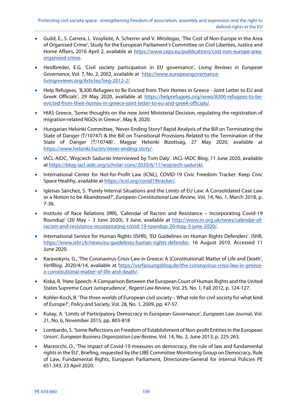- Guild, E., S. Carrera, L. Vosyliūtė, A. Scherrer and V. Mitsilegas, 'The Cost of Non-Europe in the Area of Organised Crime', Study for the European Parliament's Committee on Civil Liberties, Justice and Home Affairs, 2016 April 2, available at https://www.ceps.eu/publications/cost-non-europe-areaorganised-crime.
- Heidbreder, E.G. 'Civil society participation in EU governance', Living Reviews in European Governance, Vol. 7, No. 2, 2002, available at http://www.europeangovernancelivingreviews.org/Articles/lreg-2012-2/
- Help Refugees, '8,300 Refugees to Be Evicted from Their Homes in Greece Joint Letter to EU and Greek Officials', 29 May 2020, available at https://helprefugees.org/news/8300-refugees-to-beevicted-from-their-homes-in-greece-joint-letter-to-eu-and-greek-officials/.
- HIAS Greece, 'Some thoughts on the new Joint Ministerial Decision, regulating the registration of migration-related NGOs in Greece', May 8, 2020.
- Hungarian Helsinki Committee, 'Never-Ending Story? Rapid Analysis of the Bill on Terminating the State of Danger (T/10747) & the Bill on Transitional Provisions Related to the Termination of the State of Danger (T/10748)'. Magyar Helsinki Bizottság, 27 May 2020, available at https://www.helsinki.hu/en/never-ending-story/.
- IACL-AIDC, 'Wojciech Sadurski Interviewed by Tom Daly'. IACL-IADC Blog, 11 June 2020, available at https://blog-iacl-aidc.org/scholar-conv/2020/6/11/wojciech-sadurski.
- International Center for Not-for-Profit Law (ICNL), COVID-19 Civic Freedom Tracker: Keep Civic Space Healthy, available at https://icnl.org/covid19tracker/.
- Iglesias Sánchez, S. 'Purely Internal Situations and the Limits of EU Law: A Consolidated Case Law or a Notion to be Abandoned?', European Constitutional Law Review, Vol. 14, No. 1, March 2018, p. 7-36.
- Institute of Race Relations (IRR), 'Calendar of Racism and Resistance Incorporating Covid-19 Roundup' (20 May – 3 June 2020), 3 June, available at http://www.irr.org.uk/news/calendar-ofracism-and-resistance-incorporating-covid-19-roundup-20-may-3-june-2020/.
- International Service for Human Rights (ISHR), 'EU Guidelines on Human Rights Defenders'. ISHR, https://www.ishr.ch/news/eu-guidelines-human-rights-defender, 16 August 2010. Accessed 11 June 2020.
- Karavokyris, G., 'The Coronavirus Crisis-Law in Greece: A (Constitutional) Matter of Life and Death', VerfBlog, 2020/4/14, available at https://verfassungsblog.de/the-coronavirus-crisis-law-in-greecea-constitutional-matter-of-life-and-death/.
- Kiska, R. 'Hate Speech: A Comparison Between the European Court of Human Rights and the United States Supreme Court Jurisprudence', Regent Law Review, Vol. 25, No. 1, Fall 2012, p. 124-127.
- Kohler-Koch, B. 'The three worlds of European civil society What role for civil society for what kind of Europe?', Policy and Society, Vol. 28, No. 1, 2009, pp. 47-57.
- Kutay, A. 'Limits of Participatory Democracy in European Governance', European Law Journal, Vol. 21, No. 6, November 2015, pp. 803-818
- Lombardo, S. 'Some Reflections on Freedom of Establishment of Non-profit Entities in the European Union', European Business Organization Law Review, Vol. 14, No. 2, June 2013, p. 225-263.
- Marzocchi, O., 'The impact of Covid-19 measures on democracy, the rule of law and fundamental rights in the EU', Briefing, requested by the LIBE Committee Monitoring Group on Democracy, Rule of Law, Fundamental Rights, European Parliament, Directorate-General for Internal Policies PE 651.343, 23 April 2020.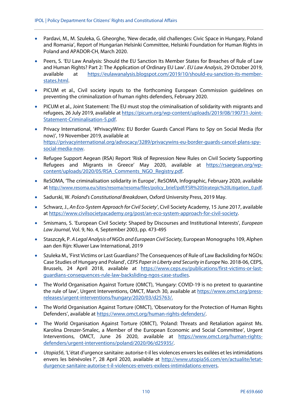- Pardavi, M., M. Szuleka, G. Gheorghe, 'New decade, old challenges: Civic Space in Hungary, Poland and Romania', Report of Hungarian Helsinki Committee, Helsinki Foundation for Human Rights in Poland and APADOR-CH, March 2020.
- Peers, S. 'EU Law Analysis: Should the EU Sanction Its Member States for Breaches of Rule of Law and Human Rights? Part 2: The Application of Ordinary EU Law'. EU Law Analysis, 29 October 2019, available at https://eulawanalysis.blogspot.com/2019/10/should-eu-sanction-its-memberstates.html.
- PICUM et al., Civil society inputs to the forthcoming European Commission guidelines on preventing the criminalization of human rights defenders, February 2020.
- PICUM et al., Joint Statement: The EU must stop the criminalisation of solidarity with migrants and refugees, 26 July 2019, available at https://picum.org/wp-content/uploads/2019/08/190731-Joint-Statement-Criminalisation-5.pdf.
- Privacy International, '#PrivacyWins: EU Border Guards Cancel Plans to Spy on Social Media (for now)', 19 November 2019, available at https://privacyinternational.org/advocacy/3289/privacywins-eu-border-guards-cancel-plans-spysocial-media-now.
- Refugee Support Aegean (RSA) Report 'Risk of Repression New Rules on Civil Society Supporting Refugees and Migrants in Greece' May 2020, available at https://rsaegean.org/wpcontent/uploads/2020/05/RSA\_Comments\_NGO\_Registry.pdf.
- ReSOMA, 'The criminalisation solidarity in Europe', ReSOMA, Infographic, February 2020, available at http://www.resoma.eu/sites/resoma/resoma/files/policy\_brief/pdf/FSR%20Strategic%20Litigation\_0.pdf.
- Sadurski, W. Poland's Constitutional Breakdown, Oxford University Press, 2019 May.
- Schwarz, J., An Eco-System Approach for Civil Society', Civil Society Academy, 15 June 2017, available at https://www.civilsocietyacademy.org/post/an-eco-system-approach-for-civil-society.
- Smismans, S. 'European Civil Society: Shaped by Discourses and Institutional Interests', *European* Law Journal, Vol. 9, No. 4, September 2003, pp. 473-495
- Staszczyk, P. A Legal Analysis of NGOs and European Civil Society, European Monographs 109, Alphen aan den Rijn: Kluwer Law International, 2019
- Szuleka M., 'First Victims or Last Guardians? The Consequences of Rule of Law Backsliding for NGOs: Case Studies of Hungary and Poland', CEPS Paper in Liberty and Security in Europe No. 2018-06, CEPS, Brussels, 24 April 2018, available at https://www.ceps.eu/publications/first-victims-or-lastguardians-consequences-rule-law-backsliding-ngos-case-studies.
- The World Organisation Against Torture (OMCT), 'Hungary: COVID-19 is no pretext to quarantine the rule of law', Urgent Interventions, OMCT, March 30, available at https://www.omct.org/pressreleases/urgent-interventions/hungary/2020/03/d25763/.
- The World Organisation Against Torture (OMCT), 'Observatory for the Protection of Human Rights Defenders', available at https://www.omct.org/human-rights-defenders/.
- The World Organisation Against Torture (OMCT), 'Poland: Threats and Retaliation against Ms. Karolina Dreszer-Smalec, a Member of the European Economic and Social Committee', Urgent Interventions, OMCT, June 26 2020, available at https://www.omct.org/human-rightsdefenders/urgent-interventions/poland/2020/06/d25935/.
- Utopia56, 'L'état d'urgence sanitaire: autorise-t-il les violences envers les exilées et les intimidations envers les bénévoles ?', 28 April 2020, available at http://www.utopia56.com/en/actualite/letatdurgence-sanitaire-autorise-t-il-violences-envers-exilees-intimidations-envers.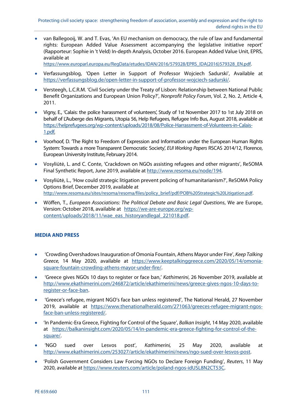van Ballegooij, W. and T. Evas, 'An EU mechanism on democracy, the rule of law and fundamental rights: European Added Value Assessment accompanying the legislative initiative report' (Rapporteur: Sophie in 't Veld) In-depth Analysis, October 2016. European Added Value Unit, EPRS, available at

https://www.europarl.europa.eu/RegData/etudes/IDAN/2016/579328/EPRS\_IDA(2016)579328\_EN.pdf.

- Verfassungsblog, 'Open Letter in Support of Professor Wojciech Sadurski', Available at https://verfassungsblog.de/open-letter-in-support-of-professor-wojciech-sadurski/.
- Versteegh, L.C.R.M. 'Civil Society under the Treaty of Lisbon: Relationship between National Public Benefit Organizations and European Union Policy?', Nonprofit Policy Forum, Vol. 2, No. 2, Article 4, 2011.
- Vigny, E., 'Calais: the police harassment of volunteers', Study of 1st November 2017 to 1st July 2018 on behalf of L'Auberge des Migrants, Utopia 56, Help Refugees, Refugee Info Bus, August 2018, available at https://helprefugees.org/wp-content/uploads/2018/08/Police-Harrassment-of-Volunteers-in-Calais-1.pdf.
- Voorhoof, D. 'The Right to Freedom of Expression and Information under the European Human Rights System: Towards a more Transparent Democratic Society', EUI Working Papers RSCAS 2014/12, Florence, European University Institute, February 2014.
- Vosyliūtė, L. and C. Conte, 'Crackdown on NGOs assisting refugees and other migrants', ReSOMA Final Synthetic Report, June 2019, available at http://www.resoma.eu/node/194.
- Vosyliūtė, L., 'How could strategic litigation prevent policing of humanitarianism?', ReSOMA Policy Options Brief, December 2019, available at http://www.resoma.eu/sites/resoma/resoma/files/policy\_brief/pdf/POB%20Strategic%20Litigation.pdf.
- Wöffen, T., European Associations: The Political Debate and Basic Legal Questions, We are Europe, Version: October 2018, available at https://we-are-europe.org/wpcontent/uploads/2018/11/wae\_eas\_historyandlegal\_221018.pdf.

## **MEDIA AND PRESS**

- 'Crowding Overshadows Inauguration of Omonia Fountain, Athens Mayor under Fire', Keep Talking Greece, 14 May 2020, available at https://www.keeptalkinggreece.com/2020/05/14/omoniasquare-fountain-crowding-athens-mayor-under-fire/.
- 'Greece gives NGOs 10 days to register or face ban,' Kathimerini, 26 November 2019, available at http://www.ekathimerini.com/246872/article/ekathimerini/news/greece-gives-ngos-10-days-toregister-or-face-ban.
- 'Greece's refugee, migrant NGO's face ban unless registered', The National Herald, 27 November 2019, available at https://www.thenationalherald.com/271063/greeces-refugee-migrant-ngosface-ban-unless-registered/.
- 'In Pandemic-Era Greece, Fighting for Control of the Square', Balkan Insight, 14 May 2020, available at https://balkaninsight.com/2020/05/14/in-pandemic-era-greece-fighting-for-control-of-thesquare/.
- 'NGO sued over Lesvos post', Kathimerini, 25 May 2020, available at http://www.ekathimerini.com/253027/article/ekathimerini/news/ngo-sued-over-lesvos-post.
- 'Polish Government Considers Law Forcing NGOs to Declare Foreign Funding', Reuters, 11 May 2020, available at https://www.reuters.com/article/poland-ngos-idUSL8N2CT53C.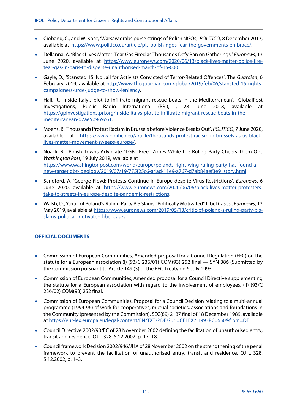- Ciobanu, C., and W. Kosc, 'Warsaw grabs purse strings of Polish NGOs,' POLITICO, 8 December 2017, available at https://www.politico.eu/article/pis-polish-ngos-fear-the-governments-embrace/.
- Dellanna, A. 'Black Lives Matter: Tear Gas Fired as Thousands Defy Ban on Gatherings.' Euronews, 13 June 2020, available at https://www.euronews.com/2020/06/13/black-lives-matter-police-firetear-gas-in-paris-to-disperse-unauthorised-march-of-15-000.
- Gayle, D., 'Stansted 15: No Jail for Activists Convicted of Terror-Related Offences'. The Guardian, 6 February 2019, available at http://www.theguardian.com/global/2019/feb/06/stansted-15-rightscampaigners-urge-judge-to-show-leniency.
- Hall, R., 'Inside Italy's plot to infiltrate migrant rescue boats in the Mediterranean', GlobalPost Investigations, Public Radio International (PRI), , 28 June 2018, available at https://gpinvestigations.pri.org/inside-italys-plot-to-infiltrate-migrant-rescue-boats-in-themediterranean-d7ae5b969c61.
- Moens, B. 'Thousands Protest Racism in Brussels before Violence Breaks Out'. POLITICO, 7 June 2020, available at https://www.politico.eu/article/thousands-protest-racism-in-brussels-as-us-blacklives-matter-movement-sweeps-europe/.
- Noack, R., 'Polish Towns Advocate "LGBT-Free" Zones While the Ruling Party Cheers Them On', Washington Post, 19 July 2019, available at https://www.washingtonpost.com/world/europe/polands-right-wing-ruling-party-has-found-anew-targetlgbt-ideology/2019/07/19/775f25c6-a4ad-11e9-a767-d7ab84aef3e9\_story.html.
- Sandford, A. 'George Floyd: Protests Continue in Europe despite Virus Restrictions', Euronews, 6 June 2020, available at https://www.euronews.com/2020/06/06/black-lives-matter-protesterstake-to-streets-in-europe-despite-pandemic-restrictions.
- Walsh, D., 'Critic of Poland's Ruling Party PiS Slams "Politically Motivated" Libel Cases'. Euronews, 13 May 2019, available at https://www.euronews.com/2019/05/13/critic-of-poland-s-ruling-party-pisslams-political-motivated-libel-cases.

## **OFFICIAL DOCUMENTS**

- Commission of European Communities, Amended proposal for a Council Regulation (EEC) on the statute for a European association (l) (93/C 236/01) COM(93) 252 final — SYN 386 (Submitted by the Commission pursuant to Article 149 (3) of the EEC Treaty on 6 July 1993.
- Commission of European Communities, Amended proposal for a Council Directive supplementing the statute for a European association with regard to the involvement of employees, (II) (93/C 236/02) COM(93) 252 final.
- Commission of European Communities, Proposal for a Council Decision relating to a multi-annual programme (1994-96) of work for cooperatives, mutual societies, associations and foundations in the Community (presented by the Commission), SEC(89) 2187 final of 18 December 1989, available at https://eur-lex.europa.eu/legal-content/EN/TXT/PDF/?uri=CELEX:51993PC0650&from=DE.
- Council Directive 2002/90/EC of 28 November 2002 defining the facilitation of unauthorised entry, transit and residence, OJ L 328, 5.12.2002, p. 17–18.
- Council framework Decision 2002/946/JHA of 28 November 2002 on the strengthening of the penal framework to prevent the facilitation of unauthorised entry, transit and residence, OJ L 328, 5.12.2002, p. 1–3.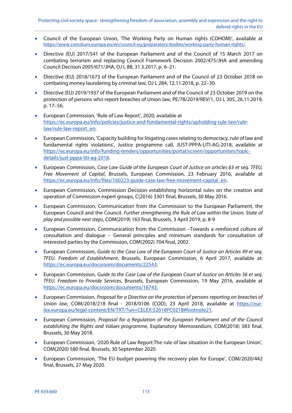- Council of the European Union, 'The Working Party on Human rights (COHOM)', available at https://www.consilium.europa.eu/en/council-eu/preparatory-bodies/working-party-human-rights/.
- Directive (EU) 2017/541 of the European Parliament and of the Council of 15 March 2017 on combating terrorism and replacing Council Framework Decision 2002/475/JHA and amending Council Decision 2005/671/JHA, OJ L 88, 31.3.2017, p. 6–21.
- Directive (EU) 2018/1673 of the European Parliament and of the Council of 23 October 2018 on combating money laundering by criminal law, OJ L 284, 12.11.2018, p. 22–30.
- Directive (EU) 2019/1937 of the European Parliament and of the Council of 23 October 2019 on the protection of persons who report breaches of Union law, PE/78/2019/REV/1, OJ L 305, 26.11.2019, p. 17–56.
- European Commission, 'Rule of Law Report', 2020, available at https://ec.europa.eu/info/policies/justice-and-fundamental-rights/upholding-rule-law/rulelaw/rule-law-report\_en.
- European Commission, 'Capacity building for litigating cases relating to democracy, rule of law and fundamental rights violations', Justice programme call, JUST-PPPA-LITI-AG-2018, available at https://ec.europa.eu/info/funding-tenders/opportunities/portal/screen/opportunities/topicdetails/just-pppa-liti-ag-2018.
- European Commission, Case Law Guide of the European Court of Justice on articles 63 et seq. TFEU, Free Movement of Capital, Brussels, European Commission, 23 February 2016, available at https://ec.europa.eu/info/files/160223-guide-case-law-free-movement-capital\_en.
- European Commission, Commission Decision establishing horizontal rules on the creation and operation of Commission expert groups, C(2016) 3301 final, Brussels, 30 May 2016.
- European Commission, Communication from the Commission to the European Parliament, the European Council and the Council. Further strengthening the Rule of Law within the Union. State of play and possible next steps, COM(2019) 163 final, Brussels, 3 April 2019, p. 8-9
- European Commission, Communication from the Commission –Towards a reinforced culture of consultation and dialogue – General principles and minimum standards for consultation of interested parties by the Commission, COM(2002) 704 final, 2002.
- European Commission, Guide to the Case Law of the European Court of Justice on Articles 49 et seq. TFEU. Freedom of Establishment, Brussels, European Commission, 6 April 2017, available at: https://ec.europa.eu/docsroom/documents/22543.
- European Commission, Guide to the Case Law of the European Court of Justice on Articles 56 et seq. TFEU. Freedom to Provide Services, Brussels, European Commission, 19 May 2016, available at https://ec.europa.eu/docsroom/documents/16743.
- European Commission, Proposal for a Directive on the protection of persons reporting on breaches of Union law, COM/2018/218 final - 2018/0106 (COD), 23 April 2018, available at https://eurlex.europa.eu/legal-content/EN/TXT/?uri=CELEX:52018PC0218#footnote21.
- European Commission, Proposal for a Regulation of the European Parliament and of the Council establishing the Rights and Values programme, Explanatory Memorandum, COM(2018) 383 final, Brussels, 30 May 2018.
- European Commission, '2020 Rule of Law Report:The rule of law situation in the European Union', COM(2020) 580 final, Brussels, 30 September 2020.
- European Commission, 'The EU budget powering the recovery plan for Europe', COM/2020/442 final, Brussels, 27 May 2020.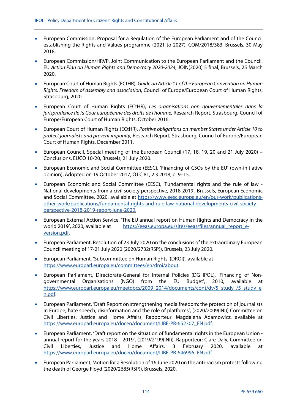- European Commission, Proposal for a Regulation of the European Parliament and of the Council establishing the Rights and Values programme (2021 to 2027), COM/2018/383, Brussels, 30 May 2018.
- European Commission/HRVP, Joint Communication to the European Parliament and the Council. EU Action Plan on Human Rights and Democracy 2020-2024, JOIN(2020) 5 final, Brussels, 25 March 2020.
- European Court of Human Rights (ECtHR), Guide on Article 11 of the European Convention on Human Rights. Freedom of assembly and association, Council of Europe/European Court of Human Rights, Strasbourg, 2020.
- European Court of Human Rights (ECtHR), Les organisations non gouvernementales dans la jurisprudence de la Cour européenne des droits de l'homme, Research Report, Strasbourg, Council of Europe/European Court of Human Rights, October 2016.
- European Court of Human Rights (ECtHR), Positive obligations on member States under Article 10 to protect journalists and prevent impunity, Research Report, Strasbourg, Council of Europe/European Court of Human Rights, December 2011.
- European Council, Special meeting of the European Council (17, 18, 19, 20 and 21 July 2020) Conclusions, EUCO 10/20, Brussels, 21 July 2020.
- European Economic and Social Committee (EESC), 'Financing of CSOs by the EU' (own-initiative opinion), Adopted on 19 October 2017, OJ C 81, 2.3.2018, p. 9–15.
- European Economic and Social Committee (EESC), 'Fundamental rights and the rule of law National developments from a civil society perspective, 2018-2019', Brussels, European Economic and Social Committee, 2020, available at https://www.eesc.europa.eu/en/our-work/publicationsother-work/publications/fundamental-rights-and-rule-law-national-developments-civil-societyperspective-2018-2019-report-june-2020.
- European External Action Service, 'The EU annual report on Human Rights and Democracy in the world 2019', 2020, available at https://eeas.europa.eu/sites/eeas/files/annual\_report\_eversion.pdf.
- European Parliament, Resolution of 23 July 2020 on the conclusions of the extraordinary European Council meeting of 17-21 July 2020 (2020/2732(RSP)), Brussels, 23 July 2020.
- European Parliament, 'Subcommittee on Human Rights (DROI)', available at https://www.europarl.europa.eu/committees/en/droi/about.
- European Parliament, Directorate-General for Internal Policies (DG IPOL), 'Financing of Nongovernmental Organisations (NGO) from the EU Budget', 2010, available at https://www.europarl.europa.eu/meetdocs/2009\_2014/documents/cont/dv/5\_study\_/5\_study\_e n.pdf.
- European Parliament, 'Draft Report on strengthening media freedom: the protection of journalists in Europe, hate speech, disinformation and the role of platforms', (2020/2009(INI)) Committee on Civil Liberties, Justice and Home Affairs, Rapporteur: Magdalena Adamowicz, available at https://www.europarl.europa.eu/doceo/document/LIBE-PR-652307\_EN.pdf.
- European Parliament, 'Draft report on the situation of fundamental rights in the European Union annual report for the years 2018 – 2019', (2019/2199(INI)), Rapporteur: Clare Daly, Committee on Civil Liberties, Justice and Home Affairs, 3 February 2020, available at https://www.europarl.europa.eu/doceo/document/LIBE-PR-646996\_EN.pdf
- European Parliament, Motion for a Resolution of 16 June 2020 on the anti-racism protests following the death of George Floyd (2020/2685(RSP)), Brussels, 2020.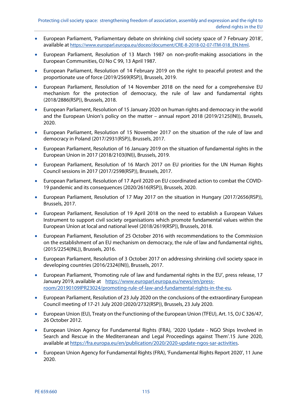- European Parliament, 'Parliamentary debate on shrinking civil society space of 7 February 2018', available at https://www.europarl.europa.eu/doceo/document/CRE-8-2018-02-07-ITM-018\_EN.html.
- European Parliament, Resolution of 13 March 1987 on non-profit-making associations in the European Communities, OJ No C 99, 13 April 1987.
- European Parliament, Resolution of 14 February 2019 on the right to peaceful protest and the proportionate use of force (2019/2569(RSP)), Brussels, 2019.
- European Parliament, Resolution of 14 November 2018 on the need for a comprehensive EU mechanism for the protection of democracy, the rule of law and fundamental rights (2018/2886(RSP)), Brussels, 2018.
- European Parliament, Resolution of 15 January 2020 on human rights and democracy in the world and the European Union's policy on the matter – annual report 2018 (2019/2125(INI)), Brussels, 2020.
- European Parliament, Resolution of 15 November 2017 on the situation of the rule of law and democracy in Poland (2017/2931(RSP)), Brussels, 2017.
- European Parliament, Resolution of 16 January 2019 on the situation of fundamental rights in the European Union in 2017 (2018/2103(INI)), Brussels, 2019.
- European Parliament, Resolution of 16 March 2017 on EU priorities for the UN Human Rights Council sessions in 2017 (2017/2598(RSP)), Brussels, 2017.
- European Parliament, Resolution of 17 April 2020 on EU coordinated action to combat the COVID-19 pandemic and its consequences (2020/2616(RSP)), Brussels, 2020.
- European Parliament, Resolution of 17 May 2017 on the situation in Hungary (2017/2656(RSP)), Brussels, 2017.
- European Parliament, Resolution of 19 April 2018 on the need to establish a European Values Instrument to support civil society organisations which promote fundamental values within the European Union at local and national level (2018/2619(RSP)), Brussels, 2018.
- European Parliament, Resolution of 25 October 2016 with recommendations to the Commission on the establishment of an EU mechanism on democracy, the rule of law and fundamental rights, (2015/2254(INL)), Brussels, 2016.
- European Parliament, Resolution of 3 October 2017 on addressing shrinking civil society space in developing countries (2016/2324(INI)), Brussels, 2017.
- European Parliament, 'Promoting rule of law and fundamental rights in the EU', press release, 17 January 2019, available at https://www.europarl.europa.eu/news/en/pressroom/20190109IPR23024/promoting-rule-of-law-and-fundamental-rights-in-the-eu.
- European Parliament, Resolution of 23 July 2020 on the conclusions of the extraordinary European Council meeting of 17-21 July 2020 (2020/2732(RSP)), Brussels, 23 July 2020.
- European Union (EU), Treaty on the Functioning of the European Union (TFEU), Art. 15, OJ C 326/47, 26 October 2012.
- European Union Agency for Fundamental Rights (FRA), '2020 Update NGO Ships Involved in Search and Rescue in the Mediterranean and Legal Proceedings against Them'.15 June 2020, available at https://fra.europa.eu/en/publication/2020/2020-update-ngos-sar-activities.
- European Union Agency for Fundamental Rights (FRA), 'Fundamental Rights Report 2020', 11 June 2020.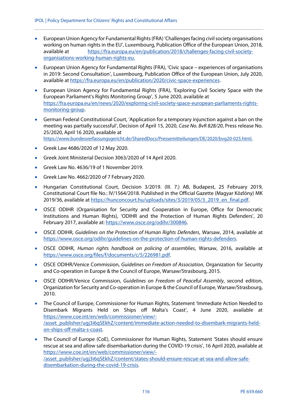- European Union Agency for Fundamental Rights (FRA) 'Challenges facing civil society organisations working on human rights in the EU', Luxembourg, Publication Office of the European Union, 2018, available at https://fra.europa.eu/en/publication/2018/challenges-facing-civil-societyorganisations-working-human-rights-eu.
- European Union Agency for Fundamental Rights (FRA), 'Civic space experiences of organisations in 2019: Second Consultation', Luxembourg, Publication Office of the European Union, July 2020, available at https://fra.europa.eu/en/publication/2020/civic-space-experiences.
- European Union Agency for Fundamental Rights (FRA), 'Exploring Civil Society Space with the European Parliament's Rights Monitoring Group', 5 June 2020, available at https://fra.europa.eu/en/news/2020/exploring-civil-society-space-european-parliaments-rightsmonitoring-group.
- German Federal Constitutional Court, 'Application for a temporary injunction against a ban on the meeting was partially successful', Decision of April 15, 2020, Case No. BvR 828/20, Press release No. 25/2020, April 16 2020, available at https://www.bundesverfassungsgericht.de/SharedDocs/Pressemitteilungen/DE/2020/bvg20-025.html.
- Greek Law 4686/2020 of 12 May 2020.
- Greek Joint Ministerial Decision 3063/2020 of 14 April 2020.
- Greek Law No. 4636/19 of 1 November 2019.
- Greek Law No. 4662/2020 of 7 February 2020.
- Hungarian Constitutional Court, Decision 3/2019. (III. 7.) AB, Budapest, 25 February 2019, Constitutional Court file No.: IV/1564/2018. Published in the Official Gazette (Magyar Közlöny) MK 2019/36, available at https://hunconcourt.hu/uploads/sites/3/2019/05/3\_2019\_en\_final.pdf.
- OSCE ODIHR (Organisation for Security and Cooperation in Europe, Office for Democratic Institutions and Human Rights), 'ODIHR and the Protection of Human Rights Defenders', 20 February 2017, available at: https://www.osce.org/odihr/300846.
- OSCE ODIHR, Guidelines on the Protection of Human Rights Defenders, Warsaw, 2014, available at https://www.osce.org/odihr/guidelines-on-the-protection-of-human-rights-defenders.
- OSCE ODIHR, Human rights handbook on policing of assemblies, Warsaw, 2016, available at https://www.osce.org/files/f/documents/c/5/226981.pdf.
- OSCE ODIHR/Venice Commission, Guidelines on Freedom of Association, Organization for Security and Co-operation in Europe & the Council of Europe, Warsaw/Strasbourg, 2015.
- OSCE ODIHR/Venice Commission, Guidelines on Freedom of Peaceful Assembly, second edition, Organization for Security and Co-operation in Europe & the Council of Europe, Warsaw/Strasbourg, 2010.
- The Council of Europe, Commissioner for Human Rights, Statement 'Immediate Action Needed to Disembark Migrants Held on Ships off Malta's Coast', 4 June 2020, available at https://www.coe.int/en/web/commissioner/view/- /asset\_publisher/ugj3i6qSEkhZ/content/immediate-action-needed-to-disembark-migrants-heldon-ships-off-malta-s-coast.
- The Council of Europe (CoE), Commissioner for Human Rights, Statement 'States should ensure rescue at sea and allow safe disembarkation during the COVID-19 crisis', 16 April 2020, available at https://www.coe.int/en/web/commissioner/view/- /asset\_publisher/ugj3i6qSEkhZ/content/states-should-ensure-rescue-at-sea-and-allow-safedisembarkation-during-the-covid-19-crisis.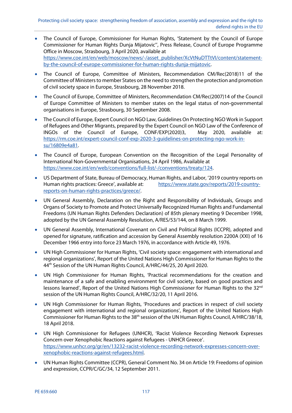- The Council of Europe, Commissioner for Human Rights, 'Statement by the Council of Europe Commissioner for Human Rights Dunja Mijatovic'', Press Release, Council of Europe Programme Office in Moscow, Strasbourg, 3 April 2020, available at https://www.coe.int/en/web/moscow/news/-/asset\_publisher/XcVtNuDTTtVI/content/statementby-the-council-of-europe-commissioner-for-human-rights-dunja-mijatovic.
- The Council of Europe, Committee of Ministers, Recommendation CM/Rec(2018)11 of the Committee of Ministers to member States on the need to strengthen the protection and promotion of civil society space in Europe, Strasbourg, 28 November 2018.
- The Council of Europe, Committee of Ministers, Recommendation CM/Rec(2007)14 of the Council of Europe Committee of Ministers to member states on the legal status of non-governmental organisations in Europe, Strasbourg, 30 September 2008.
- The Council of Europe, Expert Council on NGO Law, Guidelines On Protecting NGO Work in Support of Refugees and Other Migrants, prepared by the Expert Council on NGO Law of the Conference of INGOs of the Council of Europe, CONF/EXP(2020)3, May 2020, available at: https://rm.coe.int/expert-council-conf-exp-2020-3-guidelines-on-protecting-ngo-work-insu/16809e4a81.
- The Council of Europe, European Convention on the Recognition of the Legal Personality of International Non-Governmental Organisations, 24 April 1986, Available at https://www.coe.int/en/web/conventions/full-list/-/conventions/treaty/124.
- US Department of State, Bureau of Democracy, Human Rights, and Labor, '2019 country reports on Human rights practices: Greece', available at: https://www.state.gov/reports/2019-countryreports-on-human-rights-practices/greece/.
- UN General Assembly, Declaration on the Right and Responsibility of Individuals, Groups and Organs of Society to Promote and Protect Universally Recognized Human Rights and Fundamental Freedoms (UN Human Rights Defenders Declaration) of 85th plenary meeting 9 December 1998, adopted by the UN General Assembly Resolution, A/RES/53/144, on 8 March 1999.
- UN General Assembly, International Covenant on Civil and Political Rights (ICCPR), adopted and opened for signature, ratification and accession by General Assembly resolution 2200A (XXI) of 16 December 1966 entry into force 23 March 1976, in accordance with Article 49, 1976.
- UN High Commissioner for Human Rights, 'Civil society space: engagement with international and regional organizations', Report of the United Nations High Commissioner for Human Rights to the 44<sup>th</sup> Session of the UN Human Rights Council, A/HRC/44/25, 20 April 2020.
- UN High Commissioner for Human Rights, 'Practical recommendations for the creation and maintenance of a safe and enabling environment for civil society, based on good practices and lessons learned', Report of the United Nations High Commissioner for Human Rights to the 32<sup>nd</sup> session of the UN Human Rights Council, A/HRC/32/20, 11 April 2016.
- UN High Commissioner for Human Rights, 'Procedures and practices in respect of civil society engagement with international and regional organizations', Report of the United Nations High Commissioner for Human Rights to the 38<sup>th</sup> session of the UN Human Rights Council, A/HRC/38/18, 18 April 2018.
- UN High Commissioner for Refugees (UNHCR), 'Racist Violence Recording Network Expresses Concern over Xenophobic Reactions against Refugees - UNHCR Greece'. https://www.unhcr.org/gr/en/13232-racist-violence-recording-network-expresses-concern-overxenophobic-reactions-against-refugees.html.
- UN Human Rights Committee (CCPR), General Comment No. 34 on Article 19: Freedoms of opinion and expression, CCPR/C/GC/34, 12 September 2011.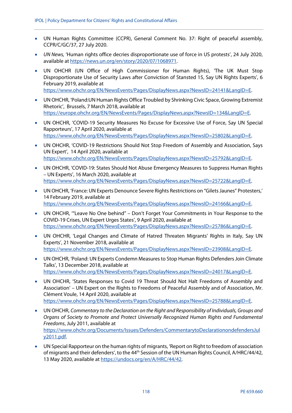- UN Human Rights Committee (CCPR), General Comment No. 37: Right of peaceful assembly, CCPR/C/GC/37, 27 July 2020.
- UN News, 'Human rights office decries disproportionate use of force in US protests', 24 July 2020, available at https://news.un.org/en/story/2020/07/1068971.
- UN OHCHR (UN Office of High Commissioner for Human Rights), 'The UK Must Stop Disproportionate Use of Security Laws after Conviction of Stansted 15, Say UN Rights Experts', 6 February 2019, available at https://www.ohchr.org/EN/NewsEvents/Pages/DisplayNews.aspx?NewsID=24141&LangID=E.
	-
- UN OHCHR, 'Poland:UN Human Rights Office Troubled by Shrinking Civic Space, Growing Extremist Rhetoric', Brussels, 7 March 2018, available at https://europe.ohchr.org/EN/NewsEvents/Pages/DisplayNews.aspx?NewsID=134&LangID=E.
- UN OHCHR, 'COVID-19 Security Measures No Excuse for Excessive Use of Force, Say UN Special Rapporteurs', 17 April 2020, available at https://www.ohchr.org/EN/NewsEvents/Pages/DisplayNews.aspx?NewsID=25802&LangID=E.
- UN OHCHR, 'COVID-19 Restrictions Should Not Stop Freedom of Assembly and Association, Says UN Expert', 14 April 2020, available at https://www.ohchr.org/EN/NewsEvents/Pages/DisplayNews.aspx?NewsID=25792&LangID=E.
- UN OHCHR, 'COVID-19: States Should Not Abuse Emergency Measures to Suppress Human Rights – UN Experts', 16 March 2020, available at https://www.ohchr.org/EN/NewsEvents/Pages/DisplayNews.aspx?NewsID=25722&LangID=E.
- UN OHCHR, 'France: UN Experts Denounce Severe Rights Restrictions on "Gilets Jaunes" Protesters,' 14 February 2019, available at https://www.ohchr.org/EN/NewsEvents/Pages/DisplayNews.aspx?NewsID=24166&LangID=E.
- UN OHCHR, '"Leave No One behind" Don't Forget Your Commitments in Your Response to the COVID-19 Crises, UN Expert Urges States', 9 April 2020, available at https://www.ohchr.org/EN/NewsEvents/Pages/DisplayNews.aspx?NewsID=25786&LangID=E.
- UN OHCHR, 'Legal Changes and Climate of Hatred Threaten Migrants' Rights in Italy, Say UN Experts', 21 November 2018, available at https://www.ohchr.org/EN/NewsEvents/Pages/DisplayNews.aspx?NewsID=23908&LangID=E.
- UN OHCHR, 'Poland: UN Experts Condemn Measures to Stop Human Rights Defenders Join Climate Talks', 13 December 2018, available at https://www.ohchr.org/EN/NewsEvents/Pages/DisplayNews.aspx?NewsID=24017&LangID=E.
- UN OHCHR, 'States Responses to Covid 19 Threat Should Not Halt Freedoms of Assembly and Association' – UN Expert on the Rights to Freedoms of Peaceful Assembly and of Association, Mr. Clément Voule, 14 April 2020, available at https://www.ohchr.org/EN/NewsEvents/Pages/DisplayNews.aspx?NewsID=25788&LangID=E.
- UN OHCHR, Commentary to the Declaration on the Right and Responsibility of Individuals, Groups and Organs of Society to Promote and Protect Universally Recognized Human Rights and Fundamental Freedoms, July 2011, available at https://www.ohchr.org/Documents/Issues/Defenders/CommentarytoDeclarationondefendersJul y2011.pdf.
- UN Special Rapporteur on the human rights of migrants, 'Report on Right to freedom of association of migrants and their defenders', to the 44<sup>th</sup> Session of the UN Human Rights Council, A/HRC/44/42, 13 May 2020, available at https://undocs.org/en/A/HRC/44/42.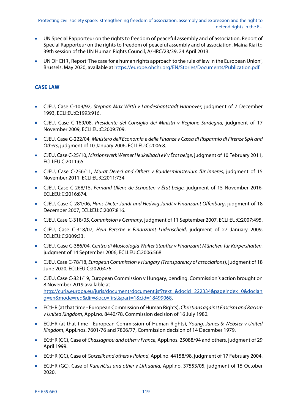- UN Special Rapporteur on the rights to freedom of peaceful assembly and of association, Report of Special Rapporteur on the rights to freedom of peaceful assembly and of association, Maina Kiai to 39th session of the UN Human Rights Council, A/HRC/23/39, 24 April 2013.
- UN OHCHR , Report 'The case for a human rights approach to the rule of law in the European Union', Brussels, May 2020, available at https://europe.ohchr.org/EN/Stories/Documents/Publication.pdf.

## **CASE LAW**

- CJEU, Case C-109/92, Stephan Max Wirth v Landeshaptstadt Hannover, judgment of 7 December 1993, ECLI:EU:C:1993:916.
- CJEU, Case C-169/08, Presidente del Consiglio dei Ministri v Regione Sardegna, judgment of 17 November 2009, ECLI:EU:C:2009:709.
- CJEU, Case C-222/04, Ministero dell'Economia e delle Finanze v Cassa di Risparmio di Firenze SpA and Others, judgment of 10 January 2006, ECLI:EU:C:2006:8.
- CJEU, Case C-25/10, Missionswerk Werner Heukelbach eV v État belge, judgment of 10 February 2011, ECLI:EU:C:2011:65.
- CJEU, Case C-256/11, Murat Dereci and Others v Bundesministerium für Inneres, judgment of 15 November 2011, ECLI:EU:C:2011:734
- CJEU, Case C-268/15, Fernand Ullens de Schooten v État belge, judgment of 15 November 2016, ECLI:EU:C:2016:874.
- CJEU, Case C-281/06, Hans-Dieter Jundt and Hedwig Jundt v Finanzamt Offenburg, judgment of 18 December 2007, ECLI:EU:C:2007:816.
- CJEU, Case C-318/05, Commission v Germany, judgment of 11 September 2007, ECLI:EU:C:2007:495.
- CJEU, Case C-318/07, Hein Persche v Finanzamt Lüdenscheid, judgment of 27 January 2009, ECLI:EU:C:2009:33.
- CJEU, Case C-386/04, Centro di Musicologia Walter Stauffer v Finanzamt München fúr Körpershaften, judgment of 14 September 2006, ECLI:EU:C:2006:568
- CJEU, Case C-78/18, European Commission v Hungary (Transparency of associations), judgment of 18 June 2020, ECLI:EU:C:2020:476.
- CJEU, Case C-821/19, European Commission v Hungary, pending. Commission's action brought on 8 November 2019 available at http://curia.europa.eu/juris/document/document.jsf?text=&docid=222334&pageIndex=0&doclan g=en&mode=req&dir=&occ=first&part=1&cid=18499068.
- ECtHR (at that time European Commission of Human Rights), Christians against Fascism and Racism v United Kingdom, Appl.no. 8440/78, Commission decision of 16 July 1980.
- ECtHR (at that time European Commission of Human Rights), Young, James & Webster v United Kingdom, Appl.nos. 7601/76 and 7806/77, Commission decision of 14 December 1979.
- ECtHR (GC), Case of Chassagnou and other v France, Appl.nos. 25088/94 and others, judgment of 29 April 1999.
- ECtHR (GC), Case of Gorzelik and others v Poland, Appl.no. 44158/98, judgment of 17 February 2004.
- ECtHR (GC), Case of Kurevičius and other v Lithuania, Appl.no. 37553/05, judgment of 15 October 2020.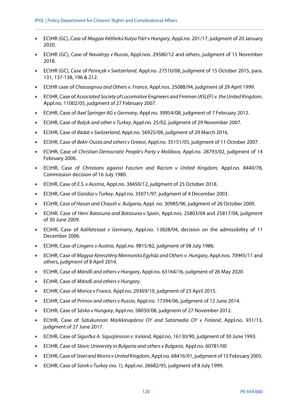- ECtHR (GC), Case of Magyar Kétfarkú Kutya Párt v Hungary, Appl.no. 201/17, judgment of 20 January 2020.
- ECtHR (GC), Case of Navalnyy v Russia, Appl.nos. 29580/12 and others, judgment of 15 November 2018.
- ECtHR (GC), Case of Perinçek v Switzerland, Appl.no. 27510/08, judgment of 15 October 2015, para. 131, 137-138, 196 & 212.
- ECtHR case of Chassagnou and Others v. France, Appl.nos. 25088/94, judgment of 29 April 1999.
- ECtHR, Case of Associated Society of Locomotive Engineers and Firemen (ASLEF) v. the United Kingdom, Appl.no. 11002/05, judgment of 27 February 2007.
- ECtHR, Case of Axel Springer AG v Germany, Appl.no. 39954/08, judgment of 7 February 2012.
- ECtHR, Case of Balçık and other v Turkey, Appl.no. 25/02, judgment of 29 November 2007.
- ECtHR, Case of Bédat v Switzerland, Appl.no. 56925/08, judgment of 29 March 2016.
- ECtHR, Case of Bekir-Ousta and others v Greece, Appl.no. 35151/05, judgment of 11 October 2007.
- ECtHR, Case of Christian Democratic People's Party v Moldova, Appl.no. 28793/02, judgment of 14 February 2006.
- ECtHR, Case of Christians against Fascism and Racism v United Kingdom, Appl.no. 8440/78, Commission decision of 16 July 1980.
- ECtHR, Case of E.S. v Austria, Appl.no. 38450/12, judgment of 25 October 2018.
- ECtHR, Case of Gündüz v Turkey, Appl.no. 35071/97, judgment of 4 December 2003.
- ECtHR, Case of Hasan and Chaush v. Bulgaria, Appl. no. 30985/96, judgment of 26 October 2000.
- ECtHR, Case of Herri Batasuna and Batasuna v Spain, Appl.nos. 25803/04 and 25817/04, judgment of 30 June 2009.
- ECtHR, Case of Kalifatstaat v Germany, Appl.no. 13828/04, decision on the admissibility of 11 December 2006.
- ECtHR, Case of Lingens v Austria, Appl.no. 9815/82, judgment of 08 July 1986.
- ECtHR, Case of Magyar Keresztény Mennonita Egyház and Others v. Hungary, Appl.nos. 70945/11 and others, judgment of 8 April 2014.
- ECtHR, Case of Mándli and others v Hungary, Appl.no. 63164/16, judgment of 26 May 2020.
- **•** ECtHR, Case of Mándli and others v Hungary.
- ECtHR, Case of Morice v France, Appl.no. 29369/10, judgment of 23 April 2015.
- ECtHR, Case of Primov and others v Russia, Appl.no. 17394/06, judgment of 12 June 2014.
- ECtHR, Case of Sáska v Hungary, Appl.no. 58050/08, judgment of 27 November 2012.
- ECtHR, Case of Satukunnan Markkinapörssi OY and Satamedia OY v Finland, Appl.no. 931/13, judgment of 27 June 2017.
- ECtHR, Case of Sigurður A. Sigurjónsson v. Iceland, Appl.no. 16130/90, judgment of 30 June 1993.
- ECtHR, Case of Slavic University in Bulgaria and others v Bulgaria, Appl.no. 60781/00
- ECtHR, Case of Steel and Morris v United Kingdom, Appl.no. 68416/01, judgment of 15 February 2005.
- ECtHR, Case of Sürek v Turkey (no. 1), Appl.no. 26682/95, judgment of 8 July 1999.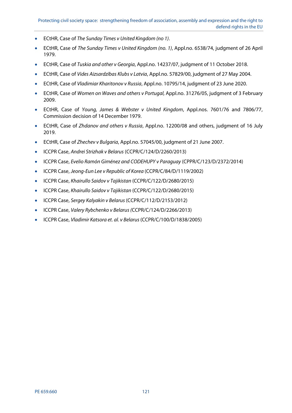- ECtHR, Case of The Sunday Times v United Kingdom (no 1).
- ECtHR, Case of The Sunday Times v United Kingdom (no. 1), Appl.no. 6538/74, judgment of 26 April 1979.
- ECtHR, Case of Tuskia and other v Georgia, Appl.no. 14237/07, judgment of 11 October 2018.
- ECtHR, Case of Vides Aizsardzības Klubs v Latvia, Appl.no. 57829/00, judgment of 27 May 2004.
- ECtHR, Case of Vladimiar Kharitonov v Russia, Appl.no. 10795/14, judgment of 23 June 2020.
- ECtHR, Case of Women on Waves and others v Portugal, Appl.no. 31276/05, judgment of 3 February 2009.
- ECtHR, Case of Young, James & Webster v United Kingdom, Appl.nos. 7601/76 and 7806/77, Commission decision of 14 December 1979.
- ECtHR, Case of Zhdanov and others v Russia, Appl.no. 12200/08 and others, judgment of 16 July 2019.
- ECtHR, Case of Zhechev v Bulgaria, Appl.no. 57045/00, judgment of 21 June 2007.
- ICCPR Case, Andrei Strizhak v Belarus (CCPR/C/124/D/2260/2013)
- ICCPR Case, Evelio Ramón Giménez and CODEHUPY v Paraguay (CPPR/C/123/D/2372/2014)
- ICCPR Case, Jeong-Eun Lee v Republic of Korea (CCPR/C/84/D/1119/2002)
- ICCPR Case, Khairullo Saidov v Tajikistan (CCPR/C/122/D/2680/2015)
- ICCPR Case, Khairullo Saidov v Tajikistan (CCPR/C/122/D/2680/2015)
- ICCPR Case, Sergey Kalyakin v Belarus (CCPR/C/112/D/2153/2012)
- ICCPR Case, Valery Rybchenko v Belarus (CCPR/C/124/D/2266/2013)
- ICCPR Case, Vladimir Katsora et. al. v Belarus (CCPR/C/100/D/1838/2005)